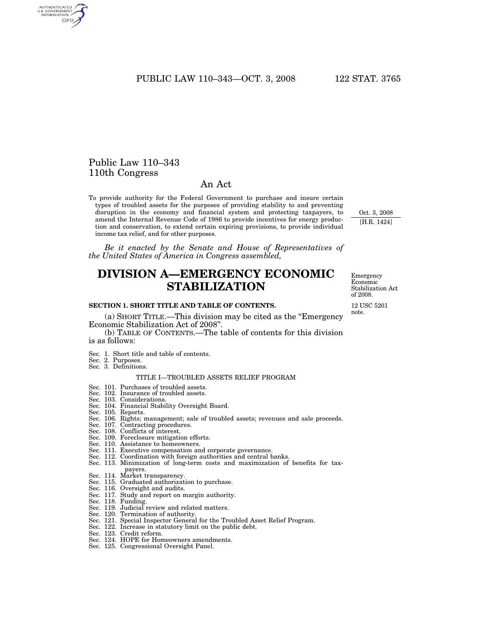PUBLIC LAW 110-343-OCT. 3, 2008 122 STAT. 3765

# Public Law 110–343 110th Congress

AUTHENTICATED<br>U.S. GOVERNMENT<br>INFORMATION GPO

# An Act

To provide authority for the Federal Government to purchase and insure certain types of troubled assets for the purposes of providing stability to and preventing disruption in the economy and financial system and protecting taxpayers, to amend the Internal Revenue Code of 1986 to provide incentives for energy production and conservation, to extend certain expiring provisions, to provide individual income tax relief, and for other purposes.

*Be it enacted by the Senate and House of Representatives of the United States of America in Congress assembled,* 

# **DIVISION A—EMERGENCY ECONOMIC STABILIZATION**

#### **SECTION 1. SHORT TITLE AND TABLE OF CONTENTS.**

(a) SHORT TITLE.—This division may be cited as the ''Emergency Economic Stabilization Act of 2008''.

(b) TABLE OF CONTENTS.—The table of contents for this division is as follows:

Sec. 1. Short title and table of contents.

Sec. 2. Purposes. Sec. 3. Definitions.

#### TITLE I—TROUBLED ASSETS RELIEF PROGRAM

- Sec. 101. Purchases of troubled assets.
- Sec. 102. Insurance of troubled assets. Sec. 103. Considerations.
- 
- Sec. 104. Financial Stability Oversight Board.
- 
- Sec. 105. Reports. Sec. 106. Rights; management; sale of troubled assets; revenues and sale proceeds. Sec. 107. Contracting procedures. Sec. 108. Conflicts of interest.
- 
- 
- Sec. 109. Foreclosure mitigation efforts.
- Sec. 110. Assistance to homeowners.
- Sec. 111. Executive compensation and corporate governance. Sec. 112. Coordination with foreign authorities and central banks.
- Sec. 113. Minimization of long-term costs and maximization of benefits for tax-
- payers. Sec. 114. Market transparency.
- 
- Sec. 115. Graduated authorization to purchase.
- Sec. 116. Oversight and audits.
- Sec. 117. Study and report on margin authority.
- Sec. 118. Funding.
- Sec. 119. Judicial review and related matters.
- Sec. 120. Termination of authority.
- Sec. 121. Special Inspector General for the Troubled Asset Relief Program.
- Sec. 122. Increase in statutory limit on the public debt.
- Sec. 123. Credit reform.
- Sec. 124. HOPE for Homeowners amendments.
- Sec. 125. Congressional Oversight Panel.

12 USC 5201 Emergency Economic Stabilization Act of 2008.

note.

Oct. 3, 2008 [H.R. 1424]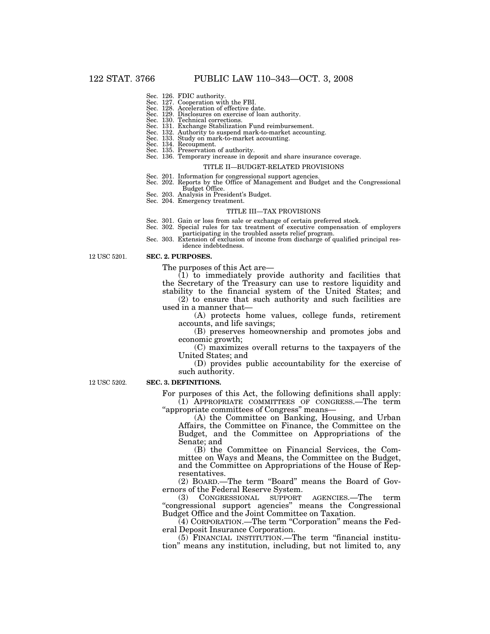- 
- Sec. 126. FDIC authority. Sec. 127. Cooperation with the FBI. Sec. 128. Acceleration of effective date.
- Sec. 129. Disclosures on exercise of loan authority.
- Sec. 130. Technical corrections.
- Sec. 131. Exchange Stabilization Fund reimbursement.
- Sec. 132. Authority to suspend mark-to-market accounting. Sec. 133. Study on mark-to-market accounting.
- 
- Sec. 134. Recoupment. Sec. 135. Preservation of authority.
- Sec. 136. Temporary increase in deposit and share insurance coverage.

#### TITLE II—BUDGET-RELATED PROVISIONS

- 
- Sec. 201. Information for congressional support agencies. Sec. 202. Reports by the Office of Management and Budget and the Congressional Budget Office. Sec. 203. Analysis in President's Budget.
- 
- Sec. 204. Emergency treatment.

#### TITLE III—TAX PROVISIONS

- Sec. 301. Gain or loss from sale or exchange of certain preferred stock.
- Sec. 302. Special rules for tax treatment of executive compensation of employers participating in the troubled assets relief program. Sec. 303. Extension of exclusion of income from discharge of qualified principal res-
- idence indebtedness.

12 USC 5201.

# **SEC. 2. PURPOSES.**

The purposes of this Act are—

(1) to immediately provide authority and facilities that the Secretary of the Treasury can use to restore liquidity and

stability to the financial system of the United States; and (2) to ensure that such authority and such facilities are

used in a manner that— (A) protects home values, college funds, retirement

accounts, and life savings;

(B) preserves homeownership and promotes jobs and economic growth;

(C) maximizes overall returns to the taxpayers of the United States; and

(D) provides public accountability for the exercise of such authority.

12 USC 5202.

# **SEC. 3. DEFINITIONS.**

For purposes of this Act, the following definitions shall apply: (1) APPROPRIATE COMMITTEES OF CONGRESS.—The term

"appropriate committees of Congress" means-(A) the Committee on Banking, Housing, and Urban Affairs, the Committee on Finance, the Committee on the Budget, and the Committee on Appropriations of the Senate; and

(B) the Committee on Financial Services, the Committee on Ways and Means, the Committee on the Budget, and the Committee on Appropriations of the House of Representatives.

(2) BOARD.—The term ''Board'' means the Board of Governors of the Federal Reserve System.

(3) CONGRESSIONAL SUPPORT AGENCIES.—The term ''congressional support agencies'' means the Congressional Budget Office and the Joint Committee on Taxation.

(4) CORPORATION.—The term ''Corporation'' means the Federal Deposit Insurance Corporation.

(5) FINANCIAL INSTITUTION.—The term ''financial institution'' means any institution, including, but not limited to, any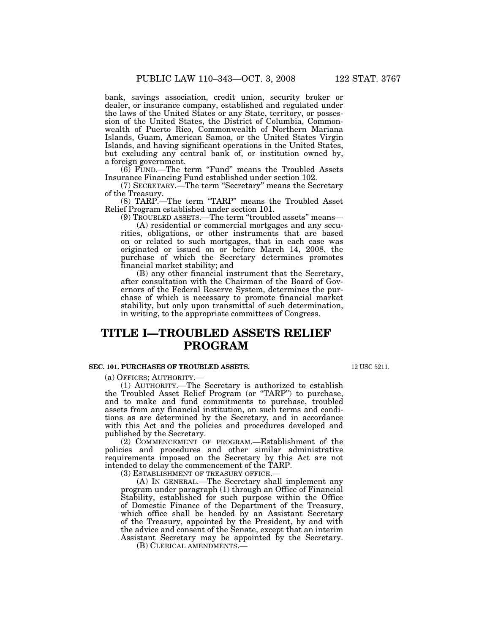bank, savings association, credit union, security broker or dealer, or insurance company, established and regulated under the laws of the United States or any State, territory, or possession of the United States, the District of Columbia, Commonwealth of Puerto Rico, Commonwealth of Northern Mariana Islands, Guam, American Samoa, or the United States Virgin Islands, and having significant operations in the United States, but excluding any central bank of, or institution owned by, a foreign government.

(6) FUND.—The term ''Fund'' means the Troubled Assets Insurance Financing Fund established under section 102.

(7) SECRETARY.—The term ''Secretary'' means the Secretary of the Treasury.

(8) TARP.—The term ''TARP'' means the Troubled Asset Relief Program established under section 101.

(9) TROUBLED ASSETS.—The term ''troubled assets'' means—

(A) residential or commercial mortgages and any securities, obligations, or other instruments that are based on or related to such mortgages, that in each case was originated or issued on or before March 14, 2008, the purchase of which the Secretary determines promotes financial market stability; and

(B) any other financial instrument that the Secretary, after consultation with the Chairman of the Board of Governors of the Federal Reserve System, determines the purchase of which is necessary to promote financial market stability, but only upon transmittal of such determination, in writing, to the appropriate committees of Congress.

# **TITLE I—TROUBLED ASSETS RELIEF PROGRAM**

#### **SEC. 101. PURCHASES OF TROUBLED ASSETS.**

12 USC 5211.

(a) OFFICES; AUTHORITY.—

(1) AUTHORITY.—The Secretary is authorized to establish the Troubled Asset Relief Program (or ''TARP'') to purchase, and to make and fund commitments to purchase, troubled assets from any financial institution, on such terms and conditions as are determined by the Secretary, and in accordance with this Act and the policies and procedures developed and published by the Secretary.

(2) COMMENCEMENT OF PROGRAM.—Establishment of the policies and procedures and other similar administrative requirements imposed on the Secretary by this Act are not intended to delay the commencement of the TARP.

(3) ESTABLISHMENT OF TREASURY OFFICE.—

(A) IN GENERAL.—The Secretary shall implement any program under paragraph (1) through an Office of Financial Stability, established for such purpose within the Office of Domestic Finance of the Department of the Treasury, which office shall be headed by an Assistant Secretary of the Treasury, appointed by the President, by and with the advice and consent of the Senate, except that an interim Assistant Secretary may be appointed by the Secretary.

(B) CLERICAL AMENDMENTS.—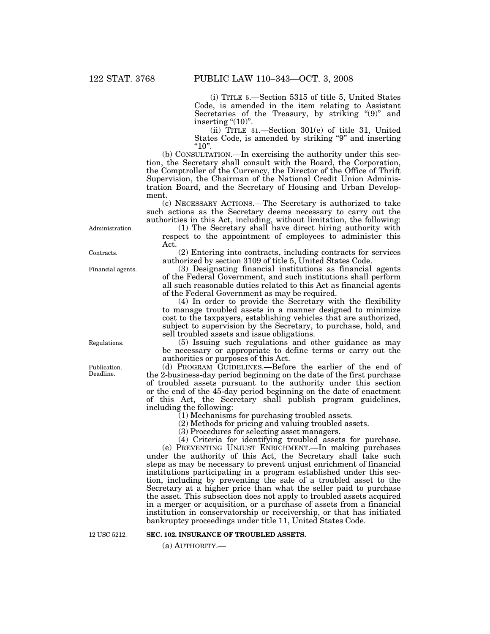(i) TITLE 5.—Section 5315 of title 5, United States Code, is amended in the item relating to Assistant Secretaries of the Treasury, by striking "(9)" and inserting  $">(10)"$ .

(ii) TITLE 31.—Section 301(e) of title 31, United States Code, is amended by striking "9" and inserting " $10$ ".

(b) CONSULTATION.—In exercising the authority under this section, the Secretary shall consult with the Board, the Corporation, the Comptroller of the Currency, the Director of the Office of Thrift Supervision, the Chairman of the National Credit Union Administration Board, and the Secretary of Housing and Urban Development.

(c) NECESSARY ACTIONS.—The Secretary is authorized to take such actions as the Secretary deems necessary to carry out the authorities in this Act, including, without limitation, the following:

(1) The Secretary shall have direct hiring authority with respect to the appointment of employees to administer this Act.

(2) Entering into contracts, including contracts for services authorized by section 3109 of title 5, United States Code.

(3) Designating financial institutions as financial agents of the Federal Government, and such institutions shall perform all such reasonable duties related to this Act as financial agents of the Federal Government as may be required.

(4) In order to provide the Secretary with the flexibility to manage troubled assets in a manner designed to minimize cost to the taxpayers, establishing vehicles that are authorized, subject to supervision by the Secretary, to purchase, hold, and sell troubled assets and issue obligations.

(5) Issuing such regulations and other guidance as may be necessary or appropriate to define terms or carry out the authorities or purposes of this Act.

(d) PROGRAM GUIDELINES.—Before the earlier of the end of the 2-business-day period beginning on the date of the first purchase of troubled assets pursuant to the authority under this section or the end of the 45-day period beginning on the date of enactment of this Act, the Secretary shall publish program guidelines, including the following:

(1) Mechanisms for purchasing troubled assets.

(2) Methods for pricing and valuing troubled assets.

(3) Procedures for selecting asset managers.

(4) Criteria for identifying troubled assets for purchase.

(e) PREVENTING UNJUST ENRICHMENT.—In making purchases under the authority of this Act, the Secretary shall take such steps as may be necessary to prevent unjust enrichment of financial institutions participating in a program established under this section, including by preventing the sale of a troubled asset to the Secretary at a higher price than what the seller paid to purchase the asset. This subsection does not apply to troubled assets acquired in a merger or acquisition, or a purchase of assets from a financial institution in conservatorship or receivership, or that has initiated bankruptcy proceedings under title 11, United States Code.

12 USC 5212.

## **SEC. 102. INSURANCE OF TROUBLED ASSETS.**

(a) AUTHORITY.—

Administration.

Contracts.

Financial agents.

Regulations.

Publication. Deadline.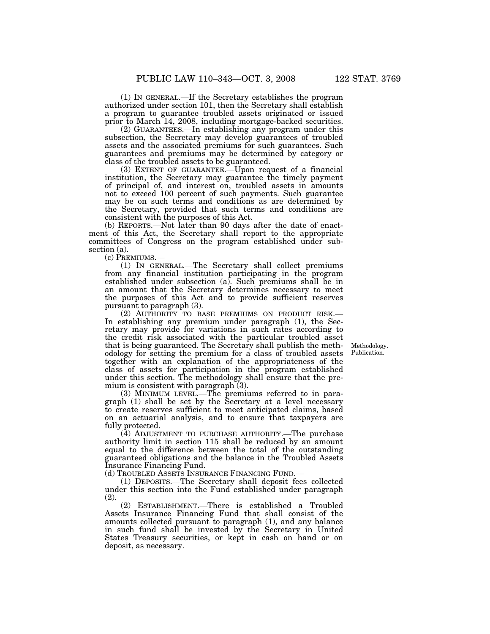(1) IN GENERAL.—If the Secretary establishes the program authorized under section 101, then the Secretary shall establish a program to guarantee troubled assets originated or issued prior to March 14, 2008, including mortgage-backed securities.

(2) GUARANTEES.—In establishing any program under this subsection, the Secretary may develop guarantees of troubled assets and the associated premiums for such guarantees. Such guarantees and premiums may be determined by category or class of the troubled assets to be guaranteed.

(3) EXTENT OF GUARANTEE.—Upon request of a financial institution, the Secretary may guarantee the timely payment of principal of, and interest on, troubled assets in amounts not to exceed 100 percent of such payments. Such guarantee may be on such terms and conditions as are determined by the Secretary, provided that such terms and conditions are consistent with the purposes of this Act.

(b) REPORTS.—Not later than 90 days after the date of enactment of this Act, the Secretary shall report to the appropriate committees of Congress on the program established under subsection (a).

(c) PREMIUMS.—

(1) IN GENERAL.—The Secretary shall collect premiums from any financial institution participating in the program established under subsection (a). Such premiums shall be in an amount that the Secretary determines necessary to meet the purposes of this Act and to provide sufficient reserves pursuant to paragraph (3).

(2) AUTHORITY TO BASE PREMIUMS ON PRODUCT RISK.— In establishing any premium under paragraph (1), the Secretary may provide for variations in such rates according to the credit risk associated with the particular troubled asset that is being guaranteed. The Secretary shall publish the methodology for setting the premium for a class of troubled assets together with an explanation of the appropriateness of the class of assets for participation in the program established under this section. The methodology shall ensure that the premium is consistent with paragraph (3).

(3) MINIMUM LEVEL.—The premiums referred to in paragraph (1) shall be set by the Secretary at a level necessary to create reserves sufficient to meet anticipated claims, based on an actuarial analysis, and to ensure that taxpayers are fully protected.

(4) ADJUSTMENT TO PURCHASE AUTHORITY.—The purchase authority limit in section 115 shall be reduced by an amount equal to the difference between the total of the outstanding guaranteed obligations and the balance in the Troubled Assets Insurance Financing Fund.

(d) TROUBLED ASSETS INSURANCE FINANCING FUND.—

(1) DEPOSITS.—The Secretary shall deposit fees collected under this section into the Fund established under paragraph (2).

(2) ESTABLISHMENT.—There is established a Troubled Assets Insurance Financing Fund that shall consist of the amounts collected pursuant to paragraph (1), and any balance in such fund shall be invested by the Secretary in United States Treasury securities, or kept in cash on hand or on deposit, as necessary.

Methodology. Publication.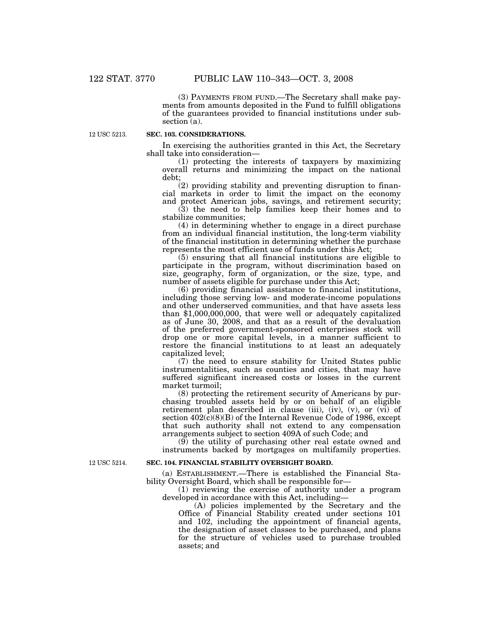(3) PAYMENTS FROM FUND.—The Secretary shall make payments from amounts deposited in the Fund to fulfill obligations of the guarantees provided to financial institutions under subsection (a).

12 USC 5213.

## **SEC. 103. CONSIDERATIONS.**

In exercising the authorities granted in this Act, the Secretary shall take into consideration—

(1) protecting the interests of taxpayers by maximizing overall returns and minimizing the impact on the national debt;

(2) providing stability and preventing disruption to financial markets in order to limit the impact on the economy and protect American jobs, savings, and retirement security;

(3) the need to help families keep their homes and to stabilize communities;

(4) in determining whether to engage in a direct purchase from an individual financial institution, the long-term viability of the financial institution in determining whether the purchase represents the most efficient use of funds under this Act;

(5) ensuring that all financial institutions are eligible to participate in the program, without discrimination based on size, geography, form of organization, or the size, type, and number of assets eligible for purchase under this Act;

(6) providing financial assistance to financial institutions, including those serving low- and moderate-income populations and other underserved communities, and that have assets less than \$1,000,000,000, that were well or adequately capitalized as of June 30, 2008, and that as a result of the devaluation of the preferred government-sponsored enterprises stock will drop one or more capital levels, in a manner sufficient to restore the financial institutions to at least an adequately capitalized level;

(7) the need to ensure stability for United States public instrumentalities, such as counties and cities, that may have suffered significant increased costs or losses in the current market turmoil;

(8) protecting the retirement security of Americans by purchasing troubled assets held by or on behalf of an eligible retirement plan described in clause (iii), (iv), (v), or (vi) of section 402(c)(8)(B) of the Internal Revenue Code of 1986, except that such authority shall not extend to any compensation arrangements subject to section 409A of such Code; and

(9) the utility of purchasing other real estate owned and instruments backed by mortgages on multifamily properties.

12 USC 5214.

## **SEC. 104. FINANCIAL STABILITY OVERSIGHT BOARD.**

(a) ESTABLISHMENT.—There is established the Financial Stability Oversight Board, which shall be responsible for—

(1) reviewing the exercise of authority under a program developed in accordance with this Act, including—

(A) policies implemented by the Secretary and the Office of Financial Stability created under sections 101 and 102, including the appointment of financial agents, the designation of asset classes to be purchased, and plans for the structure of vehicles used to purchase troubled assets; and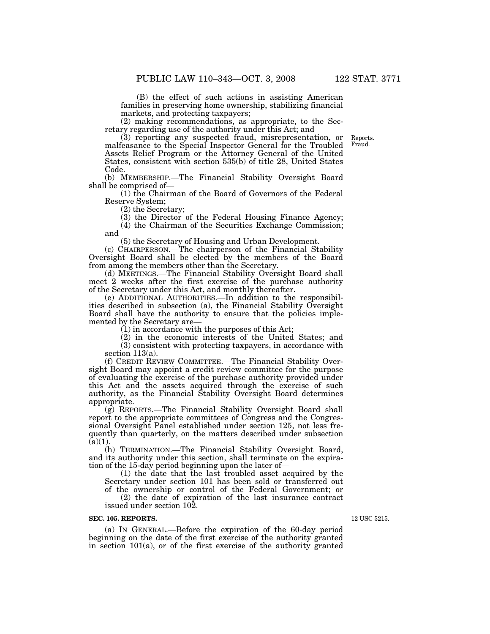(B) the effect of such actions in assisting American families in preserving home ownership, stabilizing financial markets, and protecting taxpayers;

(2) making recommendations, as appropriate, to the Secretary regarding use of the authority under this Act; and

(3) reporting any suspected fraud, misrepresentation, or malfeasance to the Special Inspector General for the Troubled Assets Relief Program or the Attorney General of the United States, consistent with section 535(b) of title 28, United States Code. Reports.

(b) MEMBERSHIP.—The Financial Stability Oversight Board shall be comprised of—

(1) the Chairman of the Board of Governors of the Federal Reserve System;

(2) the Secretary;

(3) the Director of the Federal Housing Finance Agency;

(4) the Chairman of the Securities Exchange Commission; and

(5) the Secretary of Housing and Urban Development.

(c) CHAIRPERSON.—The chairperson of the Financial Stability Oversight Board shall be elected by the members of the Board from among the members other than the Secretary.

(d) MEETINGS.—The Financial Stability Oversight Board shall meet 2 weeks after the first exercise of the purchase authority of the Secretary under this Act, and monthly thereafter.

(e) ADDITIONAL AUTHORITIES.—In addition to the responsibilities described in subsection (a), the Financial Stability Oversight Board shall have the authority to ensure that the policies implemented by the Secretary are—

(1) in accordance with the purposes of this Act;

(2) in the economic interests of the United States; and (3) consistent with protecting taxpayers, in accordance with section 113(a).

(f) CREDIT REVIEW COMMITTEE.—The Financial Stability Oversight Board may appoint a credit review committee for the purpose of evaluating the exercise of the purchase authority provided under this Act and the assets acquired through the exercise of such authority, as the Financial Stability Oversight Board determines appropriate.

(g) REPORTS.—The Financial Stability Oversight Board shall report to the appropriate committees of Congress and the Congressional Oversight Panel established under section 125, not less frequently than quarterly, on the matters described under subsection  $(a)(1)$ .

(h) TERMINATION.—The Financial Stability Oversight Board, and its authority under this section, shall terminate on the expiration of the 15-day period beginning upon the later of—

(1) the date that the last troubled asset acquired by the Secretary under section 101 has been sold or transferred out

of the ownership or control of the Federal Government; or (2) the date of expiration of the last insurance contract issued under section 102.

### **SEC. 105. REPORTS.**

(a) IN GENERAL.—Before the expiration of the 60-day period beginning on the date of the first exercise of the authority granted in section 101(a), or of the first exercise of the authority granted

12 USC 5215.

Fraud.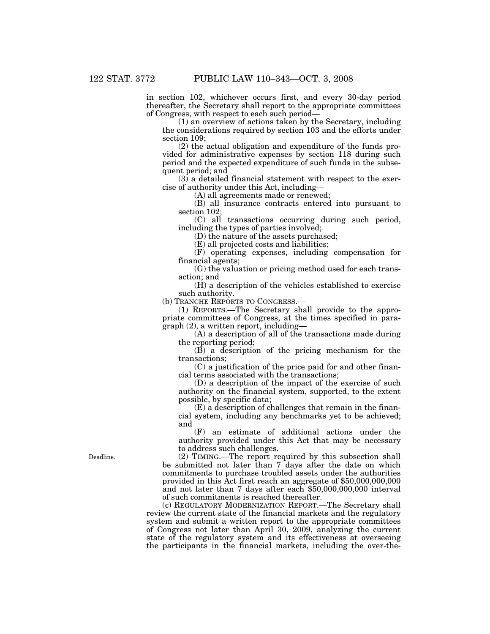in section 102, whichever occurs first, and every 30-day period thereafter, the Secretary shall report to the appropriate committees of Congress, with respect to each such period—

(1) an overview of actions taken by the Secretary, including the considerations required by section 103 and the efforts under section 109;

(2) the actual obligation and expenditure of the funds provided for administrative expenses by section 118 during such period and the expected expenditure of such funds in the subsequent period; and

(3) a detailed financial statement with respect to the exercise of authority under this Act, including—

(A) all agreements made or renewed;

(B) all insurance contracts entered into pursuant to section 102;

(C) all transactions occurring during such period, including the types of parties involved;

(D) the nature of the assets purchased;

(E) all projected costs and liabilities;

(F) operating expenses, including compensation for financial agents;

(G) the valuation or pricing method used for each transaction; and

(H) a description of the vehicles established to exercise such authority.

(b) TRANCHE REPORTS TO CONGRESS.—

(1) REPORTS.—The Secretary shall provide to the appropriate committees of Congress, at the times specified in paragraph (2), a written report, including—

(A) a description of all of the transactions made during the reporting period;

(B) a description of the pricing mechanism for the transactions;

(C) a justification of the price paid for and other financial terms associated with the transactions;

(D) a description of the impact of the exercise of such authority on the financial system, supported, to the extent possible, by specific data;

(E) a description of challenges that remain in the financial system, including any benchmarks yet to be achieved; and

(F) an estimate of additional actions under the authority provided under this Act that may be necessary to address such challenges.

(2) TIMING.—The report required by this subsection shall be submitted not later than 7 days after the date on which commitments to purchase troubled assets under the authorities provided in this Act first reach an aggregate of \$50,000,000,000 and not later than 7 days after each \$50,000,000,000 interval of such commitments is reached thereafter.

(c) REGULATORY MODERNIZATION REPORT.—The Secretary shall review the current state of the financial markets and the regulatory system and submit a written report to the appropriate committees of Congress not later than April 30, 2009, analyzing the current state of the regulatory system and its effectiveness at overseeing the participants in the financial markets, including the over-the-

Deadline.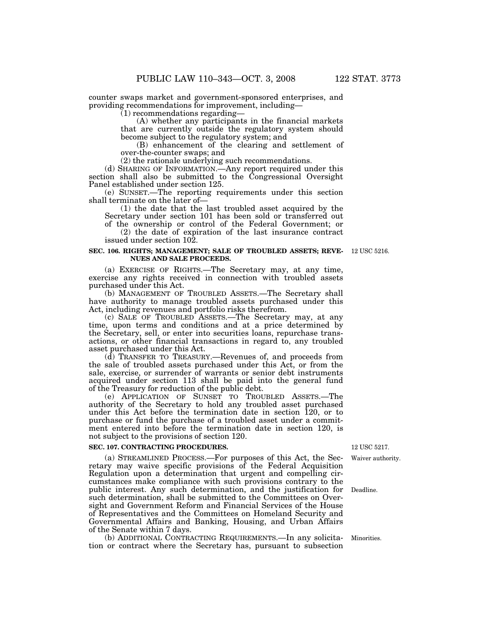counter swaps market and government-sponsored enterprises, and providing recommendations for improvement, including—

(1) recommendations regarding—

(A) whether any participants in the financial markets that are currently outside the regulatory system should become subject to the regulatory system; and

(B) enhancement of the clearing and settlement of over-the-counter swaps; and

(2) the rationale underlying such recommendations.

(d) SHARING OF INFORMATION.—Any report required under this section shall also be submitted to the Congressional Oversight Panel established under section 125.

(e) SUNSET.—The reporting requirements under this section shall terminate on the later of—

(1) the date that the last troubled asset acquired by the Secretary under section 101 has been sold or transferred out

of the ownership or control of the Federal Government; or (2) the date of expiration of the last insurance contract issued under section 102.

#### **SEC. 106. RIGHTS; MANAGEMENT; SALE OF TROUBLED ASSETS; REVE-**12 USC 5216. **NUES AND SALE PROCEEDS.**

(a) EXERCISE OF RIGHTS.—The Secretary may, at any time, exercise any rights received in connection with troubled assets purchased under this Act.

(b) MANAGEMENT OF TROUBLED ASSETS.—The Secretary shall have authority to manage troubled assets purchased under this Act, including revenues and portfolio risks therefrom.

(c) SALE OF TROUBLED ASSETS.—The Secretary may, at any time, upon terms and conditions and at a price determined by the Secretary, sell, or enter into securities loans, repurchase transactions, or other financial transactions in regard to, any troubled asset purchased under this Act.

(d) TRANSFER TO TREASURY.—Revenues of, and proceeds from the sale of troubled assets purchased under this Act, or from the sale, exercise, or surrender of warrants or senior debt instruments acquired under section 113 shall be paid into the general fund of the Treasury for reduction of the public debt.

(e) APPLICATION OF SUNSET TO TROUBLED ASSETS.—The authority of the Secretary to hold any troubled asset purchased under this Act before the termination date in section 120, or to purchase or fund the purchase of a troubled asset under a commitment entered into before the termination date in section 120, is not subject to the provisions of section 120.

## **SEC. 107. CONTRACTING PROCEDURES.**

(a) STREAMLINED PROCESS.—For purposes of this Act, the Secretary may waive specific provisions of the Federal Acquisition Regulation upon a determination that urgent and compelling circumstances make compliance with such provisions contrary to the public interest. Any such determination, and the justification for such determination, shall be submitted to the Committees on Oversight and Government Reform and Financial Services of the House of Representatives and the Committees on Homeland Security and Governmental Affairs and Banking, Housing, and Urban Affairs of the Senate within 7 days.

(b) ADDITIONAL CONTRACTING REQUIREMENTS.—In any solicitation or contract where the Secretary has, pursuant to subsection

12 USC 5217.

Waiver authority.

Deadline.

Minorities.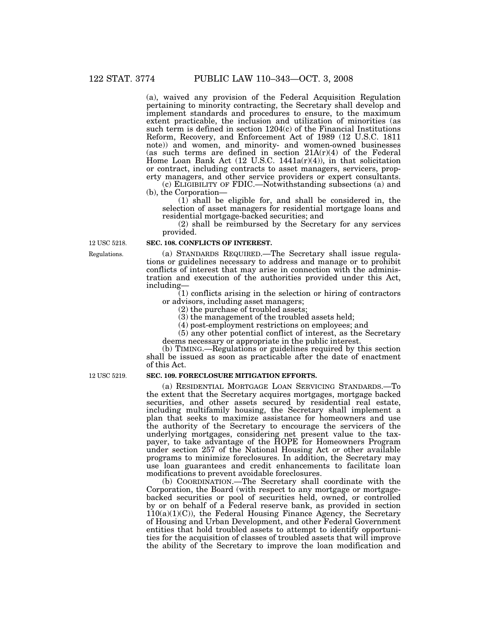(a), waived any provision of the Federal Acquisition Regulation pertaining to minority contracting, the Secretary shall develop and implement standards and procedures to ensure, to the maximum extent practicable, the inclusion and utilization of minorities (as such term is defined in section 1204(c) of the Financial Institutions Reform, Recovery, and Enforcement Act of 1989 (12 U.S.C. 1811 note)) and women, and minority- and women-owned businesses (as such terms are defined in section  $21A(r)(4)$  of the Federal Home Loan Bank Act (12 U.S.C. 1441a(r)(4)), in that solicitation or contract, including contracts to asset managers, servicers, property managers, and other service providers or expert consultants.

(c) ELIGIBILITY OF FDIC.—Notwithstanding subsections (a) and (b), the Corporation—

(1) shall be eligible for, and shall be considered in, the selection of asset managers for residential mortgage loans and residential mortgage-backed securities; and

(2) shall be reimbursed by the Secretary for any services provided.

12 USC 5218.

Regulations.

# **SEC. 108. CONFLICTS OF INTEREST.**

(a) STANDARDS REQUIRED.—The Secretary shall issue regulations or guidelines necessary to address and manage or to prohibit conflicts of interest that may arise in connection with the administration and execution of the authorities provided under this Act, including—

(1) conflicts arising in the selection or hiring of contractors or advisors, including asset managers;

(2) the purchase of troubled assets;

(3) the management of the troubled assets held;

(4) post-employment restrictions on employees; and

(5) any other potential conflict of interest, as the Secretary deems necessary or appropriate in the public interest.

(b) TIMING.—Regulations or guidelines required by this section shall be issued as soon as practicable after the date of enactment of this Act.

#### **SEC. 109. FORECLOSURE MITIGATION EFFORTS.**

(a) RESIDENTIAL MORTGAGE LOAN SERVICING STANDARDS.—To the extent that the Secretary acquires mortgages, mortgage backed securities, and other assets secured by residential real estate, including multifamily housing, the Secretary shall implement a plan that seeks to maximize assistance for homeowners and use the authority of the Secretary to encourage the servicers of the underlying mortgages, considering net present value to the taxpayer, to take advantage of the HOPE for Homeowners Program under section 257 of the National Housing Act or other available programs to minimize foreclosures. In addition, the Secretary may use loan guarantees and credit enhancements to facilitate loan modifications to prevent avoidable foreclosures.

(b) COORDINATION.—The Secretary shall coordinate with the Corporation, the Board (with respect to any mortgage or mortgagebacked securities or pool of securities held, owned, or controlled by or on behalf of a Federal reserve bank, as provided in section  $110(a)(1)(C)$ , the Federal Housing Finance Agency, the Secretary of Housing and Urban Development, and other Federal Government entities that hold troubled assets to attempt to identify opportunities for the acquisition of classes of troubled assets that will improve the ability of the Secretary to improve the loan modification and

12 USC 5219.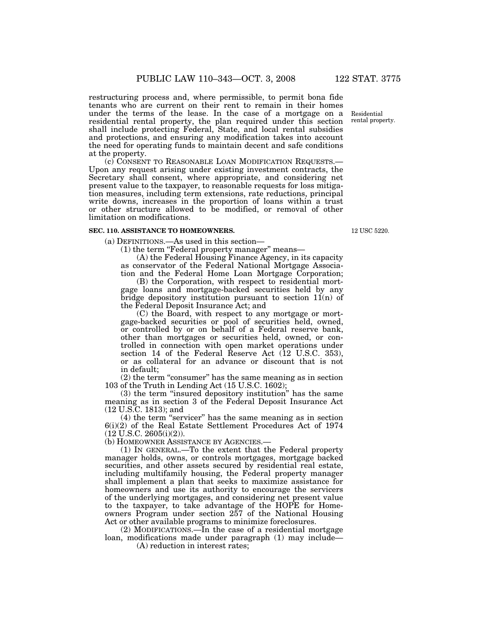restructuring process and, where permissible, to permit bona fide tenants who are current on their rent to remain in their homes under the terms of the lease. In the case of a mortgage on a residential rental property, the plan required under this section shall include protecting Federal, State, and local rental subsidies and protections, and ensuring any modification takes into account the need for operating funds to maintain decent and safe conditions at the property.

(c) CONSENT TO REASONABLE LOAN MODIFICATION REQUESTS.— Upon any request arising under existing investment contracts, the Secretary shall consent, where appropriate, and considering net present value to the taxpayer, to reasonable requests for loss mitigation measures, including term extensions, rate reductions, principal write downs, increases in the proportion of loans within a trust or other structure allowed to be modified, or removal of other limitation on modifications.

#### **SEC. 110. ASSISTANCE TO HOMEOWNERS.**

(a) DEFINITIONS.—As used in this section—

(1) the term ''Federal property manager'' means—

(A) the Federal Housing Finance Agency, in its capacity as conservator of the Federal National Mortgage Association and the Federal Home Loan Mortgage Corporation;

(B) the Corporation, with respect to residential mortgage loans and mortgage-backed securities held by any bridge depository institution pursuant to section 11(n) of the Federal Deposit Insurance Act; and

(C) the Board, with respect to any mortgage or mortgage-backed securities or pool of securities held, owned, or controlled by or on behalf of a Federal reserve bank, other than mortgages or securities held, owned, or controlled in connection with open market operations under section 14 of the Federal Reserve Act  $(12 \text{ U.S.C. } 353)$ , or as collateral for an advance or discount that is not in default;

 $(2)$  the term "consumer" has the same meaning as in section 103 of the Truth in Lending Act (15 U.S.C. 1602);

(3) the term ''insured depository institution'' has the same meaning as in section 3 of the Federal Deposit Insurance Act (12 U.S.C. 1813); and

(4) the term ''servicer'' has the same meaning as in section 6(i)(2) of the Real Estate Settlement Procedures Act of 1974  $(12 \text{ U.S.C. } 2605(i)(2)).$ 

(b) HOMEOWNER ASSISTANCE BY AGENCIES.—

(1) IN GENERAL.—To the extent that the Federal property manager holds, owns, or controls mortgages, mortgage backed securities, and other assets secured by residential real estate, including multifamily housing, the Federal property manager shall implement a plan that seeks to maximize assistance for homeowners and use its authority to encourage the servicers of the underlying mortgages, and considering net present value to the taxpayer, to take advantage of the HOPE for Homeowners Program under section 257 of the National Housing Act or other available programs to minimize foreclosures.

(2) MODIFICATIONS.—In the case of a residential mortgage loan, modifications made under paragraph (1) may include—

(A) reduction in interest rates;

Residential rental property.

12 USC 5220.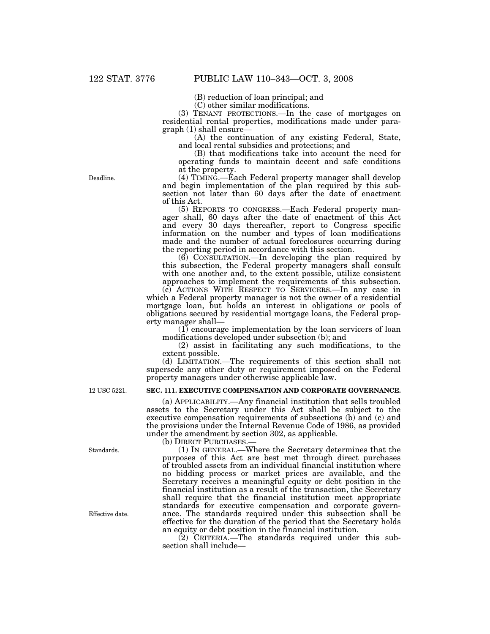(B) reduction of loan principal; and

(C) other similar modifications.

(3) TENANT PROTECTIONS.—In the case of mortgages on residential rental properties, modifications made under paragraph (1) shall ensure—

(A) the continuation of any existing Federal, State, and local rental subsidies and protections; and

(B) that modifications take into account the need for operating funds to maintain decent and safe conditions at the property.

(4) TIMING.—Each Federal property manager shall develop and begin implementation of the plan required by this subsection not later than 60 days after the date of enactment of this Act.

(5) REPORTS TO CONGRESS.—Each Federal property manager shall, 60 days after the date of enactment of this Act and every 30 days thereafter, report to Congress specific information on the number and types of loan modifications made and the number of actual foreclosures occurring during the reporting period in accordance with this section.

(6) CONSULTATION.—In developing the plan required by this subsection, the Federal property managers shall consult with one another and, to the extent possible, utilize consistent approaches to implement the requirements of this subsection.

(c) ACTIONS WITH RESPECT TO SERVICERS.—In any case in which a Federal property manager is not the owner of a residential mortgage loan, but holds an interest in obligations or pools of obligations secured by residential mortgage loans, the Federal property manager shall—

(1) encourage implementation by the loan servicers of loan modifications developed under subsection (b); and

(2) assist in facilitating any such modifications, to the extent possible.

(d) LIMITATION.—The requirements of this section shall not supersede any other duty or requirement imposed on the Federal property managers under otherwise applicable law.

## **SEC. 111. EXECUTIVE COMPENSATION AND CORPORATE GOVERNANCE.**

(a) APPLICABILITY.—Any financial institution that sells troubled assets to the Secretary under this Act shall be subject to the executive compensation requirements of subsections (b) and (c) and the provisions under the Internal Revenue Code of 1986, as provided under the amendment by section 302, as applicable.

(b) DIRECT PURCHASES.—

(1) IN GENERAL.—Where the Secretary determines that the purposes of this Act are best met through direct purchases of troubled assets from an individual financial institution where no bidding process or market prices are available, and the Secretary receives a meaningful equity or debt position in the financial institution as a result of the transaction, the Secretary shall require that the financial institution meet appropriate standards for executive compensation and corporate governance. The standards required under this subsection shall be effective for the duration of the period that the Secretary holds an equity or debt position in the financial institution.

(2) CRITERIA.—The standards required under this subsection shall include—

12 USC 5221.

Standards.

Effective date.

Deadline.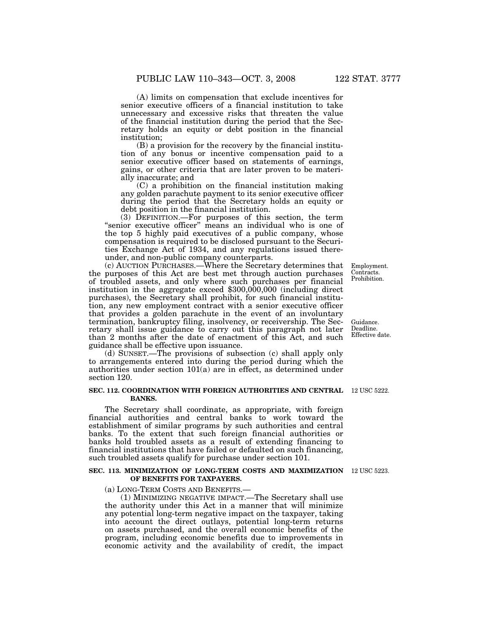(A) limits on compensation that exclude incentives for senior executive officers of a financial institution to take unnecessary and excessive risks that threaten the value of the financial institution during the period that the Secretary holds an equity or debt position in the financial institution;

(B) a provision for the recovery by the financial institution of any bonus or incentive compensation paid to a senior executive officer based on statements of earnings, gains, or other criteria that are later proven to be materially inaccurate; and

(C) a prohibition on the financial institution making any golden parachute payment to its senior executive officer during the period that the Secretary holds an equity or debt position in the financial institution.

(3) DEFINITION.—For purposes of this section, the term "senior executive officer" means an individual who is one of the top 5 highly paid executives of a public company, whose compensation is required to be disclosed pursuant to the Securities Exchange Act of 1934, and any regulations issued thereunder, and non-public company counterparts.

(c) AUCTION PURCHASES.—Where the Secretary determines that the purposes of this Act are best met through auction purchases of troubled assets, and only where such purchases per financial institution in the aggregate exceed \$300,000,000 (including direct purchases), the Secretary shall prohibit, for such financial institution, any new employment contract with a senior executive officer that provides a golden parachute in the event of an involuntary termination, bankruptcy filing, insolvency, or receivership. The Secretary shall issue guidance to carry out this paragraph not later than 2 months after the date of enactment of this Act, and such guidance shall be effective upon issuance.

(d) SUNSET.—The provisions of subsection (c) shall apply only to arrangements entered into during the period during which the authorities under section 101(a) are in effect, as determined under section 120.

#### **SEC. 112. COORDINATION WITH FOREIGN AUTHORITIES AND CENTRAL**  12 USC 5222. **BANKS.**

The Secretary shall coordinate, as appropriate, with foreign financial authorities and central banks to work toward the establishment of similar programs by such authorities and central banks. To the extent that such foreign financial authorities or banks hold troubled assets as a result of extending financing to financial institutions that have failed or defaulted on such financing, such troubled assets qualify for purchase under section 101.

#### **SEC. 113. MINIMIZATION OF LONG-TERM COSTS AND MAXIMIZATION**  12 USC 5223. **OF BENEFITS FOR TAXPAYERS.**

(a) LONG-TERM COSTS AND BENEFITS.—

(1) MINIMIZING NEGATIVE IMPACT.—The Secretary shall use the authority under this Act in a manner that will minimize any potential long-term negative impact on the taxpayer, taking into account the direct outlays, potential long-term returns on assets purchased, and the overall economic benefits of the program, including economic benefits due to improvements in economic activity and the availability of credit, the impact

Employment. Contracts. Prohibition.

Guidance. Deadline. Effective date.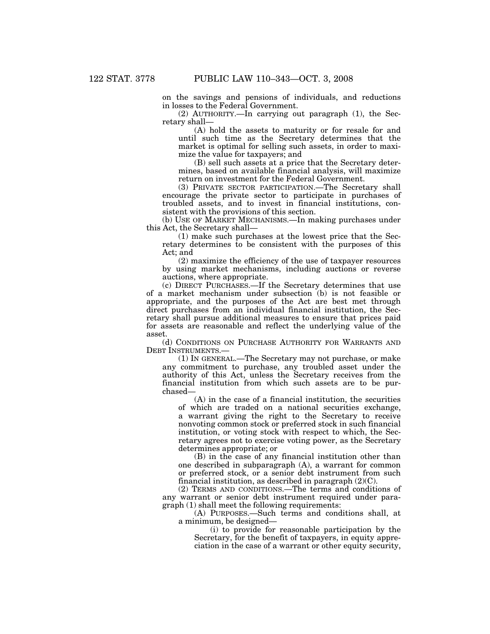on the savings and pensions of individuals, and reductions in losses to the Federal Government.

(2) AUTHORITY.—In carrying out paragraph (1), the Secretary shall—

(A) hold the assets to maturity or for resale for and until such time as the Secretary determines that the market is optimal for selling such assets, in order to maximize the value for taxpayers; and

(B) sell such assets at a price that the Secretary determines, based on available financial analysis, will maximize return on investment for the Federal Government.

(3) PRIVATE SECTOR PARTICIPATION.—The Secretary shall encourage the private sector to participate in purchases of troubled assets, and to invest in financial institutions, consistent with the provisions of this section.

(b) USE OF MARKET MECHANISMS.—In making purchases under this Act, the Secretary shall—

(1) make such purchases at the lowest price that the Secretary determines to be consistent with the purposes of this Act; and

(2) maximize the efficiency of the use of taxpayer resources by using market mechanisms, including auctions or reverse auctions, where appropriate.

(c) DIRECT PURCHASES.—If the Secretary determines that use of a market mechanism under subsection (b) is not feasible or appropriate, and the purposes of the Act are best met through direct purchases from an individual financial institution, the Secretary shall pursue additional measures to ensure that prices paid for assets are reasonable and reflect the underlying value of the asset.

(d) CONDITIONS ON PURCHASE AUTHORITY FOR WARRANTS AND DEBT INSTRUMENTS.—

(1) IN GENERAL.—The Secretary may not purchase, or make any commitment to purchase, any troubled asset under the authority of this Act, unless the Secretary receives from the financial institution from which such assets are to be purchased—

(A) in the case of a financial institution, the securities of which are traded on a national securities exchange, a warrant giving the right to the Secretary to receive nonvoting common stock or preferred stock in such financial institution, or voting stock with respect to which, the Secretary agrees not to exercise voting power, as the Secretary determines appropriate; or

(B) in the case of any financial institution other than one described in subparagraph (A), a warrant for common or preferred stock, or a senior debt instrument from such financial institution, as described in paragraph (2)(C).

(2) TERMS AND CONDITIONS.—The terms and conditions of any warrant or senior debt instrument required under paragraph (1) shall meet the following requirements:

(A) PURPOSES.—Such terms and conditions shall, at a minimum, be designed—

(i) to provide for reasonable participation by the Secretary, for the benefit of taxpayers, in equity appreciation in the case of a warrant or other equity security,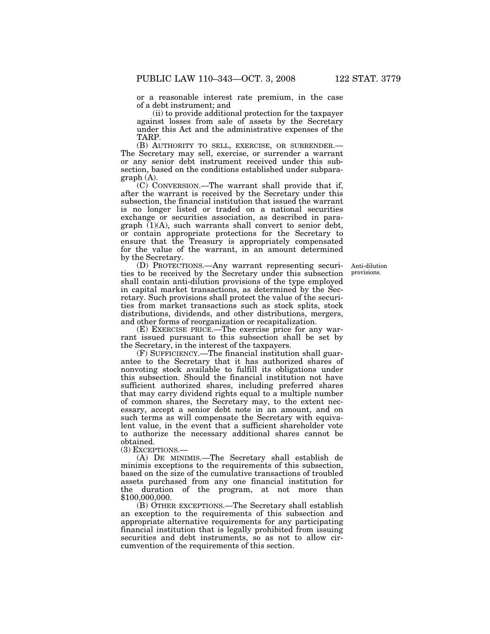or a reasonable interest rate premium, in the case of a debt instrument; and

(ii) to provide additional protection for the taxpayer against losses from sale of assets by the Secretary under this Act and the administrative expenses of the TARP.<br>(B) AUTHORITY TO SELL, EXERCISE, OR SURRENDER.—

The Secretary may sell, exercise, or surrender a warrant. or any senior debt instrument received under this subsection, based on the conditions established under subparagraph (A).

(C) CONVERSION.—The warrant shall provide that if, after the warrant is received by the Secretary under this subsection, the financial institution that issued the warrant is no longer listed or traded on a national securities exchange or securities association, as described in paragraph  $(1)(A)$ , such warrants shall convert to senior debt, or contain appropriate protections for the Secretary to ensure that the Treasury is appropriately compensated for the value of the warrant, in an amount determined by the Secretary.

> Anti-dilution provisions.

(D) PROTECTIONS.—Any warrant representing securities to be received by the Secretary under this subsection shall contain anti-dilution provisions of the type employed in capital market transactions, as determined by the Secretary. Such provisions shall protect the value of the securities from market transactions such as stock splits, stock distributions, dividends, and other distributions, mergers, and other forms of reorganization or recapitalization.

(E) EXERCISE PRICE.—The exercise price for any warrant issued pursuant to this subsection shall be set by the Secretary, in the interest of the taxpayers.

(F) SUFFICIENCY.—The financial institution shall guarantee to the Secretary that it has authorized shares of nonvoting stock available to fulfill its obligations under this subsection. Should the financial institution not have sufficient authorized shares, including preferred shares that may carry dividend rights equal to a multiple number of common shares, the Secretary may, to the extent necessary, accept a senior debt note in an amount, and on such terms as will compensate the Secretary with equivalent value, in the event that a sufficient shareholder vote to authorize the necessary additional shares cannot be obtained.

(3) EXCEPTIONS.—

(A) DE MINIMIS.—The Secretary shall establish de minimis exceptions to the requirements of this subsection, based on the size of the cumulative transactions of troubled assets purchased from any one financial institution for the duration of the program, at not more than \$100,000,000.

(B) OTHER EXCEPTIONS.—The Secretary shall establish an exception to the requirements of this subsection and appropriate alternative requirements for any participating financial institution that is legally prohibited from issuing securities and debt instruments, so as not to allow circumvention of the requirements of this section.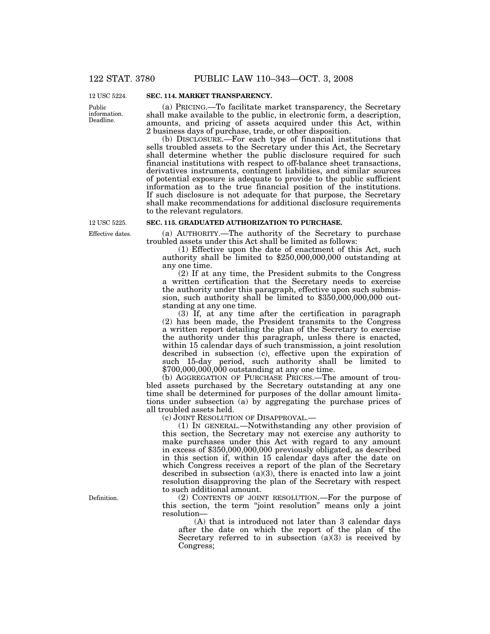12 USC 5224.

Public information. Deadline.

## **SEC. 114. MARKET TRANSPARENCY.**

(a) PRICING.—To facilitate market transparency, the Secretary shall make available to the public, in electronic form, a description, amounts, and pricing of assets acquired under this Act, within 2 business days of purchase, trade, or other disposition.

(b) DISCLOSURE.—For each type of financial institutions that sells troubled assets to the Secretary under this Act, the Secretary shall determine whether the public disclosure required for such financial institutions with respect to off-balance sheet transactions, derivatives instruments, contingent liabilities, and similar sources of potential exposure is adequate to provide to the public sufficient information as to the true financial position of the institutions. If such disclosure is not adequate for that purpose, the Secretary shall make recommendations for additional disclosure requirements to the relevant regulators.

Effective dates. 12 USC 5225.

# **SEC. 115. GRADUATED AUTHORIZATION TO PURCHASE.**

(a) AUTHORITY.—The authority of the Secretary to purchase troubled assets under this Act shall be limited as follows:

(1) Effective upon the date of enactment of this Act, such authority shall be limited to \$250,000,000,000 outstanding at any one time.

(2) If at any time, the President submits to the Congress a written certification that the Secretary needs to exercise the authority under this paragraph, effective upon such submission, such authority shall be limited to \$350,000,000,000 outstanding at any one time.

(3) If, at any time after the certification in paragraph (2) has been made, the President transmits to the Congress a written report detailing the plan of the Secretary to exercise the authority under this paragraph, unless there is enacted, within 15 calendar days of such transmission, a joint resolution described in subsection (c), effective upon the expiration of such 15-day period, such authority shall be limited to  $$700,000,000,000$  outstanding at any one time.

(b) AGGREGATION OF PURCHASE PRICES.—The amount of troubled assets purchased by the Secretary outstanding at any one time shall be determined for purposes of the dollar amount limitations under subsection (a) by aggregating the purchase prices of all troubled assets held.

(c) JOINT RESOLUTION OF DISAPPROVAL.—

(1) IN GENERAL.—Notwithstanding any other provision of this section, the Secretary may not exercise any authority to make purchases under this Act with regard to any amount in excess of \$350,000,000,000 previously obligated, as described in this section if, within 15 calendar days after the date on which Congress receives a report of the plan of the Secretary described in subsection  $(a)(3)$ , there is enacted into law a joint resolution disapproving the plan of the Secretary with respect to such additional amount.

(2) CONTENTS OF JOINT RESOLUTION.—For the purpose of this section, the term "joint resolution" means only a joint resolution—

(A) that is introduced not later than 3 calendar days after the date on which the report of the plan of the Secretary referred to in subsection  $(a)(3)$  is received by Congress;

Definition.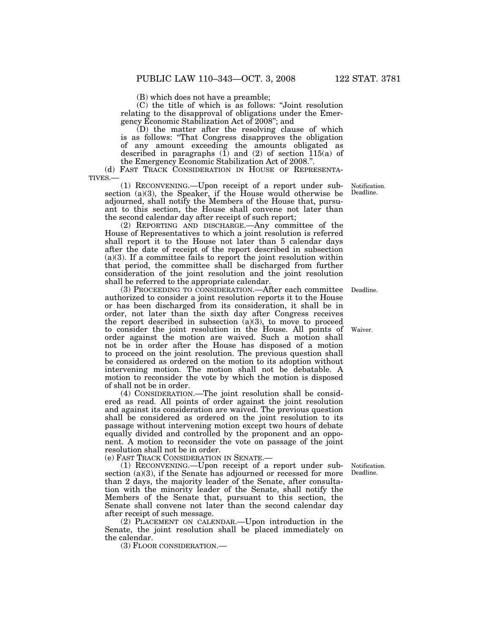(B) which does not have a preamble;

(C) the title of which is as follows: ''Joint resolution relating to the disapproval of obligations under the Emergency Economic Stabilization Act of 2008''; and

(D) the matter after the resolving clause of which is as follows: ''That Congress disapproves the obligation of any amount exceeding the amounts obligated as described in paragraphs  $(I)$  and  $(2)$  of section  $I15(a)$  of the Emergency Economic Stabilization Act of 2008.''.

(d) FAST TRACK CONSIDERATION IN HOUSE OF REPRESENTATIVES.—<br>
(1) RECONVENING.—Upon receipt of a report under sub-

section (a)(3), the Speaker, if the House would otherwise be adjourned, shall notify the Members of the House that, pursuant to this section, the House shall convene not later than the second calendar day after receipt of such report;

(2) REPORTING AND DISCHARGE.—Any committee of the House of Representatives to which a joint resolution is referred shall report it to the House not later than 5 calendar days after the date of receipt of the report described in subsection  $(a)(3)$ . If a committee fails to report the joint resolution within that period, the committee shall be discharged from further consideration of the joint resolution and the joint resolution shall be referred to the appropriate calendar.

(3) PROCEEDING TO CONSIDERATION.—After each committee authorized to consider a joint resolution reports it to the House or has been discharged from its consideration, it shall be in order, not later than the sixth day after Congress receives the report described in subsection (a)(3), to move to proceed to consider the joint resolution in the House. All points of order against the motion are waived. Such a motion shall not be in order after the House has disposed of a motion to proceed on the joint resolution. The previous question shall be considered as ordered on the motion to its adoption without intervening motion. The motion shall not be debatable. A motion to reconsider the vote by which the motion is disposed of shall not be in order. Deadline.

(4) CONSIDERATION.—The joint resolution shall be considered as read. All points of order against the joint resolution and against its consideration are waived. The previous question shall be considered as ordered on the joint resolution to its passage without intervening motion except two hours of debate equally divided and controlled by the proponent and an opponent. A motion to reconsider the vote on passage of the joint resolution shall not be in order.

(e) FAST TRACK CONSIDERATION IN SENATE.—

(1) RECONVENING.—Upon receipt of a report under subsection (a)(3), if the Senate has adjourned or recessed for more than 2 days, the majority leader of the Senate, after consultation with the minority leader of the Senate, shall notify the Members of the Senate that, pursuant to this section, the Senate shall convene not later than the second calendar day after receipt of such message.

(2) PLACEMENT ON CALENDAR.—Upon introduction in the Senate, the joint resolution shall be placed immediately on the calendar.

(3) FLOOR CONSIDERATION.—

Notification. Deadline.

Waiver.

Notification. Deadline.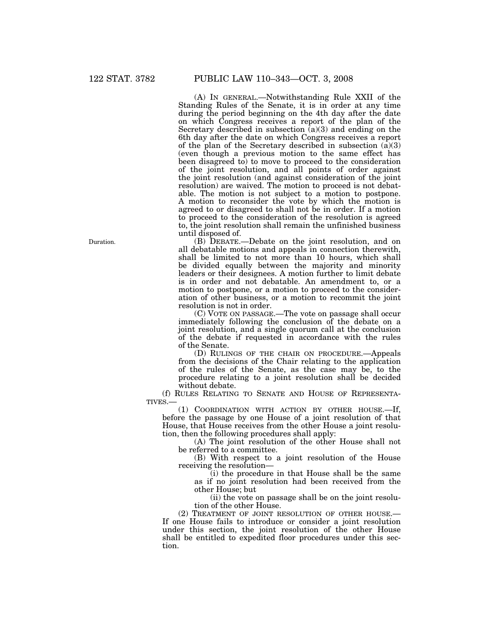(A) IN GENERAL.—Notwithstanding Rule XXII of the Standing Rules of the Senate, it is in order at any time during the period beginning on the 4th day after the date on which Congress receives a report of the plan of the Secretary described in subsection  $(a)(3)$  and ending on the 6th day after the date on which Congress receives a report of the plan of the Secretary described in subsection  $(a)(3)$ (even though a previous motion to the same effect has been disagreed to) to move to proceed to the consideration of the joint resolution, and all points of order against the joint resolution (and against consideration of the joint resolution) are waived. The motion to proceed is not debatable. The motion is not subject to a motion to postpone. A motion to reconsider the vote by which the motion is agreed to or disagreed to shall not be in order. If a motion to proceed to the consideration of the resolution is agreed to, the joint resolution shall remain the unfinished business until disposed of.

(B) DEBATE.—Debate on the joint resolution, and on all debatable motions and appeals in connection therewith, shall be limited to not more than 10 hours, which shall be divided equally between the majority and minority leaders or their designees. A motion further to limit debate is in order and not debatable. An amendment to, or a motion to postpone, or a motion to proceed to the consideration of other business, or a motion to recommit the joint resolution is not in order.

(C) VOTE ON PASSAGE.—The vote on passage shall occur immediately following the conclusion of the debate on a joint resolution, and a single quorum call at the conclusion of the debate if requested in accordance with the rules of the Senate.

(D) RULINGS OF THE CHAIR ON PROCEDURE.—Appeals from the decisions of the Chair relating to the application of the rules of the Senate, as the case may be, to the procedure relating to a joint resolution shall be decided without debate.

(f) RULES RELATING TO SENATE AND HOUSE OF REPRESENTA-TIVES.—

(1) COORDINATION WITH ACTION BY OTHER HOUSE.—If, before the passage by one House of a joint resolution of that House, that House receives from the other House a joint resolution, then the following procedures shall apply:

(A) The joint resolution of the other House shall not be referred to a committee.

(B) With respect to a joint resolution of the House receiving the resolution—

(i) the procedure in that House shall be the same as if no joint resolution had been received from the other House; but

(ii) the vote on passage shall be on the joint resolution of the other House.

(2) TREATMENT OF JOINT RESOLUTION OF OTHER HOUSE.— If one House fails to introduce or consider a joint resolution under this section, the joint resolution of the other House shall be entitled to expedited floor procedures under this section.

Duration.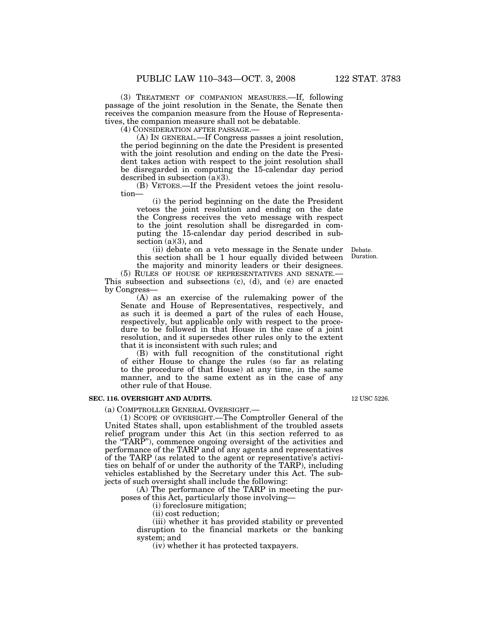(3) TREATMENT OF COMPANION MEASURES.—If, following passage of the joint resolution in the Senate, the Senate then receives the companion measure from the House of Representatives, the companion measure shall not be debatable.<br>(4) CONSIDERATION AFTER PASSAGE.—

 $(A)$  In GENERAL.—If Congress passes a joint resolution, the period beginning on the date the President is presented with the joint resolution and ending on the date the President takes action with respect to the joint resolution shall be disregarded in computing the 15-calendar day period described in subsection  $(a)(3)$ .

(B) VETOES.—If the President vetoes the joint resolution—

(i) the period beginning on the date the President vetoes the joint resolution and ending on the date the Congress receives the veto message with respect to the joint resolution shall be disregarded in computing the 15-calendar day period described in subsection (a)(3), and

(ii) debate on a veto message in the Senate under this section shall be 1 hour equally divided between the majority and minority leaders or their designees.

(5) RULES OF HOUSE OF REPRESENTATIVES AND SENATE.— This subsection and subsections (c), (d), and (e) are enacted by Congress—

(A) as an exercise of the rulemaking power of the Senate and House of Representatives, respectively, and as such it is deemed a part of the rules of each House, respectively, but applicable only with respect to the procedure to be followed in that House in the case of a joint resolution, and it supersedes other rules only to the extent that it is inconsistent with such rules; and

(B) with full recognition of the constitutional right of either House to change the rules (so far as relating to the procedure of that House) at any time, in the same manner, and to the same extent as in the case of any other rule of that House.

### **SEC. 116. OVERSIGHT AND AUDITS.**

(a) COMPTROLLER GENERAL OVERSIGHT.—

(1) SCOPE OF OVERSIGHT.—The Comptroller General of the United States shall, upon establishment of the troubled assets relief program under this Act (in this section referred to as the ''TARP''), commence ongoing oversight of the activities and performance of the TARP and of any agents and representatives of the TARP (as related to the agent or representative's activities on behalf of or under the authority of the TARP), including vehicles established by the Secretary under this Act. The subjects of such oversight shall include the following:

(A) The performance of the TARP in meeting the purposes of this Act, particularly those involving—

(i) foreclosure mitigation;

(ii) cost reduction;

(iii) whether it has provided stability or prevented disruption to the financial markets or the banking system; and

(iv) whether it has protected taxpayers.

12 USC 5226.

Debate. Duration.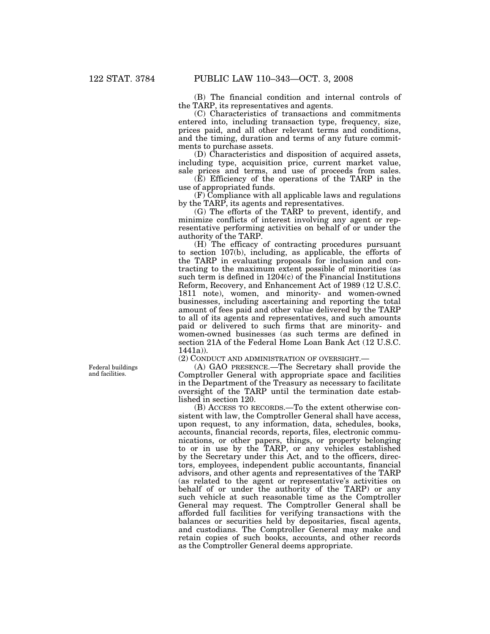(B) The financial condition and internal controls of the TARP, its representatives and agents.

(C) Characteristics of transactions and commitments entered into, including transaction type, frequency, size, prices paid, and all other relevant terms and conditions, and the timing, duration and terms of any future commitments to purchase assets.

(D) Characteristics and disposition of acquired assets, including type, acquisition price, current market value, sale prices and terms, and use of proceeds from sales.

(E) Efficiency of the operations of the TARP in the use of appropriated funds.

(F) Compliance with all applicable laws and regulations by the TARP, its agents and representatives.

(G) The efforts of the TARP to prevent, identify, and minimize conflicts of interest involving any agent or representative performing activities on behalf of or under the authority of the TARP.

(H) The efficacy of contracting procedures pursuant to section 107(b), including, as applicable, the efforts of the TARP in evaluating proposals for inclusion and contracting to the maximum extent possible of minorities (as such term is defined in  $1204(c)$  of the Financial Institutions Reform, Recovery, and Enhancement Act of 1989 (12 U.S.C. 1811 note), women, and minority- and women-owned businesses, including ascertaining and reporting the total amount of fees paid and other value delivered by the TARP to all of its agents and representatives, and such amounts paid or delivered to such firms that are minority- and women-owned businesses (as such terms are defined in section 21A of the Federal Home Loan Bank Act (12 U.S.C. 1441a)).

(2) CONDUCT AND ADMINISTRATION OF OVERSIGHT.—

(A) GAO PRESENCE.—The Secretary shall provide the Comptroller General with appropriate space and facilities in the Department of the Treasury as necessary to facilitate oversight of the TARP until the termination date established in section 120.

(B) ACCESS TO RECORDS.—To the extent otherwise consistent with law, the Comptroller General shall have access, upon request, to any information, data, schedules, books, accounts, financial records, reports, files, electronic communications, or other papers, things, or property belonging to or in use by the TARP, or any vehicles established by the Secretary under this Act, and to the officers, directors, employees, independent public accountants, financial advisors, and other agents and representatives of the TARP (as related to the agent or representative's activities on behalf of or under the authority of the TARP) or any such vehicle at such reasonable time as the Comptroller General may request. The Comptroller General shall be afforded full facilities for verifying transactions with the balances or securities held by depositaries, fiscal agents, and custodians. The Comptroller General may make and retain copies of such books, accounts, and other records as the Comptroller General deems appropriate.

Federal buildings and facilities.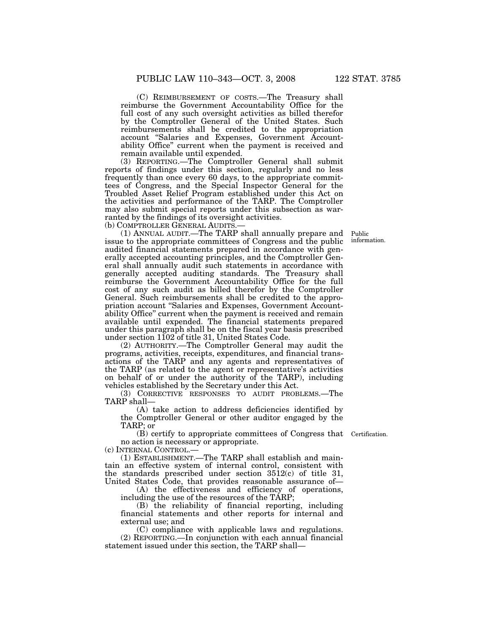(C) REIMBURSEMENT OF COSTS.—The Treasury shall reimburse the Government Accountability Office for the full cost of any such oversight activities as billed therefor by the Comptroller General of the United States. Such reimbursements shall be credited to the appropriation account ''Salaries and Expenses, Government Accountability Office'' current when the payment is received and remain available until expended.

(3) REPORTING.—The Comptroller General shall submit reports of findings under this section, regularly and no less frequently than once every 60 days, to the appropriate committees of Congress, and the Special Inspector General for the Troubled Asset Relief Program established under this Act on the activities and performance of the TARP. The Comptroller may also submit special reports under this subsection as warranted by the findings of its oversight activities.

(b) COMPTROLLER GENERAL AUDITS.—

(1) ANNUAL AUDIT.—The TARP shall annually prepare and issue to the appropriate committees of Congress and the public audited financial statements prepared in accordance with generally accepted accounting principles, and the Comptroller General shall annually audit such statements in accordance with generally accepted auditing standards. The Treasury shall reimburse the Government Accountability Office for the full cost of any such audit as billed therefor by the Comptroller General. Such reimbursements shall be credited to the appropriation account ''Salaries and Expenses, Government Accountability Office'' current when the payment is received and remain available until expended. The financial statements prepared under this paragraph shall be on the fiscal year basis prescribed under section 1102 of title 31, United States Code.

(2) AUTHORITY.—The Comptroller General may audit the programs, activities, receipts, expenditures, and financial transactions of the TARP and any agents and representatives of the TARP (as related to the agent or representative's activities on behalf of or under the authority of the TARP), including vehicles established by the Secretary under this Act.

(3) CORRECTIVE RESPONSES TO AUDIT PROBLEMS.—The TARP shall—

(A) take action to address deficiencies identified by the Comptroller General or other auditor engaged by the TARP; or

(B) certify to appropriate committees of Congress that Certification. no action is necessary or appropriate.

(c) INTERNAL CONTROL.—

(1) ESTABLISHMENT.—The TARP shall establish and maintain an effective system of internal control, consistent with the standards prescribed under section 3512(c) of title 31, United States Code, that provides reasonable assurance of—

(A) the effectiveness and efficiency of operations, including the use of the resources of the TARP;

(B) the reliability of financial reporting, including financial statements and other reports for internal and external use; and

(C) compliance with applicable laws and regulations. (2) REPORTING.—In conjunction with each annual financial statement issued under this section, the TARP shall—

Public information.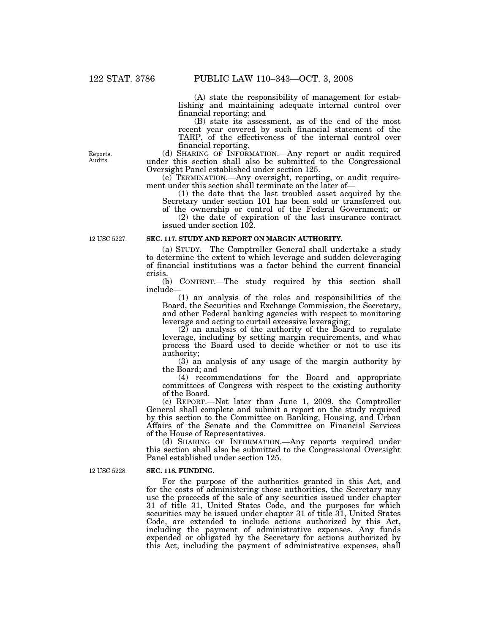(A) state the responsibility of management for establishing and maintaining adequate internal control over financial reporting; and

(B) state its assessment, as of the end of the most recent year covered by such financial statement of the TARP, of the effectiveness of the internal control over financial reporting.

(d) SHARING OF INFORMATION.—Any report or audit required under this section shall also be submitted to the Congressional Oversight Panel established under section 125.

(e) TERMINATION.—Any oversight, reporting, or audit requirement under this section shall terminate on the later of—

(1) the date that the last troubled asset acquired by the Secretary under section 101 has been sold or transferred out of the ownership or control of the Federal Government; or

(2) the date of expiration of the last insurance contract issued under section 102.

12 USC 5227.

## **SEC. 117. STUDY AND REPORT ON MARGIN AUTHORITY.**

(a) STUDY.—The Comptroller General shall undertake a study to determine the extent to which leverage and sudden deleveraging of financial institutions was a factor behind the current financial crisis.

(b) CONTENT.—The study required by this section shall include—

(1) an analysis of the roles and responsibilities of the Board, the Securities and Exchange Commission, the Secretary, and other Federal banking agencies with respect to monitoring leverage and acting to curtail excessive leveraging;

 $(2)$  an analysis of the authority of the Board to regulate leverage, including by setting margin requirements, and what process the Board used to decide whether or not to use its authority;

(3) an analysis of any usage of the margin authority by the Board; and

(4) recommendations for the Board and appropriate committees of Congress with respect to the existing authority of the Board.

(c) REPORT.—Not later than June 1, 2009, the Comptroller General shall complete and submit a report on the study required by this section to the Committee on Banking, Housing, and Urban Affairs of the Senate and the Committee on Financial Services of the House of Representatives.

(d) SHARING OF INFORMATION.—Any reports required under this section shall also be submitted to the Congressional Oversight Panel established under section 125.

12 USC 5228.

#### **SEC. 118. FUNDING.**

For the purpose of the authorities granted in this Act, and for the costs of administering those authorities, the Secretary may use the proceeds of the sale of any securities issued under chapter 31 of title 31, United States Code, and the purposes for which securities may be issued under chapter 31 of title 31, United States Code, are extended to include actions authorized by this Act, including the payment of administrative expenses. Any funds expended or obligated by the Secretary for actions authorized by this Act, including the payment of administrative expenses, shall

Reports. Audits.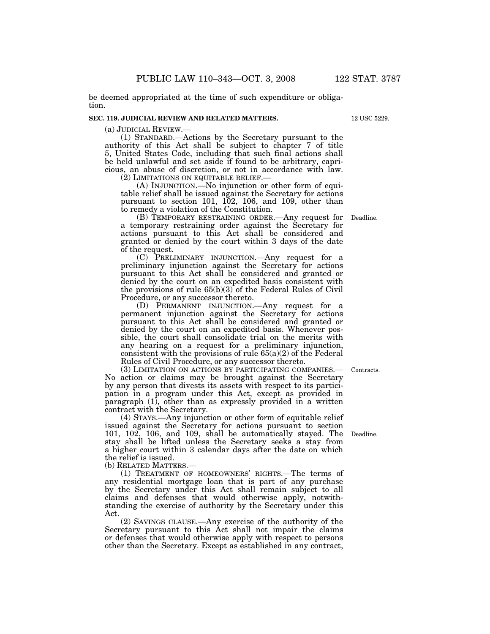be deemed appropriated at the time of such expenditure or obligation.

#### **SEC. 119. JUDICIAL REVIEW AND RELATED MATTERS.**

(a) JUDICIAL REVIEW.— (1) STANDARD.—Actions by the Secretary pursuant to the authority of this Act shall be subject to chapter 7 of title 5, United States Code, including that such final actions shall be held unlawful and set aside if found to be arbitrary, capricious, an abuse of discretion, or not in accordance with law.

 $(A)$  INJUNCTION.—No injunction or other form of equitable relief shall be issued against the Secretary for actions pursuant to section 101, 102, 106, and 109, other than to remedy a violation of the Constitution.

(B) TEMPORARY RESTRAINING ORDER.—Any request for Deadline. a temporary restraining order against the Secretary for actions pursuant to this Act shall be considered and granted or denied by the court within 3 days of the date of the request.

(C) PRELIMINARY INJUNCTION.—Any request for a preliminary injunction against the Secretary for actions pursuant to this Act shall be considered and granted or denied by the court on an expedited basis consistent with the provisions of rule  $65(b)(3)$  of the Federal Rules of Civil Procedure, or any successor thereto.

(D) PERMANENT INJUNCTION.—Any request for a permanent injunction against the Secretary for actions pursuant to this Act shall be considered and granted or denied by the court on an expedited basis. Whenever possible, the court shall consolidate trial on the merits with any hearing on a request for a preliminary injunction, consistent with the provisions of rule  $65(a)(2)$  of the Federal Rules of Civil Procedure, or any successor thereto.<br>(3) LIMITATION ON ACTIONS BY PARTICIPATING COMPANIES.—

No action or claims may be brought against the Secretary by any person that divests its assets with respect to its participation in a program under this Act, except as provided in paragraph (1), other than as expressly provided in a written contract with the Secretary.

(4) STAYS.—Any injunction or other form of equitable relief issued against the Secretary for actions pursuant to section 101, 102, 106, and 109, shall be automatically stayed. The Deadline. stay shall be lifted unless the Secretary seeks a stay from a higher court within 3 calendar days after the date on which the relief is issued.

(b) RELATED MATTERS.—

(1) TREATMENT OF HOMEOWNERS' RIGHTS.—The terms of any residential mortgage loan that is part of any purchase by the Secretary under this Act shall remain subject to all claims and defenses that would otherwise apply, notwithstanding the exercise of authority by the Secretary under this Act.

(2) SAVINGS CLAUSE.—Any exercise of the authority of the Secretary pursuant to this Act shall not impair the claims or defenses that would otherwise apply with respect to persons other than the Secretary. Except as established in any contract,

Contracts.

12 USC 5229.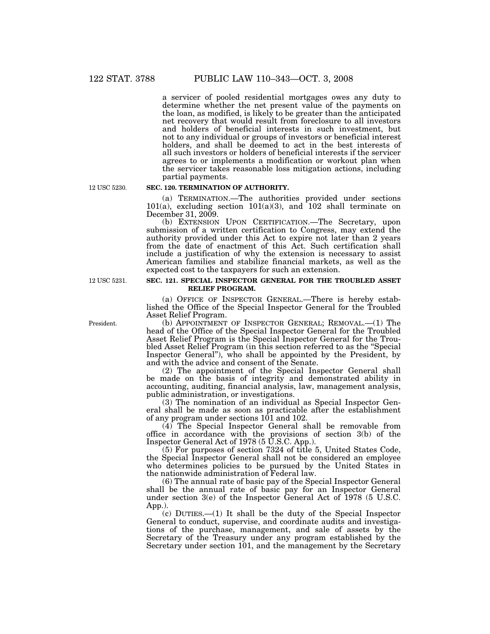a servicer of pooled residential mortgages owes any duty to determine whether the net present value of the payments on the loan, as modified, is likely to be greater than the anticipated net recovery that would result from foreclosure to all investors and holders of beneficial interests in such investment, but not to any individual or groups of investors or beneficial interest holders, and shall be deemed to act in the best interests of all such investors or holders of beneficial interests if the servicer agrees to or implements a modification or workout plan when the servicer takes reasonable loss mitigation actions, including partial payments.

12 USC 5230.

#### **SEC. 120. TERMINATION OF AUTHORITY.**

(a) TERMINATION.—The authorities provided under sections  $101(a)$ , excluding section  $101(a)(3)$ , and  $102$  shall terminate on December 31, 2009.

(b) EXTENSION UPON CERTIFICATION.—The Secretary, upon submission of a written certification to Congress, may extend the authority provided under this Act to expire not later than 2 years from the date of enactment of this Act. Such certification shall include a justification of why the extension is necessary to assist American families and stabilize financial markets, as well as the expected cost to the taxpayers for such an extension.

## **SEC. 121. SPECIAL INSPECTOR GENERAL FOR THE TROUBLED ASSET RELIEF PROGRAM.**

(a) OFFICE OF INSPECTOR GENERAL.—There is hereby established the Office of the Special Inspector General for the Troubled Asset Relief Program.

(b) APPOINTMENT OF INSPECTOR GENERAL; REMOVAL.—(1) The head of the Office of the Special Inspector General for the Troubled Asset Relief Program is the Special Inspector General for the Troubled Asset Relief Program (in this section referred to as the ''Special Inspector General''), who shall be appointed by the President, by and with the advice and consent of the Senate.

(2) The appointment of the Special Inspector General shall be made on the basis of integrity and demonstrated ability in accounting, auditing, financial analysis, law, management analysis, public administration, or investigations.

(3) The nomination of an individual as Special Inspector General shall be made as soon as practicable after the establishment of any program under sections 101 and 102.

(4) The Special Inspector General shall be removable from office in accordance with the provisions of section 3(b) of the Inspector General Act of 1978 (5 U.S.C. App.).

(5) For purposes of section 7324 of title 5, United States Code, the Special Inspector General shall not be considered an employee who determines policies to be pursued by the United States in the nationwide administration of Federal law.

(6) The annual rate of basic pay of the Special Inspector General shall be the annual rate of basic pay for an Inspector General under section 3(e) of the Inspector General Act of 1978 (5 U.S.C. App.).

(c) DUTIES.—(1) It shall be the duty of the Special Inspector General to conduct, supervise, and coordinate audits and investigations of the purchase, management, and sale of assets by the Secretary of the Treasury under any program established by the Secretary under section 101, and the management by the Secretary

President.

12 USC 5231.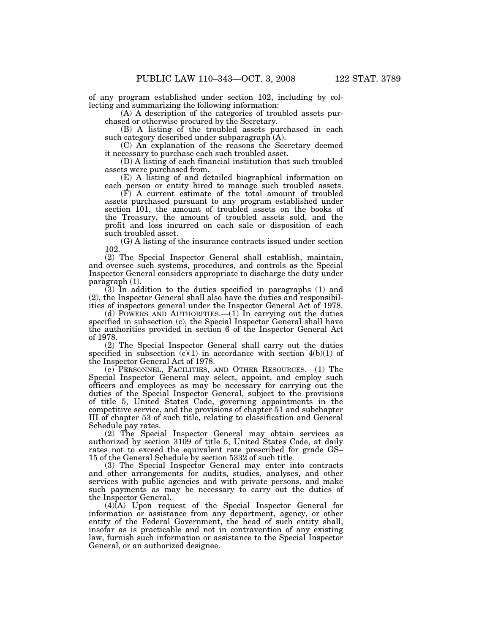of any program established under section 102, including by collecting and summarizing the following information:

(A) A description of the categories of troubled assets purchased or otherwise procured by the Secretary.

(B) A listing of the troubled assets purchased in each such category described under subparagraph  $(A)$ .

(C) An explanation of the reasons the Secretary deemed it necessary to purchase each such troubled asset.

(D) A listing of each financial institution that such troubled assets were purchased from.

(E) A listing of and detailed biographical information on each person or entity hired to manage such troubled assets.

(F) A current estimate of the total amount of troubled assets purchased pursuant to any program established under section 101, the amount of troubled assets on the books of the Treasury, the amount of troubled assets sold, and the profit and loss incurred on each sale or disposition of each such troubled asset.

(G) A listing of the insurance contracts issued under section 102.

(2) The Special Inspector General shall establish, maintain, and oversee such systems, procedures, and controls as the Special Inspector General considers appropriate to discharge the duty under paragraph (1).

(3) In addition to the duties specified in paragraphs (1) and (2), the Inspector General shall also have the duties and responsibilities of inspectors general under the Inspector General Act of 1978.

(d) POWERS AND AUTHORITIES.—(1) In carrying out the duties specified in subsection (c), the Special Inspector General shall have the authorities provided in section 6 of the Inspector General Act of 1978.

(2) The Special Inspector General shall carry out the duties specified in subsection  $(c)(1)$  in accordance with section  $4(b)(1)$  of the Inspector General Act of 1978.

(e) PERSONNEL, FACILITIES, AND OTHER RESOURCES.—(1) The Special Inspector General may select, appoint, and employ such officers and employees as may be necessary for carrying out the duties of the Special Inspector General, subject to the provisions of title 5, United States Code, governing appointments in the competitive service, and the provisions of chapter 51 and subchapter III of chapter 53 of such title, relating to classification and General Schedule pay rates.

(2) The Special Inspector General may obtain services as authorized by section 3109 of title 5, United States Code, at daily rates not to exceed the equivalent rate prescribed for grade GS– 15 of the General Schedule by section 5332 of such title.

(3) The Special Inspector General may enter into contracts and other arrangements for audits, studies, analyses, and other services with public agencies and with private persons, and make such payments as may be necessary to carry out the duties of the Inspector General.

(4)(A) Upon request of the Special Inspector General for information or assistance from any department, agency, or other entity of the Federal Government, the head of such entity shall, insofar as is practicable and not in contravention of any existing law, furnish such information or assistance to the Special Inspector General, or an authorized designee.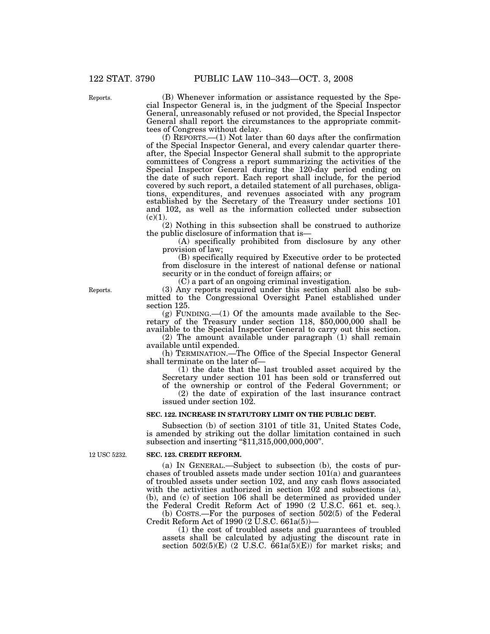Reports.

(B) Whenever information or assistance requested by the Special Inspector General is, in the judgment of the Special Inspector General, unreasonably refused or not provided, the Special Inspector General shall report the circumstances to the appropriate committees of Congress without delay.

(f) REPORTS.—(1) Not later than 60 days after the confirmation of the Special Inspector General, and every calendar quarter thereafter, the Special Inspector General shall submit to the appropriate committees of Congress a report summarizing the activities of the Special Inspector General during the 120-day period ending on the date of such report. Each report shall include, for the period covered by such report, a detailed statement of all purchases, obligations, expenditures, and revenues associated with any program established by the Secretary of the Treasury under sections 101 and 102, as well as the information collected under subsection  $(c)(1)$ .

(2) Nothing in this subsection shall be construed to authorize the public disclosure of information that is—

(A) specifically prohibited from disclosure by any other provision of law;

(B) specifically required by Executive order to be protected from disclosure in the interest of national defense or national security or in the conduct of foreign affairs; or

(C) a part of an ongoing criminal investigation.

(3) Any reports required under this section shall also be submitted to the Congressional Oversight Panel established under section 125.

(g) FUNDING.—(1) Of the amounts made available to the Secretary of the Treasury under section 118, \$50,000,000 shall be available to the Special Inspector General to carry out this section.

(2) The amount available under paragraph (1) shall remain available until expended.

(h) TERMINATION.—The Office of the Special Inspector General shall terminate on the later of—

(1) the date that the last troubled asset acquired by the Secretary under section 101 has been sold or transferred out

of the ownership or control of the Federal Government; or

(2) the date of expiration of the last insurance contract issued under section 102.

# **SEC. 122. INCREASE IN STATUTORY LIMIT ON THE PUBLIC DEBT.**

Subsection (b) of section 3101 of title 31, United States Code, is amended by striking out the dollar limitation contained in such subsection and inserting "\$11,315,000,000,000".

12 USC 5232.

#### **SEC. 123. CREDIT REFORM.**

(a) IN GENERAL.—Subject to subsection (b), the costs of purchases of troubled assets made under section 101(a) and guarantees of troubled assets under section 102, and any cash flows associated with the activities authorized in section 102 and subsections (a), (b), and (c) of section 106 shall be determined as provided under the Federal Credit Reform Act of 1990 (2 U.S.C. 661 et. seq.).

(b) COSTS.—For the purposes of section 502(5) of the Federal Credit Reform Act of 1990 (2 U.S.C. 661a(5))—

(1) the cost of troubled assets and guarantees of troubled assets shall be calculated by adjusting the discount rate in section  $502(5)(E)$  (2 U.S.C.  $661a(5)(E)$ ) for market risks; and

Reports.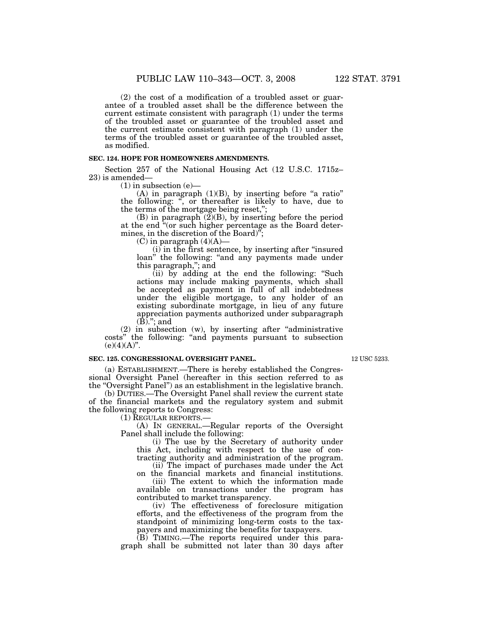(2) the cost of a modification of a troubled asset or guarantee of a troubled asset shall be the difference between the current estimate consistent with paragraph (1) under the terms of the troubled asset or guarantee of the troubled asset and the current estimate consistent with paragraph (1) under the terms of the troubled asset or guarantee of the troubled asset, as modified.

## **SEC. 124. HOPE FOR HOMEOWNERS AMENDMENTS.**

Section 257 of the National Housing Act (12 U.S.C. 1715z– 23) is amended—

 $(1)$  in subsection  $(e)$ 

 $(A)$  in paragraph  $(1)(B)$ , by inserting before "a ratio" the following: ", or thereafter is likely to have, due to the terms of the mortgage being reset,'';

 $(B)$  in paragraph  $(2)(B)$ , by inserting before the period at the end ''(or such higher percentage as the Board determines, in the discretion of the Board)<sup>"</sup>.

 $(C)$  in paragraph  $(4)(A)$ —

(i) in the first sentence, by inserting after ''insured loan" the following: "and any payments made under this paragraph,''; and

(ii) by adding at the end the following: ''Such actions may include making payments, which shall be accepted as payment in full of all indebtedness under the eligible mortgage, to any holder of an existing subordinate mortgage, in lieu of any future appreciation payments authorized under subparagraph  $(\overline{B})$ ."; and

(2) in subsection (w), by inserting after ''administrative costs'' the following: ''and payments pursuant to subsection  $(e)(4)(A)^{n}$ .

#### **SEC. 125. CONGRESSIONAL OVERSIGHT PANEL.**

12 USC 5233.

(a) ESTABLISHMENT.—There is hereby established the Congressional Oversight Panel (hereafter in this section referred to as the "Oversight Panel") as an establishment in the legislative branch.

(b) DUTIES.—The Oversight Panel shall review the current state of the financial markets and the regulatory system and submit the following reports to Congress:

(1) REGULAR REPORTS.—

(A) IN GENERAL.—Regular reports of the Oversight Panel shall include the following:

(i) The use by the Secretary of authority under this Act, including with respect to the use of contracting authority and administration of the program. (ii) The impact of purchases made under the Act

on the financial markets and financial institutions.

(iii) The extent to which the information made available on transactions under the program has contributed to market transparency.

(iv) The effectiveness of foreclosure mitigation efforts, and the effectiveness of the program from the standpoint of minimizing long-term costs to the taxpayers and maximizing the benefits for taxpayers.

(B) TIMING.—The reports required under this paragraph shall be submitted not later than 30 days after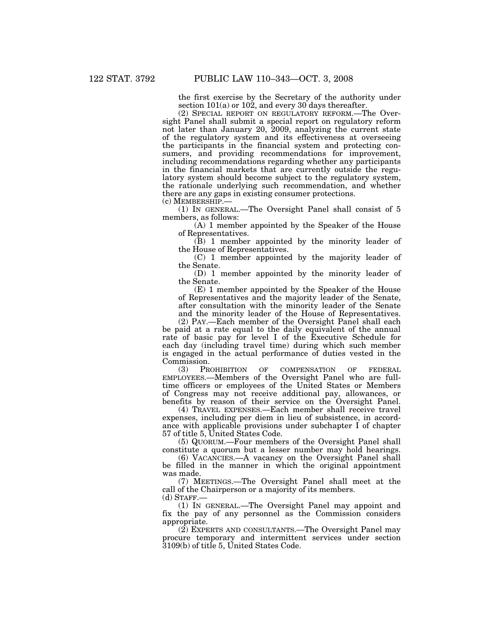the first exercise by the Secretary of the authority under section  $101(a)$  or  $10\overline{2}$ , and every 30 days thereafter.

(2) SPECIAL REPORT ON REGULATORY REFORM.—The Oversight Panel shall submit a special report on regulatory reform not later than January 20, 2009, analyzing the current state of the regulatory system and its effectiveness at overseeing the participants in the financial system and protecting consumers, and providing recommendations for improvement, including recommendations regarding whether any participants in the financial markets that are currently outside the regulatory system should become subject to the regulatory system, the rationale underlying such recommendation, and whether there are any gaps in existing consumer protections.<br>(c) MEMBERSHIP.—

(1) IN GENERAL.—The Oversight Panel shall consist of  $5$ members, as follows:

(A) 1 member appointed by the Speaker of the House of Representatives.

(B) 1 member appointed by the minority leader of the House of Representatives.

(C) 1 member appointed by the majority leader of the Senate.

(D) 1 member appointed by the minority leader of the Senate.

(E) 1 member appointed by the Speaker of the House of Representatives and the majority leader of the Senate, after consultation with the minority leader of the Senate and the minority leader of the House of Representatives.

(2) PAY.—Each member of the Oversight Panel shall each be paid at a rate equal to the daily equivalent of the annual rate of basic pay for level I of the Executive Schedule for each day (including travel time) during which such member is engaged in the actual performance of duties vested in the Commission.<br>
(3) PROHIBITION OF

(3) PROHIBITION OF COMPENSATION OF FEDERAL EMPLOYEES.—Members of the Oversight Panel who are fulltime officers or employees of the United States or Members of Congress may not receive additional pay, allowances, or benefits by reason of their service on the Oversight Panel.

(4) TRAVEL EXPENSES.—Each member shall receive travel expenses, including per diem in lieu of subsistence, in accordance with applicable provisions under subchapter I of chapter 57 of title 5, United States Code.

(5) QUORUM.—Four members of the Oversight Panel shall constitute a quorum but a lesser number may hold hearings.

(6) VACANCIES.—A vacancy on the Oversight Panel shall be filled in the manner in which the original appointment was made.

(7) MEETINGS.—The Oversight Panel shall meet at the call of the Chairperson or a majority of its members.

(d) STAFF.— (1) IN GENERAL.—The Oversight Panel may appoint and fix the pay of any personnel as the Commission considers appropriate.

(2) EXPERTS AND CONSULTANTS.—The Oversight Panel may procure temporary and intermittent services under section 3109(b) of title 5, United States Code.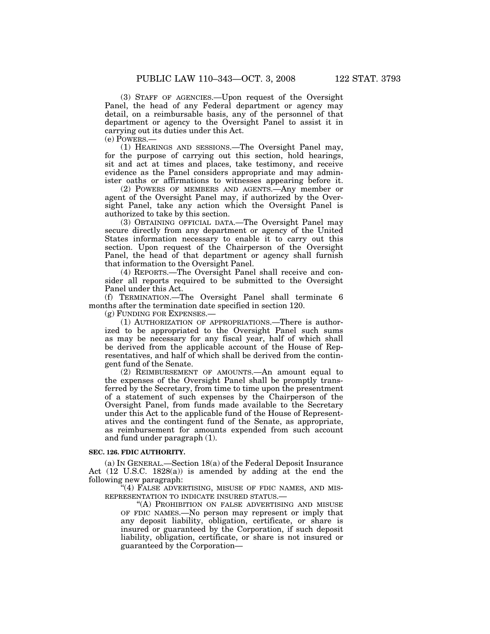(3) STAFF OF AGENCIES.—Upon request of the Oversight Panel, the head of any Federal department or agency may detail, on a reimbursable basis, any of the personnel of that department or agency to the Oversight Panel to assist it in carrying out its duties under this Act.

(e) POWERS.—

(1) HEARINGS AND SESSIONS.—The Oversight Panel may, for the purpose of carrying out this section, hold hearings, sit and act at times and places, take testimony, and receive evidence as the Panel considers appropriate and may administer oaths or affirmations to witnesses appearing before it.

(2) POWERS OF MEMBERS AND AGENTS.—Any member or agent of the Oversight Panel may, if authorized by the Oversight Panel, take any action which the Oversight Panel is authorized to take by this section.

(3) OBTAINING OFFICIAL DATA.—The Oversight Panel may secure directly from any department or agency of the United States information necessary to enable it to carry out this section. Upon request of the Chairperson of the Oversight Panel, the head of that department or agency shall furnish that information to the Oversight Panel.

(4) REPORTS.—The Oversight Panel shall receive and consider all reports required to be submitted to the Oversight Panel under this Act.

(f) TERMINATION.—The Oversight Panel shall terminate 6 months after the termination date specified in section 120.

(g) FUNDING FOR EXPENSES.—

(1) AUTHORIZATION OF APPROPRIATIONS.—There is authorized to be appropriated to the Oversight Panel such sums as may be necessary for any fiscal year, half of which shall be derived from the applicable account of the House of Representatives, and half of which shall be derived from the contingent fund of the Senate.

(2) REIMBURSEMENT OF AMOUNTS.—An amount equal to the expenses of the Oversight Panel shall be promptly transferred by the Secretary, from time to time upon the presentment of a statement of such expenses by the Chairperson of the Oversight Panel, from funds made available to the Secretary under this Act to the applicable fund of the House of Representatives and the contingent fund of the Senate, as appropriate, as reimbursement for amounts expended from such account and fund under paragraph (1).

#### **SEC. 126. FDIC AUTHORITY.**

(a) IN GENERAL.—Section 18(a) of the Federal Deposit Insurance Act (12 U.S.C. 1828(a)) is amended by adding at the end the following new paragraph:

"(4) FALSE ADVERTISING, MISUSE OF FDIC NAMES, AND MIS-REPRESENTATION TO INDICATE INSURED STATUS.—

''(A) PROHIBITION ON FALSE ADVERTISING AND MISUSE OF FDIC NAMES.—No person may represent or imply that any deposit liability, obligation, certificate, or share is insured or guaranteed by the Corporation, if such deposit liability, obligation, certificate, or share is not insured or guaranteed by the Corporation—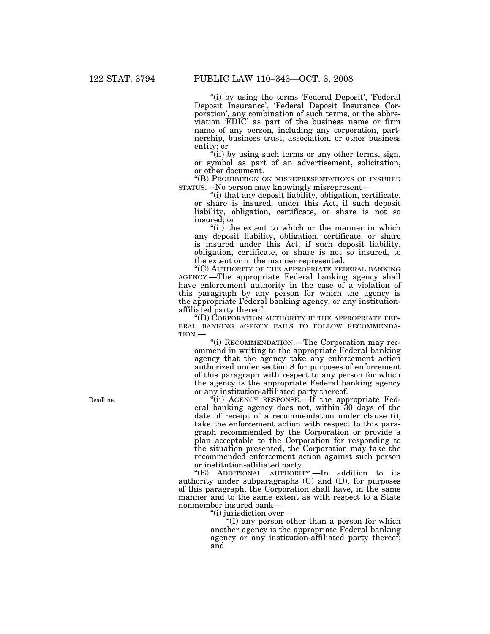"(i) by using the terms 'Federal Deposit', 'Federal' Deposit Insurance', 'Federal Deposit Insurance Corporation', any combination of such terms, or the abbreviation 'FDIC' as part of the business name or firm name of any person, including any corporation, partnership, business trust, association, or other business entity; or

''(ii) by using such terms or any other terms, sign, or symbol as part of an advertisement, solicitation, or other document.

"(B) PROHIBITION ON MISREPRESENTATIONS OF INSURED STATUS.—No person may knowingly misrepresent—

''(i) that any deposit liability, obligation, certificate, or share is insured, under this Act, if such deposit liability, obligation, certificate, or share is not so insured; or

''(ii) the extent to which or the manner in which any deposit liability, obligation, certificate, or share is insured under this Act, if such deposit liability, obligation, certificate, or share is not so insured, to the extent or in the manner represented.

''(C) AUTHORITY OF THE APPROPRIATE FEDERAL BANKING AGENCY.—The appropriate Federal banking agency shall have enforcement authority in the case of a violation of this paragraph by any person for which the agency is the appropriate Federal banking agency, or any institutionaffiliated party thereof.

''(D) CORPORATION AUTHORITY IF THE APPROPRIATE FED-ERAL BANKING AGENCY FAILS TO FOLLOW RECOMMENDA-TION.—

''(i) RECOMMENDATION.—The Corporation may recommend in writing to the appropriate Federal banking agency that the agency take any enforcement action authorized under section 8 for purposes of enforcement of this paragraph with respect to any person for which the agency is the appropriate Federal banking agency or any institution-affiliated party thereof.

''(ii) AGENCY RESPONSE.—If the appropriate Federal banking agency does not, within 30 days of the date of receipt of a recommendation under clause (i), take the enforcement action with respect to this paragraph recommended by the Corporation or provide a plan acceptable to the Corporation for responding to the situation presented, the Corporation may take the recommended enforcement action against such person or institution-affiliated party.

''(E) ADDITIONAL AUTHORITY.—In addition to its authority under subparagraphs (C) and (D), for purposes of this paragraph, the Corporation shall have, in the same manner and to the same extent as with respect to a State nonmember insured bank—

''(i) jurisdiction over—

''(I) any person other than a person for which another agency is the appropriate Federal banking agency or any institution-affiliated party thereof; and

Deadline.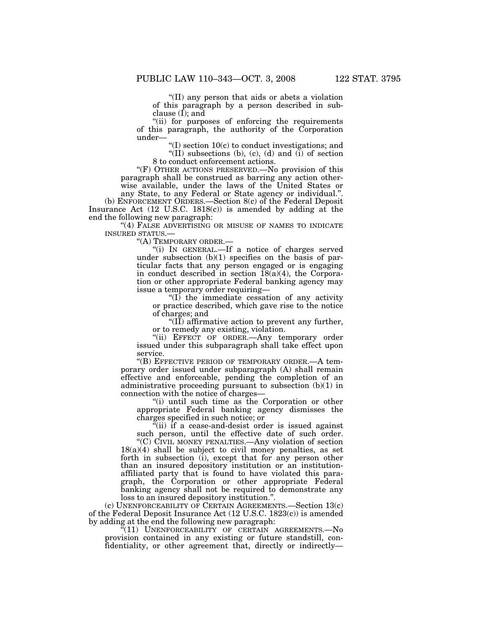''(II) any person that aids or abets a violation of this paragraph by a person described in subclause  $(I)$ ; and

"(ii) for purposes of enforcing the requirements of this paragraph, the authority of the Corporation under—

> "(I) section  $10(c)$  to conduct investigations; and ''(II) subsections (b), (c), (d) and (i) of section

8 to conduct enforcement actions.

"(F) OTHER ACTIONS PRESERVED.—No provision of this paragraph shall be construed as barring any action otherwise available, under the laws of the United States or any State, to any Federal or State agency or individual.''.

(b) ENFORCEMENT ORDERS.—Section 8(c) of the Federal Deposit Insurance Act  $(12 \text{ U.S.C. } 1818(c))$  is amended by adding at the end the following new paragraph:

"(4) FALSE ADVERTISING OR MISUSE OF NAMES TO INDICATE INSURED STATUS.—

''(A) TEMPORARY ORDER.—

''(i) IN GENERAL.—If a notice of charges served under subsection (b)(1) specifies on the basis of particular facts that any person engaged or is engaging in conduct described in section 18(a)(4), the Corporation or other appropriate Federal banking agency may issue a temporary order requiring—

 $\sqrt[4]{(I)}$  the immediate cessation of any activity or practice described, which gave rise to the notice of charges; and

" $(II)$  affirmative action to prevent any further, or to remedy any existing, violation.

''(ii) EFFECT OF ORDER.—Any temporary order issued under this subparagraph shall take effect upon service.

''(B) EFFECTIVE PERIOD OF TEMPORARY ORDER.—A temporary order issued under subparagraph (A) shall remain effective and enforceable, pending the completion of an administrative proceeding pursuant to subsection  $(b)(1)$  in connection with the notice of charges—

''(i) until such time as the Corporation or other appropriate Federal banking agency dismisses the charges specified in such notice; or

 $\ddot{f}$ (ii) if a cease-and-desist order is issued against such person, until the effective date of such order.

''(C) CIVIL MONEY PENALTIES.—Any violation of section  $18(a)(4)$  shall be subject to civil money penalties, as set forth in subsection (i), except that for any person other than an insured depository institution or an institutionaffiliated party that is found to have violated this paragraph, the Corporation or other appropriate Federal banking agency shall not be required to demonstrate any loss to an insured depository institution.''.

(c) UNENFORCEABILITY OF CERTAIN AGREEMENTS.—Section 13(c) of the Federal Deposit Insurance Act (12 U.S.C. 1823(c)) is amended by adding at the end the following new paragraph:

"(11) UNENFORCEABILITY OF CERTAIN AGREEMENTS.-No provision contained in any existing or future standstill, confidentiality, or other agreement that, directly or indirectly—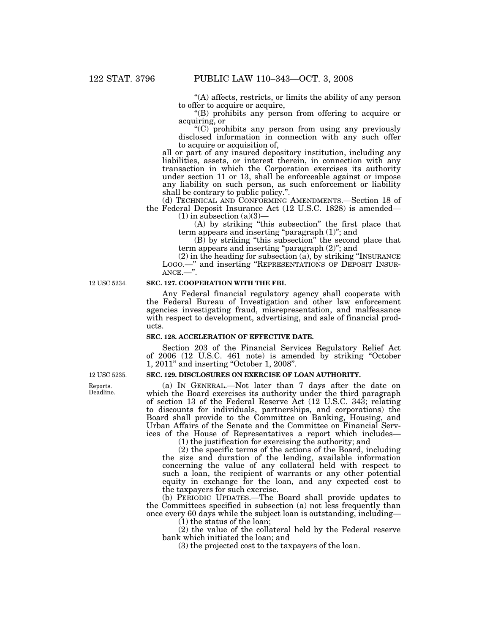''(A) affects, restricts, or limits the ability of any person to offer to acquire or acquire,

''(B) prohibits any person from offering to acquire or acquiring, or

 $(C)$  prohibits any person from using any previously disclosed information in connection with any such offer to acquire or acquisition of,

all or part of any insured depository institution, including any liabilities, assets, or interest therein, in connection with any transaction in which the Corporation exercises its authority under section 11 or 13, shall be enforceable against or impose any liability on such person, as such enforcement or liability shall be contrary to public policy.''.

(d) TECHNICAL AND CONFORMING AMENDMENTS.—Section 18 of the Federal Deposit Insurance Act (12 U.S.C. 1828) is amended—

 $(1)$  in subsection  $(a)(3)$ —

(A) by striking ''this subsection'' the first place that term appears and inserting ''paragraph (1)''; and

(B) by striking ''this subsection'' the second place that term appears and inserting ''paragraph (2)''; and

(2) in the heading for subsection (a), by striking ''INSURANCE LOGO.—" and inserting "REPRESENTATIONS OF DEPOSIT INSURANCE.—".

12 USC 5234.

## **SEC. 127. COOPERATION WITH THE FBI.**

Any Federal financial regulatory agency shall cooperate with the Federal Bureau of Investigation and other law enforcement agencies investigating fraud, misrepresentation, and malfeasance with respect to development, advertising, and sale of financial products.

# **SEC. 128. ACCELERATION OF EFFECTIVE DATE.**

Section 203 of the Financial Services Regulatory Relief Act of 2006 (12 U.S.C. 461 note) is amended by striking ''October 1, 2011'' and inserting ''October 1, 2008''.

# **SEC. 129. DISCLOSURES ON EXERCISE OF LOAN AUTHORITY.**

(a) IN GENERAL.—Not later than 7 days after the date on which the Board exercises its authority under the third paragraph of section 13 of the Federal Reserve Act (12 U.S.C. 343; relating to discounts for individuals, partnerships, and corporations) the Board shall provide to the Committee on Banking, Housing, and Urban Affairs of the Senate and the Committee on Financial Services of the House of Representatives a report which includes—

(1) the justification for exercising the authority; and

(2) the specific terms of the actions of the Board, including the size and duration of the lending, available information concerning the value of any collateral held with respect to such a loan, the recipient of warrants or any other potential equity in exchange for the loan, and any expected cost to the taxpayers for such exercise.

(b) PERIODIC UPDATES.—The Board shall provide updates to the Committees specified in subsection (a) not less frequently than once every 60 days while the subject loan is outstanding, including—

(1) the status of the loan;

(2) the value of the collateral held by the Federal reserve bank which initiated the loan; and

(3) the projected cost to the taxpayers of the loan.

12 USC 5235.

Reports. Deadline.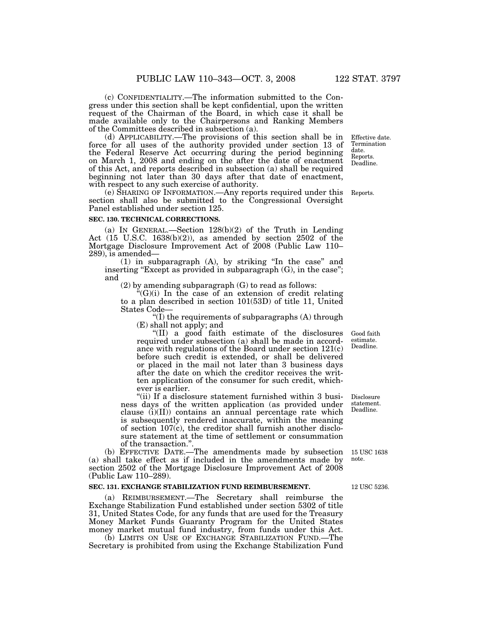(c) CONFIDENTIALITY.—The information submitted to the Congress under this section shall be kept confidential, upon the written request of the Chairman of the Board, in which case it shall be made available only to the Chairpersons and Ranking Members of the Committees described in subsection (a).

(d) APPLICABILITY.—The provisions of this section shall be in force for all uses of the authority provided under section 13 of the Federal Reserve Act occurring during the period beginning on March 1, 2008 and ending on the after the date of enactment of this Act, and reports described in subsection (a) shall be required beginning not later than 30 days after that date of enactment, with respect to any such exercise of authority.

(e) SHARING OF INFORMATION.—Any reports required under this section shall also be submitted to the Congressional Oversight Panel established under section 125.

## **SEC. 130. TECHNICAL CORRECTIONS.**

(a) In GENERAL.—Section  $128(b)(2)$  of the Truth in Lending Act (15 U.S.C. 1638(b)(2)), as amended by section 2502 of the Mortgage Disclosure Improvement Act of 2008 (Public Law 110– 289), is amended—

(1) in subparagraph (A), by striking ''In the case'' and inserting "Except as provided in subparagraph  $(G)$ , in the case"; and

(2) by amending subparagraph (G) to read as follows:

''(G)(i) In the case of an extension of credit relating to a plan described in section 101(53D) of title 11, United States Code—

 $'(I)$  the requirements of subparagraphs  $(A)$  through (E) shall not apply; and

''(II) a good faith estimate of the disclosures required under subsection (a) shall be made in accordance with regulations of the Board under section 121(c) before such credit is extended, or shall be delivered or placed in the mail not later than 3 business days after the date on which the creditor receives the written application of the consumer for such credit, whichever is earlier.

"(ii) If a disclosure statement furnished within 3 business days of the written application (as provided under clause  $(i)(II)$  contains an annual percentage rate which is subsequently rendered inaccurate, within the meaning of section 107(c), the creditor shall furnish another disclosure statement at the time of settlement or consummation of the transaction.''.

(b) EFFECTIVE DATE.—The amendments made by subsection (a) shall take effect as if included in the amendments made by section 2502 of the Mortgage Disclosure Improvement Act of 2008 (Public Law 110–289).

# **SEC. 131. EXCHANGE STABILIZATION FUND REIMBURSEMENT.**

(a) REIMBURSEMENT.—The Secretary shall reimburse the Exchange Stabilization Fund established under section 5302 of title 31, United States Code, for any funds that are used for the Treasury Money Market Funds Guaranty Program for the United States money market mutual fund industry, from funds under this Act.

(b) LIMITS ON USE OF EXCHANGE STABILIZATION FUND.—The Secretary is prohibited from using the Exchange Stabilization Fund

Good faith estimate. Deadline.

Disclosure statement. Deadline.

15 USC 1638 note.

12 USC 5236.

Effective date. Termination date. Reports. Deadline.

Reports.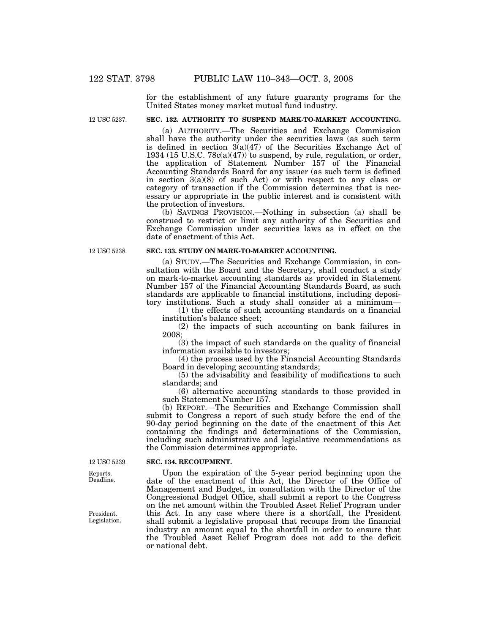for the establishment of any future guaranty programs for the United States money market mutual fund industry.

12 USC 5237.

# **SEC. 132. AUTHORITY TO SUSPEND MARK-TO-MARKET ACCOUNTING.**

(a) AUTHORITY.—The Securities and Exchange Commission shall have the authority under the securities laws (as such term is defined in section  $3(a)(47)$  of the Securities Exchange Act of 1934 (15 U.S.C.  $78c(a)(47)$ ) to suspend, by rule, regulation, or order, the application of Statement Number 157 of the Financial Accounting Standards Board for any issuer (as such term is defined in section  $3(a)(8)$  of such Act) or with respect to any class or category of transaction if the Commission determines that is necessary or appropriate in the public interest and is consistent with the protection of investors.

(b) SAVINGS PROVISION.—Nothing in subsection (a) shall be construed to restrict or limit any authority of the Securities and Exchange Commission under securities laws as in effect on the date of enactment of this Act.

12 USC 5238.

## **SEC. 133. STUDY ON MARK-TO-MARKET ACCOUNTING.**

(a) STUDY.—The Securities and Exchange Commission, in consultation with the Board and the Secretary, shall conduct a study on mark-to-market accounting standards as provided in Statement Number 157 of the Financial Accounting Standards Board, as such standards are applicable to financial institutions, including depository institutions. Such a study shall consider at a minimum—

(1) the effects of such accounting standards on a financial institution's balance sheet;

(2) the impacts of such accounting on bank failures in 2008;

 $(3)$  the impact of such standards on the quality of financial information available to investors;

(4) the process used by the Financial Accounting Standards Board in developing accounting standards;

(5) the advisability and feasibility of modifications to such standards; and

(6) alternative accounting standards to those provided in such Statement Number 157.

(b) REPORT.—The Securities and Exchange Commission shall submit to Congress a report of such study before the end of the 90-day period beginning on the date of the enactment of this Act containing the findings and determinations of the Commission, including such administrative and legislative recommendations as the Commission determines appropriate.

**SEC. 134. RECOUPMENT.** 

Upon the expiration of the 5-year period beginning upon the date of the enactment of this Act, the Director of the Office of Management and Budget, in consultation with the Director of the Congressional Budget Office, shall submit a report to the Congress on the net amount within the Troubled Asset Relief Program under this Act. In any case where there is a shortfall, the President shall submit a legislative proposal that recoups from the financial industry an amount equal to the shortfall in order to ensure that the Troubled Asset Relief Program does not add to the deficit or national debt.

12 USC 5239.

Reports. Deadline.

President. Legislation.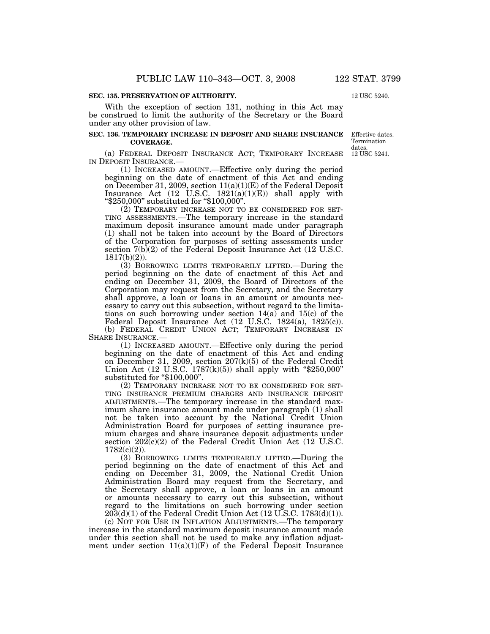#### **SEC. 135. PRESERVATION OF AUTHORITY.**

With the exception of section 131, nothing in this Act may be construed to limit the authority of the Secretary or the Board under any other provision of law.

#### **SEC. 136. TEMPORARY INCREASE IN DEPOSIT AND SHARE INSURANCE COVERAGE.**

(a) FEDERAL DEPOSIT INSURANCE ACT; TEMPORARY INCREASE IN DEPOSIT INSURANCE.— (1) INCREASED AMOUNT.—Effective only during the period

beginning on the date of enactment of this Act and ending on December 31, 2009, section  $11(a)(1)(E)$  of the Federal Deposit Insurance Act  $(12 \text{ U.S.C. } 1821(a)(1)(E))$  shall apply with ''\$250,000'' substituted for ''\$100,000''.

(2) TEMPORARY INCREASE NOT TO BE CONSIDERED FOR SET- TING ASSESSMENTS.—The temporary increase in the standard maximum deposit insurance amount made under paragraph (1) shall not be taken into account by the Board of Directors of the Corporation for purposes of setting assessments under section 7(b)(2) of the Federal Deposit Insurance Act (12 U.S.C.  $1817(b)(2)$ ).

(3) BORROWING LIMITS TEMPORARILY LIFTED.—During the period beginning on the date of enactment of this Act and ending on December 31, 2009, the Board of Directors of the Corporation may request from the Secretary, and the Secretary shall approve, a loan or loans in an amount or amounts necessary to carry out this subsection, without regard to the limitations on such borrowing under section 14(a) and 15(c) of the Federal Deposit Insurance Act (12 U.S.C. 1824(a), 1825(c)). (b) FEDERAL CREDIT UNION ACT; TEMPORARY INCREASE IN SHARE INSURANCE.—

(1) INCREASED AMOUNT.—Effective only during the period beginning on the date of enactment of this Act and ending on December 31, 2009, section 207(k)(5) of the Federal Credit Union Act (12 U.S.C. 1787 $(k)(5)$ ) shall apply with "\$250,000" substituted for "\$100,000".

(2) TEMPORARY INCREASE NOT TO BE CONSIDERED FOR SET-TING INSURANCE PREMIUM CHARGES AND INSURANCE DEPOSIT ADJUSTMENTS.—The temporary increase in the standard maximum share insurance amount made under paragraph (1) shall not be taken into account by the National Credit Union Administration Board for purposes of setting insurance premium charges and share insurance deposit adjustments under section  $202(c)(2)$  of the Federal Credit Union Act (12 U.S.C.  $1782(c)(2)$ ).

(3) BORROWING LIMITS TEMPORARILY LIFTED.—During the period beginning on the date of enactment of this Act and ending on December 31, 2009, the National Credit Union Administration Board may request from the Secretary, and the Secretary shall approve, a loan or loans in an amount or amounts necessary to carry out this subsection, without regard to the limitations on such borrowing under section  $20\overline{3}(d)(1)$  of the Federal Credit Union Act (12 U.S.C. 1783 $(d)(1)$ ).

(c) NOT FOR USE IN INFLATION ADJUSTMENTS.—The temporary increase in the standard maximum deposit insurance amount made under this section shall not be used to make any inflation adjustment under section  $11(a)(1)(F)$  of the Federal Deposit Insurance

Effective dates. Termination dates 12 USC 5241.

12 USC 5240.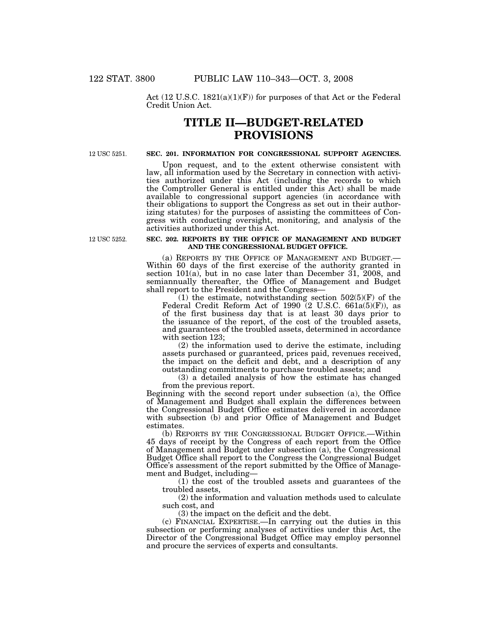Act  $(12 \text{ U.S.C. } 1821(a)(1)(F))$  for purposes of that Act or the Federal Credit Union Act.

# **TITLE II—BUDGET-RELATED PROVISIONS**

12 USC 5251.

## **SEC. 201. INFORMATION FOR CONGRESSIONAL SUPPORT AGENCIES.**

Upon request, and to the extent otherwise consistent with law, all information used by the Secretary in connection with activities authorized under this Act (including the records to which the Comptroller General is entitled under this Act) shall be made available to congressional support agencies (in accordance with their obligations to support the Congress as set out in their authorizing statutes) for the purposes of assisting the committees of Congress with conducting oversight, monitoring, and analysis of the activities authorized under this Act.

12 USC 5252.

### **SEC. 202. REPORTS BY THE OFFICE OF MANAGEMENT AND BUDGET AND THE CONGRESSIONAL BUDGET OFFICE.**

(a) REPORTS BY THE OFFICE OF MANAGEMENT AND BUDGET.— Within 60 days of the first exercise of the authority granted in section 101(a), but in no case later than December 31, 2008, and semiannually thereafter, the Office of Management and Budget shall report to the President and the Congress-

(1) the estimate, notwithstanding section  $502(5)(F)$  of the Federal Credit Reform Act of 1990  $(2 \text{ U.S.C. } 661a(5)(F))$ , as of the first business day that is at least 30 days prior to the issuance of the report, of the cost of the troubled assets, and guarantees of the troubled assets, determined in accordance with section 123;

(2) the information used to derive the estimate, including assets purchased or guaranteed, prices paid, revenues received, the impact on the deficit and debt, and a description of any outstanding commitments to purchase troubled assets; and

(3) a detailed analysis of how the estimate has changed from the previous report.

Beginning with the second report under subsection (a), the Office of Management and Budget shall explain the differences between the Congressional Budget Office estimates delivered in accordance with subsection (b) and prior Office of Management and Budget estimates.

(b) REPORTS BY THE CONGRESSIONAL BUDGET OFFICE.—Within 45 days of receipt by the Congress of each report from the Office of Management and Budget under subsection (a), the Congressional Budget Office shall report to the Congress the Congressional Budget Office's assessment of the report submitted by the Office of Management and Budget, including—

(1) the cost of the troubled assets and guarantees of the troubled assets,

(2) the information and valuation methods used to calculate such cost, and

(3) the impact on the deficit and the debt.

(c) FINANCIAL EXPERTISE.—In carrying out the duties in this subsection or performing analyses of activities under this Act, the Director of the Congressional Budget Office may employ personnel and procure the services of experts and consultants.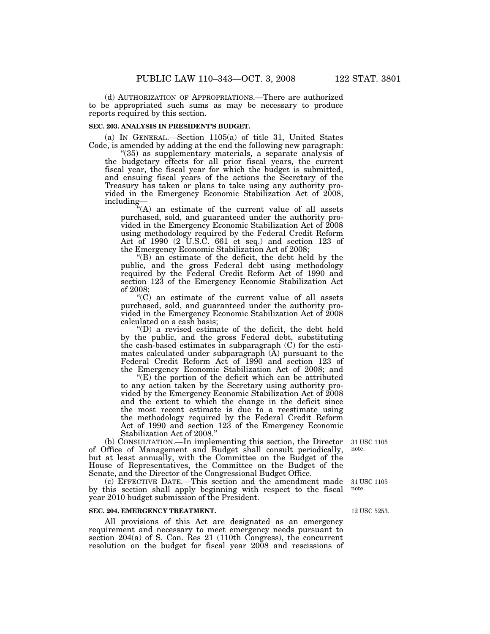(d) AUTHORIZATION OF APPROPRIATIONS.—There are authorized to be appropriated such sums as may be necessary to produce reports required by this section.

## **SEC. 203. ANALYSIS IN PRESIDENT'S BUDGET.**

(a) IN GENERAL.—Section 1105(a) of title 31, United States Code, is amended by adding at the end the following new paragraph:

"(35) as supplementary materials, a separate analysis of the budgetary effects for all prior fiscal years, the current fiscal year, the fiscal year for which the budget is submitted, and ensuing fiscal years of the actions the Secretary of the Treasury has taken or plans to take using any authority provided in the Emergency Economic Stabilization Act of 2008, including—

''(A) an estimate of the current value of all assets purchased, sold, and guaranteed under the authority provided in the Emergency Economic Stabilization Act of 2008 using methodology required by the Federal Credit Reform Act of 1990 (2 U.S.C. 661 et seq.) and section 123 of the Emergency Economic Stabilization Act of 2008;

''(B) an estimate of the deficit, the debt held by the public, and the gross Federal debt using methodology required by the Federal Credit Reform Act of 1990 and section 123 of the Emergency Economic Stabilization Act of 2008;

''(C) an estimate of the current value of all assets purchased, sold, and guaranteed under the authority provided in the Emergency Economic Stabilization Act of 2008 calculated on a cash basis;

''(D) a revised estimate of the deficit, the debt held by the public, and the gross Federal debt, substituting the cash-based estimates in subparagraph (C) for the estimates calculated under subparagraph  $(\tilde{A})$  pursuant to the Federal Credit Reform Act of 1990 and section 123 of the Emergency Economic Stabilization Act of 2008; and

 $E(E)$  the portion of the deficit which can be attributed to any action taken by the Secretary using authority provided by the Emergency Economic Stabilization Act of 2008 and the extent to which the change in the deficit since the most recent estimate is due to a reestimate using the methodology required by the Federal Credit Reform Act of 1990 and section 123 of the Emergency Economic Stabilization Act of 2008.''

(b) CONSULTATION.—In implementing this section, the Director of Office of Management and Budget shall consult periodically, but at least annually, with the Committee on the Budget of the House of Representatives, the Committee on the Budget of the Senate, and the Director of the Congressional Budget Office.

(c) EFFECTIVE DATE.—This section and the amendment made by this section shall apply beginning with respect to the fiscal year 2010 budget submission of the President.

#### **SEC. 204. EMERGENCY TREATMENT.**

All provisions of this Act are designated as an emergency requirement and necessary to meet emergency needs pursuant to section 204(a) of S. Con. Res 21 (110th Congress), the concurrent resolution on the budget for fiscal year 2008 and rescissions of

31 USC 1105 note.

#### 31 USC 1105 note.

12 USC 5253.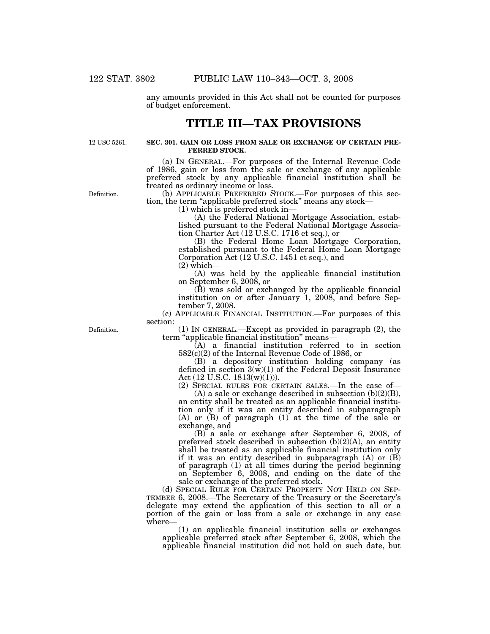any amounts provided in this Act shall not be counted for purposes of budget enforcement.

## **TITLE III—TAX PROVISIONS**

12 USC 5261.

## **SEC. 301. GAIN OR LOSS FROM SALE OR EXCHANGE OF CERTAIN PRE-FERRED STOCK.**

(a) IN GENERAL.—For purposes of the Internal Revenue Code of 1986, gain or loss from the sale or exchange of any applicable preferred stock by any applicable financial institution shall be treated as ordinary income or loss.

Definition.

(b) APPLICABLE PREFERRED STOCK.—For purposes of this section, the term ''applicable preferred stock'' means any stock—

(1) which is preferred stock in—

(A) the Federal National Mortgage Association, established pursuant to the Federal National Mortgage Association Charter Act (12 U.S.C. 1716 et seq.), or

(B) the Federal Home Loan Mortgage Corporation, established pursuant to the Federal Home Loan Mortgage Corporation Act (12 U.S.C. 1451 et seq.), and

 $(2)$  which—

(A) was held by the applicable financial institution on September 6, 2008, or

(B) was sold or exchanged by the applicable financial institution on or after January 1, 2008, and before September 7, 2008.

(c) APPLICABLE FINANCIAL INSTITUTION.—For purposes of this section:

(1) IN GENERAL.—Except as provided in paragraph (2), the term "applicable financial institution" means-

(A) a financial institution referred to in section 582(c)(2) of the Internal Revenue Code of 1986, or

(B) a depository institution holding company (as defined in section 3(w)(1) of the Federal Deposit Insurance Act (12 U.S.C. 1813(w)(1))).

(2) SPECIAL RULES FOR CERTAIN SALES.—In the case of—

 $(A)$  a sale or exchange described in subsection  $(b)(2)(B)$ , an entity shall be treated as an applicable financial institution only if it was an entity described in subparagraph (A) or (B) of paragraph (1) at the time of the sale or exchange, and

(B) a sale or exchange after September 6, 2008, of preferred stock described in subsection  $(b)(2)(A)$ , an entity shall be treated as an applicable financial institution only if it was an entity described in subparagraph  $(A)$  or  $(B)$ of paragraph (1) at all times during the period beginning on September 6, 2008, and ending on the date of the sale or exchange of the preferred stock.

(d) SPECIAL RULE FOR CERTAIN PROPERTY NOT HELD ON SEP- TEMBER 6, 2008.—The Secretary of the Treasury or the Secretary's delegate may extend the application of this section to all or a portion of the gain or loss from a sale or exchange in any case where—

(1) an applicable financial institution sells or exchanges applicable preferred stock after September 6, 2008, which the applicable financial institution did not hold on such date, but

Definition.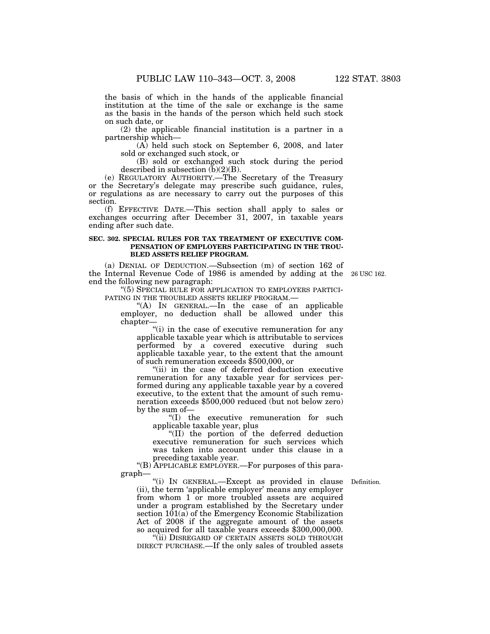the basis of which in the hands of the applicable financial institution at the time of the sale or exchange is the same as the basis in the hands of the person which held such stock on such date, or

(2) the applicable financial institution is a partner in a partnership which—

(A) held such stock on September 6, 2008, and later sold or exchanged such stock, or

(B) sold or exchanged such stock during the period described in subsection  $(b)(2)(B)$ .

(e) REGULATORY AUTHORITY.—The Secretary of the Treasury or the Secretary's delegate may prescribe such guidance, rules, or regulations as are necessary to carry out the purposes of this section.

(f) EFFECTIVE DATE.—This section shall apply to sales or exchanges occurring after December 31, 2007, in taxable years ending after such date.

## **SEC. 302. SPECIAL RULES FOR TAX TREATMENT OF EXECUTIVE COM-PENSATION OF EMPLOYERS PARTICIPATING IN THE TROU-BLED ASSETS RELIEF PROGRAM.**

(a) DENIAL OF DEDUCTION.—Subsection (m) of section 162 of the Internal Revenue Code of 1986 is amended by adding at the 26 USC 162. end the following new paragraph:

''(5) SPECIAL RULE FOR APPLICATION TO EMPLOYERS PARTICI-PATING IN THE TROUBLED ASSETS RELIEF PROGRAM.—

''(A) IN GENERAL.—In the case of an applicable employer, no deduction shall be allowed under this chapter—

"(i) in the case of executive remuneration for any applicable taxable year which is attributable to services performed by a covered executive during such applicable taxable year, to the extent that the amount of such remuneration exceeds \$500,000, or

''(ii) in the case of deferred deduction executive remuneration for any taxable year for services performed during any applicable taxable year by a covered executive, to the extent that the amount of such remuneration exceeds \$500,000 reduced (but not below zero) by the sum of—

''(I) the executive remuneration for such applicable taxable year, plus

''(II) the portion of the deferred deduction executive remuneration for such services which was taken into account under this clause in a preceding taxable year.

''(B) APPLICABLE EMPLOYER.—For purposes of this paragraph—

Definition.

''(i) IN GENERAL.—Except as provided in clause (ii), the term 'applicable employer' means any employer from whom 1 or more troubled assets are acquired under a program established by the Secretary under

section  $101(a)$  of the Emergency Economic Stabilization Act of 2008 if the aggregate amount of the assets so acquired for all taxable years exceeds \$300,000,000. ''(ii) DISREGARD OF CERTAIN ASSETS SOLD THROUGH DIRECT PURCHASE.—If the only sales of troubled assets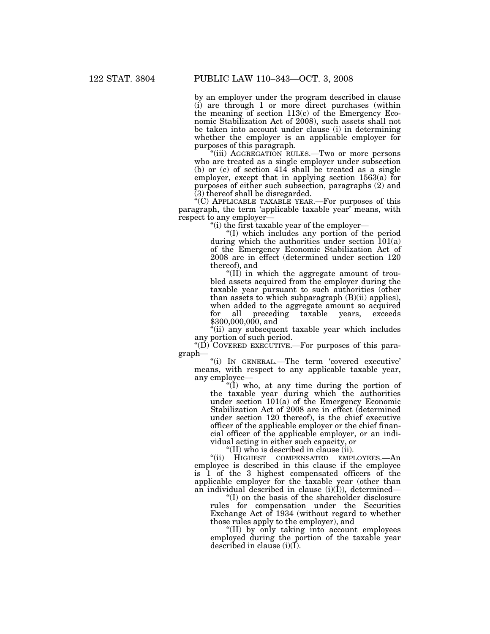by an employer under the program described in clause (i) are through 1 or more direct purchases (within the meaning of section 113(c) of the Emergency Economic Stabilization Act of 2008), such assets shall not be taken into account under clause (i) in determining whether the employer is an applicable employer for purposes of this paragraph.

''(iii) AGGREGATION RULES.—Two or more persons who are treated as a single employer under subsection (b) or (c) of section 414 shall be treated as a single employer, except that in applying section 1563(a) for purposes of either such subsection, paragraphs (2) and (3) thereof shall be disregarded.

''(C) APPLICABLE TAXABLE YEAR.—For purposes of this paragraph, the term 'applicable taxable year' means, with respect to any employer—

''(i) the first taxable year of the employer—

''(I) which includes any portion of the period during which the authorities under section  $101(a)$ of the Emergency Economic Stabilization Act of 2008 are in effect (determined under section 120 thereof), and

''(II) in which the aggregate amount of troubled assets acquired from the employer during the taxable year pursuant to such authorities (other than assets to which subparagraph  $(B)(ii)$  applies), when added to the aggregate amount so acquired<br>for all preceding taxable years, exceeds for all preceding taxable years, exceeds \$300,000,000, and

''(ii) any subsequent taxable year which includes any portion of such period.

" $(D)$  COVERED EXECUTIVE.—For purposes of this paragraph—

''(i) IN GENERAL.—The term 'covered executive' means, with respect to any applicable taxable year, any employee—

''(I) who, at any time during the portion of the taxable year during which the authorities under section 101(a) of the Emergency Economic Stabilization Act of 2008 are in effect (determined under section 120 thereof), is the chief executive officer of the applicable employer or the chief financial officer of the applicable employer, or an individual acting in either such capacity, or

"(II) who is described in clause (ii).<br>"(ii) HIGHEST COMPENSATED EMPI HIGHEST COMPENSATED EMPLOYEES.—An employee is described in this clause if the employee is 1 of the 3 highest compensated officers of the applicable employer for the taxable year (other than an individual described in clause (i)(I)), determined—

''(I) on the basis of the shareholder disclosure rules for compensation under the Securities Exchange Act of 1934 (without regard to whether those rules apply to the employer), and

''(II) by only taking into account employees employed during the portion of the taxable year described in clause  $(i)(\bar{I})$ .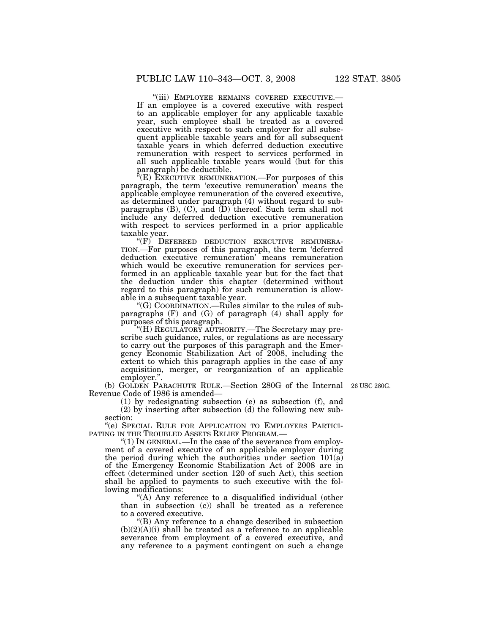''(iii) EMPLOYEE REMAINS COVERED EXECUTIVE.— If an employee is a covered executive with respect to an applicable employer for any applicable taxable year, such employee shall be treated as a covered executive with respect to such employer for all subsequent applicable taxable years and for all subsequent taxable years in which deferred deduction executive remuneration with respect to services performed in all such applicable taxable years would (but for this  $\frac{1}{\mu_{\text{F}}}\text{array}(p)$  be deductible.

 $E(E)$  EXECUTIVE REMUNERATION.—For purposes of this paragraph, the term 'executive remuneration' means the applicable employee remuneration of the covered executive, as determined under paragraph (4) without regard to subparagraphs  $(B)$ ,  $(C)$ , and  $(D)$  thereof. Such term shall not include any deferred deduction executive remuneration with respect to services performed in a prior applicable taxable year.

"(F) DEFERRED DEDUCTION EXECUTIVE REMUNERA-TION.—For purposes of this paragraph, the term 'deferred deduction executive remuneration' means remuneration which would be executive remuneration for services performed in an applicable taxable year but for the fact that the deduction under this chapter (determined without regard to this paragraph) for such remuneration is allowable in a subsequent taxable year.

''(G) COORDINATION.—Rules similar to the rules of subparagraphs (F) and (G) of paragraph (4) shall apply for purposes of this paragraph.

''(H) REGULATORY AUTHORITY.—The Secretary may prescribe such guidance, rules, or regulations as are necessary to carry out the purposes of this paragraph and the Emergency Economic Stabilization Act of 2008, including the extent to which this paragraph applies in the case of any acquisition, merger, or reorganization of an applicable employer.''.

(b) GOLDEN PARACHUTE RULE.—Section 280G of the Internal 26 USC 280G. Revenue Code of 1986 is amended—

(1) by redesignating subsection (e) as subsection (f), and (2) by inserting after subsection (d) the following new subsection:

''(e) SPECIAL RULE FOR APPLICATION TO EMPLOYERS PARTICI-PATING IN THE TROUBLED ASSETS RELIEF PROGRAM.—

" $(1)$  In GENERAL.—In the case of the severance from employment of a covered executive of an applicable employer during the period during which the authorities under section  $101(a)$ of the Emergency Economic Stabilization Act of 2008 are in effect (determined under section 120 of such Act), this section shall be applied to payments to such executive with the following modifications:

''(A) Any reference to a disqualified individual (other than in subsection (c)) shall be treated as a reference to a covered executive.

''(B) Any reference to a change described in subsection  $(b)(2)(A)(i)$  shall be treated as a reference to an applicable severance from employment of a covered executive, and any reference to a payment contingent on such a change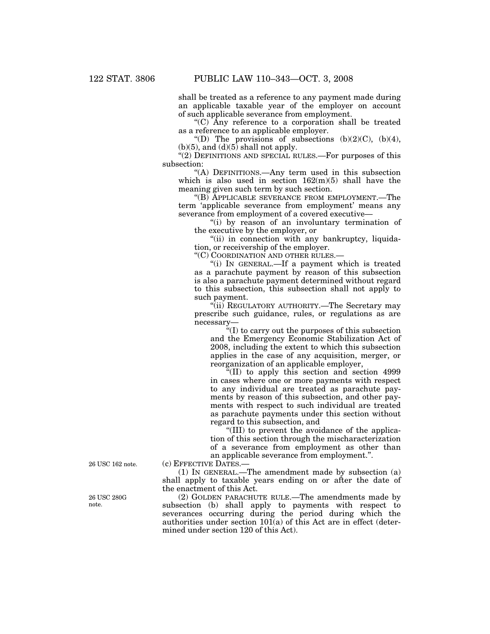shall be treated as a reference to any payment made during an applicable taxable year of the employer on account of such applicable severance from employment.

 $(C)$  Any reference to a corporation shall be treated as a reference to an applicable employer.

"(D) The provisions of subsections  $(b)(2)(C)$ ,  $(b)(4)$ ,  $(b)(5)$ , and  $(d)(5)$  shall not apply.

''(2) DEFINITIONS AND SPECIAL RULES.—For purposes of this subsection:

''(A) DEFINITIONS.—Any term used in this subsection which is also used in section  $162(m)(5)$  shall have the meaning given such term by such section.

''(B) APPLICABLE SEVERANCE FROM EMPLOYMENT.—The term 'applicable severance from employment' means any severance from employment of a covered executive—

''(i) by reason of an involuntary termination of the executive by the employer, or

"(ii) in connection with any bankruptcy, liquidation, or receivership of the employer.

''(C) COORDINATION AND OTHER RULES.—

''(i) IN GENERAL.—If a payment which is treated as a parachute payment by reason of this subsection is also a parachute payment determined without regard to this subsection, this subsection shall not apply to such payment.

''(ii) REGULATORY AUTHORITY.—The Secretary may prescribe such guidance, rules, or regulations as are necessary—

''(I) to carry out the purposes of this subsection and the Emergency Economic Stabilization Act of 2008, including the extent to which this subsection applies in the case of any acquisition, merger, or reorganization of an applicable employer,

''(II) to apply this section and section 4999 in cases where one or more payments with respect to any individual are treated as parachute payments by reason of this subsection, and other payments with respect to such individual are treated as parachute payments under this section without regard to this subsection, and

''(III) to prevent the avoidance of the application of this section through the mischaracterization of a severance from employment as other than an applicable severance from employment.''.

(c) EFFECTIVE DATES.—

(1) IN GENERAL.—The amendment made by subsection (a) shall apply to taxable years ending on or after the date of the enactment of this Act.

(2) GOLDEN PARACHUTE RULE.—The amendments made by subsection (b) shall apply to payments with respect to severances occurring during the period during which the authorities under section 101(a) of this Act are in effect (determined under section 120 of this Act).

26 USC 162 note.

26 USC 280G note.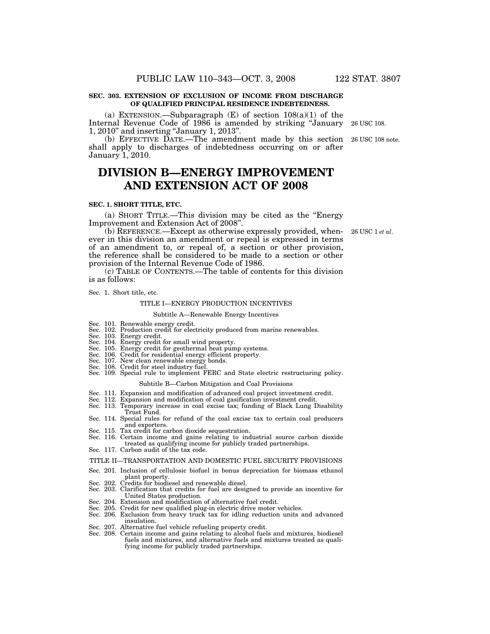### **SEC. 303. EXTENSION OF EXCLUSION OF INCOME FROM DISCHARGE OF QUALIFIED PRINCIPAL RESIDENCE INDEBTEDNESS.**

(a) EXTENSION.—Subparagraph  $(E)$  of section  $108(a)(1)$  of the Internal Revenue Code of 1986 is amended by striking ''January 1, 2010'' and inserting ''January 1, 2013''.

(b) EFFECTIVE DATE.—The amendment made by this section shall apply to discharges of indebtedness occurring on or after January 1, 2010. 26 USC 108 note.

# **DIVISION B—ENERGY IMPROVEMENT AND EXTENSION ACT OF 2008**

#### **SEC. 1. SHORT TITLE, ETC.**

(a) SHORT TITLE.—This division may be cited as the ''Energy Improvement and Extension Act of 2008''.

(b) REFERENCE.—Except as otherwise expressly provided, whenever in this division an amendment or repeal is expressed in terms of an amendment to, or repeal of, a section or other provision, the reference shall be considered to be made to a section or other provision of the Internal Revenue Code of 1986.

(c) TABLE OF CONTENTS.—The table of contents for this division is as follows:

Sec. 1. Short title, etc.

#### TITLE I—ENERGY PRODUCTION INCENTIVES

#### Subtitle A—Renewable Energy Incentives

- 
- Sec. 101. Renewable energy credit. Sec. 102. Production credit for electricity produced from marine renewables.
- Sec. 103. Energy credit.
- 
- Sec. 104. Energy credit for small wind property. Sec. 105. Energy credit for geothermal heat pump systems. Sec. 106. Credit for residential energy efficient property.
- 
- Sec. 107. New clean renewable energy bonds. Sec. 108. Credit for steel industry fuel.
- 
- Sec. 109. Special rule to implement FERC and State electric restructuring policy.

#### Subtitle B—Carbon Mitigation and Coal Provisions

- Sec. 111. Expansion and modification of advanced coal project investment credit.
- Sec. 112. Expansion and modification of coal gasification investment credit.
- Sec. 113. Temporary increase in coal excise tax; funding of Black Lung Disability Trust Fund.
- Sec. 114. Special rules for refund of the coal excise tax to certain coal producers and exporters.
- Sec. 115. Tax credit for carbon dioxide sequestration.
- Sec. 116. Certain income and gains relating to industrial source carbon dioxide treated as qualifying income for publicly traded partnerships.
- Sec. 117. Carbon audit of the tax code.

#### TITLE II—TRANSPORTATION AND DOMESTIC FUEL SECURITY PROVISIONS

- Sec. 201. Inclusion of cellulosic biofuel in bonus depreciation for biomass ethanol
- plant property. Sec. 202. Credits for biodiesel and renewable diesel.
- Sec. 203. Clarification that credits for fuel are designed to provide an incentive for United States production.
- Sec. 204. Extension and modification of alternative fuel credit. Sec. 205. Credit for new qualified plug-in electric drive motor vehicles.
- 
- Sec. 206. Exclusion from heavy truck tax for idling reduction units and advanced insulation.
- Sec. 207. Alternative fuel vehicle refueling property credit.
- Sec. 208. Certain income and gains relating to alcohol fuels and mixtures, biodiesel fuels and mixtures, and alternative fuels and mixtures treated as qualifying income for publicly traded partnerships.

26 USC 1 *et al*.

26 USC 108.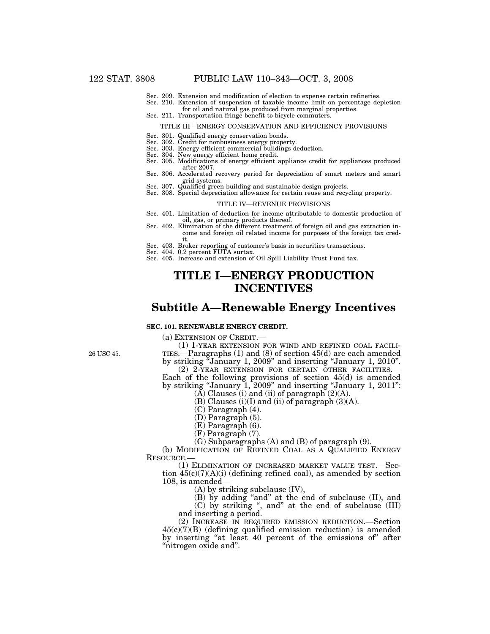- Sec. 209. Extension and modification of election to expense certain refineries.
- Sec. 210. Extension of suspension of taxable income limit on percentage depletion for oil and natural gas produced from marginal properties.
- Sec. 211. Transportation fringe benefit to bicycle commuters.

## TITLE III—ENERGY CONSERVATION AND EFFICIENCY PROVISIONS

- Sec. 301. Qualified energy conservation bonds.
- Sec. 302. Credit for nonbusiness energy property. Sec. 303. Energy efficient commercial buildings deduction.
- 
- Sec. 304. New energy efficient home credit.
- Sec. 305. Modifications of energy efficient appliance credit for appliances produced after 2007.
- Sec. 306. Accelerated recovery period for depreciation of smart meters and smart grid systems.
- Sec. 307. Qualified green building and sustainable design projects.
- Sec. 308. Special depreciation allowance for certain reuse and recycling property.

### TITLE IV—REVENUE PROVISIONS

- Sec. 401. Limitation of deduction for income attributable to domestic production of oil, gas, or primary products thereof. Sec. 402. Elimination of the different treatment of foreign oil and gas extraction in-
- come and foreign oil related income for purposes of the foreign tax credit.
- Sec. 403. Broker reporting of customer's basis in securities transactions. Sec. 404. 0.2 percent FUTA surtax.
- 
- Sec. 405. Increase and extension of Oil Spill Liability Trust Fund tax.

# **TITLE I—ENERGY PRODUCTION INCENTIVES**

# **Subtitle A—Renewable Energy Incentives**

### **SEC. 101. RENEWABLE ENERGY CREDIT.**

(a) EXTENSION OF CREDIT.—

(1) 1-YEAR EXTENSION FOR WIND AND REFINED COAL FACILI-TIES.—Paragraphs (1) and (8) of section 45(d) are each amended by striking "January 1, 2009" and inserting "January 1, 2010".<br>(2) 2-YEAR EXTENSION FOR CERTAIN OTHER FACILITIES.

Each of the following provisions of section  $45(d)$  is amended by striking ''January 1, 2009'' and inserting ''January 1, 2011'':  $(A)$  Clauses (i) and (ii) of paragraph  $(2)(A)$ .

 $(B)$  Clauses  $(i)(I)$  and  $(ii)$  of paragraph  $(3)(A)$ .

- (C) Paragraph (4).
- (D) Paragraph (5).
- (E) Paragraph (6).
- (F) Paragraph (7).

(G) Subparagraphs (A) and (B) of paragraph (9).

(b) MODIFICATION OF REFINED COAL AS A QUALIFIED ENERGY RESOURCE.

(1) ELIMINATION OF INCREASED MARKET VALUE TEST.—Section  $45(c)(7)(A)(i)$  (defining refined coal), as amended by section 108, is amended—

(A) by striking subclause (IV),

(B) by adding ''and'' at the end of subclause (II), and

(C) by striking '', and'' at the end of subclause (III) and inserting a period.

(2) INCREASE IN REQUIRED EMISSION REDUCTION.—Section  $45(c)(7)(B)$  (defining qualified emission reduction) is amended by inserting "at least 40 percent of the emissions of" after ''nitrogen oxide and''.

26 USC 45.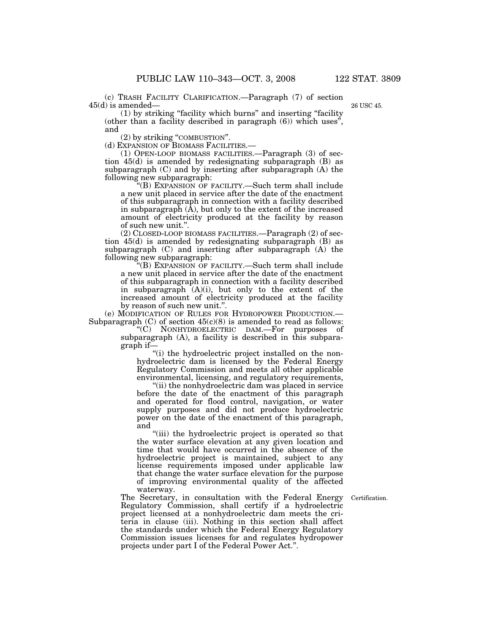(c) TRASH FACILITY CLARIFICATION.—Paragraph (7) of section 45(d) is amended—

26 USC 45.

(1) by striking ''facility which burns'' and inserting ''facility (other than a facility described in paragraph (6)) which uses'', and

(2) by striking "COMBUSTION".<br>(d) EXPANSION OF BIOMASS FACILITIES.—

(1) OPEN-LOOP BIOMASS FACILITIES.— $\text{Paragraph}$  (3) of section 45(d) is amended by redesignating subparagraph (B) as subparagraph (C) and by inserting after subparagraph (A) the following new subparagraph:

''(B) EXPANSION OF FACILITY.—Such term shall include a new unit placed in service after the date of the enactment of this subparagraph in connection with a facility described in subparagraph  $(\tilde{A})$ , but only to the extent of the increased amount of electricity produced at the facility by reason of such new unit.''.

(2) CLOSED-LOOP BIOMASS FACILITIES.—Paragraph (2) of section 45(d) is amended by redesignating subparagraph (B) as subparagraph (C) and inserting after subparagraph (A) the following new subparagraph:

''(B) EXPANSION OF FACILITY.—Such term shall include a new unit placed in service after the date of the enactment of this subparagraph in connection with a facility described in subparagraph (A)(i), but only to the extent of the increased amount of electricity produced at the facility by reason of such new unit.''.

(e) MODIFICATION OF RULES FOR HYDROPOWER PRODUCTION.— Subparagraph (C) of section 45(c)(8) is amended to read as follows:

''(C) NONHYDROELECTRIC DAM.—For purposes of subparagraph (A), a facility is described in this subparagraph if—

''(i) the hydroelectric project installed on the nonhydroelectric dam is licensed by the Federal Energy Regulatory Commission and meets all other applicable environmental, licensing, and regulatory requirements,

"(ii) the nonhydroelectric dam was placed in service before the date of the enactment of this paragraph and operated for flood control, navigation, or water supply purposes and did not produce hydroelectric power on the date of the enactment of this paragraph, and

''(iii) the hydroelectric project is operated so that the water surface elevation at any given location and time that would have occurred in the absence of the hydroelectric project is maintained, subject to any license requirements imposed under applicable law that change the water surface elevation for the purpose of improving environmental quality of the affected waterway.

Certification.

The Secretary, in consultation with the Federal Energy Regulatory Commission, shall certify if a hydroelectric project licensed at a nonhydroelectric dam meets the criteria in clause (iii). Nothing in this section shall affect the standards under which the Federal Energy Regulatory Commission issues licenses for and regulates hydropower projects under part I of the Federal Power Act.''.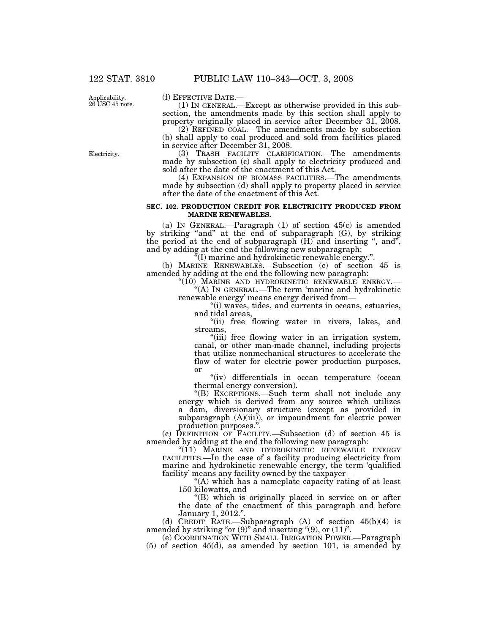Applicability. 26 USC 45 note.

(f) EFFECTIVE DATE.— $(1)$  In GENERAL.—Except as otherwise provided in this subsection, the amendments made by this section shall apply to property originally placed in service after December 31, 2008.

(2) REFINED COAL.—The amendments made by subsection (b) shall apply to coal produced and sold from facilities placed in service after December 31, 2008.

(3) TRASH FACILITY CLARIFICATION.—The amendments made by subsection (c) shall apply to electricity produced and sold after the date of the enactment of this Act.

(4) EXPANSION OF BIOMASS FACILITIES.—The amendments made by subsection (d) shall apply to property placed in service after the date of the enactment of this Act.

### **SEC. 102. PRODUCTION CREDIT FOR ELECTRICITY PRODUCED FROM MARINE RENEWABLES.**

(a) IN GENERAL.—Paragraph (1) of section 45(c) is amended by striking ''and'' at the end of subparagraph (G), by striking the period at the end of subparagraph  $(H)$  and inserting ", and", and by adding at the end the following new subparagraph:

 $\mathbf{H}(\mathbf{I})$  marine and hydrokinetic renewable energy.".

(b) MARINE RENEWABLES.—Subsection (c) of section 45 is amended by adding at the end the following new paragraph:

"(10) MARINE AND HYDROKINETIC RENEWABLE ENERGY. ''(A) IN GENERAL.—The term 'marine and hydrokinetic renewable energy' means energy derived from—

''(i) waves, tides, and currents in oceans, estuaries, and tidal areas,

"(ii) free flowing water in rivers, lakes, and streams,

"(iii) free flowing water in an irrigation system, canal, or other man-made channel, including projects that utilize nonmechanical structures to accelerate the flow of water for electric power production purposes, or

"(iv) differentials in ocean temperature (ocean thermal energy conversion).

''(B) EXCEPTIONS.—Such term shall not include any energy which is derived from any source which utilizes a dam, diversionary structure (except as provided in subparagraph (A)(iii)), or impoundment for electric power production purposes."

(c) DEFINITION OF FACILITY.—Subsection (d) of section 45 is amended by adding at the end the following new paragraph:

''(11) MARINE AND HYDROKINETIC RENEWABLE ENERGY FACILITIES.—In the case of a facility producing electricity from marine and hydrokinetic renewable energy, the term 'qualified facility' means any facility owned by the taxpayer—

"(A) which has a nameplate capacity rating of at least 150 kilowatts, and

''(B) which is originally placed in service on or after the date of the enactment of this paragraph and before January 1, 2012.''.

(d) CREDIT RATE.—Subparagraph  $(A)$  of section  $45(b)(4)$  is amended by striking "or  $(9)$ " and inserting " $(9)$ , or  $(11)$ ".

(e) COORDINATION WITH SMALL IRRIGATION POWER.—Paragraph (5) of section 45(d), as amended by section 101, is amended by

Electricity.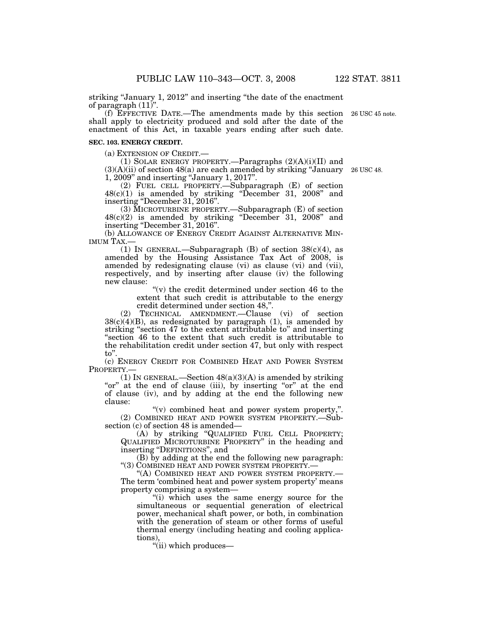striking ''January 1, 2012'' and inserting ''the date of the enactment of paragraph (11)''.

(f) EFFECTIVE DATE.—The amendments made by this section 26 USC 45 note. shall apply to electricity produced and sold after the date of the enactment of this Act, in taxable years ending after such date.

#### **SEC. 103. ENERGY CREDIT.**

(a) EXTENSION OF CREDIT.—<br>(1) SOLAR ENERGY PROPERTY.—Paragraphs  $(2)(A)(i)(II)$  and  $(3)(A)(ii)$  of section 48(a) are each amended by striking "January 26 USC 48. 1, 2009'' and inserting ''January 1, 2017''.

(2) FUEL CELL PROPERTY.—Subparagraph (E) of section  $48(c)(1)$  is amended by striking "December 31, 2008" and inserting "December 31, 2016".

(3) MICROTURBINE PROPERTY.—Subparagraph (E) of section 48(c)(2) is amended by striking ''December 31, 2008'' and inserting ''December 31, 2016''.

(b) ALLOWANCE OF ENERGY CREDIT AGAINST ALTERNATIVE MIN-IMUM TAX.—

(1) IN GENERAL.—Subparagraph (B) of section  $38(c)(4)$ , as amended by the Housing Assistance Tax Act of 2008, is amended by redesignating clause (vi) as clause (vi) and (vii), respectively, and by inserting after clause (iv) the following new clause:

> " $(v)$  the credit determined under section 46 to the extent that such credit is attributable to the energy credit determined under section 48,''.

(2) TECHNICAL AMENDMENT.—Clause (vi) of section  $38(c)(4)(B)$ , as redesignated by paragraph (1), is amended by striking ''section 47 to the extent attributable to'' and inserting ''section 46 to the extent that such credit is attributable to the rehabilitation credit under section 47, but only with respect to''.

(c) ENERGY CREDIT FOR COMBINED HEAT AND POWER SYSTEM PROPERTY.—

(1) IN GENERAL.—Section  $48(a)(3)(A)$  is amended by striking "or" at the end of clause (iii), by inserting "or" at the end of clause (iv), and by adding at the end the following new clause:

''(v) combined heat and power system property,''. (2) COMBINED HEAT AND POWER SYSTEM PROPERTY.—Subsection (c) of section 48 is amended—

(A) by striking ''QUALIFIED FUEL CELL PROPERTY; QUALIFIED MICROTURBINE PROPERTY'' in the heading and inserting ''DEFINITIONS'', and

(B) by adding at the end the following new paragraph: ''(3) COMBINED HEAT AND POWER SYSTEM PROPERTY.—

''(A) COMBINED HEAT AND POWER SYSTEM PROPERTY.— The term 'combined heat and power system property' means property comprising a system—

''(i) which uses the same energy source for the simultaneous or sequential generation of electrical power, mechanical shaft power, or both, in combination with the generation of steam or other forms of useful thermal energy (including heating and cooling applications),

''(ii) which produces—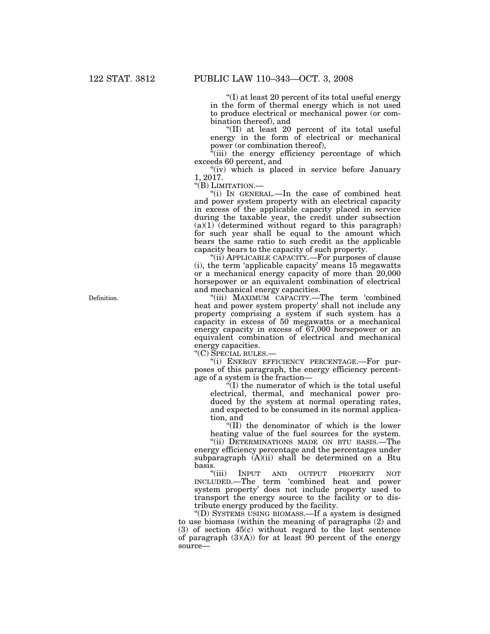''(I) at least 20 percent of its total useful energy in the form of thermal energy which is not used to produce electrical or mechanical power (or combination thereof), and

''(II) at least 20 percent of its total useful energy in the form of electrical or mechanical power (or combination thereof),

 $\cdot$ <sup> $\cdot$ </sup>(iii) the energy efficiency percentage of which exceeds 60 percent, and

"(iv) which is placed in service before January 1, 2017.<br>"(B) LIMITATION.-

"(i) IN GENERAL.—In the case of combined heat and power system property with an electrical capacity in excess of the applicable capacity placed in service during the taxable year, the credit under subsection  $(a)(1)$  (determined without regard to this paragraph) for such year shall be equal to the amount which bears the same ratio to such credit as the applicable capacity bears to the capacity of such property.

"(ii) APPLICABLE CAPACITY.—For purposes of clause (i), the term 'applicable capacity' means 15 megawatts or a mechanical energy capacity of more than 20,000 horsepower or an equivalent combination of electrical and mechanical energy capacities.

"(iii) MAXIMUM CAPACITY.—The term 'combined heat and power system property' shall not include any property comprising a system if such system has a capacity in excess of 50 megawatts or a mechanical energy capacity in excess of 67,000 horsepower or an equivalent combination of electrical and mechanical energy capacities.

''(C) SPECIAL RULES.—

"(i) ENERGY EFFICIENCY PERCENTAGE.-For purposes of this paragraph, the energy efficiency percentage of a system is the fraction—

''(I) the numerator of which is the total useful electrical, thermal, and mechanical power produced by the system at normal operating rates, and expected to be consumed in its normal application, and

''(II) the denominator of which is the lower heating value of the fuel sources for the system.

''(ii) DETERMINATIONS MADE ON BTU BASIS.—The energy efficiency percentage and the percentages under subparagraph (A)(ii) shall be determined on a Btu basis.

"(iii) INPUT AND OUTPUT PROPERTY NOT INCLUDED.—The term 'combined heat and power system property' does not include property used to transport the energy source to the facility or to distribute energy produced by the facility.

''(D) SYSTEMS USING BIOMASS.—If a system is designed to use biomass (within the meaning of paragraphs (2) and (3) of section 45(c) without regard to the last sentence of paragraph  $(3)(A)$  for at least 90 percent of the energy source—

Definition.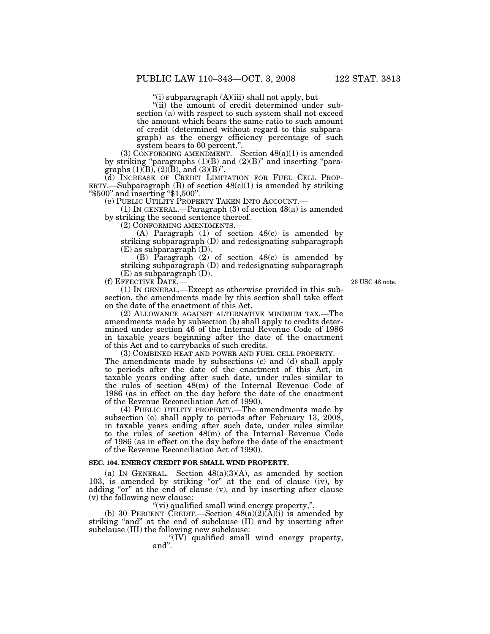''(i) subparagraph (A)(iii) shall not apply, but

"(ii) the amount of credit determined under subsection (a) with respect to such system shall not exceed the amount which bears the same ratio to such amount of credit (determined without regard to this subparagraph) as the energy efficiency percentage of such system bears to 60 percent.''.

(3) CONFORMING AMENDMENT.—Section  $48(a)(1)$  is amended by striking "paragraphs  $(1)(B)$  and  $(2)(B)$ " and inserting "paragraphs  $(1)(B)$ ,  $(2)(B)$ , and  $(3)(B)$ ".<br>(d) INCREASE OF CREDIT LIMITATION FOR FUEL CELL PROP-

ERTY.—Subparagraph (B) of section  $48(c)(1)$  is amended by striking "\$500" and inserting "\$1,500".

(e) PUBLIC UTILITY PROPERTY TAKEN INTO ACCOUNT.—<br>(1) IN GENERAL.—Paragraph (3) of section  $48(a)$  is amended by striking the second sentence thereof.

(2) CONFORMING AMENDMENTS.—

(A) Paragraph (1) of section 48(c) is amended by striking subparagraph (D) and redesignating subparagraph (E) as subparagraph (D).

(B) Paragraph (2) of section 48(c) is amended by striking subparagraph (D) and redesignating subparagraph (E) as subparagraph (D).

(f) EFFECTIVE DATE.—

(1) IN GENERAL.—Except as otherwise provided in this subsection, the amendments made by this section shall take effect on the date of the enactment of this Act.

(2) ALLOWANCE AGAINST ALTERNATIVE MINIMUM TAX.—The amendments made by subsection (b) shall apply to credits determined under section 46 of the Internal Revenue Code of 1986 in taxable years beginning after the date of the enactment of this Act and to carrybacks of such credits.

(3) COMBINED HEAT AND POWER AND FUEL CELL PROPERTY.— The amendments made by subsections (c) and (d) shall apply to periods after the date of the enactment of this Act, in taxable years ending after such date, under rules similar to the rules of section 48(m) of the Internal Revenue Code of 1986 (as in effect on the day before the date of the enactment of the Revenue Reconciliation Act of 1990).

(4) PUBLIC UTILITY PROPERTY.—The amendments made by subsection (e) shall apply to periods after February 13, 2008, in taxable years ending after such date, under rules similar to the rules of section 48(m) of the Internal Revenue Code of 1986 (as in effect on the day before the date of the enactment of the Revenue Reconciliation Act of 1990).

### **SEC. 104. ENERGY CREDIT FOR SMALL WIND PROPERTY.**

(a) IN GENERAL.—Section  $48(a)(3)(A)$ , as amended by section 103, is amended by striking "or" at the end of clause (iv), by adding "or" at the end of clause (v), and by inserting after clause (v) the following new clause:

''(vi) qualified small wind energy property,''.

(b) 30 PERCENT CREDIT.—Section  $48(a)(2)(\vec{A})(\vec{i})$  is amended by striking "and" at the end of subclause (II) and by inserting after subclause (III) the following new subclause:

''(IV) qualified small wind energy property, and''.

26 USC 48 note.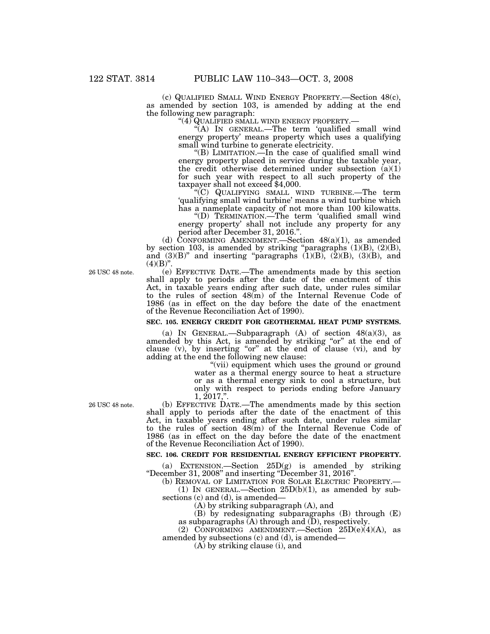(c) QUALIFIED SMALL WIND ENERGY PROPERTY.—Section 48(c), as amended by section 103, is amended by adding at the end the following new paragraph:<br>
"(4) QUALIFIED SMALL WIND ENERGY PROPERTY.

"(A) IN GENERAL.—The term 'qualified small wind energy property' means property which uses a qualifying small wind turbine to generate electricity.

''(B) LIMITATION.—In the case of qualified small wind energy property placed in service during the taxable year, the credit otherwise determined under subsection  $(a)(1)$ for such year with respect to all such property of the taxpayer shall not exceed \$4,000.

''(C) QUALIFYING SMALL WIND TURBINE.—The term 'qualifying small wind turbine' means a wind turbine which has a nameplate capacity of not more than 100 kilowatts.

''(D) TERMINATION.—The term 'qualified small wind energy property' shall not include any property for any period after December 31, 2016.''.

(d) CONFORMING AMENDMENT. Section  $48(a)(1)$ , as amended by section 103, is amended by striking "paragraphs  $(1)(B)$ ,  $(2)(B)$ , and  $(3)(B)$ " and inserting "paragraphs  $(1)(B)$ ,  $(2)(B)$ ,  $(3)(B)$ , and  $(4)(B)''$ 

26 USC 48 note.

(e) EFFECTIVE DATE.—The amendments made by this section shall apply to periods after the date of the enactment of this Act, in taxable years ending after such date, under rules similar to the rules of section 48(m) of the Internal Revenue Code of 1986 (as in effect on the day before the date of the enactment of the Revenue Reconciliation Act of 1990).

## **SEC. 105. ENERGY CREDIT FOR GEOTHERMAL HEAT PUMP SYSTEMS.**

(a) IN GENERAL.—Subparagraph  $(A)$  of section  $48(a)(3)$ , as amended by this Act, is amended by striking "or" at the end of clause  $(v)$ , by inserting "or" at the end of clause  $(vi)$ , and by adding at the end the following new clause:

"(vii) equipment which uses the ground or ground water as a thermal energy source to heat a structure or as a thermal energy sink to cool a structure, but only with respect to periods ending before January 1, 2017,''.

(b) EFFECTIVE DATE.—The amendments made by this section shall apply to periods after the date of the enactment of this Act, in taxable years ending after such date, under rules similar to the rules of section 48(m) of the Internal Revenue Code of 1986 (as in effect on the day before the date of the enactment of the Revenue Reconciliation Act of 1990).

## **SEC. 106. CREDIT FOR RESIDENTIAL ENERGY EFFICIENT PROPERTY.**

(a) EXTENSION.—Section  $25D(g)$  is amended by striking ''December 31, 2008'' and inserting ''December 31, 2016''.

(b) REMOVAL OF LIMITATION FOR SOLAR ELECTRIC PROPERTY.— (1) IN GENERAL.—Section  $25D(b)(1)$ , as amended by subsections (c) and (d), is amended—

(A) by striking subparagraph (A), and

(B) by redesignating subparagraphs (B) through (E) as subparagraphs (A) through and (D), respectively.

(2) CONFORMING AMENDMENT. Section  $25D(e)(4)(A)$ , as amended by subsections (c) and (d), is amended—

(A) by striking clause (i), and

26 USC 48 note.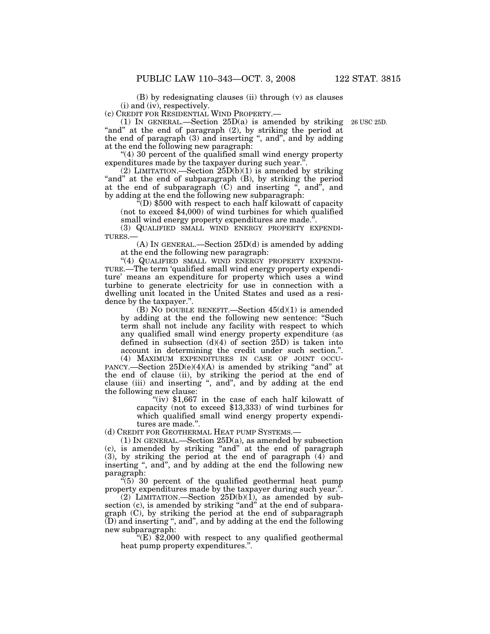(B) by redesignating clauses (ii) through (v) as clauses (i) and (iv), respectively.

(c) CREDIT FOR RESIDENTIAL WIND PROPERTY.—

26 USC 25D.

(1) IN GENERAL.—Section 25D(a) is amended by striking "and" at the end of paragraph  $(2)$ , by striking the period at the end of paragraph (3) and inserting ", and", and by adding at the end the following new paragraph:

 $(4)$  30 percent of the qualified small wind energy property expenditures made by the taxpayer during such year."

(2) LIMITATION.—Section  $25D(b)(1)$  is amended by striking "and" at the end of subparagraph (B), by striking the period at the end of subparagraph  $(C)$  and inserting ", and", and by adding at the end the following new subparagraph:

 $\mathcal{F}(D)$  \$500 with respect to each half kilowatt of capacity (not to exceed \$4,000) of wind turbines for which qualified small wind energy property expenditures are made.''.

(3) QUALIFIED SMALL WIND ENERGY PROPERTY EXPENDI-TURES.—

(A) IN GENERAL.—Section  $25D(d)$  is amended by adding at the end the following new paragraph:

"(4) QUALIFIED SMALL WIND ENERGY PROPERTY EXPENDI-TURE.—The term 'qualified small wind energy property expenditure' means an expenditure for property which uses a wind turbine to generate electricity for use in connection with a dwelling unit located in the United States and used as a residence by the taxpayer.''.

(B) NO DOUBLE BENEFIT.—Section  $45(d)(1)$  is amended by adding at the end the following new sentence: ''Such term shall not include any facility with respect to which any qualified small wind energy property expenditure (as defined in subsection  $(d)(4)$  of section  $25D$ ) is taken into account in determining the credit under such section.''.

(4) MAXIMUM EXPENDITURES IN CASE OF JOINT OCCU-PANCY.—Section  $25D(e)(4)(A)$  is amended by striking "and" at the end of clause (ii), by striking the period at the end of clause (iii) and inserting '', and'', and by adding at the end the following new clause:

> " $(iv)$  \$1,667 in the case of each half kilowatt of capacity (not to exceed \$13,333) of wind turbines for which qualified small wind energy property expenditures are made.''.

(d) CREDIT FOR GEOTHERMAL HEAT PUMP SYSTEMS.—

 $(1)$  In GENERAL.—Section  $25D(a)$ , as amended by subsection (c), is amended by striking ''and'' at the end of paragraph (3), by striking the period at the end of paragraph (4) and inserting ", and", and by adding at the end the following new paragraph:

 $\sqrt[n]{(5)}$  30 percent of the qualified geothermal heat pump property expenditures made by the taxpayer during such year.'

(2) LIMITATION.—Section  $25D(b)(1)$ , as amended by subsection (c), is amended by striking "and" at the end of subparagraph (C), by striking the period at the end of subparagraph (D) and inserting '', and'', and by adding at the end the following new subparagraph:

" $(E)$  \$2,000 with respect to any qualified geothermal heat pump property expenditures.''.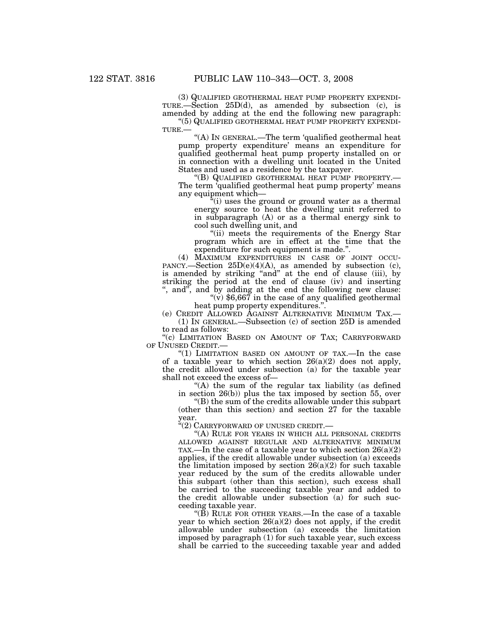(3) QUALIFIED GEOTHERMAL HEAT PUMP PROPERTY EXPENDITURE.—Section 25D(d), as amended by subsection (c), is amended by adding at the end the following new paragraph:

''(5) QUALIFIED GEOTHERMAL HEAT PUMP PROPERTY EXPENDI- TURE.— ''(A) IN GENERAL.—The term 'qualified geothermal heat

pump property expenditure' means an expenditure for qualified geothermal heat pump property installed on or in connection with a dwelling unit located in the United States and used as a residence by the taxpayer.<br>
"(B) QUALIFIED GEOTHERMAL HEAT PUMP PROPERTY.—

The term 'qualified geothermal heat pump property' means any equipment which—

''(i) uses the ground or ground water as a thermal energy source to heat the dwelling unit referred to in subparagraph (A) or as a thermal energy sink to cool such dwelling unit, and

''(ii) meets the requirements of the Energy Star program which are in effect at the time that the expenditure for such equipment is made.''.

(4) MAXIMUM EXPENDITURES IN CASE OF JOINT OCCU-PANCY.—Section  $25D(e)(4)(A)$ , as amended by subsection (c), is amended by striking "and" at the end of clause (iii), by striking the period at the end of clause (iv) and inserting ", and", and by adding at the end the following new clause:

"(v)  $$6,667$  in the case of any qualified geothermal heat pump property expenditures.''.

(e) CREDIT ALLOWED AGAINST ALTERNATIVE MINIMUM TAX.— (1) IN GENERAL.—Subsection (c) of section 25D is amended

to read as follows: "(c) LIMITATION BASED ON AMOUNT OF TAX; CARRYFORWARD OF UNUSED CREDIT.—

"(1) LIMITATION BASED ON AMOUNT OF TAX.—In the case of a taxable year to which section  $26(a)(2)$  does not apply, the credit allowed under subsection (a) for the taxable year shall not exceed the excess of—

"(A) the sum of the regular tax liability (as defined in section 26(b)) plus the tax imposed by section 55, over

''(B) the sum of the credits allowable under this subpart (other than this section) and section 27 for the taxable year.

''(2) CARRYFORWARD OF UNUSED CREDIT.—

"(A) RULE FOR YEARS IN WHICH ALL PERSONAL CREDITS ALLOWED AGAINST REGULAR AND ALTERNATIVE MINIMUM TAX.—In the case of a taxable year to which section  $26(a)(2)$ applies, if the credit allowable under subsection (a) exceeds the limitation imposed by section  $26(a)(2)$  for such taxable year reduced by the sum of the credits allowable under this subpart (other than this section), such excess shall be carried to the succeeding taxable year and added to the credit allowable under subsection (a) for such succeeding taxable year.

"(B) RULE FOR OTHER YEARS.—In the case of a taxable year to which section  $26(a)(2)$  does not apply, if the credit allowable under subsection (a) exceeds the limitation imposed by paragraph (1) for such taxable year, such excess shall be carried to the succeeding taxable year and added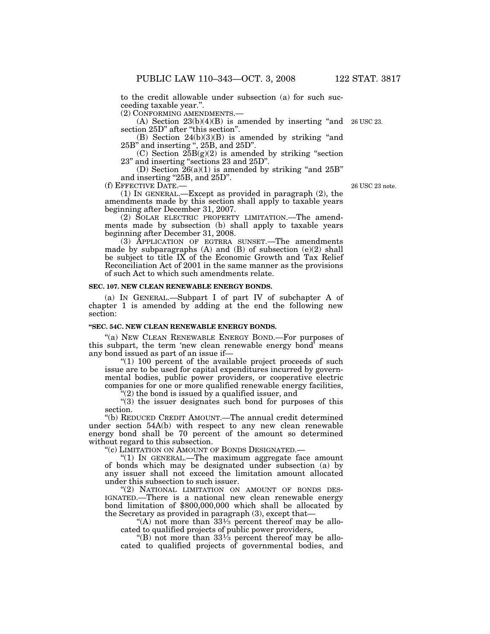to the credit allowable under subsection (a) for such succeeding taxable year.''.

(2) CONFORMING AMENDMENTS.—

(A) Section  $23(b)(4)(B)$  is amended by inserting "and 26 USC 23. section 25D" after "this section".

(B) Section 24(b)(3)(B) is amended by striking ''and  $25B"$  and inserting ",  $25B$ , and  $25D"$ .

 $(C)$  Section  $25B(g)(2)$  is amended by striking "section" 23'' and inserting ''sections 23 and 25D''.

(D) Section  $26(a)(1)$  is amended by striking "and  $25B$ " and inserting "25B, and 25D".<br>(f) EFFECTIVE DATE.—

(1) IN GENERAL.—Except as provided in paragraph  $(2)$ , the amendments made by this section shall apply to taxable years beginning after December 31, 2007.

(2) SOLAR ELECTRIC PROPERTY LIMITATION.—The amendments made by subsection (b) shall apply to taxable years beginning after December 31, 2008.

(3) APPLICATION OF EGTRRA SUNSET.—The amendments made by subparagraphs (A) and (B) of subsection (e)(2) shall be subject to title IX of the Economic Growth and Tax Relief Reconciliation Act of 2001 in the same manner as the provisions of such Act to which such amendments relate.

#### **SEC. 107. NEW CLEAN RENEWABLE ENERGY BONDS.**

(a) IN GENERAL.—Subpart I of part IV of subchapter A of chapter 1 is amended by adding at the end the following new section:

#### **''SEC. 54C. NEW CLEAN RENEWABLE ENERGY BONDS.**

"(a) NEW CLEAN RENEWABLE ENERGY BOND.—For purposes of this subpart, the term 'new clean renewable energy bond' means any bond issued as part of an issue if—

"(1) 100 percent of the available project proceeds of such issue are to be used for capital expenditures incurred by governmental bodies, public power providers, or cooperative electric companies for one or more qualified renewable energy facilities,

 $(2)$  the bond is issued by a qualified issuer, and

"(3) the issuer designates such bond for purposes of this section.

''(b) REDUCED CREDIT AMOUNT.—The annual credit determined under section 54A(b) with respect to any new clean renewable energy bond shall be 70 percent of the amount so determined without regard to this subsection.

''(c) LIMITATION ON AMOUNT OF BONDS DESIGNATED.—

"(1) In GENERAL.—The maximum aggregate face amount of bonds which may be designated under subsection (a) by any issuer shall not exceed the limitation amount allocated under this subsection to such issuer.

''(2) NATIONAL LIMITATION ON AMOUNT OF BONDS DES- IGNATED.—There is a national new clean renewable energy bond limitation of \$800,000,000 which shall be allocated by the Secretary as provided in paragraph (3), except that—

"(A) not more than  $33\frac{1}{3}$  percent thereof may be allocated to qualified projects of public power providers,

"(B) not more than  $33\frac{1}{3}$  percent thereof may be allocated to qualified projects of governmental bodies, and

26 USC 23 note.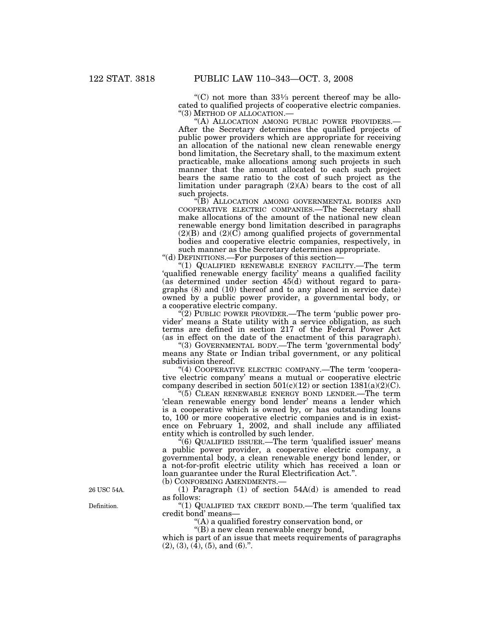"(C) not more than  $33\frac{1}{3}$  percent thereof may be allocated to qualified projects of cooperative electric companies. "(3) METHOD OF ALLOCATION.—<br>"(A) ALLOCATION AMONG PUBLIC POWER PROVIDERS.—

After the Secretary determines the qualified projects of public power providers which are appropriate for receiving an allocation of the national new clean renewable energy bond limitation, the Secretary shall, to the maximum extent practicable, make allocations among such projects in such manner that the amount allocated to each such project bears the same ratio to the cost of such project as the limitation under paragraph (2)(A) bears to the cost of all such projects.

''(B) ALLOCATION AMONG GOVERNMENTAL BODIES AND COOPERATIVE ELECTRIC COMPANIES.—The Secretary shall make allocations of the amount of the national new clean renewable energy bond limitation described in paragraphs  $(2)(B)$  and  $(2)(C)$  among qualified projects of governmental bodies and cooperative electric companies, respectively, in such manner as the Secretary determines appropriate.

''(d) DEFINITIONS.—For purposes of this section—

''(1) QUALIFIED RENEWABLE ENERGY FACILITY.—The term 'qualified renewable energy facility' means a qualified facility (as determined under section 45(d) without regard to paragraphs (8) and (10) thereof and to any placed in service date) owned by a public power provider, a governmental body, or a cooperative electric company.

''(2) PUBLIC POWER PROVIDER.—The term 'public power provider' means a State utility with a service obligation, as such terms are defined in section 217 of the Federal Power Act (as in effect on the date of the enactment of this paragraph).

"(3) GOVERNMENTAL BODY.—The term 'governmental body' means any State or Indian tribal government, or any political subdivision thereof.

"(4) COOPERATIVE ELECTRIC COMPANY.—The term 'cooperative electric company' means a mutual or cooperative electric company described in section  $501(c)(12)$  or section  $1381(a)(2)(C)$ .

''(5) CLEAN RENEWABLE ENERGY BOND LENDER.—The term 'clean renewable energy bond lender' means a lender which is a cooperative which is owned by, or has outstanding loans to, 100 or more cooperative electric companies and is in existence on February 1, 2002, and shall include any affiliated entity which is controlled by such lender.

''(6) QUALIFIED ISSUER.—The term 'qualified issuer' means a public power provider, a cooperative electric company, a governmental body, a clean renewable energy bond lender, or a not-for-profit electric utility which has received a loan or loan guarantee under the Rural Electrification Act.''.

(b) CONFORMING AMENDMENTS.—

(1) Paragraph (1) of section 54A(d) is amended to read as follows:

"(1) QUALIFIED TAX CREDIT BOND.—The term 'qualified tax credit bond' means—

''(A) a qualified forestry conservation bond, or

''(B) a new clean renewable energy bond,

which is part of an issue that meets requirements of paragraphs  $(2), (3), (\overline{4}), (5), \text{ and } (6).$ ".

26 USC 54A.

Definition.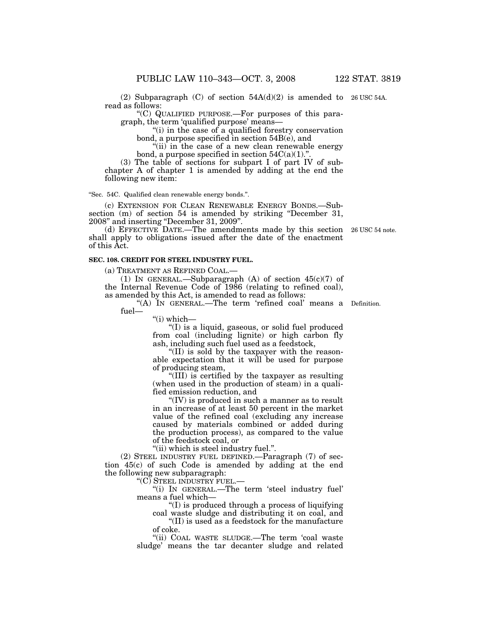(2) Subparagraph (C) of section  $54A(d)(2)$  is amended to 26 USC 54A. read as follows:

''(C) QUALIFIED PURPOSE.—For purposes of this paragraph, the term 'qualified purpose' means—

"(i) in the case of a qualified forestry conservation" bond, a purpose specified in section 54B(e), and

" $(ii)$  in the case of a new clean renewable energy bond, a purpose specified in section  $54C(a)(1)$ ."

(3) The table of sections for subpart I of part IV of subchapter A of chapter 1 is amended by adding at the end the following new item:

''Sec. 54C. Qualified clean renewable energy bonds.''.

(c) EXTENSION FOR CLEAN RENEWABLE ENERGY BONDS.—Subsection (m) of section 54 is amended by striking "December 31, 2008'' and inserting ''December 31, 2009''.

(d) EFFECTIVE DATE.—The amendments made by this section 26 USC 54 note. shall apply to obligations issued after the date of the enactment of this Act.

## **SEC. 108. CREDIT FOR STEEL INDUSTRY FUEL.**

(a) TREATMENT AS REFINED COAL.—

(1) In GENERAL.—Subparagraph  $(A)$  of section  $45(c)(7)$  of the Internal Revenue Code of 1986 (relating to refined coal), as amended by this Act, is amended to read as follows:

"(A) IN GENERAL.—The term 'refined coal' means a Definition. fuel—

''(i) which—

''(I) is a liquid, gaseous, or solid fuel produced from coal (including lignite) or high carbon fly ash, including such fuel used as a feedstock,

''(II) is sold by the taxpayer with the reasonable expectation that it will be used for purpose of producing steam,

''(III) is certified by the taxpayer as resulting (when used in the production of steam) in a qualified emission reduction, and

''(IV) is produced in such a manner as to result in an increase of at least 50 percent in the market value of the refined coal (excluding any increase caused by materials combined or added during the production process), as compared to the value of the feedstock coal, or

"(ii) which is steel industry fuel.".

(2) STEEL INDUSTRY FUEL DEFINED.—Paragraph (7) of section 45(c) of such Code is amended by adding at the end the following new subparagraph:

''(C) STEEL INDUSTRY FUEL.—

''(i) IN GENERAL.—The term 'steel industry fuel' means a fuel which—

''(I) is produced through a process of liquifying coal waste sludge and distributing it on coal, and

''(II) is used as a feedstock for the manufacture of coke.

''(ii) COAL WASTE SLUDGE.—The term 'coal waste sludge' means the tar decanter sludge and related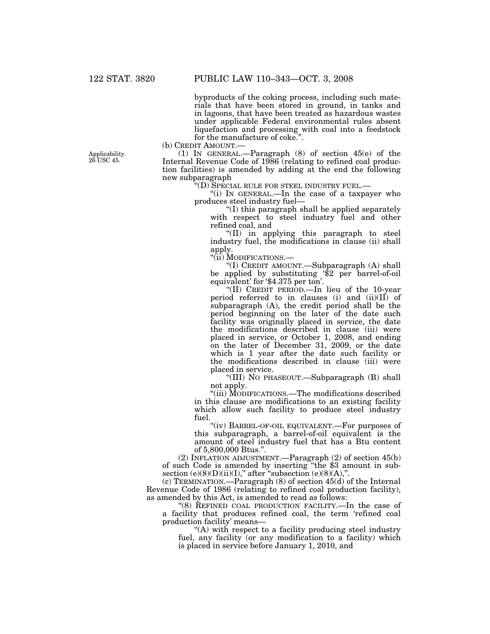byproducts of the coking process, including such materials that have been stored in ground, in tanks and in lagoons, that have been treated as hazardous wastes under applicable Federal environmental rules absent liquefaction and processing with coal into a feedstock for the manufacture of coke.".<br>(b) CREDIT AMOUNT.—

(1) IN GENERAL.—Paragraph  $(8)$  of section  $45(e)$  of the Internal Revenue Code of 1986 (relating to refined coal production facilities) is amended by adding at the end the following new subparagraph<br>"(D) SPECIAL RULE FOR STEEL INDUSTRY FUEL.—

"(i) IN GENERAL.—In the case of a taxpayer who produces steel industry fuel—

''(I) this paragraph shall be applied separately with respect to steel industry fuel and other refined coal, and

''(II) in applying this paragraph to steel industry fuel, the modifications in clause (ii) shall apply.

''(ii) MODIFICATIONS.—

''(I) CREDIT AMOUNT.—Subparagraph (A) shall be applied by substituting '\$2 per barrel-of-oil equivalent' for '\$4.375 per ton'.

''(II) CREDIT PERIOD.—In lieu of the 10-year period referred to in clauses (i) and (ii)(II) of subparagraph (A), the credit period shall be the period beginning on the later of the date such facility was originally placed in service, the date the modifications described in clause (iii) were placed in service, or October 1, 2008, and ending on the later of December 31, 2009, or the date which is 1 year after the date such facility or the modifications described in clause (iii) were placed in service.

''(III) NO PHASEOUT.—Subparagraph (B) shall not apply.

''(iii) MODIFICATIONS.—The modifications described in this clause are modifications to an existing facility which allow such facility to produce steel industry fuel.

"(iv) BARREL-OF-OIL EQUIVALENT.—For purposes of this subparagraph, a barrel-of-oil equivalent is the amount of steel industry fuel that has a Btu content of 5,800,000 Btus.''.

(2) INFLATION ADJUSTMENT.—Paragraph (2) of section 45(b) of such Code is amended by inserting ''the \$3 amount in subsection  $(e)(8)(D)(ii)(I)$ ," after "subsection  $(e)(8)(A)$ ,".

(c) TERMINATION.—Paragraph (8) of section 45(d) of the Internal Revenue Code of 1986 (relating to refined coal production facility), as amended by this Act, is amended to read as follows:

''(8) REFINED COAL PRODUCTION FACILITY.—In the case of a facility that produces refined coal, the term 'refined coal production facility' means—

"(A) with respect to a facility producing steel industry" fuel, any facility (or any modification to a facility) which is placed in service before January 1, 2010, and

Applicability. 26 USC 45.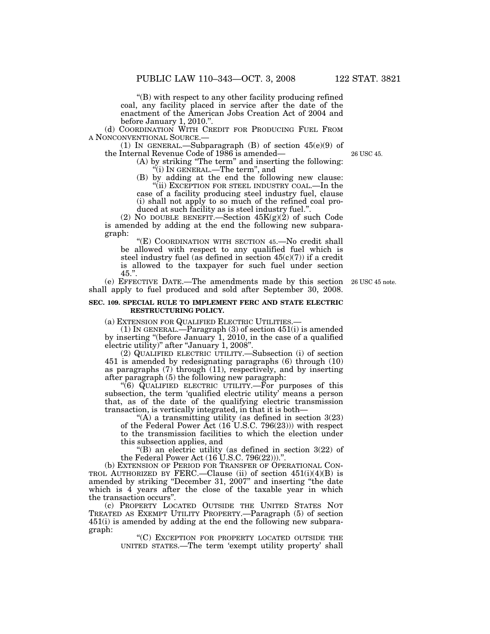''(B) with respect to any other facility producing refined coal, any facility placed in service after the date of the enactment of the American Jobs Creation Act of 2004 and before January 1, 2010.''.

(d) COORDINATION WITH CREDIT FOR PRODUCING FUEL FROM A NONCONVENTIONAL SOURCE.—

(1) IN GENERAL.—Subparagraph (B) of section  $45(e)(9)$  of the Internal Revenue Code of 1986 is amended—

(A) by striking ''The term'' and inserting the following: ''(i) IN GENERAL.—The term'', and

(B) by adding at the end the following new clause: "(ii) EXCEPTION FOR STEEL INDUSTRY COAL.—In the case of a facility producing steel industry fuel, clause (i) shall not apply to so much of the refined coal produced at such facility as is steel industry fuel.''.

(2) NO DOUBLE BENEFIT.—Section  $45K(g)(2)$  of such Code is amended by adding at the end the following new subparagraph:

''(E) COORDINATION WITH SECTION 45.—No credit shall be allowed with respect to any qualified fuel which is steel industry fuel (as defined in section  $45(c)(7)$ ) if a credit is allowed to the taxpayer for such fuel under section 45.''.

(e) EFFECTIVE DATE.—The amendments made by this section 26 USC 45 note. shall apply to fuel produced and sold after September 30, 2008.

## **SEC. 109. SPECIAL RULE TO IMPLEMENT FERC AND STATE ELECTRIC RESTRUCTURING POLICY.**

(a) EXTENSION FOR QUALIFIED ELECTRIC UTILITIES.—

(1) IN GENERAL.—Paragraph (3) of section 451(i) is amended by inserting ''(before January 1, 2010, in the case of a qualified electric utility)'' after ''January 1, 2008''.

(2) QUALIFIED ELECTRIC UTILITY.—Subsection (i) of section 451 is amended by redesignating paragraphs (6) through (10) as paragraphs (7) through (11), respectively, and by inserting after paragraph (5) the following new paragraph:

''(6) QUALIFIED ELECTRIC UTILITY.—For purposes of this subsection, the term 'qualified electric utility' means a person that, as of the date of the qualifying electric transmission transaction, is vertically integrated, in that it is both—

"(A) a transmitting utility (as defined in section  $3(23)$ of the Federal Power Act (16 U.S.C. 796(23))) with respect to the transmission facilities to which the election under this subsection applies, and

"(B) an electric utility (as defined in section  $3(22)$  of the Federal Power Act (16 U.S.C. 796(22))).''.

(b) EXTENSION OF PERIOD FOR TRANSFER OF OPERATIONAL CON-TROL AUTHORIZED BY FERC.—Clause (ii) of section 451(i)(4)(B) is amended by striking ''December 31, 2007'' and inserting ''the date which is 4 years after the close of the taxable year in which the transaction occurs''.

(c) PROPERTY LOCATED OUTSIDE THE UNITED STATES NOT TREATED AS EXEMPT UTILITY PROPERTY.—Paragraph (5) of section 451(i) is amended by adding at the end the following new subparagraph:

> ''(C) EXCEPTION FOR PROPERTY LOCATED OUTSIDE THE UNITED STATES.—The term 'exempt utility property' shall

26 USC 45.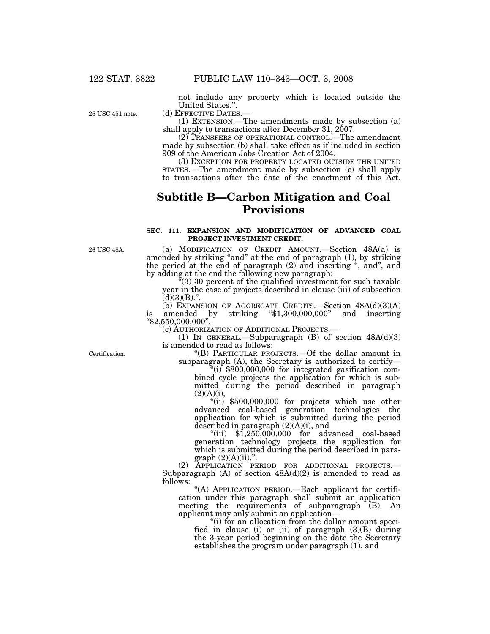not include any property which is located outside the United States.''. (d) EFFECTIVE DATES.—

26 USC 451 note.

(1) EXTENSION.—The amendments made by subsection (a) shall apply to transactions after December 31, 2007.

(2) TRANSFERS OF OPERATIONAL CONTROL.—The amendment made by subsection (b) shall take effect as if included in section 909 of the American Jobs Creation Act of 2004.

(3) EXCEPTION FOR PROPERTY LOCATED OUTSIDE THE UNITED STATES.—The amendment made by subsection (c) shall apply to transactions after the date of the enactment of this Act.

# **Subtitle B—Carbon Mitigation and Coal Provisions**

## **SEC. 111. EXPANSION AND MODIFICATION OF ADVANCED COAL PROJECT INVESTMENT CREDIT.**

26 USC 48A.

(a) MODIFICATION OF CREDIT AMOUNT.—Section 48A(a) is amended by striking "and" at the end of paragraph (1), by striking the period at the end of paragraph (2) and inserting '', and'', and by adding at the end the following new paragraph:

 $\mathfrak{g}(3)$  30 percent of the qualified investment for such taxable year in the case of projects described in clause (iii) of subsection  $(d)(3)(B)$ .".

(b) EXPANSION OF AGGREGATE CREDITS.—Section  $48A(d)(3)(A)$  amended by striking "\$1,300,000,000" and inserting is amended by striking ''\$1,300,000,000'' and inserting ''\$2,550,000,000''.

(c) AUTHORIZATION OF ADDITIONAL PROJECTS.—

(1) IN GENERAL.—Subparagraph  $(B)$  of section  $48A(d)(3)$ is amended to read as follows:

''(B) PARTICULAR PROJECTS.—Of the dollar amount in subparagraph (A), the Secretary is authorized to certify—

''(i) \$800,000,000 for integrated gasification combined cycle projects the application for which is submitted during the period described in paragraph  $(2)(A)(i),$ 

"(ii) \$500,000,000 for projects which use other advanced coal-based generation technologies the application for which is submitted during the period described in paragraph (2)(A)(i), and

"(iii)  $$1,250,000,000$  for advanced coal-based generation technology projects the application for which is submitted during the period described in paragraph  $(2)(A)(ii)$ .".

(2) APPLICATION PERIOD FOR ADDITIONAL PROJECTS.— Subparagraph  $(A)$  of section  $48A(d)(2)$  is amended to read as follows:

''(A) APPLICATION PERIOD.—Each applicant for certification under this paragraph shall submit an application meeting the requirements of subparagraph (B). An applicant may only submit an application—

''(i) for an allocation from the dollar amount specified in clause (i) or (ii) of paragraph (3)(B) during the 3-year period beginning on the date the Secretary establishes the program under paragraph (1), and

Certification.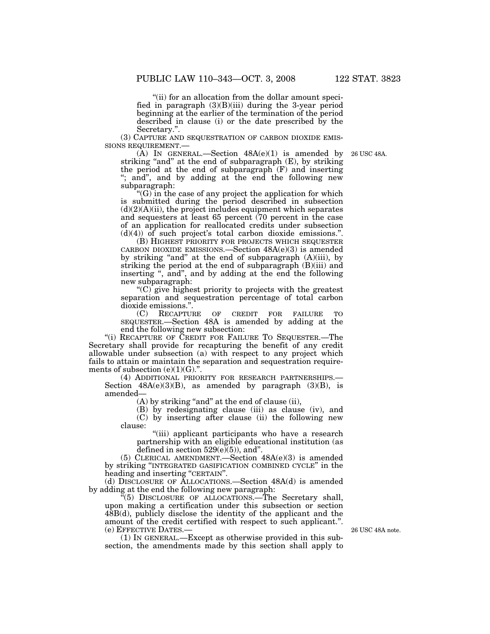''(ii) for an allocation from the dollar amount specified in paragraph (3)(B)(iii) during the 3-year period beginning at the earlier of the termination of the period described in clause (i) or the date prescribed by the Secretary.".<br>(3) CAPTURE AND SEQUESTRATION OF CARBON DIOXIDE EMIS-

SIONS REQUIREMENT.—<br>(A) IN GENERAL.—Section  $48A(e)(1)$  is amended by

26 USC 48A.

striking "and" at the end of subparagraph  $(E)$ , by striking the period at the end of subparagraph (F) and inserting ; and", and by adding at the end the following new subparagraph:

"(G) in the case of any project the application for which is submitted during the period described in subsection  $(d)(2)(A)(ii)$ , the project includes equipment which separates and sequesters at least 65 percent (70 percent in the case of an application for reallocated credits under subsection  $(d)(4)$  of such project's total carbon dioxide emissions.".

(B) HIGHEST PRIORITY FOR PROJECTS WHICH SEQUESTER CARBON DIOXIDE EMISSIONS.—Section 48A(e)(3) is amended by striking ''and'' at the end of subparagraph (A)(iii), by striking the period at the end of subparagraph (B)(iii) and inserting ", and", and by adding at the end the following new subparagraph:

''(C) give highest priority to projects with the greatest separation and sequestration percentage of total carbon dioxide emissions.''.

(C) RECAPTURE OF CREDIT FOR FAILURE TO SEQUESTER.—Section 48A is amended by adding at the end the following new subsection:

"(i) RECAPTURE OF CREDIT FOR FAILURE TO SEQUESTER.—The Secretary shall provide for recapturing the benefit of any credit allowable under subsection (a) with respect to any project which fails to attain or maintain the separation and sequestration requirements of subsection  $(e)(1)(G)$ .".

(4) ADDITIONAL PRIORITY FOR RESEARCH PARTNERSHIPS.— Section  $48A(e)(3)(B)$ , as amended by paragraph  $(3)(B)$ , is amended—

 $(A)$  by striking "and" at the end of clause (ii),

(B) by redesignating clause (iii) as clause (iv), and (C) by inserting after clause (ii) the following new clause:

''(iii) applicant participants who have a research partnership with an eligible educational institution (as defined in section  $529(e)(5)$ , and".

(5) CLERICAL AMENDMENT.—Section 48A(e)(3) is amended by striking ''INTEGRATED GASIFICATION COMBINED CYCLE'' in the heading and inserting "CERTAIN".

(d) DISCLOSURE OF ALLOCATIONS.—Section 48A(d) is amended by adding at the end the following new paragraph:

''(5) DISCLOSURE OF ALLOCATIONS.—The Secretary shall, upon making a certification under this subsection or section 48B(d), publicly disclose the identity of the applicant and the amount of the credit certified with respect to such applicant.''.

(e) EFFECTIVE DATES.—<br>(1) IN GENERAL.—Except as otherwise provided in this subsection, the amendments made by this section shall apply to

26 USC 48A note.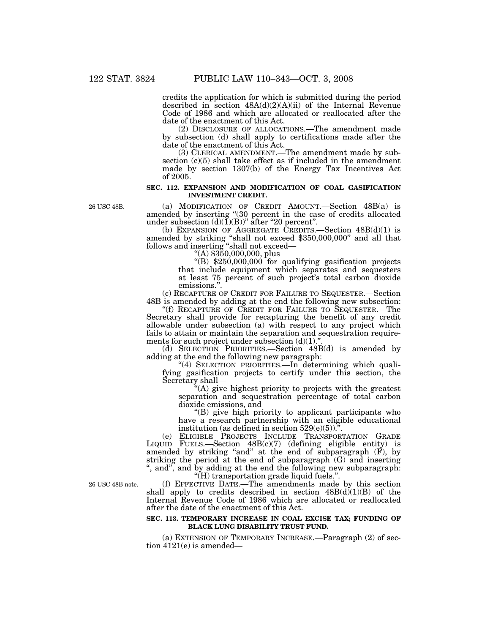credits the application for which is submitted during the period described in section 48A(d)(2)(A)(ii) of the Internal Revenue Code of 1986 and which are allocated or reallocated after the date of the enactment of this Act.

(2) DISCLOSURE OF ALLOCATIONS.—The amendment made by subsection (d) shall apply to certifications made after the date of the enactment of this Act.

(3) CLERICAL AMENDMENT.—The amendment made by subsection (c)(5) shall take effect as if included in the amendment made by section 1307(b) of the Energy Tax Incentives Act of 2005.

### **SEC. 112. EXPANSION AND MODIFICATION OF COAL GASIFICATION INVESTMENT CREDIT.**

26 USC 48B.

(a) MODIFICATION OF CREDIT AMOUNT.—Section 48B(a) is amended by inserting ''(30 percent in the case of credits allocated under subsection  $(d)(1)(B)$ " after "20 percent".

(b) EXPANSION OF AGGREGATE CREDITS.—Section  $48B(d)(1)$  is amended by striking ''shall not exceed \$350,000,000'' and all that follows and inserting "shall not exceed—<br>"(A) \$350,000,000, plus

''(B) \$250,000,000 for qualifying gasification projects that include equipment which separates and sequesters at least 75 percent of such project's total carbon dioxide emissions."

(c) RECAPTURE OF CREDIT FOR FAILURE TO SEQUESTER.—Section 48B is amended by adding at the end the following new subsection:

''(f) RECAPTURE OF CREDIT FOR FAILURE TO SEQUESTER.—The Secretary shall provide for recapturing the benefit of any credit allowable under subsection (a) with respect to any project which fails to attain or maintain the separation and sequestration requirements for such project under subsection  $(d)(1)$ ."

(d) SELECTION PRIORITIES.—Section 48B(d) is amended by adding at the end the following new paragraph:

"(4) SELECTION PRIORITIES.—In determining which qualifying gasification projects to certify under this section, the Secretary shall—

''(A) give highest priority to projects with the greatest separation and sequestration percentage of total carbon dioxide emissions, and

''(B) give high priority to applicant participants who have a research partnership with an eligible educational institution (as defined in section 529(e)(5)).''.

(e) ELIGIBLE PROJECTS INCLUDE TRANSPORTATION GRADE LIQUID FUELS.—Section 48B(c)(7) (defining eligible entity) is amended by striking "and" at the end of subparagraph (F), by striking the period at the end of subparagraph (G) and inserting ", and", and by adding at the end the following new subparagraph: "(H) transportation grade liquid fuels."

(f) EFFECTIVE DATE.—The amendments made by this section shall apply to credits described in section  $48B(d)(1)(B)$  of the Internal Revenue Code of 1986 which are allocated or reallocated after the date of the enactment of this Act.

## **SEC. 113. TEMPORARY INCREASE IN COAL EXCISE TAX; FUNDING OF BLACK LUNG DISABILITY TRUST FUND.**

(a) EXTENSION OF TEMPORARY INCREASE.—Paragraph (2) of section 4121(e) is amended—

26 USC 48B note.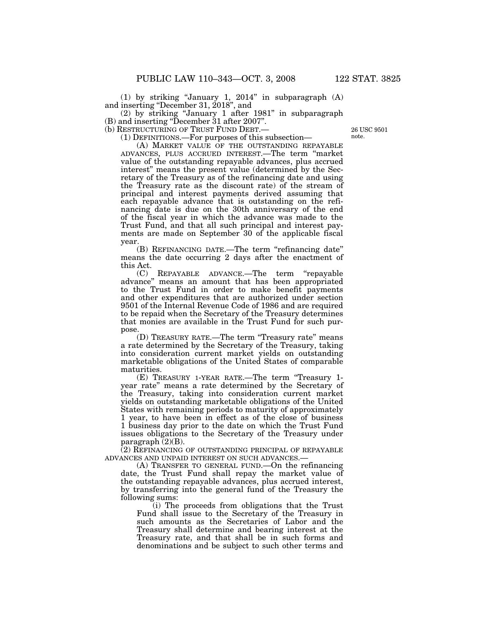(1) by striking ''January 1, 2014'' in subparagraph (A) and inserting ''December 31, 2018'', and

(2) by striking ''January 1 after 1981'' in subparagraph (B) and inserting "December 31 after 2007".<br>(b) RESTRUCTURING OF TRUST FUND DEBT.—

 $(1)$  DEFINITIONS.—For purposes of this subsection—

26 USC 9501 note.

(A) MARKET VALUE OF THE OUTSTANDING REPAYABLE ADVANCES, PLUS ACCRUED INTEREST.—The term ''market value of the outstanding repayable advances, plus accrued interest'' means the present value (determined by the Secretary of the Treasury as of the refinancing date and using the Treasury rate as the discount rate) of the stream of principal and interest payments derived assuming that each repayable advance that is outstanding on the refinancing date is due on the 30th anniversary of the end of the fiscal year in which the advance was made to the Trust Fund, and that all such principal and interest payments are made on September 30 of the applicable fiscal year.

(B) REFINANCING DATE.—The term ''refinancing date'' means the date occurring 2 days after the enactment of this Act.

(C) REPAYABLE ADVANCE.—The term ''repayable advance'' means an amount that has been appropriated to the Trust Fund in order to make benefit payments and other expenditures that are authorized under section 9501 of the Internal Revenue Code of 1986 and are required to be repaid when the Secretary of the Treasury determines that monies are available in the Trust Fund for such purpose.

(D) TREASURY RATE.—The term ''Treasury rate'' means a rate determined by the Secretary of the Treasury, taking into consideration current market yields on outstanding marketable obligations of the United States of comparable maturities.

(E) TREASURY 1-YEAR RATE.—The term ''Treasury 1 year rate'' means a rate determined by the Secretary of the Treasury, taking into consideration current market yields on outstanding marketable obligations of the United States with remaining periods to maturity of approximately 1 year, to have been in effect as of the close of business 1 business day prior to the date on which the Trust Fund issues obligations to the Secretary of the Treasury under paragraph  $(2)(B)$ .

(2) REFINANCING OF OUTSTANDING PRINCIPAL OF REPAYABLE ADVANCES AND UNPAID INTEREST ON SUCH ADVANCES.—

(A) TRANSFER TO GENERAL FUND.—On the refinancing date, the Trust Fund shall repay the market value of the outstanding repayable advances, plus accrued interest, by transferring into the general fund of the Treasury the following sums:

(i) The proceeds from obligations that the Trust Fund shall issue to the Secretary of the Treasury in such amounts as the Secretaries of Labor and the Treasury shall determine and bearing interest at the Treasury rate, and that shall be in such forms and denominations and be subject to such other terms and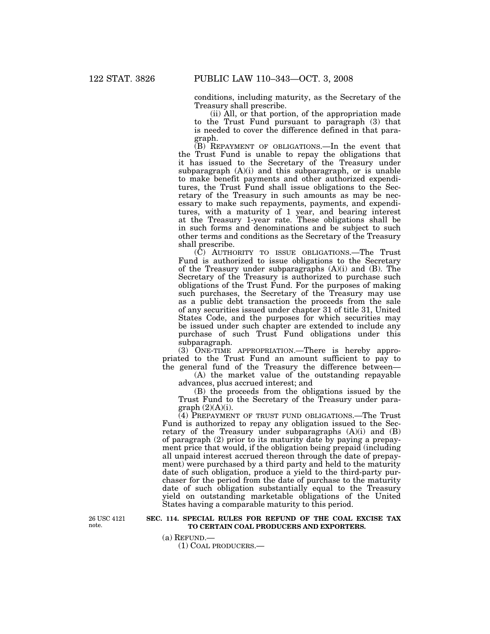conditions, including maturity, as the Secretary of the Treasury shall prescribe.

(ii) All, or that portion, of the appropriation made to the Trust Fund pursuant to paragraph (3) that is needed to cover the difference defined in that paragraph.

(B) REPAYMENT OF OBLIGATIONS.—In the event that the Trust Fund is unable to repay the obligations that it has issued to the Secretary of the Treasury under subparagraph  $(A)(i)$  and this subparagraph, or is unable to make benefit payments and other authorized expenditures, the Trust Fund shall issue obligations to the Secretary of the Treasury in such amounts as may be necessary to make such repayments, payments, and expenditures, with a maturity of 1 year, and bearing interest at the Treasury 1-year rate. These obligations shall be in such forms and denominations and be subject to such other terms and conditions as the Secretary of the Treasury shall prescribe.

(C) AUTHORITY TO ISSUE OBLIGATIONS.—The Trust Fund is authorized to issue obligations to the Secretary of the Treasury under subparagraphs (A)(i) and (B). The Secretary of the Treasury is authorized to purchase such obligations of the Trust Fund. For the purposes of making such purchases, the Secretary of the Treasury may use as a public debt transaction the proceeds from the sale of any securities issued under chapter 31 of title 31, United States Code, and the purposes for which securities may be issued under such chapter are extended to include any purchase of such Trust Fund obligations under this subparagraph.

(3) ONE-TIME APPROPRIATION.—There is hereby appropriated to the Trust Fund an amount sufficient to pay to the general fund of the Treasury the difference between—

 $(A)$  the market value of the outstanding repayable advances, plus accrued interest; and

(B) the proceeds from the obligations issued by the Trust Fund to the Secretary of the Treasury under para $graph (2)(A)(i).$ 

(4) PREPAYMENT OF TRUST FUND OBLIGATIONS.—The Trust Fund is authorized to repay any obligation issued to the Secretary of the Treasury under subparagraphs (A)(i) and (B) of paragraph (2) prior to its maturity date by paying a prepayment price that would, if the obligation being prepaid (including all unpaid interest accrued thereon through the date of prepayment) were purchased by a third party and held to the maturity date of such obligation, produce a yield to the third-party purchaser for the period from the date of purchase to the maturity date of such obligation substantially equal to the Treasury yield on outstanding marketable obligations of the United States having a comparable maturity to this period.

26 USC 4121 note.

## **SEC. 114. SPECIAL RULES FOR REFUND OF THE COAL EXCISE TAX TO CERTAIN COAL PRODUCERS AND EXPORTERS.**

(a) REFUND.—

(1) COAL PRODUCERS.—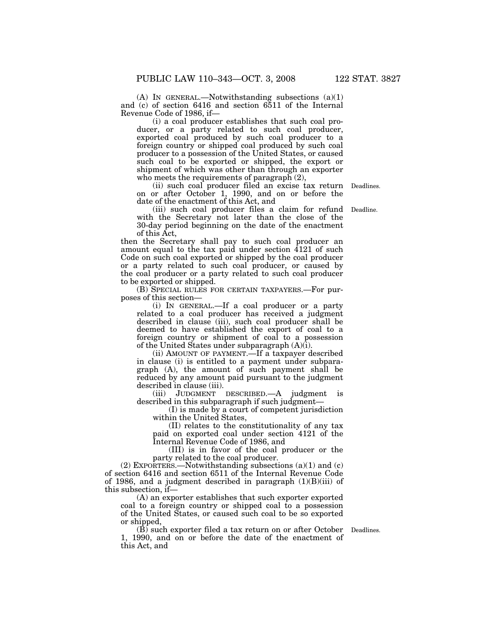(A) IN GENERAL.—Notwithstanding subsections (a)(1) and (c) of section 6416 and section 6511 of the Internal Revenue Code of 1986, if—

(i) a coal producer establishes that such coal producer, or a party related to such coal producer, exported coal produced by such coal producer to a foreign country or shipped coal produced by such coal producer to a possession of the United States, or caused such coal to be exported or shipped, the export or shipment of which was other than through an exporter who meets the requirements of paragraph (2),

(ii) such coal producer filed an excise tax return on or after October 1, 1990, and on or before the date of the enactment of this Act, and Deadlines.

(iii) such coal producer files a claim for refund Deadline. with the Secretary not later than the close of the 30-day period beginning on the date of the enactment of this Act,

then the Secretary shall pay to such coal producer an amount equal to the tax paid under section 4121 of such Code on such coal exported or shipped by the coal producer or a party related to such coal producer, or caused by the coal producer or a party related to such coal producer to be exported or shipped.

(B) SPECIAL RULES FOR CERTAIN TAXPAYERS.—For purposes of this section—

(i) IN GENERAL.—If a coal producer or a party related to a coal producer has received a judgment described in clause (iii), such coal producer shall be deemed to have established the export of coal to a foreign country or shipment of coal to a possession of the United States under subparagraph (A)(i).

(ii) AMOUNT OF PAYMENT.—If a taxpayer described in clause (i) is entitled to a payment under subparagraph (A), the amount of such payment shall be reduced by any amount paid pursuant to the judgment described in clause (iii).

(iii) JUDGMENT DESCRIBED.—A judgment is described in this subparagraph if such judgment—

(I) is made by a court of competent jurisdiction within the United States,

(II) relates to the constitutionality of any tax paid on exported coal under section 4121 of the Internal Revenue Code of 1986, and

(III) is in favor of the coal producer or the party related to the coal producer.

(2) EXPORTERS.—Notwithstanding subsections (a)(1) and (c) of section 6416 and section 6511 of the Internal Revenue Code of 1986, and a judgment described in paragraph  $(1)(B)(iii)$  of this subsection, if—

(A) an exporter establishes that such exporter exported coal to a foreign country or shipped coal to a possession of the United States, or caused such coal to be so exported or shipped,

(B) such exporter filed a tax return on or after October 1, 1990, and on or before the date of the enactment of this Act, and

Deadlines.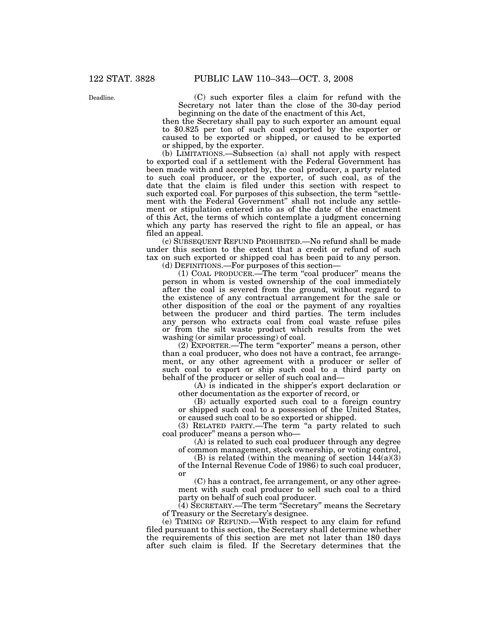Deadline.

(C) such exporter files a claim for refund with the Secretary not later than the close of the 30-day period beginning on the date of the enactment of this Act,

then the Secretary shall pay to such exporter an amount equal to \$0.825 per ton of such coal exported by the exporter or caused to be exported or shipped, or caused to be exported or shipped, by the exporter.

(b) LIMITATIONS.—Subsection (a) shall not apply with respect to exported coal if a settlement with the Federal Government has been made with and accepted by, the coal producer, a party related to such coal producer, or the exporter, of such coal, as of the date that the claim is filed under this section with respect to such exported coal. For purposes of this subsection, the term "settlement with the Federal Government'' shall not include any settlement or stipulation entered into as of the date of the enactment of this Act, the terms of which contemplate a judgment concerning which any party has reserved the right to file an appeal, or has filed an appeal.

(c) SUBSEQUENT REFUND PROHIBITED.—No refund shall be made under this section to the extent that a credit or refund of such tax on such exported or shipped coal has been paid to any person. (d) DEFINITIONS.—For purposes of this section—

(1) COAL PRODUCER.—The term ''coal producer'' means the person in whom is vested ownership of the coal immediately after the coal is severed from the ground, without regard to the existence of any contractual arrangement for the sale or other disposition of the coal or the payment of any royalties between the producer and third parties. The term includes any person who extracts coal from coal waste refuse piles or from the silt waste product which results from the wet washing (or similar processing) of coal.

(2) EXPORTER.—The term ''exporter'' means a person, other than a coal producer, who does not have a contract, fee arrangement, or any other agreement with a producer or seller of such coal to export or ship such coal to a third party on behalf of the producer or seller of such coal and—

(A) is indicated in the shipper's export declaration or other documentation as the exporter of record, or

(B) actually exported such coal to a foreign country or shipped such coal to a possession of the United States, or caused such coal to be so exported or shipped.

(3) RELATED PARTY.—The term ''a party related to such coal producer'' means a person who—

(A) is related to such coal producer through any degree of common management, stock ownership, or voting control,

(B) is related (within the meaning of section  $144(a)(3)$ of the Internal Revenue Code of 1986) to such coal producer, or

(C) has a contract, fee arrangement, or any other agreement with such coal producer to sell such coal to a third party on behalf of such coal producer.

(4) SECRETARY.—The term ''Secretary'' means the Secretary of Treasury or the Secretary's designee.

(e) TIMING OF REFUND.—With respect to any claim for refund filed pursuant to this section, the Secretary shall determine whether the requirements of this section are met not later than 180 days after such claim is filed. If the Secretary determines that the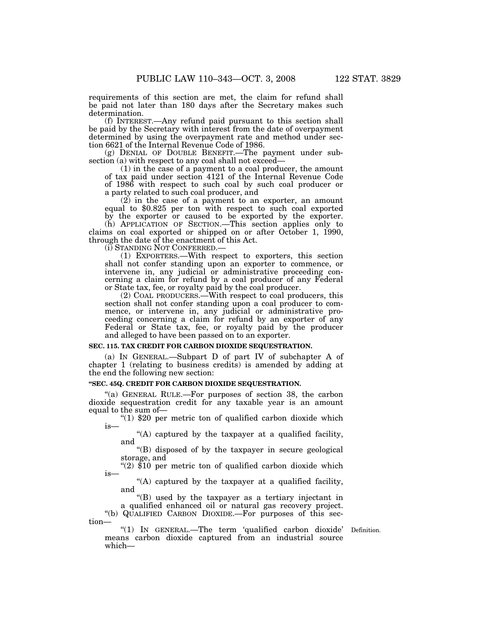requirements of this section are met, the claim for refund shall be paid not later than 180 days after the Secretary makes such determination.

(f) INTEREST.—Any refund paid pursuant to this section shall be paid by the Secretary with interest from the date of overpayment determined by using the overpayment rate and method under section 6621 of the Internal Revenue Code of 1986.

(g) DENIAL OF DOUBLE BENEFIT.—The payment under subsection (a) with respect to any coal shall not exceed—

(1) in the case of a payment to a coal producer, the amount of tax paid under section 4121 of the Internal Revenue Code of 1986 with respect to such coal by such coal producer or a party related to such coal producer, and<br>(2) in the case of a payment to an exporter, an amount

equal to  $$0.825$  per ton with respect to such coal exported by the exporter or caused to be exported by the exporter.

(h) APPLICATION OF SECTION.—This section applies only to claims on coal exported or shipped on or after October 1, 1990, through the date of the enactment of this Act.<br>(i) STANDING NOT CONFERRED.—

(1) EXPORTERS.—With respect to exporters, this section shall not confer standing upon an exporter to commence, or intervene in, any judicial or administrative proceeding concerning a claim for refund by a coal producer of any Federal or State tax, fee, or royalty paid by the coal producer.

(2) COAL PRODUCERS.—With respect to coal producers, this section shall not confer standing upon a coal producer to commence, or intervene in, any judicial or administrative proceeding concerning a claim for refund by an exporter of any Federal or State tax, fee, or royalty paid by the producer and alleged to have been passed on to an exporter.

#### **SEC. 115. TAX CREDIT FOR CARBON DIOXIDE SEQUESTRATION.**

(a) IN GENERAL.—Subpart D of part IV of subchapter A of chapter 1 (relating to business credits) is amended by adding at the end the following new section:

## **''SEC. 45Q. CREDIT FOR CARBON DIOXIDE SEQUESTRATION.**

''(a) GENERAL RULE.—For purposes of section 38, the carbon dioxide sequestration credit for any taxable year is an amount

"(1)  $$20$  per metric ton of qualified carbon dioxide which is—

 $(A)$  captured by the taxpayer at a qualified facility, and

''(B) disposed of by the taxpayer in secure geological storage, and

" $(2)$  \$10 per metric ton of qualified carbon dioxide which is—

''(A) captured by the taxpayer at a qualified facility, and

''(B) used by the taxpayer as a tertiary injectant in a qualified enhanced oil or natural gas recovery project. ''(b) QUALIFIED CARBON DIOXIDE.—For purposes of this section—

''(1) IN GENERAL.—The term 'qualified carbon dioxide' means carbon dioxide captured from an industrial source which—

Definition.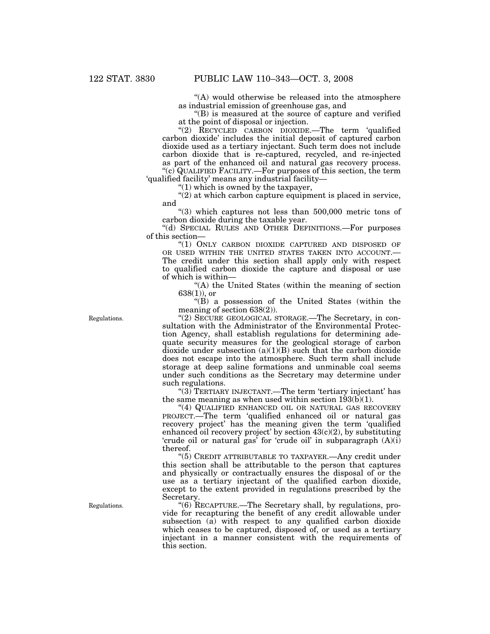"(A) would otherwise be released into the atmosphere as industrial emission of greenhouse gas, and

''(B) is measured at the source of capture and verified at the point of disposal or injection.

"(2) RECYCLED CARBON DIOXIDE.—The term 'qualified carbon dioxide' includes the initial deposit of captured carbon dioxide used as a tertiary injectant. Such term does not include carbon dioxide that is re-captured, recycled, and re-injected as part of the enhanced oil and natural gas recovery process. ''(c) QUALIFIED FACILITY.—For purposes of this section, the term 'qualified facility' means any industrial facility—

" $(1)$  which is owned by the taxpayer,

"(2) at which carbon capture equipment is placed in service, and

''(3) which captures not less than 500,000 metric tons of carbon dioxide during the taxable year.

''(d) SPECIAL RULES AND OTHER DEFINITIONS.—For purposes of this section—

''(1) ONLY CARBON DIOXIDE CAPTURED AND DISPOSED OF OR USED WITHIN THE UNITED STATES TAKEN INTO ACCOUNT.— The credit under this section shall apply only with respect to qualified carbon dioxide the capture and disposal or use of which is within—

''(A) the United States (within the meaning of section 638(1)), or

''(B) a possession of the United States (within the meaning of section 638(2)).

"(2) SECURE GEOLOGICAL STORAGE.—The Secretary, in consultation with the Administrator of the Environmental Protection Agency, shall establish regulations for determining adequate security measures for the geological storage of carbon dioxide under subsection  $(a)(1)(B)$  such that the carbon dioxide does not escape into the atmosphere. Such term shall include storage at deep saline formations and unminable coal seems under such conditions as the Secretary may determine under such regulations.

" $(3)$  TERTIARY INJECTANT.—The term 'tertiary injectant' has the same meaning as when used within section  $193(b)(1)$ .

"(4) QUALIFIED ENHANCED OIL OR NATURAL GAS RECOVERY PROJECT.—The term 'qualified enhanced oil or natural gas recovery project' has the meaning given the term 'qualified enhanced oil recovery project' by section  $43(c)(2)$ , by substituting 'crude oil or natural gas' for 'crude oil' in subparagraph (A)(i) thereof.

''(5) CREDIT ATTRIBUTABLE TO TAXPAYER.—Any credit under this section shall be attributable to the person that captures and physically or contractually ensures the disposal of or the use as a tertiary injectant of the qualified carbon dioxide, except to the extent provided in regulations prescribed by the Secretary.

''(6) RECAPTURE.—The Secretary shall, by regulations, provide for recapturing the benefit of any credit allowable under subsection (a) with respect to any qualified carbon dioxide which ceases to be captured, disposed of, or used as a tertiary injectant in a manner consistent with the requirements of this section.

Regulations.

Regulations.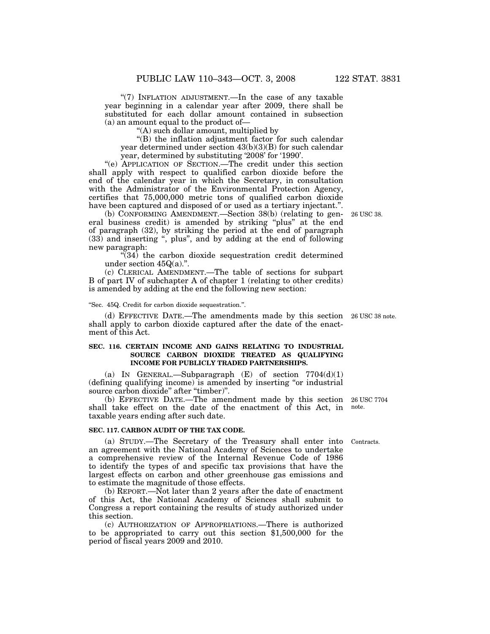" $(7)$  INFLATION ADJUSTMENT.—In the case of any taxable year beginning in a calendar year after 2009, there shall be substituted for each dollar amount contained in subsection (a) an amount equal to the product of—

''(A) such dollar amount, multiplied by

''(B) the inflation adjustment factor for such calendar year determined under section 43(b)(3)(B) for such calendar year, determined by substituting '2008' for '1990'.

''(e) APPLICATION OF SECTION.—The credit under this section shall apply with respect to qualified carbon dioxide before the end of the calendar year in which the Secretary, in consultation with the Administrator of the Environmental Protection Agency, certifies that 75,000,000 metric tons of qualified carbon dioxide have been captured and disposed of or used as a tertiary injectant.''.

(b) CONFORMING AMENDMENT.—Section 38(b) (relating to general business credit) is amended by striking ''plus'' at the end of paragraph (32), by striking the period at the end of paragraph (33) and inserting '', plus'', and by adding at the end of following new paragraph:

 $\sqrt{34}$  the carbon dioxide sequestration credit determined under section  $45Q(a)$ .".

(c) CLERICAL AMENDMENT.—The table of sections for subpart B of part IV of subchapter A of chapter 1 (relating to other credits) is amended by adding at the end the following new section:

#### ''Sec. 45Q. Credit for carbon dioxide sequestration.''.

(d) EFFECTIVE DATE.—The amendments made by this section 26 USC 38 note. shall apply to carbon dioxide captured after the date of the enactment of this Act.

## **SEC. 116. CERTAIN INCOME AND GAINS RELATING TO INDUSTRIAL SOURCE CARBON DIOXIDE TREATED AS QUALIFYING INCOME FOR PUBLICLY TRADED PARTNERSHIPS.**

(a) IN GENERAL.—Subparagraph  $(E)$  of section 7704(d)(1) (defining qualifying income) is amended by inserting ''or industrial source carbon dioxide" after "timber)".

(b) EFFECTIVE DATE.—The amendment made by this section 26 USC 7704 shall take effect on the date of the enactment of this Act, in taxable years ending after such date.

#### **SEC. 117. CARBON AUDIT OF THE TAX CODE.**

(a) STUDY.—The Secretary of the Treasury shall enter into an agreement with the National Academy of Sciences to undertake a comprehensive review of the Internal Revenue Code of 1986 to identify the types of and specific tax provisions that have the largest effects on carbon and other greenhouse gas emissions and to estimate the magnitude of those effects.

(b) REPORT.—Not later than 2 years after the date of enactment of this Act, the National Academy of Sciences shall submit to Congress a report containing the results of study authorized under this section.

(c) AUTHORIZATION OF APPROPRIATIONS.—There is authorized to be appropriated to carry out this section \$1,500,000 for the period of fiscal years 2009 and 2010.

26 USC 38.

note.

Contracts.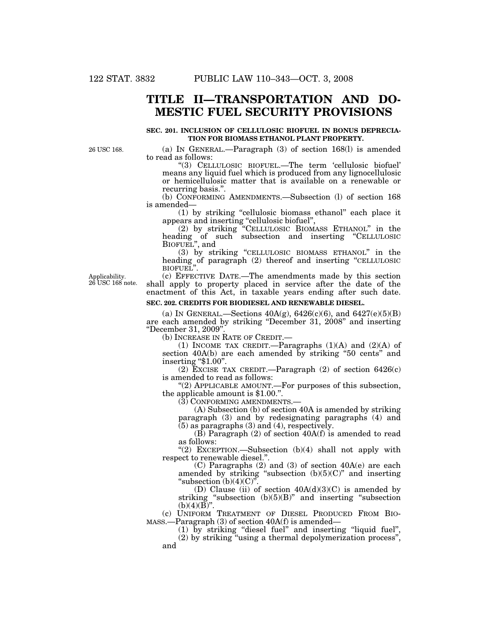## **TITLE II—TRANSPORTATION AND DO-MESTIC FUEL SECURITY PROVISIONS**

## **SEC. 201. INCLUSION OF CELLULOSIC BIOFUEL IN BONUS DEPRECIA-TION FOR BIOMASS ETHANOL PLANT PROPERTY.**

26 USC 168.

(a) IN GENERAL.—Paragraph (3) of section 168(l) is amended to read as follows:

''(3) CELLULOSIC BIOFUEL.—The term 'cellulosic biofuel' means any liquid fuel which is produced from any lignocellulosic or hemicellulosic matter that is available on a renewable or recurring basis.''.

(b) CONFORMING AMENDMENTS.—Subsection (l) of section 168

is amended—<br>(1) by striking "cellulosic biomass ethanol" each place it (1) by striking ''cellulosic biomass ethanol'' each place it appears and inserting ''cellulosic biofuel'',

(2) by striking ''CELLULOSIC BIOMASS ETHANOL'' in the heading of such subsection and inserting ''CELLULOSIC BIOFUEL'', and

(3) by striking ''CELLULOSIC BIOMASS ETHANOL'' in the heading of paragraph (2) thereof and inserting "CELLULOSIC BIOFUEL''.

Applicability. 26 USC 168 note.

(c) EFFECTIVE DATE.—The amendments made by this section shall apply to property placed in service after the date of the enactment of this Act, in taxable years ending after such date.

## **SEC. 202. CREDITS FOR BIODIESEL AND RENEWABLE DIESEL.**

(a) IN GENERAL.—Sections  $40A(g)$ ,  $6426(c)(6)$ , and  $6427(e)(5)(B)$ are each amended by striking ''December 31, 2008'' and inserting ''December 31, 2009''.

(b) INCREASE IN RATE OF CREDIT.—

(1) INCOME TAX CREDIT.—Paragraphs  $(1)(A)$  and  $(2)(A)$  of section 40A(b) are each amended by striking "50 cents" and inserting "\$1.00".

(2) EXCISE TAX CREDIT.—Paragraph (2) of section  $6426(c)$ is amended to read as follows:

"(2) APPLICABLE AMOUNT.—For purposes of this subsection, the applicable amount is \$1.00.''.

 $(3)$  CONFORMING AMENDMENTS.

(A) Subsection (b) of section 40A is amended by striking paragraph (3) and by redesignating paragraphs (4) and  $(5)$  as paragraphs  $(3)$  and  $(4)$ , respectively.

 $(B)$  Paragraph  $(2)$  of section  $40A(f)$  is amended to read as follows:

''(2) EXCEPTION.—Subsection (b)(4) shall not apply with respect to renewable diesel.''.

(C) Paragraphs (2) and (3) of section 40A(e) are each amended by striking "subsection  $(b)(5)(C)$ " and inserting "subsection  $(b)(4)(C)$ ".

(D) Clause (ii) of section  $40A(d)(3)(C)$  is amended by striking "subsection (b)(5)(B)" and inserting "subsection  $(b)(4)(\vec{B})$ ".

(c) UNIFORM TREATMENT OF DIESEL PRODUCED FROM BIO- MASS.—Paragraph (3) of section 40A(f) is amended—

(1) by striking ''diesel fuel'' and inserting ''liquid fuel'',

(2) by striking ''using a thermal depolymerization process'', and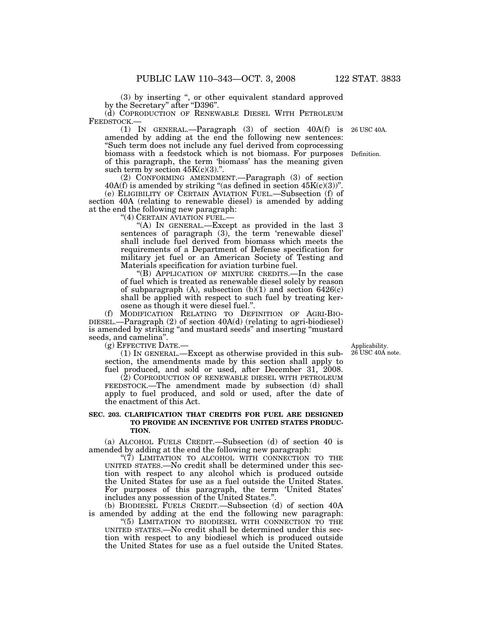(3) by inserting '', or other equivalent standard approved by the Secretary" after "D396".

(d) COPRODUCTION OF RENEWABLE DIESEL WITH PETROLEUM FEEDSTOCK.—<br>
(1) IN GENERAL.—Paragraph (3) of section 40A(f) is

amended by adding at the end the following new sentences: ''Such term does not include any fuel derived from coprocessing biomass with a feedstock which is not biomass. For purposes of this paragraph, the term 'biomass' has the meaning given such term by section  $45K(c)(3)$ .". 26 USC 40A.

(2) CONFORMING AMENDMENT.—Paragraph (3) of section  $40A(f)$  is amended by striking "(as defined in section  $45K(c)(3)$ )". (e) ELIGIBILITY OF CERTAIN AVIATION FUEL.—Subsection (f) of section 40A (relating to renewable diesel) is amended by adding at the end the following new paragraph:<br>"(4) CERTAIN AVIATION FUEL.—

"(A) IN GENERAL.—Except as provided in the last  $3$ sentences of paragraph (3), the term 'renewable diesel' shall include fuel derived from biomass which meets the requirements of a Department of Defense specification for military jet fuel or an American Society of Testing and Materials specification for aviation turbine fuel.

''(B) APPLICATION OF MIXTURE CREDITS.—In the case of fuel which is treated as renewable diesel solely by reason of subparagraph  $(A)$ , subsection  $(b)(1)$  and section  $6426(c)$ shall be applied with respect to such fuel by treating kerosene as though it were diesel fuel.''.

(f) MODIFICATION RELATING TO DEFINITION OF AGRI-BIO-DIESEL.—Paragraph (2) of section 40A(d) (relating to agri-biodiesel) is amended by striking ''and mustard seeds'' and inserting ''mustard seeds, and camelina''.

(g) EFFECTIVE DATE.—

(1) IN GENERAL.—Except as otherwise provided in this subsection, the amendments made by this section shall apply to fuel produced, and sold or used, after December 31, 2008.

(2) COPRODUCTION OF RENEWABLE DIESEL WITH PETROLEUM FEEDSTOCK.—The amendment made by subsection (d) shall apply to fuel produced, and sold or used, after the date of the enactment of this Act.

## **SEC. 203. CLARIFICATION THAT CREDITS FOR FUEL ARE DESIGNED TO PROVIDE AN INCENTIVE FOR UNITED STATES PRODUC-TION.**

(a) ALCOHOL FUELS CREDIT.—Subsection (d) of section 40 is amended by adding at the end the following new paragraph:

"(7) LIMITATION TO ALCOHOL WITH CONNECTION TO THE UNITED STATES.—No credit shall be determined under this section with respect to any alcohol which is produced outside the United States for use as a fuel outside the United States. For purposes of this paragraph, the term 'United States' includes any possession of the United States.''.

(b) BIODIESEL FUELS CREDIT.—Subsection (d) of section 40A is amended by adding at the end the following new paragraph:

"(5) LIMITATION TO BIODIESEL WITH CONNECTION TO THE UNITED STATES.—No credit shall be determined under this section with respect to any biodiesel which is produced outside the United States for use as a fuel outside the United States.

Applicability. 26 USC 40A note.

Definition.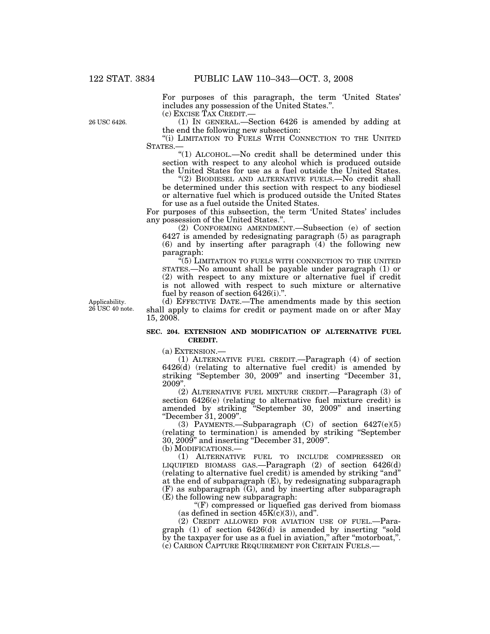For purposes of this paragraph, the term 'United States' includes any possession of the United States.''. (c) EXCISE TAX CREDIT.—

26 USC 6426.

(1) IN GENERAL.—Section 6426 is amended by adding at the end the following new subsection:

"(i) LIMITATION TO FUELS WITH CONNECTION TO THE UNITED STATES.—

"(1) ALCOHOL.—No credit shall be determined under this section with respect to any alcohol which is produced outside the United States for use as a fuel outside the United States.

"(2) BIODIESEL AND ALTERNATIVE FUELS.—No credit shall be determined under this section with respect to any biodiesel or alternative fuel which is produced outside the United States for use as a fuel outside the United States.

For purposes of this subsection, the term 'United States' includes any possession of the United States.''.

(2) CONFORMING AMENDMENT.—Subsection (e) of section 6427 is amended by redesignating paragraph (5) as paragraph (6) and by inserting after paragraph (4) the following new paragraph:

 $\sqrt[n]{(5)}$  LIMITATION TO FUELS WITH CONNECTION TO THE UNITED STATES.—No amount shall be payable under paragraph (1) or (2) with respect to any mixture or alternative fuel if credit is not allowed with respect to such mixture or alternative fuel by reason of section 6426(i).''.

Applicability. 26 USC 40 note.

(d) EFFECTIVE DATE.—The amendments made by this section shall apply to claims for credit or payment made on or after May 15, 2008.

### **SEC. 204. EXTENSION AND MODIFICATION OF ALTERNATIVE FUEL CREDIT.**

(a) EXTENSION.—

(1) ALTERNATIVE FUEL CREDIT.—Paragraph (4) of section 6426(d) (relating to alternative fuel credit) is amended by striking "September 30, 2009" and inserting "December 31, 2009''.

(2) ALTERNATIVE FUEL MIXTURE CREDIT.—Paragraph (3) of section 6426(e) (relating to alternative fuel mixture credit) is amended by striking ''September 30, 2009'' and inserting ''December 31, 2009''.

(3) PAYMENTS.—Subparagraph  $(C)$  of section  $6427(e)(5)$ (relating to termination) is amended by striking ''September 30, 2009'' and inserting ''December 31, 2009''.

(b) MODIFICATIONS.—

(1) ALTERNATIVE FUEL TO INCLUDE COMPRESSED OR LIQUIFIED BIOMASS GAS.—Paragraph (2) of section 6426(d) (relating to alternative fuel credit) is amended by striking ''and'' at the end of subparagraph (E), by redesignating subparagraph  $(F)$  as subparagraph  $\overline{(G)}$ , and by inserting after subparagraph (E) the following new subparagraph:

''(F) compressed or liquefied gas derived from biomass (as defined in section  $45K(c)(3)$ ), and".

(2) CREDIT ALLOWED FOR AVIATION USE OF FUEL.—Paragraph (1) of section 6426(d) is amended by inserting ''sold by the taxpayer for use as a fuel in aviation," after "motorboat,". (c) CARBON CAPTURE REQUIREMENT FOR CERTAIN FUELS.—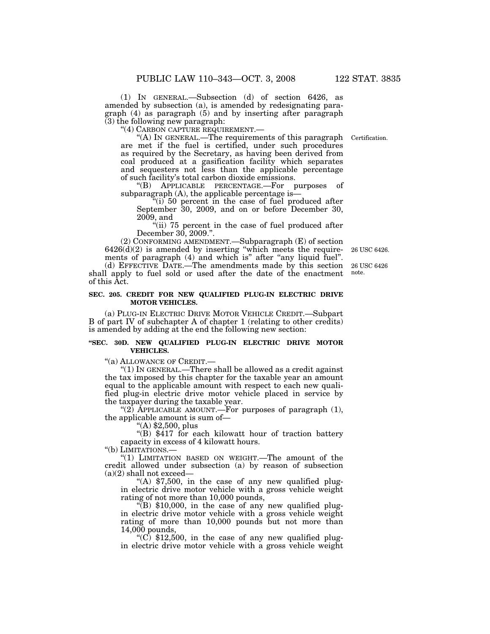(1) IN GENERAL.—Subsection (d) of section 6426, as amended by subsection (a), is amended by redesignating paragraph (4) as paragraph (5) and by inserting after paragraph (3) the following new paragraph:<br>"(4) CARBON CAPTURE REQUIREMENT.

''(4) CARBON CAPTURE REQUIREMENT.— ''(A) IN GENERAL.—The requirements of this paragraph Certification. are met if the fuel is certified, under such procedures as required by the Secretary, as having been derived from coal produced at a gasification facility which separates and sequesters not less than the applicable percentage of such facility's total carbon dioxide emissions.

''(B) APPLICABLE PERCENTAGE.—For purposes of subparagraph (A), the applicable percentage is—

 $v(i)$  50 percent in the case of fuel produced after September 30, 2009, and on or before December 30, 2009, and

"(ii) 75 percent in the case of fuel produced after December 30, 2009.''.

(2) CONFORMING AMENDMENT.—Subparagraph (E) of section  $6426(d)(2)$  is amended by inserting "which meets the requirements of paragraph (4) and which is" after "any liquid fuel".

(d) EFFECTIVE DATE.—The amendments made by this section shall apply to fuel sold or used after the date of the enactment of this Act.

## **SEC. 205. CREDIT FOR NEW QUALIFIED PLUG-IN ELECTRIC DRIVE MOTOR VEHICLES.**

(a) PLUG-IN ELECTRIC DRIVE MOTOR VEHICLE CREDIT.—Subpart B of part IV of subchapter A of chapter 1 (relating to other credits) is amended by adding at the end the following new section:

## **''SEC. 30D. NEW QUALIFIED PLUG-IN ELECTRIC DRIVE MOTOR VEHICLES.**

''(a) ALLOWANCE OF CREDIT.—

" $(1)$  In GENERAL.—There shall be allowed as a credit against the tax imposed by this chapter for the taxable year an amount equal to the applicable amount with respect to each new qualified plug-in electric drive motor vehicle placed in service by the taxpayer during the taxable year.

"(2) APPLICABLE AMOUNT.—For purposes of paragraph  $(1)$ , the applicable amount is sum of—

 $(4)$  \$2,500, plus

"(B)  $$417$  for each kilowatt hour of traction battery capacity in excess of 4 kilowatt hours.

''(b) LIMITATIONS.—

"(1) LIMITATION BASED ON WEIGHT.—The amount of the credit allowed under subsection (a) by reason of subsection  $(a)(2)$  shall not exceed—

"(A)  $$7,500$ , in the case of any new qualified plugin electric drive motor vehicle with a gross vehicle weight rating of not more than 10,000 pounds,

 $\sqrt{\text{B}}$  \$10,000, in the case of any new qualified plugin electric drive motor vehicle with a gross vehicle weight rating of more than 10,000 pounds but not more than 14,000 pounds,

" $(C)$  \$12,500, in the case of any new qualified plugin electric drive motor vehicle with a gross vehicle weight

26 USC 6426 note.

26 USC 6426.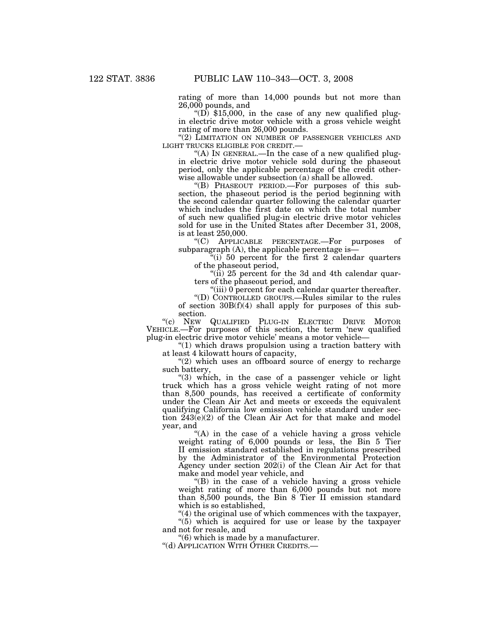rating of more than 14,000 pounds but not more than

"(D)  $$15,000$ , in the case of any new qualified plugin electric drive motor vehicle with a gross vehicle weight rating of more than 26,000 pounds.

" $(2)$  LIMITATION ON NUMBER OF PASSENGER VEHICLES AND LIGHT TRUCKS ELIGIBLE FOR CREDIT.—

"(A) IN GENERAL.—In the case of a new qualified plugin electric drive motor vehicle sold during the phaseout period, only the applicable percentage of the credit otherwise allowable under subsection (a) shall be allowed.

''(B) PHASEOUT PERIOD.—For purposes of this subsection, the phaseout period is the period beginning with the second calendar quarter following the calendar quarter which includes the first date on which the total number of such new qualified plug-in electric drive motor vehicles sold for use in the United States after December 31, 2008, is at least 250,000.

''(C) APPLICABLE PERCENTAGE.—For purposes of subparagraph (A), the applicable percentage is—

 $(i)$  50 percent for the first 2 calendar quarters of the phaseout period,

" $(i)$  25 percent for the 3d and 4th calendar quarters of the phaseout period, and

"(iii)  $0$  percent for each calendar quarter thereafter.

''(D) CONTROLLED GROUPS.—Rules similar to the rules of section  $30B(f)(4)$  shall apply for purposes of this subsection.

''(c) NEW QUALIFIED PLUG-IN ELECTRIC DRIVE MOTOR VEHICLE.—For purposes of this section, the term 'new qualified plug-in electric drive motor vehicle' means a motor vehicle—

"(1) which draws propulsion using a traction battery with at least 4 kilowatt hours of capacity,

" $(2)$  which uses an offboard source of energy to recharge such battery,

"(3) which, in the case of a passenger vehicle or light truck which has a gross vehicle weight rating of not more than 8,500 pounds, has received a certificate of conformity under the Clean Air Act and meets or exceeds the equivalent qualifying California low emission vehicle standard under section 243(e)(2) of the Clean Air Act for that make and model year, and

"(A) in the case of a vehicle having a gross vehicle weight rating of 6,000 pounds or less, the Bin 5 Tier II emission standard established in regulations prescribed by the Administrator of the Environmental Protection Agency under section 202(i) of the Clean Air Act for that make and model year vehicle, and

''(B) in the case of a vehicle having a gross vehicle weight rating of more than 6,000 pounds but not more than 8,500 pounds, the Bin 8 Tier II emission standard which is so established,

''(4) the original use of which commences with the taxpayer, "(5) which is acquired for use or lease by the taxpayer and not for resale, and

''(6) which is made by a manufacturer.

''(d) APPLICATION WITH OTHER CREDITS.—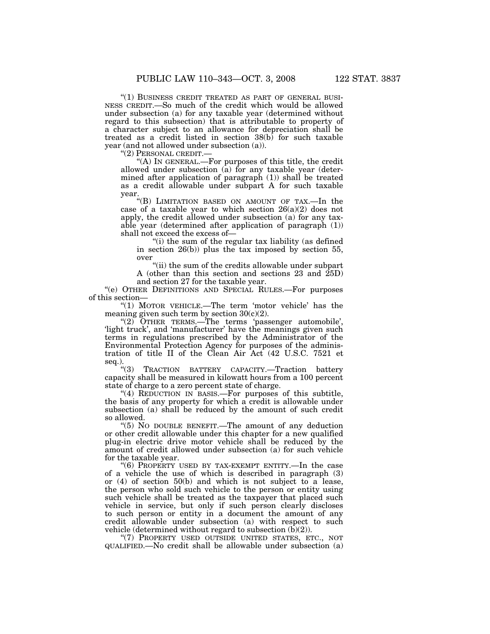''(1) BUSINESS CREDIT TREATED AS PART OF GENERAL BUSI- NESS CREDIT.—So much of the credit which would be allowed under subsection (a) for any taxable year (determined without regard to this subsection) that is attributable to property of a character subject to an allowance for depreciation shall be treated as a credit listed in section 38(b) for such taxable year (and not allowed under subsection (a)).

''(2) PERSONAL CREDIT.— ''(A) IN GENERAL.—For purposes of this title, the credit allowed under subsection (a) for any taxable year (determined after application of paragraph (1)) shall be treated as a credit allowable under subpart A for such taxable year.

''(B) LIMITATION BASED ON AMOUNT OF TAX.—In the case of a taxable year to which section  $26(a)(2)$  does not apply, the credit allowed under subsection (a) for any taxable year (determined after application of paragraph (1)) shall not exceed the excess of—

"(i) the sum of the regular tax liability (as defined in section 26(b)) plus the tax imposed by section 55, over

''(ii) the sum of the credits allowable under subpart A (other than this section and sections 23 and 25D) and section 27 for the taxable year.

''(e) OTHER DEFINITIONS AND SPECIAL RULES.—For purposes of this section—

"(1) MOTOR VEHICLE.—The term 'motor vehicle' has the meaning given such term by section  $30(c)(2)$ .

"(2) OTHER TERMS.—The terms 'passenger automobile', 'light truck', and 'manufacturer' have the meanings given such terms in regulations prescribed by the Administrator of the Environmental Protection Agency for purposes of the administration of title II of the Clean Air Act (42 U.S.C. 7521 et  $\text{seq.}$ ).<br> $\text{seq.}$  (3)

TRACTION BATTERY CAPACITY.—Traction battery capacity shall be measured in kilowatt hours from a 100 percent state of charge to a zero percent state of charge.

"(4) REDUCTION IN BASIS.—For purposes of this subtitle, the basis of any property for which a credit is allowable under subsection (a) shall be reduced by the amount of such credit so allowed.

''(5) NO DOUBLE BENEFIT.—The amount of any deduction or other credit allowable under this chapter for a new qualified plug-in electric drive motor vehicle shall be reduced by the amount of credit allowed under subsection (a) for such vehicle for the taxable year.

"(6) PROPERTY USED BY TAX-EXEMPT ENTITY.-In the case of a vehicle the use of which is described in paragraph (3) or (4) of section 50(b) and which is not subject to a lease, the person who sold such vehicle to the person or entity using such vehicle shall be treated as the taxpayer that placed such vehicle in service, but only if such person clearly discloses to such person or entity in a document the amount of any credit allowable under subsection (a) with respect to such vehicle (determined without regard to subsection  $(b)(2)$ ).

''(7) PROPERTY USED OUTSIDE UNITED STATES, ETC., NOT QUALIFIED.—No credit shall be allowable under subsection (a)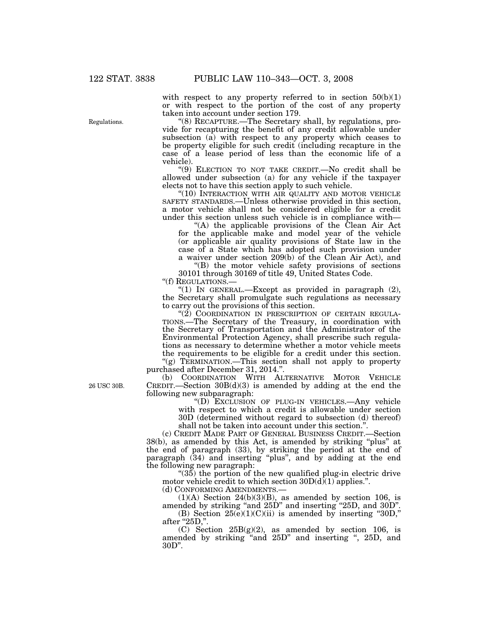with respect to any property referred to in section  $50(b)(1)$ or with respect to the portion of the cost of any property taken into account under section 179.

''(8) RECAPTURE.—The Secretary shall, by regulations, provide for recapturing the benefit of any credit allowable under subsection (a) with respect to any property which ceases to be property eligible for such credit (including recapture in the case of a lease period of less than the economic life of a vehicle).

''(9) ELECTION TO NOT TAKE CREDIT.—No credit shall be allowed under subsection (a) for any vehicle if the taxpayer elects not to have this section apply to such vehicle.

"(10) INTERACTION WITH AIR QUALITY AND MOTOR VEHICLE SAFETY STANDARDS.—Unless otherwise provided in this section, a motor vehicle shall not be considered eligible for a credit under this section unless such vehicle is in compliance with—

''(A) the applicable provisions of the Clean Air Act for the applicable make and model year of the vehicle (or applicable air quality provisions of State law in the case of a State which has adopted such provision under a waiver under section 209(b) of the Clean Air Act), and

''(B) the motor vehicle safety provisions of sections 30101 through 30169 of title 49, United States Code.

''(f) REGULATIONS.—

"(1) IN GENERAL.—Except as provided in paragraph (2), the Secretary shall promulgate such regulations as necessary to carry out the provisions of this section.

"(2) COORDINATION IN PRESCRIPTION OF CERTAIN REGULA-TIONS.—The Secretary of the Treasury, in coordination with the Secretary of Transportation and the Administrator of the Environmental Protection Agency, shall prescribe such regulations as necessary to determine whether a motor vehicle meets the requirements to be eligible for a credit under this section.

"(g) TERMINATION.—This section shall not apply to property purchased after December 31, 2014.''.

(b) COORDINATION WITH ALTERNATIVE MOTOR VEHICLE CREDIT.—Section  $30B(d)(3)$  is amended by adding at the end the following new subparagraph:

''(D) EXCLUSION OF PLUG-IN VEHICLES.—Any vehicle with respect to which a credit is allowable under section 30D (determined without regard to subsection (d) thereof) shall not be taken into account under this section."

(c) CREDIT MADE PART OF GENERAL BUSINESS CREDIT.—Section 38(b), as amended by this Act, is amended by striking ''plus'' at the end of paragraph (33), by striking the period at the end of paragraph (34) and inserting ''plus'', and by adding at the end the following new paragraph:

 $(35)$  the portion of the new qualified plug-in electric drive motor vehicle credit to which section  $30D(d)(1)$  applies.".

(d) CONFORMING AMENDMENTS.—

 $(1)(A)$  Section  $24(b)(3)(B)$ , as amended by section 106, is amended by striking "and 25D" and inserting "25D, and 30D".

(B) Section  $25(e)(1)(C)(ii)$  is amended by inserting "30D," after " $25D$ ,".

(C) Section  $25B(g)(2)$ , as amended by section 106, is amended by striking "and 25D" and inserting ", 25D, and 30D''.

26 USC 30B.

Regulations.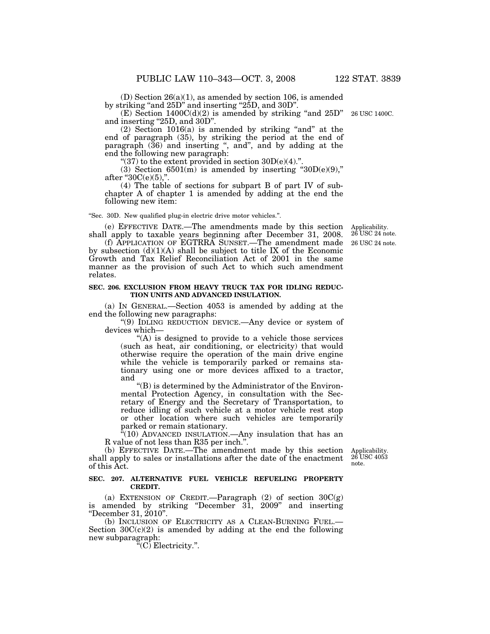(D) Section 26(a)(1), as amended by section 106, is amended by striking "and 25D" and inserting "25D, and 30D".

 $(E)$  Section 1400 $C(d)(2)$  is amended by striking "and 25D" and inserting "25D, and 30D".

 $(2)$  Section 1016 $(a)$  is amended by striking "and" at the end of paragraph (35), by striking the period at the end of paragraph (36) and inserting ", and", and by adding at the end the following new paragraph:

"(37) to the extent provided in section  $30D(e)(4)$ .".

(3) Section  $6501(m)$  is amended by inserting "30D(e)(9)," after "30C(e)(5),".

(4) The table of sections for subpart B of part IV of subchapter A of chapter 1 is amended by adding at the end the following new item:

''Sec. 30D. New qualified plug-in electric drive motor vehicles.''.

(e) EFFECTIVE DATE.—The amendments made by this section shall apply to taxable years beginning after December 31, 2008.

(f) APPLICATION OF EGTRRA SUNSET.—The amendment made 26 USC 24 note. by subsection  $(d)(1)(A)$  shall be subject to title IX of the Economic Growth and Tax Relief Reconciliation Act of 2001 in the same manner as the provision of such Act to which such amendment relates.

#### **SEC. 206. EXCLUSION FROM HEAVY TRUCK TAX FOR IDLING REDUC-TION UNITS AND ADVANCED INSULATION.**

(a) IN GENERAL.—Section 4053 is amended by adding at the end the following new paragraphs:

''(9) IDLING REDUCTION DEVICE.—Any device or system of devices which—

''(A) is designed to provide to a vehicle those services (such as heat, air conditioning, or electricity) that would otherwise require the operation of the main drive engine while the vehicle is temporarily parked or remains stationary using one or more devices affixed to a tractor, and

''(B) is determined by the Administrator of the Environmental Protection Agency, in consultation with the Secretary of Energy and the Secretary of Transportation, to reduce idling of such vehicle at a motor vehicle rest stop or other location where such vehicles are temporarily parked or remain stationary.

 $t''(10)$  ADVANCED INSULATION.—Any insulation that has an R value of not less than R35 per inch.''.

(b) EFFECTIVE DATE.—The amendment made by this section shall apply to sales or installations after the date of the enactment of this Act.

#### **SEC. 207. ALTERNATIVE FUEL VEHICLE REFUELING PROPERTY CREDIT.**

(a) EXTENSION OF CREDIT.—Paragraph  $(2)$  of section  $30C(g)$ is amended by striking "December 31, 2009" and inserting ''December 31, 2010''.

(b) INCLUSION OF ELECTRICITY AS A CLEAN-BURNING FUEL.— Section  $30C(c)(2)$  is amended by adding at the end the following new subparagraph:

 $C$ <sup>T</sup> $\overline{C}$  Electricity.".

Applicability. 26 USC 4053 note.

Applicability. 26 USC 24 note.

26 USC 1400C.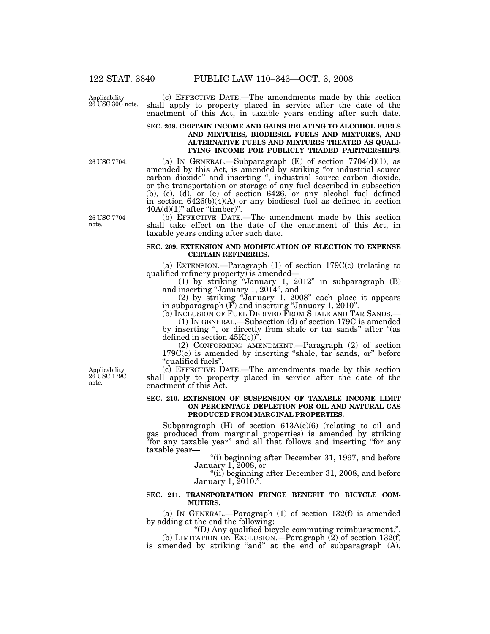Applicability. 26 USC 30C note.

(c) EFFECTIVE DATE.—The amendments made by this section shall apply to property placed in service after the date of the enactment of this Act, in taxable years ending after such date.

#### **SEC. 208. CERTAIN INCOME AND GAINS RELATING TO ALCOHOL FUELS AND MIXTURES, BIODIESEL FUELS AND MIXTURES, AND ALTERNATIVE FUELS AND MIXTURES TREATED AS QUALI-FYING INCOME FOR PUBLICLY TRADED PARTNERSHIPS.**

26 USC 7704.

26 USC 7704 note.

(a) IN GENERAL.—Subparagraph  $(E)$  of section 7704(d)(1), as amended by this Act, is amended by striking ''or industrial source carbon dioxide'' and inserting '', industrial source carbon dioxide, or the transportation or storage of any fuel described in subsection (b), (c), (d), or (e) of section 6426, or any alcohol fuel defined in section 6426(b)(4)(A) or any biodiesel fuel as defined in section  $40A(d)(1)$ " after "timber)".

(b) EFFECTIVE DATE.—The amendment made by this section shall take effect on the date of the enactment of this Act, in taxable years ending after such date.

#### **SEC. 209. EXTENSION AND MODIFICATION OF ELECTION TO EXPENSE CERTAIN REFINERIES.**

(a) EXTENSION.—Paragraph  $(1)$  of section 179 $C(c)$  (relating to qualified refinery property) is amended—

(1) by striking ''January 1, 2012'' in subparagraph (B) and inserting "January 1, 2014", and

(2) by striking ''January 1, 2008'' each place it appears in subparagraph  $(F)$  and inserting "January 1, 2010".

(b) INCLUSION OF FUEL DERIVED FROM SHALE AND TAR SANDS.—

(1) IN GENERAL.—Subsection (d) of section 179C is amended by inserting ", or directly from shale or tar sands" after "(as defined in section  $45K(c)$ ".

(2) CONFORMING AMENDMENT.—Paragraph (2) of section 179C(e) is amended by inserting ''shale, tar sands, or'' before ''qualified fuels''.

(c) EFFECTIVE DATE.—The amendments made by this section shall apply to property placed in service after the date of the enactment of this Act.

#### **SEC. 210. EXTENSION OF SUSPENSION OF TAXABLE INCOME LIMIT ON PERCENTAGE DEPLETION FOR OIL AND NATURAL GAS PRODUCED FROM MARGINAL PROPERTIES.**

Subparagraph  $(H)$  of section  $613A(c)(6)$  (relating to oil and gas produced from marginal properties) is amended by striking "for any taxable year" and all that follows and inserting "for any taxable year—

> ''(i) beginning after December 31, 1997, and before January 1, 2008, or

> "(ii) beginning after December 31, 2008, and before January 1, 2010.''.

#### **SEC. 211. TRANSPORTATION FRINGE BENEFIT TO BICYCLE COM-MUTERS.**

(a) IN GENERAL.—Paragraph (1) of section 132(f) is amended by adding at the end the following:

''(D) Any qualified bicycle commuting reimbursement.''. (b) LIMITATION ON EXCLUSION.—Paragraph (2) of section 132(f)

is amended by striking "and" at the end of subparagraph (A),

Applicability. 26 USC 179C note.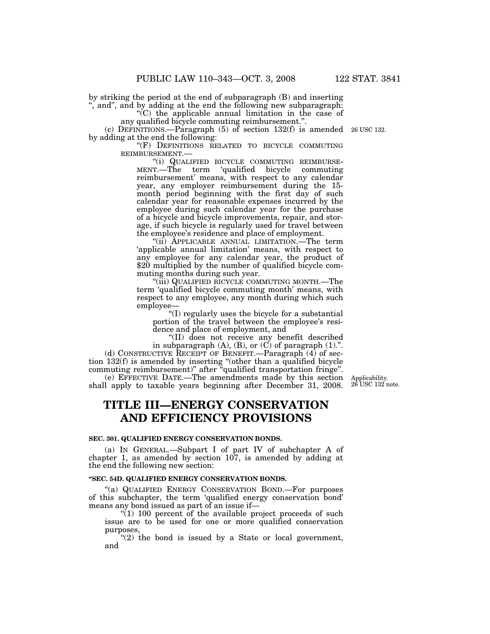by striking the period at the end of subparagraph (B) and inserting '', and'', and by adding at the end the following new subparagraph:

''(C) the applicable annual limitation in the case of

any qualified bicycle commuting reimbursement.''.

(c) DEFINITIONS.—Paragraph  $(5)$  of section  $132(f)$  is amended  $26 \text{ USC132}$ . by adding at the end the following:

"(F) DEFINITIONS RELATED TO BICYCLE COMMUTING<br>REIMBURSEMENT.—

REIMBURSEMENT.— ''(i) QUALIFIED BICYCLE COMMUTING REIMBURSE- MENT.—The term 'qualified bicycle commuting reimbursement' means, with respect to any calendar year, any employer reimbursement during the 15 month period beginning with the first day of such calendar year for reasonable expenses incurred by the employee during such calendar year for the purchase of a bicycle and bicycle improvements, repair, and storage, if such bicycle is regularly used for travel between the employee's residence and place of employment.

''(ii) APPLICABLE ANNUAL LIMITATION.—The term 'applicable annual limitation' means, with respect to any employee for any calendar year, the product of \$20 multiplied by the number of qualified bicycle commuting months during such year.

''(iii) QUALIFIED BICYCLE COMMUTING MONTH.—The term 'qualified bicycle commuting month' means, with respect to any employee, any month during which such employee—

''(I) regularly uses the bicycle for a substantial portion of the travel between the employee's residence and place of employment, and

''(II) does not receive any benefit described in subparagraph  $(A)$ ,  $(B)$ , or  $(C)$  of paragraph  $(1)$ .".

(d) CONSTRUCTIVE RECEIPT OF BENEFIT.—Paragraph  $(4)$  of section 132(f) is amended by inserting ''(other than a qualified bicycle commuting reimbursement)'' after ''qualified transportation fringe''. (e) EFFECTIVE DATE.—The amendments made by this section

shall apply to taxable years beginning after December 31, 2008. Applicability. 26 USC 132 note.

### **TITLE III—ENERGY CONSERVATION AND EFFICIENCY PROVISIONS**

#### **SEC. 301. QUALIFIED ENERGY CONSERVATION BONDS.**

(a) IN GENERAL.—Subpart I of part IV of subchapter A of chapter 1, as amended by section 107, is amended by adding at the end the following new section:

#### **''SEC. 54D. QUALIFIED ENERGY CONSERVATION BONDS.**

''(a) QUALIFIED ENERGY CONSERVATION BOND.—For purposes of this subchapter, the term 'qualified energy conservation bond' means any bond issued as part of an issue if—

 $(1)$  100 percent of the available project proceeds of such issue are to be used for one or more qualified conservation purposes,

 $''(2)$  the bond is issued by a State or local government, and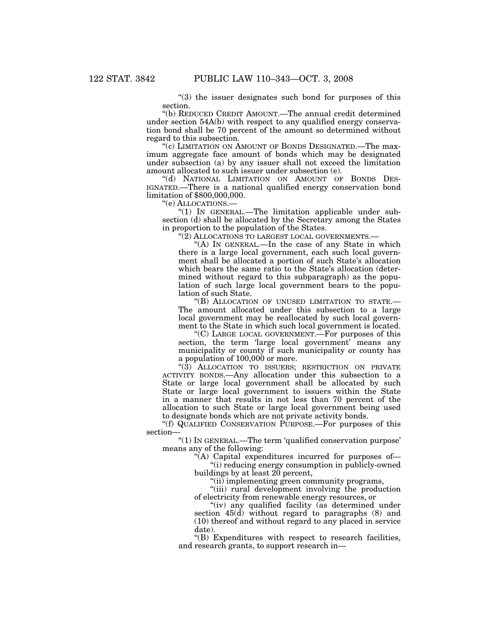''(3) the issuer designates such bond for purposes of this section.

''(b) REDUCED CREDIT AMOUNT.—The annual credit determined under section 54A(b) with respect to any qualified energy conservation bond shall be 70 percent of the amount so determined without regard to this subsection.

''(c) LIMITATION ON AMOUNT OF BONDS DESIGNATED.—The maximum aggregate face amount of bonds which may be designated under subsection (a) by any issuer shall not exceed the limitation amount allocated to such issuer under subsection (e).

"(d) NATIONAL LIMITATION ON AMOUNT OF BONDS DES-IGNATED.—There is a national qualified energy conservation bond limitation of \$800,000,000.

''(e) ALLOCATIONS.—

''(1) IN GENERAL.—The limitation applicable under subsection (d) shall be allocated by the Secretary among the States in proportion to the population of the States.

''(2) ALLOCATIONS TO LARGEST LOCAL GOVERNMENTS.—

"(A) IN GENERAL.—In the case of any State in which there is a large local government, each such local government shall be allocated a portion of such State's allocation which bears the same ratio to the State's allocation (determined without regard to this subparagraph) as the population of such large local government bears to the population of such State.

''(B) ALLOCATION OF UNUSED LIMITATION TO STATE.— The amount allocated under this subsection to a large local government may be reallocated by such local government to the State in which such local government is located.

"(C) LARGE LOCAL GOVERNMENT.—For purposes of this section, the term 'large local government' means any municipality or county if such municipality or county has a population of 100,000 or more.

"(3) ALLOCATION TO ISSUERS; RESTRICTION ON PRIVATE ACTIVITY BONDS.—Any allocation under this subsection to a State or large local government shall be allocated by such State or large local government to issuers within the State in a manner that results in not less than 70 percent of the allocation to such State or large local government being used to designate bonds which are not private activity bonds.

''(f) QUALIFIED CONSERVATION PURPOSE.—For purposes of this section—

''(1) IN GENERAL.—The term 'qualified conservation purpose' means any of the following:

 $\mathcal{H}(A)$  Capital expenditures incurred for purposes of-

''(i) reducing energy consumption in publicly-owned buildings by at least 20 percent,

''(ii) implementing green community programs,

"(iii) rural development involving the production of electricity from renewable energy resources, or

"(iv) any qualified facility (as determined under section 45(d) without regard to paragraphs (8) and (10) thereof and without regard to any placed in service date).

''(B) Expenditures with respect to research facilities, and research grants, to support research in—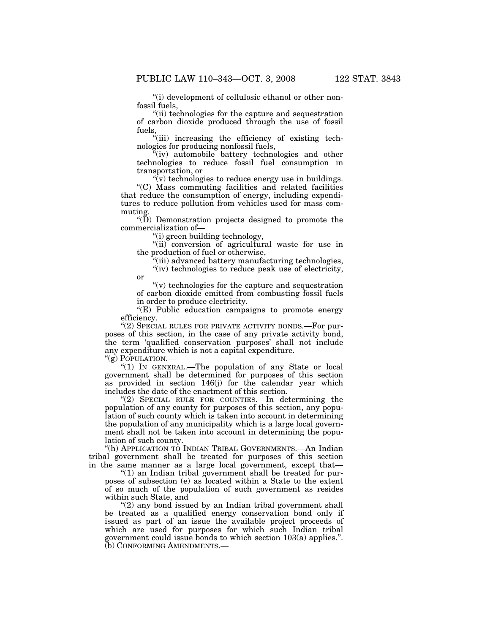"(i) development of cellulosic ethanol or other nonfossil fuels,

''(ii) technologies for the capture and sequestration of carbon dioxide produced through the use of fossil fuels,

''(iii) increasing the efficiency of existing technologies for producing nonfossil fuels,

 $\tilde{f}(iv)$  automobile battery technologies and other technologies to reduce fossil fuel consumption in transportation, or

"(v) technologies to reduce energy use in buildings. ''(C) Mass commuting facilities and related facilities that reduce the consumption of energy, including expenditures to reduce pollution from vehicles used for mass commuting.

''(D) Demonstration projects designed to promote the commercialization of—

''(i) green building technology,

"(ii) conversion of agricultural waste for use in the production of fuel or otherwise,

''(iii) advanced battery manufacturing technologies,

"(iv) technologies to reduce peak use of electricity,

or

''(v) technologies for the capture and sequestration of carbon dioxide emitted from combusting fossil fuels in order to produce electricity.

''(E) Public education campaigns to promote energy efficiency.

"(2) SPECIAL RULES FOR PRIVATE ACTIVITY BONDS.—For purposes of this section, in the case of any private activity bond, the term 'qualified conservation purposes' shall not include any expenditure which is not a capital expenditure.

''(g) POPULATION.—

''(1) IN GENERAL.—The population of any State or local government shall be determined for purposes of this section as provided in section 146(j) for the calendar year which includes the date of the enactment of this section.

''(2) SPECIAL RULE FOR COUNTIES.—In determining the population of any county for purposes of this section, any population of such county which is taken into account in determining the population of any municipality which is a large local government shall not be taken into account in determining the population of such county.

''(h) APPLICATION TO INDIAN TRIBAL GOVERNMENTS.—An Indian tribal government shall be treated for purposes of this section in the same manner as a large local government, except that—

''(1) an Indian tribal government shall be treated for purposes of subsection (e) as located within a State to the extent of so much of the population of such government as resides within such State, and

"(2) any bond issued by an Indian tribal government shall be treated as a qualified energy conservation bond only if issued as part of an issue the available project proceeds of which are used for purposes for which such Indian tribal government could issue bonds to which section 103(a) applies.''. (b) CONFORMING AMENDMENTS.—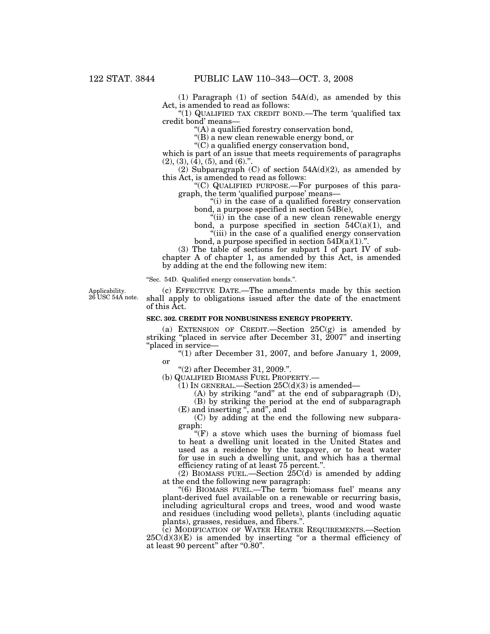(1) Paragraph (1) of section 54A(d), as amended by this Act, is amended to read as follows:

''(1) QUALIFIED TAX CREDIT BOND.—The term 'qualified tax credit bond' means—

''(A) a qualified forestry conservation bond,

"(B) a new clean renewable energy bond, or

''(C) a qualified energy conservation bond,

which is part of an issue that meets requirements of paragraphs  $(2), (3), (4), (5),$  and  $(6)$ .".

(2) Subparagraph (C) of section  $54A(d)(2)$ , as amended by this Act, is amended to read as follows:

''(C) QUALIFIED PURPOSE.—For purposes of this paragraph, the term 'qualified purpose' means—

"(i) in the case of a qualified forestry conservation bond, a purpose specified in section 54B(e),

" $(iii)$  in the case of a new clean renewable energy bond, a purpose specified in section  $54C(a)(1)$ , and "(iii) in the case of a qualified energy conservation

bond, a purpose specified in section  $54D(a)(1)$ .".

(3) The table of sections for subpart I of part IV of subchapter A of chapter 1, as amended by this Act, is amended by adding at the end the following new item:

''Sec. 54D. Qualified energy conservation bonds.''.

Applicability. 26 USC 54A note.

(c) EFFECTIVE DATE.—The amendments made by this section shall apply to obligations issued after the date of the enactment of this Act.

#### **SEC. 302. CREDIT FOR NONBUSINESS ENERGY PROPERTY.**

(a) EXTENSION OF CREDIT.—Section  $25C(g)$  is amended by striking "placed in service after December 31, 2007" and inserting ''placed in service—

" $(1)$  after December 31, 2007, and before January 1, 2009, or

''(2) after December 31, 2009.''.

(b) QUALIFIED BIOMASS FUEL PROPERTY.—

(1) IN GENERAL.—Section  $25C(d)(3)$  is amended—

(A) by striking "and" at the end of subparagraph  $(D)$ ,

(B) by striking the period at the end of subparagraph

(E) and inserting '', and'', and

(C) by adding at the end the following new subparagraph:

" $(F)$  a stove which uses the burning of biomass fuel to heat a dwelling unit located in the United States and used as a residence by the taxpayer, or to heat water for use in such a dwelling unit, and which has a thermal efficiency rating of at least 75 percent.''.

(2) BIOMASS FUEL.—Section  $25C(d)$  is amended by adding at the end the following new paragraph:

''(6) BIOMASS FUEL.—The term 'biomass fuel' means any plant-derived fuel available on a renewable or recurring basis, including agricultural crops and trees, wood and wood waste and residues (including wood pellets), plants (including aquatic plants), grasses, residues, and fibers.''.

(c) MODIFICATION OF WATER HEATER REQUIREMENTS.—Section  $25C(d)(3)(E)$  is amended by inserting "or a thermal efficiency of at least 90 percent" after "0.80".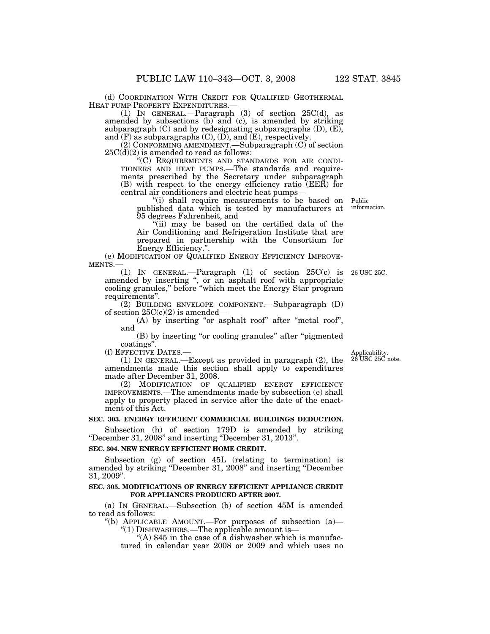(d) COORDINATION WITH CREDIT FOR QUALIFIED GEOTHERMAL HEAT PUMP PROPERTY EXPENDITURES.—

(1) IN GENERAL.—Paragraph (3) of section  $25C(d)$ , as amended by subsections (b) and (c), is amended by striking subparagraph  $(C)$  and by redesignating subparagraphs  $(D)$ ,  $(E)$ , and  $(F)$  as subparagraphs  $(C)$ ,  $(D)$ , and  $(E)$ , respectively.

(2) CONFORMING AMENDMENT.—Subparagraph (C) of section  $25\mathrm{C}(\mathrm{d})(2)$  is amended to read as follows:

''(C) REQUIREMENTS AND STANDARDS FOR AIR CONDI- TIONERS AND HEAT PUMPS.—The standards and requirements prescribed by the Secretary under subparagraph (B) with respect to the energy efficiency ratio (EER) for central air conditioners and electric heat pumps—

''(i) shall require measurements to be based on published data which is tested by manufacturers at 95 degrees Fahrenheit, and Public

'(ii) may be based on the certified data of the Air Conditioning and Refrigeration Institute that are prepared in partnership with the Consortium for Energy Efficiency.''.

(e) MODIFICATION OF QUALIFIED ENERGY EFFICIENCY IMPROVEMENTS.—

(1) IN GENERAL.—Paragraph (1) of section 25C(c) is 26 USC 25C. amended by inserting '', or an asphalt roof with appropriate cooling granules,'' before ''which meet the Energy Star program requirements''.

(2) BUILDING ENVELOPE COMPONENT.—Subparagraph (D) of section  $25C(c)(2)$  is amended—

(A) by inserting "or asphalt roof" after "metal roof", and

(B) by inserting ''or cooling granules'' after ''pigmented coatings".<br>
(f) EFFECTIVE DATES.—

(1) IN GENERAL.—Except as provided in paragraph  $(2)$ , the amendments made this section shall apply to expenditures made after December 31, 2008.

(2) MODIFICATION OF QUALIFIED ENERGY EFFICIENCY IMPROVEMENTS.—The amendments made by subsection (e) shall apply to property placed in service after the date of the enactment of this Act.

#### **SEC. 303. ENERGY EFFICIENT COMMERCIAL BUILDINGS DEDUCTION.**

Subsection (h) of section 179D is amended by striking ''December 31, 2008'' and inserting ''December 31, 2013''.

#### **SEC. 304. NEW ENERGY EFFICIENT HOME CREDIT.**

Subsection (g) of section 45L (relating to termination) is amended by striking ''December 31, 2008'' and inserting ''December 31, 2009''.

#### **SEC. 305. MODIFICATIONS OF ENERGY EFFICIENT APPLIANCE CREDIT FOR APPLIANCES PRODUCED AFTER 2007.**

(a) IN GENERAL.—Subsection (b) of section 45M is amended to read as follows:

"(b) APPLICABLE AMOUNT.—For purposes of subsection  $(a)$ —<br>"(1) DISHWASHERS.—The applicable amount is—

"(A)  $$45$  in the case of a dishwasher which is manufactured in calendar year 2008 or 2009 and which uses no

Applicability. 26 USC 25C note.

information.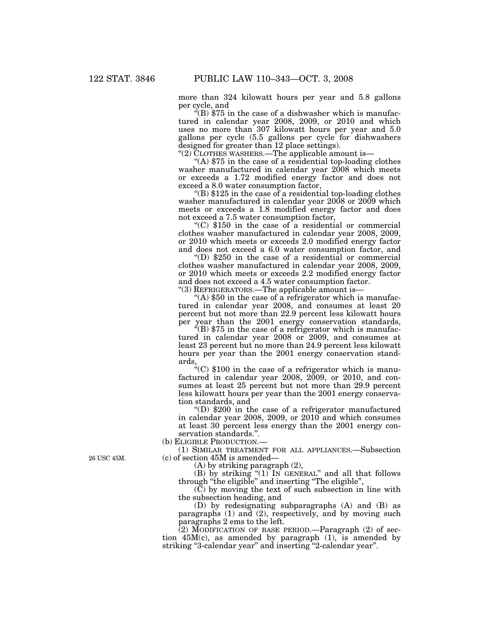more than 324 kilowatt hours per year and 5.8 gallons

 $\frac{60}{10}$  \$75 in the case of a dishwasher which is manufactured in calendar year 2008, 2009, or 2010 and which uses no more than 307 kilowatt hours per year and 5.0 gallons per cycle (5.5 gallons per cycle for dishwashers designed for greater than 12 place settings).<br>"(2) CLOTHES WASHERS.—The applicable amount is—

"(A)  $$75$  in the case of a residential top-loading clothes washer manufactured in calendar year 2008 which meets or exceeds a 1.72 modified energy factor and does not exceed a 8.0 water consumption factor,<br>"(B) \$125 in the case of a residential top-loading clothes

washer manufactured in calendar year 2008 or 2009 which meets or exceeds a 1.8 modified energy factor and does not exceed a 7.5 water consumption factor,

"(C) \$150 in the case of a residential or commercial clothes washer manufactured in calendar year 2008, 2009, or 2010 which meets or exceeds 2.0 modified energy factor and does not exceed a 6.0 water consumption factor, and ''(D) \$250 in the case of a residential or commercial

clothes washer manufactured in calendar year 2008, 2009, or 2010 which meets or exceeds 2.2 modified energy factor and does not exceed a 4.5 water consumption factor. ''(3) REFRIGERATORS.—The applicable amount is—

"(A)  $$50$  in the case of a refrigerator which is manufactured in calendar year 2008, and consumes at least 20 percent but not more than 22.9 percent less kilowatt hours

per year than the 2001 energy conservation standards,  $\mathrm{``(B)}$  \$75 in the case of a refrigerator which is manufac-

tured in calendar year 2008 or 2009, and consumes at least 23 percent but no more than 24.9 percent less kilowatt hours per year than the 2001 energy conservation standards,

"(C) \$100 in the case of a refrigerator which is manufactured in calendar year 2008,  $2009$ , or 2010, and consumes at least 25 percent but not more than 29.9 percent less kilowatt hours per year than the 2001 energy conservation standards, and

"(D)  $$200$  in the case of a refrigerator manufactured in calendar year 2008, 2009, or 2010 and which consumes at least 30 percent less energy than the 2001 energy conservation standards.''.

(b) ELIGIBLE PRODUCTION.—

(1) SIMILAR TREATMENT FOR ALL APPLIANCES.—Subsection (c) of section 45M is amended—

(A) by striking paragraph (2),

(B) by striking "(1) In GENERAL" and all that follows through ''the eligible'' and inserting ''The eligible'',

(C) by moving the text of such subsection in line with the subsection heading, and

(D) by redesignating subparagraphs (A) and (B) as paragraphs (1) and (2), respectively, and by moving such paragraphs 2 ems to the left.

 $(2)$  MODIFICATION OF BASE PERIOD.—Paragraph  $(2)$  of section  $45M(c)$ , as amended by paragraph  $(1)$ , is amended by striking ''3-calendar year'' and inserting ''2-calendar year''.

26 USC 45M.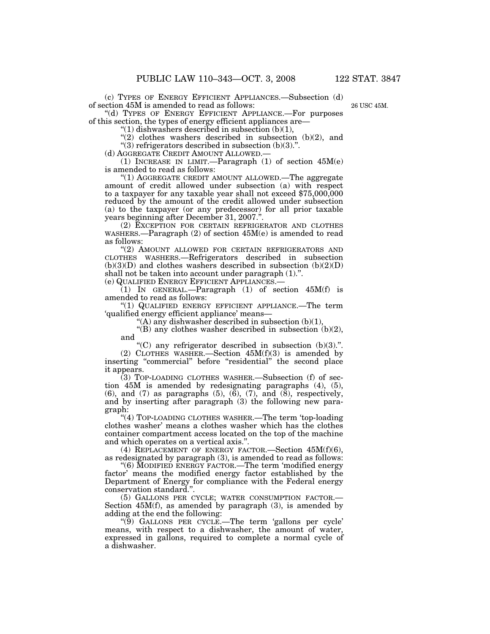(c) TYPES OF ENERGY EFFICIENT APPLIANCES.—Subsection (d) of section 45M is amended to read as follows:

''(d) TYPES OF ENERGY EFFICIENT APPLIANCE.—For purposes of this section, the types of energy efficient appliances are—

" $(1)$  dishwashers described in subsection  $(b)(1)$ ,

"(2) clothes washers described in subsection (b)(2), and " $(3)$  refrigerators described in subsection  $(b)(3)$ .".

(d) AGGREGATE CREDIT AMOUNT ALLOWED.— (1) INCREASE IN LIMIT.—Paragraph (1) of section 45M(e) is amended to read as follows:

''(1) AGGREGATE CREDIT AMOUNT ALLOWED.—The aggregate amount of credit allowed under subsection (a) with respect to a taxpayer for any taxable year shall not exceed \$75,000,000 reduced by the amount of the credit allowed under subsection (a) to the taxpayer (or any predecessor) for all prior taxable years beginning after December 31, 2007.''.

(2) EXCEPTION FOR CERTAIN REFRIGERATOR AND CLOTHES WASHERS.—Paragraph (2) of section 45M(e) is amended to read as follows:

''(2) AMOUNT ALLOWED FOR CERTAIN REFRIGERATORS AND CLOTHES WASHERS.—Refrigerators described in subsection  $(b)(3)(D)$  and clothes washers described in subsection  $(b)(2)(D)$ shall not be taken into account under paragraph (1).''. (e) QUALIFIED ENERGY EFFICIENT APPLIANCES.—

(1) IN GENERAL.—Paragraph (1) of section 45M(f) is amended to read as follows:

''(1) QUALIFIED ENERGY EFFICIENT APPLIANCE.—The term 'qualified energy efficient appliance' means—

"(A) any dishwasher described in subsection  $(b)(1)$ ,

"(B) any clothes washer described in subsection (b)(2), and

''(C) any refrigerator described in subsection (b)(3).''.

(2) CLOTHES WASHER.—Section  $45M(f)(3)$  is amended by inserting "commercial" before "residential" the second place it appears.

 $(3)$  TOP-LOADING CLOTHES WASHER.—Subsection  $(f)$  of section 45M is amended by redesignating paragraphs (4), (5), (6), and (7) as paragraphs (5),  $(\overline{6})$ ,  $(7)$ , and  $(\overline{8})$ , respectively, and by inserting after paragraph (3) the following new paragraph:

"(4) TOP-LOADING CLOTHES WASHER.—The term 'top-loading clothes washer' means a clothes washer which has the clothes container compartment access located on the top of the machine and which operates on a vertical axis.''.

(4) REPLACEMENT OF ENERGY FACTOR.—Section  $45M(f)(6)$ , as redesignated by paragraph (3), is amended to read as follows:

''(6) MODIFIED ENERGY FACTOR.—The term 'modified energy factor' means the modified energy factor established by the Department of Energy for compliance with the Federal energy conservation standard.''.

(5) GALLONS PER CYCLE; WATER CONSUMPTION FACTOR.— Section 45M(f), as amended by paragraph (3), is amended by adding at the end the following:

''(9) GALLONS PER CYCLE.—The term 'gallons per cycle' means, with respect to a dishwasher, the amount of water, expressed in gallons, required to complete a normal cycle of a dishwasher.

26 USC 45M.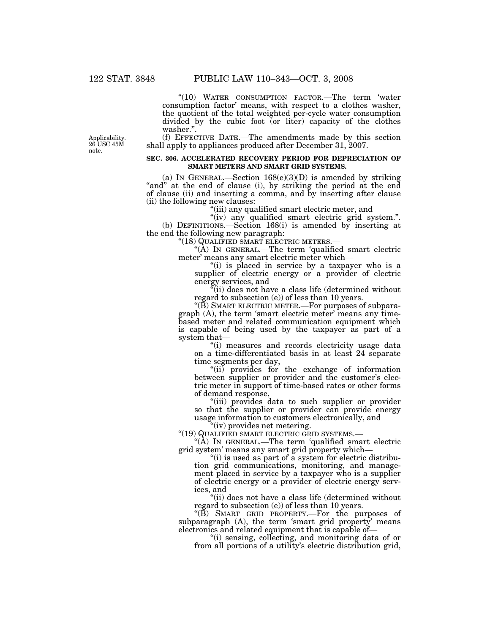''(10) WATER CONSUMPTION FACTOR.—The term 'water consumption factor' means, with respect to a clothes washer, the quotient of the total weighted per-cycle water consumption divided by the cubic foot (or liter) capacity of the clothes washer.''.

(f) EFFECTIVE DATE.—The amendments made by this section shall apply to appliances produced after December 31, 2007.

#### **SEC. 306. ACCELERATED RECOVERY PERIOD FOR DEPRECIATION OF SMART METERS AND SMART GRID SYSTEMS.**

(a) IN GENERAL.—Section  $168(e)(3)(D)$  is amended by striking "and" at the end of clause (i), by striking the period at the end of clause (ii) and inserting a comma, and by inserting after clause (ii) the following new clauses:

''(iii) any qualified smart electric meter, and

"(iv) any qualified smart electric grid system.". (b) DEFINITIONS.—Section 168(i) is amended by inserting at the end the following new paragraph:

''(18) QUALIFIED SMART ELECTRIC METERS.—

''(A) IN GENERAL.—The term 'qualified smart electric meter' means any smart electric meter which—

"(i) is placed in service by a taxpayer who is a supplier of electric energy or a provider of electric energy services, and

''(ii) does not have a class life (determined without regard to subsection (e)) of less than 10 years.

''(B) SMART ELECTRIC METER.—For purposes of subparagraph (A), the term 'smart electric meter' means any timebased meter and related communication equipment which is capable of being used by the taxpayer as part of a system that—

''(i) measures and records electricity usage data on a time-differentiated basis in at least 24 separate time segments per day,

''(ii) provides for the exchange of information between supplier or provider and the customer's electric meter in support of time-based rates or other forms of demand response,

''(iii) provides data to such supplier or provider so that the supplier or provider can provide energy usage information to customers electronically, and ''(iv) provides net metering.

''(19) QUALIFIED SMART ELECTRIC GRID SYSTEMS.—

''(A) IN GENERAL.—The term 'qualified smart electric grid system' means any smart grid property which—

''(i) is used as part of a system for electric distribution grid communications, monitoring, and management placed in service by a taxpayer who is a supplier of electric energy or a provider of electric energy services, and

''(ii) does not have a class life (determined without regard to subsection (e)) of less than 10 years.

''(B) SMART GRID PROPERTY.—For the purposes of subparagraph (A), the term 'smart grid property' means electronics and related equipment that is capable of—

''(i) sensing, collecting, and monitoring data of or from all portions of a utility's electric distribution grid,

Applicability. 26 USC 45M note.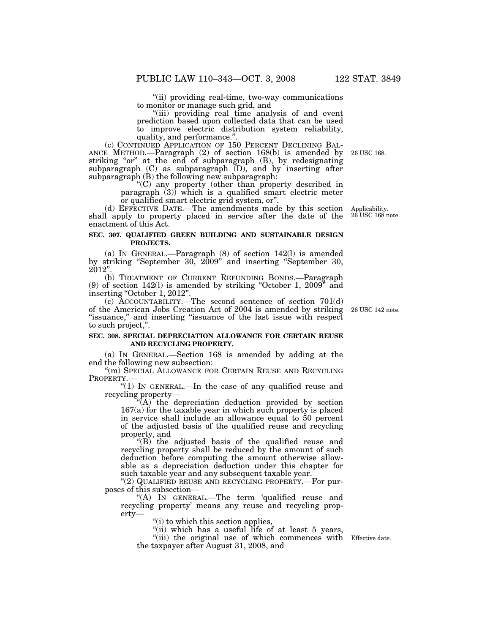''(ii) providing real-time, two-way communications to monitor or manage such grid, and

"(iii) providing real time analysis of and event prediction based upon collected data that can be used to improve electric distribution system reliability, quality, and performance."

(c) CONTINUED APPLICATION OF 150 PERCENT DECLINING BAL- ANCE METHOD.—Paragraph (2) of section 168(b) is amended by striking "or" at the end of subparagraph (B), by redesignating subparagraph (C) as subparagraph (D), and by inserting after subparagraph (B) the following new subparagraph:

''(C) any property (other than property described in paragraph  $(3)$ ) which is a qualified smart electric meter or qualified smart electric grid system, or''.

(d) EFFECTIVE DATE.—The amendments made by this section shall apply to property placed in service after the date of the enactment of this Act.

#### **SEC. 307. QUALIFIED GREEN BUILDING AND SUSTAINABLE DESIGN PROJECTS.**

(a) IN GENERAL.—Paragraph (8) of section 142(l) is amended by striking ''September 30, 2009'' and inserting ''September 30, 2012''.

(b) TREATMENT OF CURRENT REFUNDING BONDS.—Paragraph  $(9)$  of section 142(l) is amended by striking "October 1, 2009" and inserting "October 1, 2012".

(c)  $ACCOUNTABILITY. - The second sentence of section 701(d)$ of the American Jobs Creation Act of 2004 is amended by striking 26 USC 142 note. "issuance," and inserting "issuance of the last issue with respect to such project,''.

#### **SEC. 308. SPECIAL DEPRECIATION ALLOWANCE FOR CERTAIN REUSE AND RECYCLING PROPERTY.**

(a) IN GENERAL.—Section 168 is amended by adding at the end the following new subsection:

"(m) SPECIAL ALLOWANCE FOR CERTAIN REUSE AND RECYCLING PROPERTY.—

" $(1)$  In GENERAL.—In the case of any qualified reuse and recycling property—

(A) the depreciation deduction provided by section 167(a) for the taxable year in which such property is placed in service shall include an allowance equal to 50 percent of the adjusted basis of the qualified reuse and recycling property, and

''(B) the adjusted basis of the qualified reuse and recycling property shall be reduced by the amount of such deduction before computing the amount otherwise allowable as a depreciation deduction under this chapter for such taxable year and any subsequent taxable year.

''(2) QUALIFIED REUSE AND RECYCLING PROPERTY.—For purposes of this subsection—

''(A) IN GENERAL.—The term 'qualified reuse and recycling property' means any reuse and recycling property—

''(i) to which this section applies,

"(ii) which has a useful life of at least 5 years,

"(iii) the original use of which commences with Effective date. the taxpayer after August 31, 2008, and

Applicability. 26 USC 168 note.

26 USC 168.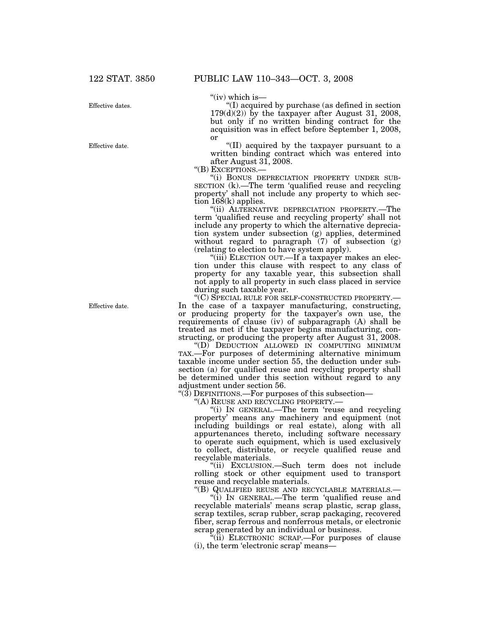Effective date.

Effective date.

''(iv) which is—

''(I) acquired by purchase (as defined in section  $179(d)(2)$  by the taxpayer after August 31, 2008, but only if no written binding contract for the acquisition was in effect before September 1, 2008, or

''(II) acquired by the taxpayer pursuant to a written binding contract which was entered into after August 31, 2008.<br>"(B) Exceptions.—

"(i) BONUS DEPRECIATION PROPERTY UNDER SUB-SECTION (k).—The term 'qualified reuse and recycling property' shall not include any property to which section 168(k) applies.

''(ii) ALTERNATIVE DEPRECIATION PROPERTY.—The term 'qualified reuse and recycling property' shall not include any property to which the alternative depreciation system under subsection (g) applies, determined without regard to paragraph  $(7)$  of subsection  $(g)$ (relating to election to have system apply).

"(iii) ELECTION OUT.—If a taxpayer makes an election under this clause with respect to any class of property for any taxable year, this subsection shall not apply to all property in such class placed in service during such taxable year.

''(C) SPECIAL RULE FOR SELF-CONSTRUCTED PROPERTY.— In the case of a taxpayer manufacturing, constructing, or producing property for the taxpayer's own use, the requirements of clause (iv) of subparagraph (A) shall be treated as met if the taxpayer begins manufacturing, constructing, or producing the property after August 31, 2008.

''(D) DEDUCTION ALLOWED IN COMPUTING MINIMUM TAX.—For purposes of determining alternative minimum taxable income under section 55, the deduction under subsection (a) for qualified reuse and recycling property shall be determined under this section without regard to any adjustment under section 56.

" $(3)$  DEFINITIONS.—For purposes of this subsection—

''(A) REUSE AND RECYCLING PROPERTY.—

''(i) IN GENERAL.—The term 'reuse and recycling property' means any machinery and equipment (not including buildings or real estate), along with all appurtenances thereto, including software necessary to operate such equipment, which is used exclusively to collect, distribute, or recycle qualified reuse and recyclable materials.

''(ii) EXCLUSION.—Such term does not include rolling stock or other equipment used to transport reuse and recyclable materials.

''(B) QUALIFIED REUSE AND RECYCLABLE MATERIALS.—

''(i) IN GENERAL.—The term 'qualified reuse and recyclable materials' means scrap plastic, scrap glass, scrap textiles, scrap rubber, scrap packaging, recovered fiber, scrap ferrous and nonferrous metals, or electronic scrap generated by an individual or business.

(ii) ELECTRONIC SCRAP.—For purposes of clause (i), the term 'electronic scrap' means—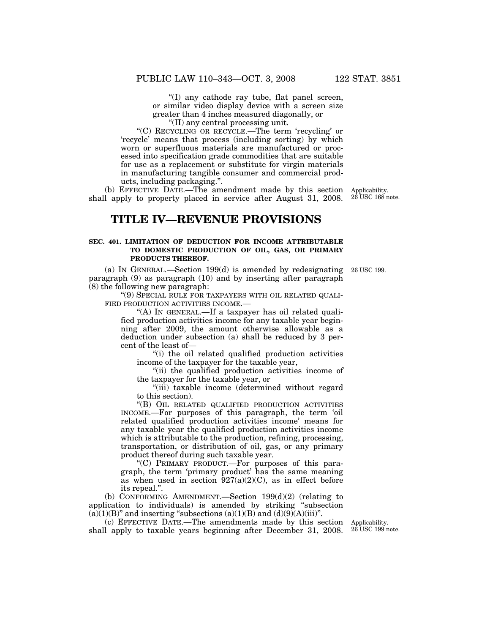''(I) any cathode ray tube, flat panel screen, or similar video display device with a screen size greater than 4 inches measured diagonally, or

''(II) any central processing unit.

''(C) RECYCLING OR RECYCLE.—The term 'recycling' or 'recycle' means that process (including sorting) by which worn or superfluous materials are manufactured or processed into specification grade commodities that are suitable for use as a replacement or substitute for virgin materials in manufacturing tangible consumer and commercial products, including packaging.''.

(b) EFFECTIVE DATE.—The amendment made by this section shall apply to property placed in service after August 31, 2008.

### **TITLE IV—REVENUE PROVISIONS**

#### **SEC. 401. LIMITATION OF DEDUCTION FOR INCOME ATTRIBUTABLE TO DOMESTIC PRODUCTION OF OIL, GAS, OR PRIMARY PRODUCTS THEREOF.**

(a) IN GENERAL.—Section 199(d) is amended by redesignating paragraph (9) as paragraph (10) and by inserting after paragraph (8) the following new paragraph:

''(9) SPECIAL RULE FOR TAXPAYERS WITH OIL RELATED QUALI-FIED PRODUCTION ACTIVITIES INCOME.—

''(A) IN GENERAL.—If a taxpayer has oil related qualified production activities income for any taxable year beginning after 2009, the amount otherwise allowable as a deduction under subsection (a) shall be reduced by 3 percent of the least of—

''(i) the oil related qualified production activities income of the taxpayer for the taxable year,

''(ii) the qualified production activities income of the taxpayer for the taxable year, or

"(iii) taxable income (determined without regard to this section).

''(B) OIL RELATED QUALIFIED PRODUCTION ACTIVITIES INCOME.—For purposes of this paragraph, the term 'oil related qualified production activities income' means for any taxable year the qualified production activities income which is attributable to the production, refining, processing, transportation, or distribution of oil, gas, or any primary product thereof during such taxable year.

''(C) PRIMARY PRODUCT.—For purposes of this paragraph, the term 'primary product' has the same meaning as when used in section  $927(a)(2)(C)$ , as in effect before its repeal.''.

(b) CONFORMING AMENDMENT.—Section 199(d)(2) (relating to application to individuals) is amended by striking ''subsection  $(a)(1)(B)$ " and inserting "subsections  $(a)(1)(B)$  and  $(d)(9)(A)(iii)$ ".

(c) EFFECTIVE DATE.—The amendments made by this section shall apply to taxable years beginning after December 31, 2008.

Applicability. 26 USC 199 note.

26 USC 199.

Applicability. 26 USC 168 note.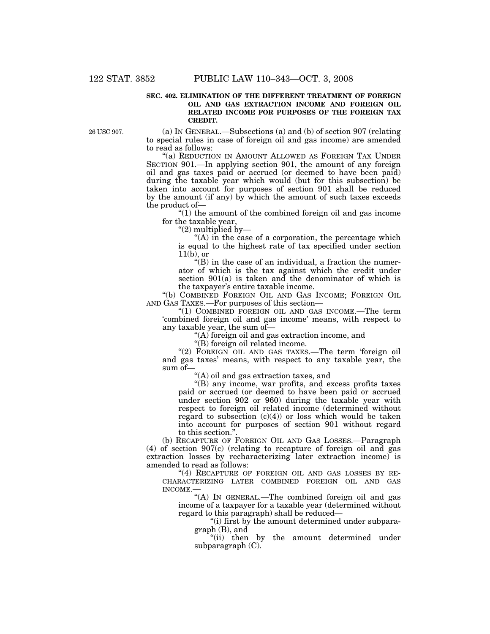#### **SEC. 402. ELIMINATION OF THE DIFFERENT TREATMENT OF FOREIGN OIL AND GAS EXTRACTION INCOME AND FOREIGN OIL RELATED INCOME FOR PURPOSES OF THE FOREIGN TAX CREDIT.**

26 USC 907.

(a) IN GENERAL.—Subsections (a) and (b) of section 907 (relating to special rules in case of foreign oil and gas income) are amended to read as follows:

''(a) REDUCTION IN AMOUNT ALLOWED AS FOREIGN TAX UNDER SECTION 901.—In applying section 901, the amount of any foreign oil and gas taxes paid or accrued (or deemed to have been paid) during the taxable year which would (but for this subsection) be taken into account for purposes of section 901 shall be reduced by the amount (if any) by which the amount of such taxes exceeds the product of—

''(1) the amount of the combined foreign oil and gas income for the taxable year,

 $''(2)$  multiplied by—

" $(A)$  in the case of a corporation, the percentage which is equal to the highest rate of tax specified under section 11(b), or

 $f(B)$  in the case of an individual, a fraction the numerator of which is the tax against which the credit under section 901(a) is taken and the denominator of which is the taxpayer's entire taxable income.

''(b) COMBINED FOREIGN OIL AND GAS INCOME; FOREIGN OIL AND GAS TAXES.—For purposes of this section—

''(1) COMBINED FOREIGN OIL AND GAS INCOME.—The term 'combined foreign oil and gas income' means, with respect to any taxable year, the sum of—

''(A) foreign oil and gas extraction income, and

''(B) foreign oil related income.

"(2) FOREIGN OIL AND GAS TAXES.—The term 'foreign oil and gas taxes' means, with respect to any taxable year, the sum of—

''(A) oil and gas extraction taxes, and

"(B) any income, war profits, and excess profits taxes paid or accrued (or deemed to have been paid or accrued under section 902 or 960) during the taxable year with respect to foreign oil related income (determined without regard to subsection  $(c)(4)$  or loss which would be taken into account for purposes of section 901 without regard to this section."

(b) RECAPTURE OF FOREIGN OIL AND GAS LOSSES.—Paragraph (4) of section 907(c) (relating to recapture of foreign oil and gas extraction losses by recharacterizing later extraction income) is amended to read as follows:

"(4) RECAPTURE OF FOREIGN OIL AND GAS LOSSES BY RE-CHARACTERIZING LATER COMBINED FOREIGN OIL AND GAS INCOME.—

"(A) IN GENERAL.—The combined foreign oil and gas income of a taxpayer for a taxable year (determined without regard to this paragraph) shall be reduced—

''(i) first by the amount determined under subparagraph (B), and

"(ii) then by the amount determined under subparagraph  $(C)$ .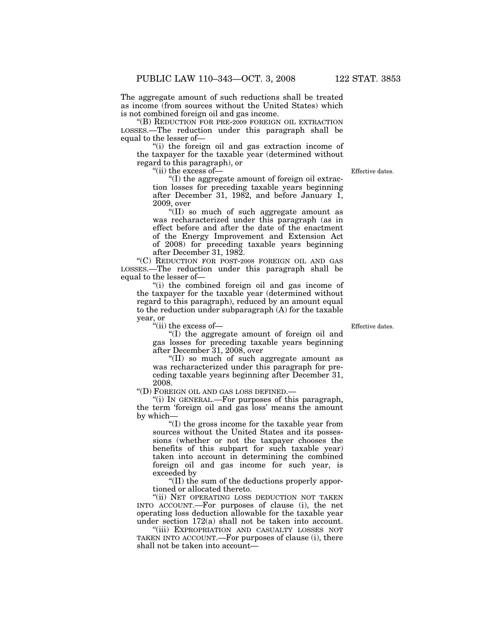The aggregate amount of such reductions shall be treated as income (from sources without the United States) which is not combined foreign oil and gas income.

''(B) REDUCTION FOR PRE-2009 FOREIGN OIL EXTRACTION LOSSES.—The reduction under this paragraph shall be equal to the lesser of—

''(i) the foreign oil and gas extraction income of the taxpayer for the taxable year (determined without regard to this paragraph), or

''(ii) the excess of—

''(I) the aggregate amount of foreign oil extraction losses for preceding taxable years beginning after December 31, 1982, and before January 1, 2009, over

''(II) so much of such aggregate amount as was recharacterized under this paragraph (as in effect before and after the date of the enactment of the Energy Improvement and Extension Act of 2008) for preceding taxable years beginning after December 31, 1982.

''(C) REDUCTION FOR POST-2008 FOREIGN OIL AND GAS LOSSES.—The reduction under this paragraph shall be equal to the lesser of—

''(i) the combined foreign oil and gas income of the taxpayer for the taxable year (determined without regard to this paragraph), reduced by an amount equal to the reduction under subparagraph (A) for the taxable year, or

''(ii) the excess of—

Effective dates.

''(I) the aggregate amount of foreign oil and gas losses for preceding taxable years beginning after December 31, 2008, over

''(II) so much of such aggregate amount as was recharacterized under this paragraph for preceding taxable years beginning after December 31, 2008.

''(D) FOREIGN OIL AND GAS LOSS DEFINED.—

''(i) IN GENERAL.—For purposes of this paragraph, the term 'foreign oil and gas loss' means the amount by which—

''(I) the gross income for the taxable year from sources without the United States and its possessions (whether or not the taxpayer chooses the benefits of this subpart for such taxable year) taken into account in determining the combined foreign oil and gas income for such year, is exceeded by

''(II) the sum of the deductions properly apportioned or allocated thereto.

''(ii) NET OPERATING LOSS DEDUCTION NOT TAKEN INTO ACCOUNT.—For purposes of clause (i), the net operating loss deduction allowable for the taxable year under section 172(a) shall not be taken into account.

''(iii) EXPROPRIATION AND CASUALTY LOSSES NOT TAKEN INTO ACCOUNT.—For purposes of clause (i), there shall not be taken into account—

Effective dates.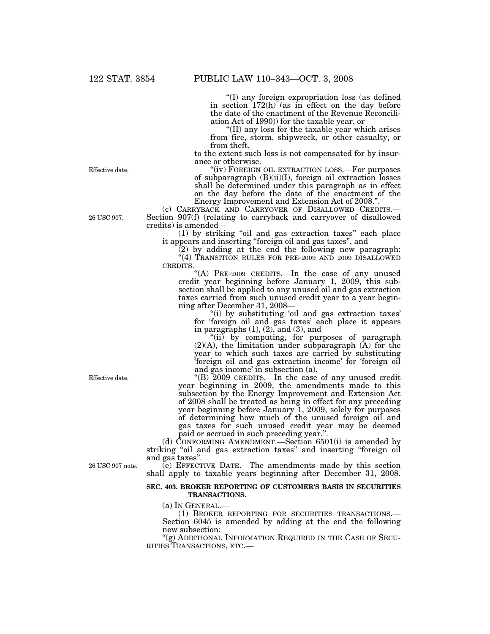''(I) any foreign expropriation loss (as defined in section 172(h) (as in effect on the day before the date of the enactment of the Revenue Reconciliation Act of 1990)) for the taxable year, or

''(II) any loss for the taxable year which arises from fire, storm, shipwreck, or other casualty, or from theft,

to the extent such loss is not compensated for by insurance or otherwise.

"(iv) FOREIGN OIL EXTRACTION LOSS.—For purposes of subparagraph (B)(ii)(I), foreign oil extraction losses shall be determined under this paragraph as in effect on the day before the date of the enactment of the

Energy Improvement and Extension Act of 2008.".<br>(c) CARRYBACK AND CARRYOVER OF DISALLOWED CREDITS.-Section 907(f) (relating to carryback and carryover of disallowed credits) is amended—

(1) by striking ''oil and gas extraction taxes'' each place it appears and inserting ''foreign oil and gas taxes'', and

(2) by adding at the end the following new paragraph: ''(4) TRANSITION RULES FOR PRE-2009 AND 2009 DISALLOWED CREDITS.—

"(A) PRE-2009 CREDITS.-In the case of any unused credit year beginning before January 1, 2009, this subsection shall be applied to any unused oil and gas extraction taxes carried from such unused credit year to a year beginning after December 31, 2008—

''(i) by substituting 'oil and gas extraction taxes' for 'foreign oil and gas taxes' each place it appears in paragraphs  $(1)$ ,  $(2)$ , and  $(3)$ , and

''(ii) by computing, for purposes of paragraph (2)(A), the limitation under subparagraph (A) for the year to which such taxes are carried by substituting 'foreign oil and gas extraction income' for 'foreign oil and gas income' in subsection (a).

''(B) 2009 CREDITS.—In the case of any unused credit year beginning in 2009, the amendments made to this subsection by the Energy Improvement and Extension Act of 2008 shall be treated as being in effect for any preceding year beginning before January 1, 2009, solely for purposes of determining how much of the unused foreign oil and gas taxes for such unused credit year may be deemed paid or accrued in such preceding year.''.

(d) CONFORMING AMENDMENT.—Section 6501(i) is amended by striking "oil and gas extraction taxes" and inserting "foreign oil and gas taxes''.

(e) EFFECTIVE DATE.—The amendments made by this section shall apply to taxable years beginning after December 31, 2008.

#### **SEC. 403. BROKER REPORTING OF CUSTOMER'S BASIS IN SECURITIES TRANSACTIONS.**

(a) IN GENERAL.—

(1) BROKER REPORTING FOR SECURITIES TRANSACTIONS.— Section 6045 is amended by adding at the end the following new subsection:

''(g) ADDITIONAL INFORMATION REQUIRED IN THE CASE OF SECU- RITIES TRANSACTIONS, ETC.—

Effective date.

26 USC 907.

Effective date.

26 USC 907 note.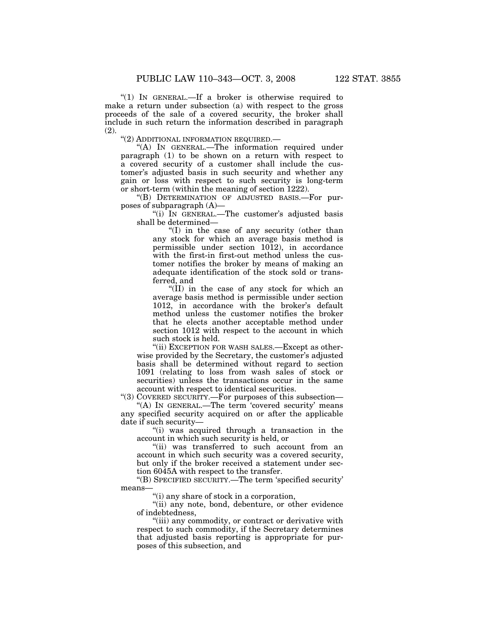" $(1)$  IN GENERAL.—If a broker is otherwise required to make a return under subsection (a) with respect to the gross proceeds of the sale of a covered security, the broker shall include in such return the information described in paragraph (2).

''(2) ADDITIONAL INFORMATION REQUIRED.—

''(A) IN GENERAL.—The information required under paragraph (1) to be shown on a return with respect to a covered security of a customer shall include the customer's adjusted basis in such security and whether any gain or loss with respect to such security is long-term or short-term (within the meaning of section 1222).

''(B) DETERMINATION OF ADJUSTED BASIS.—For purposes of subparagraph (A)—

''(i) IN GENERAL.—The customer's adjusted basis shall be determined—

''(I) in the case of any security (other than any stock for which an average basis method is permissible under section 1012), in accordance with the first-in first-out method unless the customer notifies the broker by means of making an adequate identification of the stock sold or transferred, and

''(II) in the case of any stock for which an average basis method is permissible under section 1012, in accordance with the broker's default method unless the customer notifies the broker that he elects another acceptable method under section 1012 with respect to the account in which such stock is held.

"(ii) EXCEPTION FOR WASH SALES.—Except as otherwise provided by the Secretary, the customer's adjusted basis shall be determined without regard to section 1091 (relating to loss from wash sales of stock or securities) unless the transactions occur in the same account with respect to identical securities.

"(3) COVERED SECURITY.—For purposes of this subsection—

"(A) IN GENERAL.—The term 'covered security' means any specified security acquired on or after the applicable date if such security—

''(i) was acquired through a transaction in the account in which such security is held, or

''(ii) was transferred to such account from an account in which such security was a covered security, but only if the broker received a statement under section 6045A with respect to the transfer.

''(B) SPECIFIED SECURITY.—The term 'specified security' means—

''(i) any share of stock in a corporation,

"(ii) any note, bond, debenture, or other evidence of indebtedness,

''(iii) any commodity, or contract or derivative with respect to such commodity, if the Secretary determines that adjusted basis reporting is appropriate for purposes of this subsection, and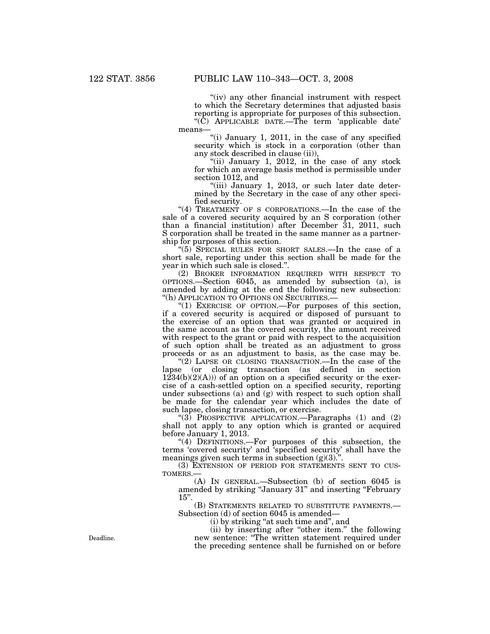"(iv) any other financial instrument with respect to which the Secretary determines that adjusted basis reporting is appropriate for purposes of this subsection. "(C) APPLICABLE DATE.—The term 'applicable date'

means— ''(i) January 1, 2011, in the case of any specified security which is stock in a corporation (other than

any stock described in clause (ii)), "(ii) January 1, 2012, in the case of any stock for which an average basis method is permissible under section 1012, and

"(iii) January 1, 2013, or such later date determined by the Secretary in the case of any other specified security.

"(4) TREATMENT OF S CORPORATIONS.—In the case of the sale of a covered security acquired by an S corporation (other than a financial institution) after December 31, 2011, such S corporation shall be treated in the same manner as a partnership for purposes of this section.

''(5) SPECIAL RULES FOR SHORT SALES.—In the case of a short sale, reporting under this section shall be made for the year in which such sale is closed.''.

(2) BROKER INFORMATION REQUIRED WITH RESPECT TO OPTIONS.—Section 6045, as amended by subsection (a), is amended by adding at the end the following new subsection: ''(h) APPLICATION TO OPTIONS ON SECURITIES.—

"(1) EXERCISE OF OPTION.—For purposes of this section, if a covered security is acquired or disposed of pursuant to the exercise of an option that was granted or acquired in the same account as the covered security, the amount received with respect to the grant or paid with respect to the acquisition of such option shall be treated as an adjustment to gross proceeds or as an adjustment to basis, as the case may be.

"(2) LAPSE OR CLOSING TRANSACTION.—In the case of the lapse (or closing transaction (as defined in section  $1234(b)(2)(A))$  of an option on a specified security or the exercise of a cash-settled option on a specified security, reporting under subsections (a) and (g) with respect to such option shall be made for the calendar year which includes the date of such lapse, closing transaction, or exercise.

 $(3)$  PROSPECTIVE APPLICATION.—Paragraphs (1) and (2) shall not apply to any option which is granted or acquired before January 1, 2013.

''(4) DEFINITIONS.—For purposes of this subsection, the terms 'covered security' and 'specified security' shall have the meanings given such terms in subsection  $(g)(3)$ .".

(3) EXTENSION OF PERIOD FOR STATEMENTS SENT TO CUS-TOMERS.—

(A) IN GENERAL.—Subsection (b) of section 6045 is amended by striking ''January 31'' and inserting ''February 15''.

(B) STATEMENTS RELATED TO SUBSTITUTE PAYMENTS.— Subsection (d) of section 6045 is amended—

(i) by striking ''at such time and'', and

(ii) by inserting after ''other item.'' the following new sentence: ''The written statement required under the preceding sentence shall be furnished on or before

Deadline.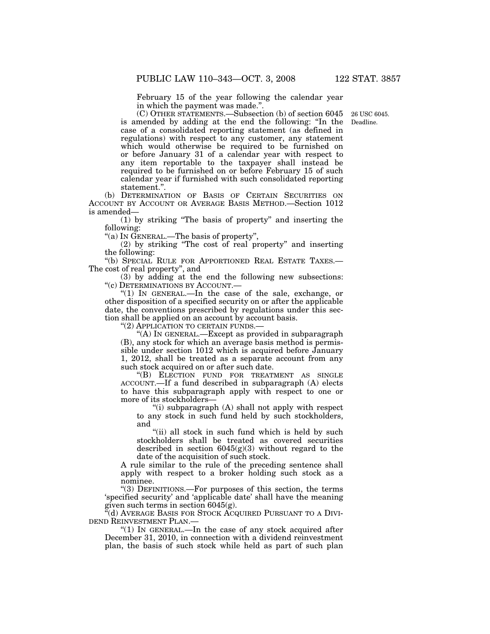February 15 of the year following the calendar year in which the payment was made.''.

Deadline. 26 USC 6045.

(C) OTHER STATEMENTS.—Subsection (b) of section 6045 is amended by adding at the end the following: ''In the case of a consolidated reporting statement (as defined in regulations) with respect to any customer, any statement which would otherwise be required to be furnished on or before January 31 of a calendar year with respect to any item reportable to the taxpayer shall instead be required to be furnished on or before February 15 of such calendar year if furnished with such consolidated reporting statement.''.

(b) DETERMINATION OF BASIS OF CERTAIN SECURITIES ON ACCOUNT BY ACCOUNT OR AVERAGE BASIS METHOD.—Section 1012 is amended—

(1) by striking ''The basis of property'' and inserting the following:

''(a) IN GENERAL.—The basis of property'',

(2) by striking ''The cost of real property'' and inserting the following:

''(b) SPECIAL RULE FOR APPORTIONED REAL ESTATE TAXES.— The cost of real property'', and

(3) by adding at the end the following new subsections: ''(c) DETERMINATIONS BY ACCOUNT.—

''(1) IN GENERAL.—In the case of the sale, exchange, or other disposition of a specified security on or after the applicable date, the conventions prescribed by regulations under this section shall be applied on an account by account basis.

''(2) APPLICATION TO CERTAIN FUNDS.—

''(A) IN GENERAL.—Except as provided in subparagraph (B), any stock for which an average basis method is permissible under section 1012 which is acquired before January 1, 2012, shall be treated as a separate account from any such stock acquired on or after such date.

"(B) ELECTION FUND FOR TREATMENT AS SINGLE ACCOUNT.—If a fund described in subparagraph (A) elects to have this subparagraph apply with respect to one or more of its stockholders—

"(i) subparagraph  $(A)$  shall not apply with respect to any stock in such fund held by such stockholders, and

"(ii) all stock in such fund which is held by such stockholders shall be treated as covered securities described in section  $6045(g)(3)$  without regard to the date of the acquisition of such stock.

A rule similar to the rule of the preceding sentence shall apply with respect to a broker holding such stock as a nominee.

''(3) DEFINITIONS.—For purposes of this section, the terms 'specified security' and 'applicable date' shall have the meaning given such terms in section 6045(g).

''(d) AVERAGE BASIS FOR STOCK ACQUIRED PURSUANT TO A DIVI-DEND REINVESTMENT PLAN.—

"(1) IN GENERAL.—In the case of any stock acquired after December 31, 2010, in connection with a dividend reinvestment plan, the basis of such stock while held as part of such plan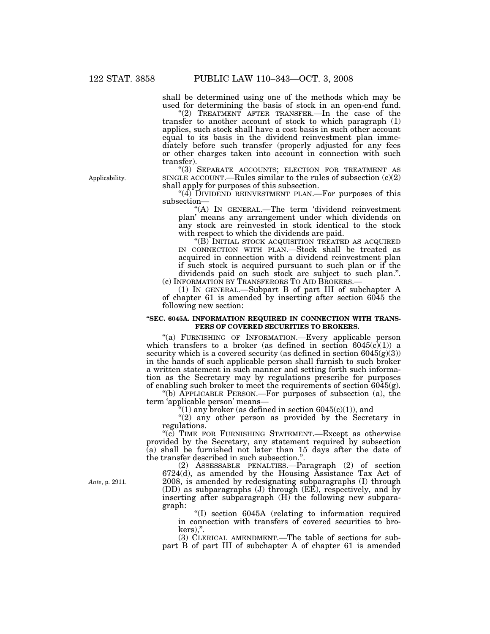shall be determined using one of the methods which may be used for determining the basis of stock in an open-end fund.

"(2) TREATMENT AFTER TRANSFER.—In the case of the transfer to another account of stock to which paragraph (1) applies, such stock shall have a cost basis in such other account equal to its basis in the dividend reinvestment plan immediately before such transfer (properly adjusted for any fees or other charges taken into account in connection with such transfer).

Applicability.

''(3) SEPARATE ACCOUNTS; ELECTION FOR TREATMENT AS SINGLE ACCOUNT.—Rules similar to the rules of subsection  $(c)(2)$ shall apply for purposes of this subsection.

" $(4)$  DIVIDEND REINVESTMENT PLAN.—For purposes of this subsection—

"(A) IN GENERAL.—The term 'dividend reinvestment plan' means any arrangement under which dividends on any stock are reinvested in stock identical to the stock with respect to which the dividends are paid.

''(B) INITIAL STOCK ACQUISITION TREATED AS ACQUIRED IN CONNECTION WITH PLAN.—Stock shall be treated as acquired in connection with a dividend reinvestment plan if such stock is acquired pursuant to such plan or if the dividends paid on such stock are subject to such plan.". (c) INFORMATION BY TRANSFERORS TO AID BROKERS.—

(1) IN GENERAL.—Subpart B of part III of subchapter A of chapter 61 is amended by inserting after section 6045 the following new section:

#### **''SEC. 6045A. INFORMATION REQUIRED IN CONNECTION WITH TRANS-FERS OF COVERED SECURITIES TO BROKERS.**

"(a) FURNISHING OF INFORMATION.—Every applicable person which transfers to a broker (as defined in section  $6045(c)(1)$ ) a security which is a covered security (as defined in section  $6045(g)(3)$ ) in the hands of such applicable person shall furnish to such broker a written statement in such manner and setting forth such information as the Secretary may by regulations prescribe for purposes of enabling such broker to meet the requirements of section 6045(g). ''(b) APPLICABLE PERSON.—For purposes of subsection (a), the

term 'applicable person' means—

 $\mathcal{C}(1)$  any broker (as defined in section 6045(c)(1)), and

"(2) any other person as provided by the Secretary in regulations.

"(c) TIME FOR FURNISHING STATEMENT.—Except as otherwise provided by the Secretary, any statement required by subsection (a) shall be furnished not later than 15 days after the date of the transfer described in such subsection.''.

(2) ASSESSABLE PENALTIES.—Paragraph (2) of section 6724(d), as amended by the Housing Assistance Tax Act of 2008, is amended by redesignating subparagraphs (I) through (DD) as subparagraphs (J) through (EE), respectively, and by inserting after subparagraph (H) the following new subparagraph:

''(I) section 6045A (relating to information required in connection with transfers of covered securities to brokers),''.

(3) CLERICAL AMENDMENT.—The table of sections for subpart B of part III of subchapter A of chapter 61 is amended

*Ante*, p. 2911.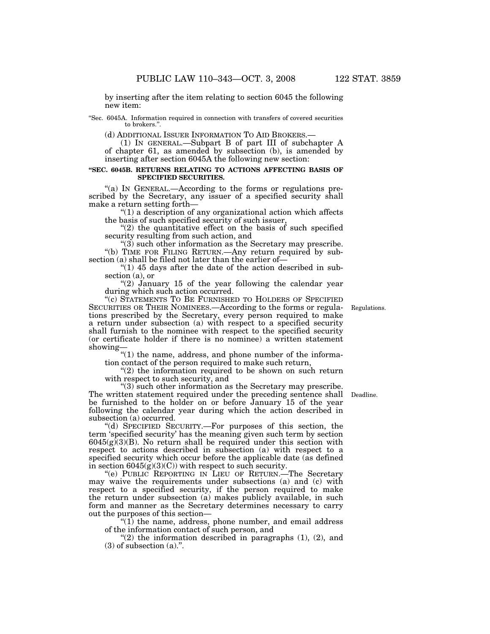by inserting after the item relating to section 6045 the following new item:

''Sec. 6045A. Information required in connection with transfers of covered securities to brokers."

(d) ADDITIONAL ISSUER INFORMATION TO AID BROKERS.— (1) IN GENERAL.—Subpart B of part III of subchapter A of chapter 61, as amended by subsection (b), is amended by inserting after section 6045A the following new section:

#### **''SEC. 6045B. RETURNS RELATING TO ACTIONS AFFECTING BASIS OF SPECIFIED SECURITIES.**

''(a) IN GENERAL.—According to the forms or regulations prescribed by the Secretary, any issuer of a specified security shall make a return setting forth—

 $''(1)$  a description of any organizational action which affects the basis of such specified security of such issuer,

 $(2)$  the quantitative effect on the basis of such specified security resulting from such action, and

" $(3)$  such other information as the Secretary may prescribe. ''(b) TIME FOR FILING RETURN.—Any return required by subsection (a) shall be filed not later than the earlier of—

" $(1)$  45 days after the date of the action described in subsection (a), or

"(2) January 15 of the year following the calendar year during which such action occurred.

''(c) STATEMENTS TO BE FURNISHED TO HOLDERS OF SPECIFIED SECURITIES OR THEIR NOMINEES.—According to the forms or regulations prescribed by the Secretary, every person required to make a return under subsection (a) with respect to a specified security shall furnish to the nominee with respect to the specified security (or certificate holder if there is no nominee) a written statement showing—

''(1) the name, address, and phone number of the information contact of the person required to make such return,

"(2) the information required to be shown on such return with respect to such security, and

 $\degree$ (3) such other information as the Secretary may prescribe. The written statement required under the preceding sentence shall Deadline. be furnished to the holder on or before January 15 of the year following the calendar year during which the action described in subsection (a) occurred.

''(d) SPECIFIED SECURITY.—For purposes of this section, the term 'specified security' has the meaning given such term by section  $6045(g)(3)(B)$ . No return shall be required under this section with respect to actions described in subsection (a) with respect to a specified security which occur before the applicable date (as defined in section  $6045(g)(3)(C)$  with respect to such security.

''(e) PUBLIC REPORTING IN LIEU OF RETURN.—The Secretary may waive the requirements under subsections (a) and (c) with respect to a specified security, if the person required to make the return under subsection (a) makes publicly available, in such form and manner as the Secretary determines necessary to carry out the purposes of this section—

" $(1)$  the name, address, phone number, and email address of the information contact of such person, and

" $(2)$  the information described in paragraphs  $(1)$ ,  $(2)$ , and  $(3)$  of subsection  $(a)$ .".

Regulations.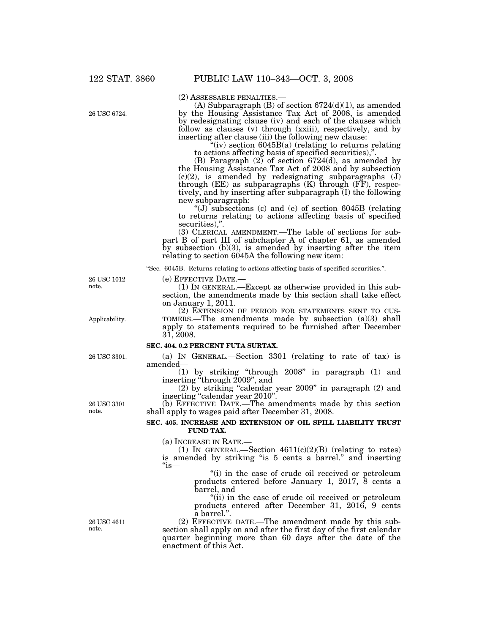26 USC 6724.

(2) ASSESSABLE PENALTIES.—<br>(A) Subparagraph (B) of section  $6724(d)(1)$ , as amended by the Housing Assistance Tax Act of 2008, is amended by redesignating clause (iv) and each of the clauses which follow as clauses (v) through (xxiii), respectively, and by inserting after clause (iii) the following new clause:

"(iv) section  $6045B(a)$  (relating to returns relating to actions affecting basis of specified securities),''.

(B) Paragraph (2) of section 6724(d), as amended by the Housing Assistance Tax Act of 2008 and by subsection  $(c)(2)$ , is amended by redesignating subparagraphs  $(J)$ through  $(EE)$  as subparagraphs  $(K)$  through  $(FF)$ , respectively, and by inserting after subparagraph (I) the following new subparagraph:

" $(J)$  subsections (c) and (e) of section 6045B (relating to returns relating to actions affecting basis of specified securities),".

(3) CLERICAL AMENDMENT.—The table of sections for subpart B of part III of subchapter A of chapter 61, as amended by subsection  $(b)(3)$ , is amended by inserting after the item relating to section 6045A the following new item:

''Sec. 6045B. Returns relating to actions affecting basis of specified securities.''.

(e) EFFECTIVE DATE.— (1) IN GENERAL.—Except as otherwise provided in this subsection, the amendments made by this section shall take effect on January 1, 2011.<br>
(2) EXTENSION OF PERIOD FOR STATEMENTS SENT TO CUS-

TOMERS.—The amendments made by subsection  $(a)(3)$  shall apply to statements required to be furnished after December 31, 2008.

#### **SEC. 404. 0.2 PERCENT FUTA SURTAX.**

26 USC 3301.

26 USC 3301 note.

Applicability.

26 USC 1012 note.

26 USC 4611 note.

(a) IN GENERAL.—Section 3301 (relating to rate of tax) is amended—

(1) by striking ''through 2008'' in paragraph (1) and inserting ''through 2009'', and

(2) by striking ''calendar year 2009'' in paragraph (2) and inserting ''calendar year 2010''.

(b) EFFECTIVE DATE.—The amendments made by this section shall apply to wages paid after December 31, 2008.

#### **SEC. 405. INCREASE AND EXTENSION OF OIL SPILL LIABILITY TRUST FUND TAX.**

(a) INCREASE IN RATE.—

(1) IN GENERAL.—Section  $4611(c)(2)(B)$  (relating to rates) is amended by striking ''is 5 cents a barrel.'' and inserting  $\frac{a}{1}$ s—

"(i) in the case of crude oil received or petroleum products entered before January 1, 2017, 8 cents a barrel, and

"(ii) in the case of crude oil received or petroleum products entered after December 31, 2016, 9 cents a barrel.''.

(2) EFFECTIVE DATE.—The amendment made by this subsection shall apply on and after the first day of the first calendar quarter beginning more than 60 days after the date of the enactment of this Act.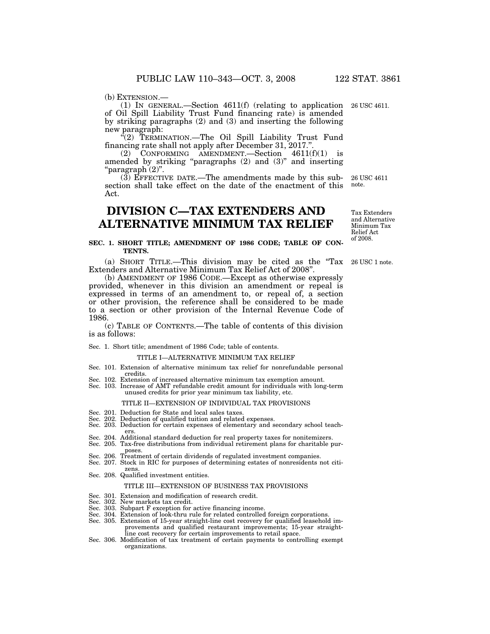(b) EXTENSION.—<br>(1) IN GENERAL.—Section 4611(f) (relating to application of Oil Spill Liability Trust Fund financing rate) is amended by striking paragraphs (2) and (3) and inserting the following new paragraph:

 $\sqrt{2}$  TERMINATION.—The Oil Spill Liability Trust Fund financing rate shall not apply after December 31, 2017."

(2) CONFORMING AMENDMENT.—Section 4611(f)(1) is amended by striking "paragraphs (2) and (3)" and inserting ''paragraph (2)''.

(3) EFFECTIVE DATE.—The amendments made by this subsection shall take effect on the date of the enactment of this Act. 26 USC 4611 note.

## **DIVISION C—TAX EXTENDERS AND ALTERNATIVE MINIMUM TAX RELIEF**

#### **SEC. 1. SHORT TITLE; AMENDMENT OF 1986 CODE; TABLE OF CON-TENTS.**

(a) SHORT TITLE.—This division may be cited as the ''Tax Extenders and Alternative Minimum Tax Relief Act of 2008''.

(b) AMENDMENT OF 1986 CODE.—Except as otherwise expressly provided, whenever in this division an amendment or repeal is expressed in terms of an amendment to, or repeal of, a section or other provision, the reference shall be considered to be made to a section or other provision of the Internal Revenue Code of 1986.

(c) TABLE OF CONTENTS.—The table of contents of this division is as follows:

#### Sec. 1. Short title; amendment of 1986 Code; table of contents.

#### TITLE I—ALTERNATIVE MINIMUM TAX RELIEF

- Sec. 101. Extension of alternative minimum tax relief for nonrefundable personal credits.
- Sec. 102. Extension of increased alternative minimum tax exemption amount.
- Sec. 103. Increase of AMT refundable credit amount for individuals with long-term unused credits for prior year minimum tax liability, etc.

#### TITLE II—EXTENSION OF INDIVIDUAL TAX PROVISIONS

- Sec. 201. Deduction for State and local sales taxes.
- Sec. 202. Deduction of qualified tuition and related expenses.
- Sec. 203. Deduction for certain expenses of elementary and secondary school teach-
- ers. Sec. 204. Additional standard deduction for real property taxes for nonitemizers. Sec. 205. Tax-free distributions from individual retirement plans for charitable purposes.
- 
- Sec. 206. Treatment of certain dividends of regulated investment companies. Sec. 207. Stock in RIC for purposes of determining estates of nonresidents not citi-
- zens.<br>Sec. 208. Qualified investment entities.

#### TITLE III—EXTENSION OF BUSINESS TAX PROVISIONS

- Sec. 301. Extension and modification of research credit.
- 
- Sec. 302. New markets tax credit. Sec. 303. Subpart F exception for active financing income.
- Sec. 304. Extension of look-thru rule for related controlled foreign corporations.
- Sec. 305. Extension of 15-year straight-line cost recovery for qualified leasehold improvements and qualified restaurant improvements; 15-year straightline cost recovery for certain improvements to retail space.
- Sec. 306. Modification of tax treatment of certain payments to controlling exempt organizations.

Tax Extenders and Alternative Minimum Tax Relief Act of 2008.

26 USC 1 note.

26 USC 4611.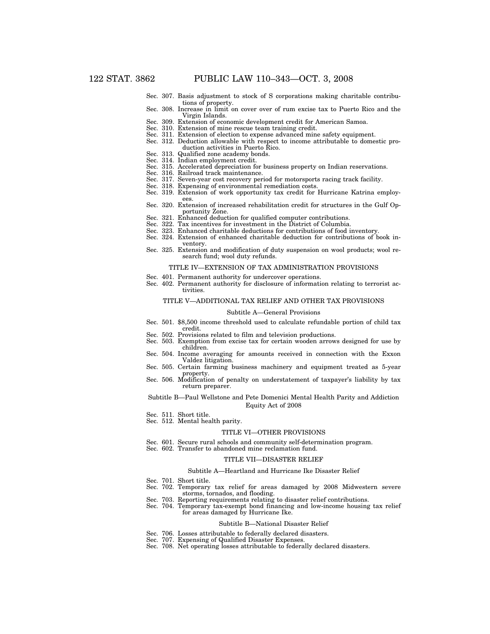- Sec. 307. Basis adjustment to stock of S corporations making charitable contributions of property.
- Sec. 308. Increase in limit on cover over of rum excise tax to Puerto Rico and the Virgin Islands.
- Sec. 309. Extension of economic development credit for American Samoa.
- Sec. 310. Extension of mine rescue team training credit.
- Sec. 311. Extension of election to expense advanced mine safety equipment.
- Sec. 312. Deduction allowable with respect to income attributable to domestic production activities in Puerto Rico.
- Sec. 313. Qualified zone academy bonds.
- Sec. 314. Indian employment credit. Sec. 315. Accelerated depreciation for business property on Indian reservations.
- Sec. 316. Railroad track maintenance.
- Sec. 317. Seven-year cost recovery period for motorsports racing track facility.
- Sec. 318. Expensing of environmental remediation costs.
- Sec. 319. Extension of work opportunity tax credit for Hurricane Katrina employees.
- Sec. 320. Extension of increased rehabilitation credit for structures in the Gulf Opportunity Zone.
- Sec. 321. Enhanced deduction for qualified computer contributions.
- Sec. 322. Tax incentives for investment in the District of Columbia.
- Sec. 323. Enhanced charitable deductions for contributions of food inventory.
- Sec. 324. Extension of enhanced charitable deduction for contributions of book inventory.
- Sec. 325. Extension and modification of duty suspension on wool products; wool research fund; wool duty refunds.

#### TITLE IV—EXTENSION OF TAX ADMINISTRATION PROVISIONS

- Sec. 401. Permanent authority for undercover operations.
- Sec. 402. Permanent authority for disclosure of information relating to terrorist activities.

#### TITLE V—ADDITIONAL TAX RELIEF AND OTHER TAX PROVISIONS

#### Subtitle A—General Provisions

- Sec. 501. \$8,500 income threshold used to calculate refundable portion of child tax credit.
- Sec. 502. Provisions related to film and television productions.
- Sec. 503. Exemption from excise tax for certain wooden arrows designed for use by children.
- Sec. 504. Income averaging for amounts received in connection with the Exxon Valdez litigation.
- Sec. 505. Certain farming business machinery and equipment treated as 5-year property.
- Sec. 506. Modification of penalty on understatement of taxpayer's liability by tax return preparer.

#### Subtitle B—Paul Wellstone and Pete Domenici Mental Health Parity and Addiction Equity Act of 2008

- Sec. 511. Short title.
- Sec. 512. Mental health parity.

#### TITLE VI—OTHER PROVISIONS

- Sec. 601. Secure rural schools and community self-determination program.
- Sec. 602. Transfer to abandoned mine reclamation fund.

#### TITLE VII—DISASTER RELIEF

#### Subtitle A—Heartland and Hurricane Ike Disaster Relief

- Sec. 701. Short title.
- Sec. 702. Temporary tax relief for areas damaged by 2008 Midwestern severe storms, tornados, and flooding.
	-
- Sec. 703. Reporting requirements relating to disaster relief contributions.<br>Sec. 704. Temporary tax-exempt bond financing and low-income housing Temporary tax-exempt bond financing and low-income housing tax relief for areas damaged by Hurricane Ike.

#### Subtitle B—National Disaster Relief

- Sec. 706. Losses attributable to federally declared disasters.
- Sec. 707. Expensing of Qualified Disaster Expenses.
- Sec. 708. Net operating losses attributable to federally declared disasters.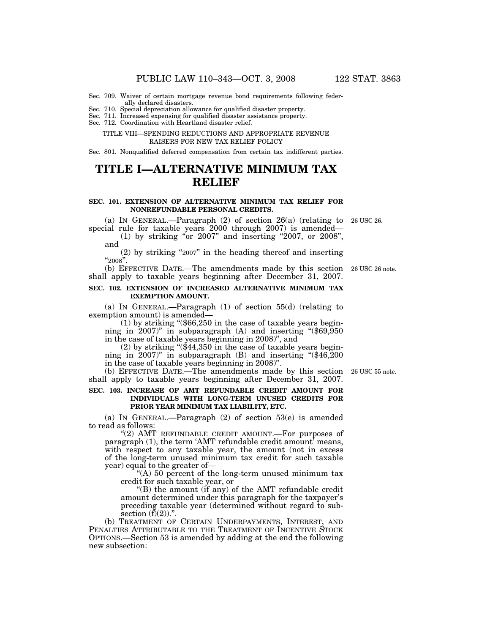Sec. 709. Waiver of certain mortgage revenue bond requirements following federally declared disasters.

Sec. 710. Special depreciation allowance for qualified disaster property.

Sec. 711. Increased expensing for qualified disaster assistance property.

Sec. 712. Coordination with Heartland disaster relief.

#### TITLE VIII—SPENDING REDUCTIONS AND APPROPRIATE REVENUE RAISERS FOR NEW TAX RELIEF POLICY

Sec. 801. Nonqualified deferred compensation from certain tax indifferent parties.

### **TITLE I—ALTERNATIVE MINIMUM TAX RELIEF**

#### **SEC. 101. EXTENSION OF ALTERNATIVE MINIMUM TAX RELIEF FOR NONREFUNDABLE PERSONAL CREDITS.**

(a) IN GENERAL.—Paragraph (2) of section 26(a) (relating to 26 USC 26. special rule for taxable years 2000 through 2007) is amended—

(1) by striking ''or 2007'' and inserting ''2007, or 2008'', and

(2) by striking ''2007'' in the heading thereof and inserting  $"2008".$ 

(b) EFFECTIVE DATE.—The amendments made by this section 26 USC 26 note. shall apply to taxable years beginning after December 31, 2007.

#### **SEC. 102. EXTENSION OF INCREASED ALTERNATIVE MINIMUM TAX EXEMPTION AMOUNT.**

(a) IN GENERAL.—Paragraph (1) of section 55(d) (relating to exemption amount) is amended—

 $(1)$  by striking "(\$66,250 in the case of taxable years beginning in  $2007$ " in subparagraph (A) and inserting "(\$69,950) in the case of taxable years beginning in 2008)'', and

(2) by striking ''(\$44,350 in the case of taxable years beginning in 2007)'' in subparagraph (B) and inserting ''(\$46,200 in the case of taxable years beginning in 2008)''.

(b) EFFECTIVE DATE.—The amendments made by this section 26 USC 55 note. shall apply to taxable years beginning after December 31, 2007.

#### **SEC. 103. INCREASE OF AMT REFUNDABLE CREDIT AMOUNT FOR INDIVIDUALS WITH LONG-TERM UNUSED CREDITS FOR PRIOR YEAR MINIMUM TAX LIABILITY, ETC.**

(a) IN GENERAL.—Paragraph (2) of section 53(e) is amended to read as follows:

"(2) AMT REFUNDABLE CREDIT AMOUNT.—For purposes of paragraph (1), the term 'AMT refundable credit amount' means, with respect to any taxable year, the amount (not in excess of the long-term unused minimum tax credit for such taxable year) equal to the greater of—

"(A)  $50$  percent of the long-term unused minimum tax credit for such taxable year, or

''(B) the amount (if any) of the AMT refundable credit amount determined under this paragraph for the taxpayer's preceding taxable year (determined without regard to subsection  $(f)(2)$ .".

(b) TREATMENT OF CERTAIN UNDERPAYMENTS, INTEREST, AND PENALTIES ATTRIBUTABLE TO THE TREATMENT OF INCENTIVE STOCK OPTIONS.—Section 53 is amended by adding at the end the following new subsection: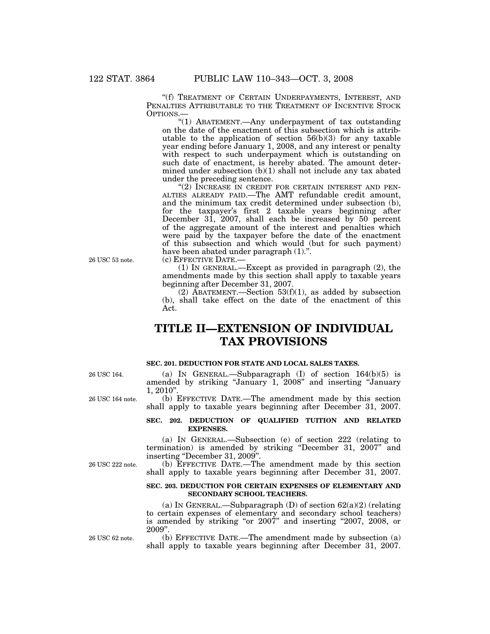"(f) TREATMENT OF CERTAIN UNDERPAYMENTS, INTEREST, AND PENALTIES ATTRIBUTABLE TO THE TREATMENT OF INCENTIVE STOCK OPTIONS.—

''(1) ABATEMENT.—Any underpayment of tax outstanding on the date of the enactment of this subsection which is attributable to the application of section 56(b)(3) for any taxable year ending before January 1, 2008, and any interest or penalty with respect to such underpayment which is outstanding on such date of enactment, is hereby abated. The amount determined under subsection (b)(1) shall not include any tax abated under the preceding sentence.

"(2) INCREASE IN CREDIT FOR CERTAIN INTEREST AND PEN-ALTIES ALREADY PAID.—The AMT refundable credit amount, and the minimum tax credit determined under subsection (b), for the taxpayer's first 2 taxable years beginning after December 31, 2007, shall each be increased by 50 percent of the aggregate amount of the interest and penalties which were paid by the taxpayer before the date of the enactment of this subsection and which would (but for such payment) have been abated under paragraph  $(1)$ .".

26 USC 53 note.

(c) EFFECTIVE DATE.—

(1) IN GENERAL.—Except as provided in paragraph (2), the amendments made by this section shall apply to taxable years beginning after December 31, 2007.

(2) ABATEMENT.—Section  $53(f)(1)$ , as added by subsection (b), shall take effect on the date of the enactment of this Act.

### **TITLE II—EXTENSION OF INDIVIDUAL TAX PROVISIONS**

#### **SEC. 201. DEDUCTION FOR STATE AND LOCAL SALES TAXES.**

(a) IN GENERAL.—Subparagraph (I) of section 164(b)(5) is amended by striking ''January 1, 2008'' and inserting ''January  $1, 2010"$ .

(b) EFFECTIVE DATE.—The amendment made by this section shall apply to taxable years beginning after December 31, 2007.

#### **SEC. 202. DEDUCTION OF QUALIFIED TUITION AND RELATED EXPENSES.**

(a) IN GENERAL.—Subsection (e) of section 222 (relating to termination) is amended by striking ''December 31, 2007'' and inserting ''December 31, 2009''.

(b) EFFECTIVE DATE.—The amendment made by this section shall apply to taxable years beginning after December 31, 2007.

#### **SEC. 203. DEDUCTION FOR CERTAIN EXPENSES OF ELEMENTARY AND SECONDARY SCHOOL TEACHERS.**

(a) IN GENERAL.—Subparagraph  $(D)$  of section  $62(a)(2)$  (relating to certain expenses of elementary and secondary school teachers) is amended by striking "or  $2007$ " and inserting "2007, 2008, or 2009''.

(b) EFFECTIVE DATE.—The amendment made by subsection (a) shall apply to taxable years beginning after December 31, 2007.

26 USC 164.

26 USC 164 note.

26 USC 222 note.

26 USC 62 note.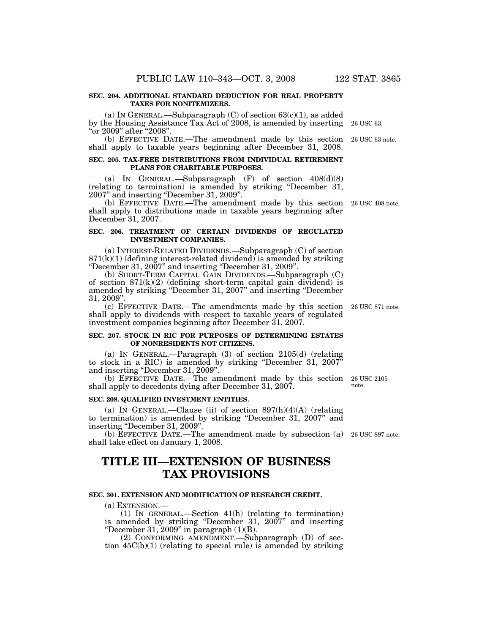#### **SEC. 204. ADDITIONAL STANDARD DEDUCTION FOR REAL PROPERTY TAXES FOR NONITEMIZERS.**

(a) IN GENERAL.—Subparagraph  $(C)$  of section  $63(c)(1)$ , as added by the Housing Assistance Tax Act of 2008, is amended by inserting 26 USC 63. "or 2009" after "2008".

(b) EFFECTIVE DATE.—The amendment made by this section 26 USC 63 note. shall apply to taxable years beginning after December 31, 2008.

#### **SEC. 205. TAX-FREE DISTRIBUTIONS FROM INDIVIDUAL RETIREMENT PLANS FOR CHARITABLE PURPOSES.**

(a) IN GENERAL.—Subparagraph  $(F)$  of section  $408(d)(8)$ (relating to termination) is amended by striking ''December 31, 2007'' and inserting ''December 31, 2009''.

(b) EFFECTIVE DATE.—The amendment made by this section 26 USC 408 note. shall apply to distributions made in taxable years beginning after December 31, 2007.

#### **SEC. 206. TREATMENT OF CERTAIN DIVIDENDS OF REGULATED INVESTMENT COMPANIES.**

(a) INTEREST-RELATED DIVIDENDS.—Subparagraph (C) of section  $871(k)(1)$  (defining interest-related dividend) is amended by striking ''December 31, 2007'' and inserting ''December 31, 2009''.

(b) SHORT-TERM CAPITAL GAIN DIVIDENDS.—Subparagraph (C) of section 871(k)(2) (defining short-term capital gain dividend) is amended by striking ''December 31, 2007'' and inserting ''December 31, 2009''.

(c) EFFECTIVE DATE.—The amendments made by this section 26 USC 871 note. shall apply to dividends with respect to taxable years of regulated investment companies beginning after December 31, 2007.

#### **SEC. 207. STOCK IN RIC FOR PURPOSES OF DETERMINING ESTATES OF NONRESIDENTS NOT CITIZENS.**

(a) IN GENERAL.—Paragraph (3) of section 2105(d) (relating to stock in a RIC) is amended by striking ''December 31, 2007'' and inserting ''December 31, 2009''.

(b) EFFECTIVE DATE.—The amendment made by this section 26 USC 2105 shall apply to decedents dying after December 31, 2007. note.

#### **SEC. 208. QUALIFIED INVESTMENT ENTITIES.**

(a) IN GENERAL.—Clause (ii) of section  $897(h)(4)(A)$  (relating to termination) is amended by striking ''December 31, 2007'' and inserting "December 31, 2009".

(b) EFFECTIVE DATE.—The amendment made by subsection (a) 26 USC 897 note. shall take effect on January 1, 2008.

## **TITLE III—EXTENSION OF BUSINESS TAX PROVISIONS**

#### **SEC. 301. EXTENSION AND MODIFICATION OF RESEARCH CREDIT.**

(a) EXTENSION.—

(1) IN GENERAL.—Section 41(h) (relating to termination) is amended by striking ''December 31, 2007'' and inserting "December 31, 2009" in paragraph  $(1)(B)$ .

(2) CONFORMING AMENDMENT.—Subparagraph (D) of section 45C(b)(1) (relating to special rule) is amended by striking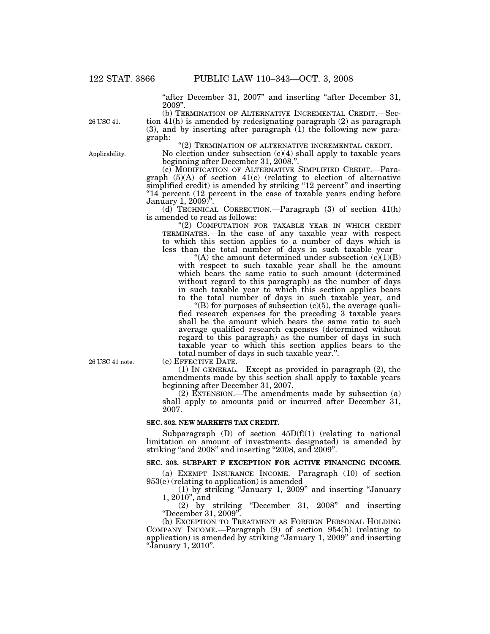"after December 31, 2007" and inserting "after December 31, 2009''.

26 USC 41.

(b) TERMINATION OF ALTERNATIVE INCREMENTAL CREDIT.—Section 41(h) is amended by redesignating paragraph (2) as paragraph (3), and by inserting after paragraph (1) the following new paragraph:

Applicability.

"(2) TERMINATION OF ALTERNATIVE INCREMENTAL CREDIT.— No election under subsection  $(c)(4)$  shall apply to taxable years beginning after December 31, 2008.''.

(c) MODIFICATION OF ALTERNATIVE SIMPLIFIED CREDIT.—Paragraph (5)(A) of section 41(c) (relating to election of alternative simplified credit) is amended by striking "12 percent" and inserting "14 percent (12 percent in the case of taxable years ending before January 1, 2009)''.

(d) TECHNICAL CORRECTION.—Paragraph (3) of section 41(h) is amended to read as follows:

"(2) COMPUTATION FOR TAXABLE YEAR IN WHICH CREDIT TERMINATES.—In the case of any taxable year with respect to which this section applies to a number of days which is less than the total number of days in such taxable year—

"(A) the amount determined under subsection  $(c)(1)(B)$ with respect to such taxable year shall be the amount which bears the same ratio to such amount (determined without regard to this paragraph) as the number of days in such taxable year to which this section applies bears to the total number of days in such taxable year, and

"(B) for purposes of subsection  $(c)(5)$ , the average qualified research expenses for the preceding 3 taxable years shall be the amount which bears the same ratio to such average qualified research expenses (determined without regard to this paragraph) as the number of days in such taxable year to which this section applies bears to the total number of days in such taxable year.''.

26 USC 41 note.

(e) EFFECTIVE DATE.—

(1) IN GENERAL.—Except as provided in paragraph (2), the amendments made by this section shall apply to taxable years beginning after December 31, 2007.

(2) EXTENSION.—The amendments made by subsection (a) shall apply to amounts paid or incurred after December 31, 2007.

#### **SEC. 302. NEW MARKETS TAX CREDIT.**

Subparagraph  $(D)$  of section  $45D(f)(1)$  (relating to national limitation on amount of investments designated) is amended by striking "and  $2008$ " and inserting " $2008$ , and  $2009$ ".

#### **SEC. 303. SUBPART F EXCEPTION FOR ACTIVE FINANCING INCOME.**

(a) EXEMPT INSURANCE INCOME.—Paragraph (10) of section 953(e) (relating to application) is amended—

 $(1)$  by striking "January 1, 2009" and inserting "January 1, 2010'', and

(2) by striking ''December 31, 2008'' and inserting ''December 31, 2009''.

(b) EXCEPTION TO TREATMENT AS FOREIGN PERSONAL HOLDING COMPANY INCOME.—Paragraph (9) of section 954(h) (relating to application) is amended by striking ''January 1, 2009'' and inserting ''January 1, 2010''.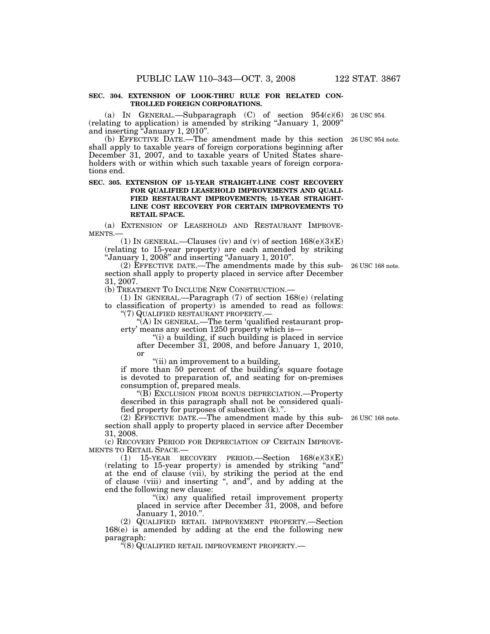#### **SEC. 304. EXTENSION OF LOOK-THRU RULE FOR RELATED CON-TROLLED FOREIGN CORPORATIONS.**

(a) IN GENERAL.—Subparagraph  $(C)$  of section  $954(c)(6)$ (relating to application) is amended by striking ''January 1, 2009'' and inserting ''January 1, 2010''.

(b) EFFECTIVE DATE.—The amendment made by this section 26 USC 954 note. shall apply to taxable years of foreign corporations beginning after December 31, 2007, and to taxable years of United States shareholders with or within which such taxable years of foreign corporations end.

#### **SEC. 305. EXTENSION OF 15-YEAR STRAIGHT-LINE COST RECOVERY FOR QUALIFIED LEASEHOLD IMPROVEMENTS AND QUALI-FIED RESTAURANT IMPROVEMENTS; 15-YEAR STRAIGHT-LINE COST RECOVERY FOR CERTAIN IMPROVEMENTS TO RETAIL SPACE.**

(a) EXTENSION OF LEASEHOLD AND RESTAURANT IMPROVE-MENTS.—

(1) IN GENERAL.—Clauses (iv) and (v) of section  $168(e)(3)(E)$ (relating to 15-year property) are each amended by striking ''January 1, 2008'' and inserting ''January 1, 2010''.

(2) EFFECTIVE DATE.—The amendments made by this sub-26 USC 168 note. section shall apply to property placed in service after December 31, 2007.

(b) TREATMENT TO INCLUDE NEW CONSTRUCTION.—

(1) IN GENERAL.—Paragraph (7) of section 168(e) (relating to classification of property) is amended to read as follows: ''(7) QUALIFIED RESTAURANT PROPERTY.—

''(A) IN GENERAL.—The term 'qualified restaurant property' means any section 1250 property which is—

"(i) a building, if such building is placed in service" after December 31, 2008, and before January 1, 2010, or

''(ii) an improvement to a building,

if more than 50 percent of the building's square footage is devoted to preparation of, and seating for on-premises consumption of, prepared meals.

''(B) EXCLUSION FROM BONUS DEPRECIATION.—Property described in this paragraph shall not be considered qualified property for purposes of subsection (k).''.

(2) EFFECTIVE DATE.—The amendment made by this subsection shall apply to property placed in service after December 31, 2008.

(c) RECOVERY PERIOD FOR DEPRECIATION OF CERTAIN IMPROVE-MENTS TO RETAIL SPACE.—

(1) 15-YEAR RECOVERY PERIOD.—Section  $168(e)(3)(E)$ (relating to 15-year property) is amended by striking ''and'' at the end of clause (vii), by striking the period at the end of clause (viii) and inserting '', and'', and by adding at the end the following new clause:

"(ix) any qualified retail improvement property placed in service after December 31, 2008, and before January 1, 2010.''.

(2) QUALIFIED RETAIL IMPROVEMENT PROPERTY.—Section 168(e) is amended by adding at the end the following new paragraph:

''(8) QUALIFIED RETAIL IMPROVEMENT PROPERTY.—

26 USC 168 note.

26 USC 954.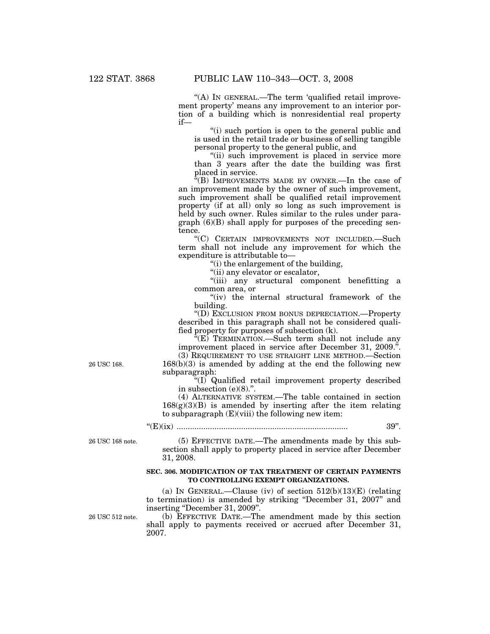"(A) IN GENERAL.—The term 'qualified retail improvement property' means any improvement to an interior portion of a building which is nonresidential real property if—

''(i) such portion is open to the general public and is used in the retail trade or business of selling tangible personal property to the general public, and

"(ii) such improvement is placed in service more" than 3 years after the date the building was first placed in service.

 $E^*(B)$  IMPROVEMENTS MADE BY OWNER.—In the case of an improvement made by the owner of such improvement, such improvement shall be qualified retail improvement property (if at all) only so long as such improvement is held by such owner. Rules similar to the rules under paragraph (6)(B) shall apply for purposes of the preceding sentence.

''(C) CERTAIN IMPROVEMENTS NOT INCLUDED.—Such term shall not include any improvement for which the expenditure is attributable to—

''(i) the enlargement of the building,

''(ii) any elevator or escalator,

''(iii) any structural component benefitting a common area, or

''(iv) the internal structural framework of the building.

''(D) EXCLUSION FROM BONUS DEPRECIATION.—Property described in this paragraph shall not be considered qualified property for purposes of subsection (k).

 $\mathcal{F}(E)$  TERMINATION.—Such term shall not include any improvement placed in service after December 31, 2009.".

(3) REQUIREMENT TO USE STRAIGHT LINE METHOD.—Section  $168(b)(3)$  is amended by adding at the end the following new subparagraph:

''(I) Qualified retail improvement property described in subsection  $(e)(8)$ .".

(4) ALTERNATIVE SYSTEM.—The table contained in section  $168(g)(3)(B)$  is amended by inserting after the item relating to subparagraph  $(E)(viii)$  the following new item:

### ''(E)(ix) ............................................................................. 39''.

26 USC 168 note.

(5) EFFECTIVE DATE.—The amendments made by this subsection shall apply to property placed in service after December 31, 2008.

#### **SEC. 306. MODIFICATION OF TAX TREATMENT OF CERTAIN PAYMENTS TO CONTROLLING EXEMPT ORGANIZATIONS.**

(a) IN GENERAL.—Clause (iv) of section  $512(b)(13)(E)$  (relating to termination) is amended by striking ''December 31, 2007'' and inserting "December 31, 2009".

(b) EFFECTIVE DATE.—The amendment made by this section shall apply to payments received or accrued after December 31, 2007.

26 USC 168.

26 USC 512 note.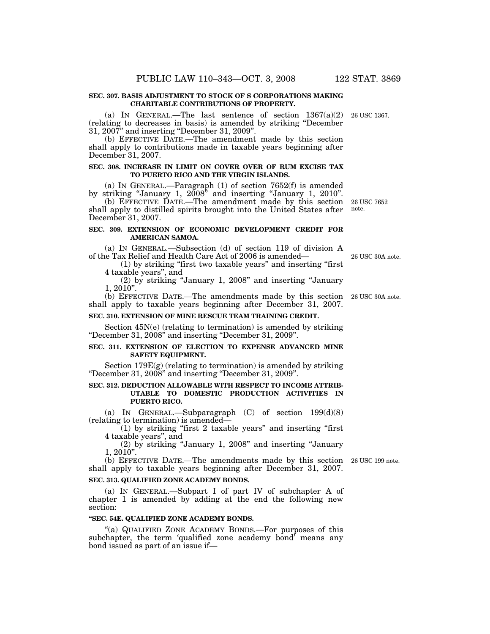#### **SEC. 307. BASIS ADJUSTMENT TO STOCK OF S CORPORATIONS MAKING CHARITABLE CONTRIBUTIONS OF PROPERTY.**

(a) IN GENERAL.—The last sentence of section 1367(a)(2) (relating to decreases in basis) is amended by striking ''December 31, 2007'' and inserting ''December 31, 2009''. 26 USC 1367.

(b) EFFECTIVE DATE.—The amendment made by this section shall apply to contributions made in taxable years beginning after December 31, 2007.

#### **SEC. 308. INCREASE IN LIMIT ON COVER OVER OF RUM EXCISE TAX TO PUERTO RICO AND THE VIRGIN ISLANDS.**

(a) IN GENERAL.—Paragraph (1) of section 7652(f) is amended by striking ''January 1, 2008'' and inserting ''January 1, 2010''.

(b) EFFECTIVE DATE.—The amendment made by this section 26 USC 7652 shall apply to distilled spirits brought into the United States after note. December 31, 2007.

#### **SEC. 309. EXTENSION OF ECONOMIC DEVELOPMENT CREDIT FOR AMERICAN SAMOA.**

(a) IN GENERAL.—Subsection (d) of section 119 of division A of the Tax Relief and Health Care Act of 2006 is amended—

(1) by striking ''first two taxable years'' and inserting ''first 4 taxable years'', and

(2) by striking ''January 1, 2008'' and inserting ''January 1, 2010''.

(b) EFFECTIVE DATE.—The amendments made by this section 26 USC 30A note. shall apply to taxable years beginning after December 31, 2007.

#### **SEC. 310. EXTENSION OF MINE RESCUE TEAM TRAINING CREDIT.**

Section 45N(e) (relating to termination) is amended by striking ''December 31, 2008'' and inserting ''December 31, 2009''.

#### **SEC. 311. EXTENSION OF ELECTION TO EXPENSE ADVANCED MINE SAFETY EQUIPMENT.**

Section 179E(g) (relating to termination) is amended by striking ''December 31, 2008'' and inserting ''December 31, 2009''.

#### **SEC. 312. DEDUCTION ALLOWABLE WITH RESPECT TO INCOME ATTRIB-UTABLE TO DOMESTIC PRODUCTION ACTIVITIES IN PUERTO RICO.**

(a) IN GENERAL.—Subparagraph  $(C)$  of section  $199(d)(8)$ (relating to termination) is amended—

 $(1)$  by striking "first 2 taxable years" and inserting "first" 4 taxable years'', and

(2) by striking ''January 1, 2008'' and inserting ''January 1, 2010''.

(b) EFFECTIVE DATE.—The amendments made by this section 26 USC 199 note. shall apply to taxable years beginning after December 31, 2007.

#### **SEC. 313. QUALIFIED ZONE ACADEMY BONDS.**

(a) IN GENERAL.—Subpart I of part IV of subchapter A of chapter 1 is amended by adding at the end the following new section:

### **''SEC. 54E. QUALIFIED ZONE ACADEMY BONDS.**

"(a) QUALIFIED ZONE ACADEMY BONDS.—For purposes of this subchapter, the term 'qualified zone academy bond' means any bond issued as part of an issue if—

26 USC 30A note.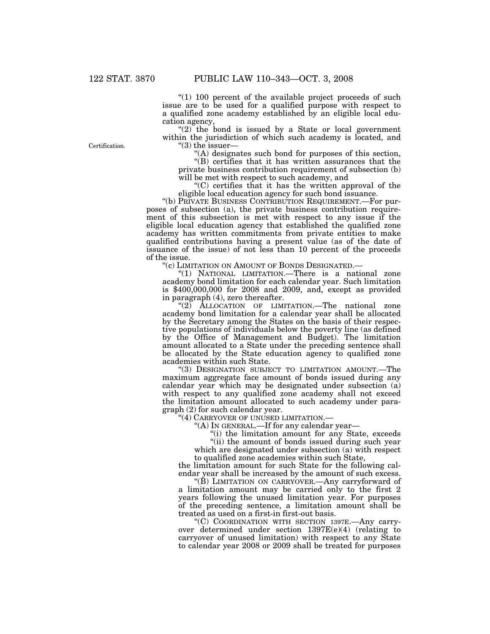" $(1)$  100 percent of the available project proceeds of such issue are to be used for a qualified purpose with respect to a qualified zone academy established by an eligible local education agency,

" $(2)$  the bond is issued by a State or local government within the jurisdiction of which such academy is located, and " $(3)$  the issuer-

''(A) designates such bond for purposes of this section,

''(B) certifies that it has written assurances that the private business contribution requirement of subsection (b) will be met with respect to such academy, and

''(C) certifies that it has the written approval of the eligible local education agency for such bond issuance.

''(b) PRIVATE BUSINESS CONTRIBUTION REQUIREMENT.—For purposes of subsection (a), the private business contribution requirement of this subsection is met with respect to any issue if the eligible local education agency that established the qualified zone academy has written commitments from private entities to make qualified contributions having a present value (as of the date of issuance of the issue) of not less than 10 percent of the proceeds of the issue.

''(c) LIMITATION ON AMOUNT OF BONDS DESIGNATED.—

''(1) NATIONAL LIMITATION.—There is a national zone academy bond limitation for each calendar year. Such limitation is \$400,000,000 for 2008 and 2009, and, except as provided in paragraph (4), zero thereafter.

"(2) ALLOCATION OF LIMITATION.—The national zone academy bond limitation for a calendar year shall be allocated by the Secretary among the States on the basis of their respective populations of individuals below the poverty line (as defined by the Office of Management and Budget). The limitation amount allocated to a State under the preceding sentence shall be allocated by the State education agency to qualified zone academies within such State.

"(3) DESIGNATION SUBJECT TO LIMITATION AMOUNT.—The maximum aggregate face amount of bonds issued during any calendar year which may be designated under subsection (a) with respect to any qualified zone academy shall not exceed the limitation amount allocated to such academy under paragraph (2) for such calendar year.

''(4) CARRYOVER OF UNUSED LIMITATION.—

''(A) IN GENERAL.—If for any calendar year—

''(i) the limitation amount for any State, exceeds

"(ii) the amount of bonds issued during such year which are designated under subsection (a) with respect to qualified zone academies within such State,

the limitation amount for such State for the following calendar year shall be increased by the amount of such excess.

''(B) LIMITATION ON CARRYOVER.—Any carryforward of a limitation amount may be carried only to the first 2 years following the unused limitation year. For purposes of the preceding sentence, a limitation amount shall be treated as used on a first-in first-out basis.

''(C) COORDINATION WITH SECTION 1397E.—Any carryover determined under section 1397E(e)(4) (relating to carryover of unused limitation) with respect to any State to calendar year 2008 or 2009 shall be treated for purposes

Certification.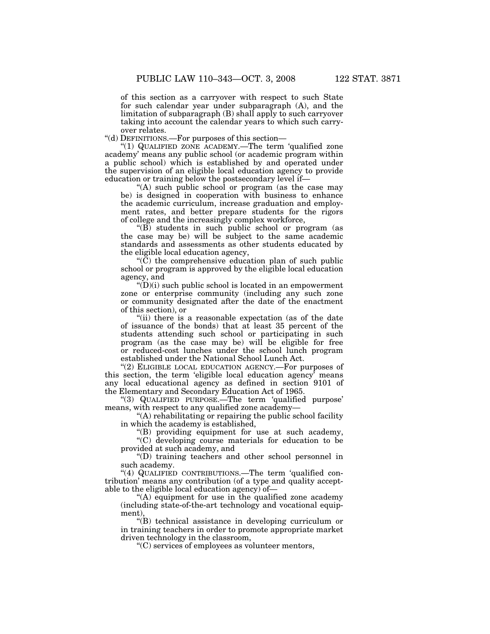of this section as a carryover with respect to such State for such calendar year under subparagraph (A), and the limitation of subparagraph (B) shall apply to such carryover taking into account the calendar years to which such carryover relates.

''(d) DEFINITIONS.—For purposes of this section—

"(1) QUALIFIED ZONE ACADEMY.—The term 'qualified zone academy' means any public school (or academic program within a public school) which is established by and operated under the supervision of an eligible local education agency to provide education or training below the postsecondary level if—

''(A) such public school or program (as the case may be) is designed in cooperation with business to enhance the academic curriculum, increase graduation and employment rates, and better prepare students for the rigors of college and the increasingly complex workforce,

''(B) students in such public school or program (as the case may be) will be subject to the same academic standards and assessments as other students educated by the eligible local education agency,

 $\mathrm{H}(\tilde{\mathrm{C}})$  the comprehensive education plan of such public school or program is approved by the eligible local education agency, and

 $\widetilde{f}(D)(i)$  such public school is located in an empowerment zone or enterprise community (including any such zone or community designated after the date of the enactment of this section), or

"(ii) there is a reasonable expectation (as of the date of issuance of the bonds) that at least 35 percent of the students attending such school or participating in such program (as the case may be) will be eligible for free or reduced-cost lunches under the school lunch program established under the National School Lunch Act.

"(2) ELIGIBLE LOCAL EDUCATION AGENCY.—For purposes of this section, the term 'eligible local education agency' means any local educational agency as defined in section 9101 of the Elementary and Secondary Education Act of 1965.

''(3) QUALIFIED PURPOSE.—The term 'qualified purpose' means, with respect to any qualified zone academy—

''(A) rehabilitating or repairing the public school facility in which the academy is established,

''(B) providing equipment for use at such academy, ''(C) developing course materials for education to be

provided at such academy, and ''(D) training teachers and other school personnel in

such academy. "(4) QUALIFIED CONTRIBUTIONS.—The term 'qualified con-

tribution' means any contribution (of a type and quality acceptable to the eligible local education agency) of—

''(A) equipment for use in the qualified zone academy (including state-of-the-art technology and vocational equipment),

''(B) technical assistance in developing curriculum or in training teachers in order to promote appropriate market driven technology in the classroom,

''(C) services of employees as volunteer mentors,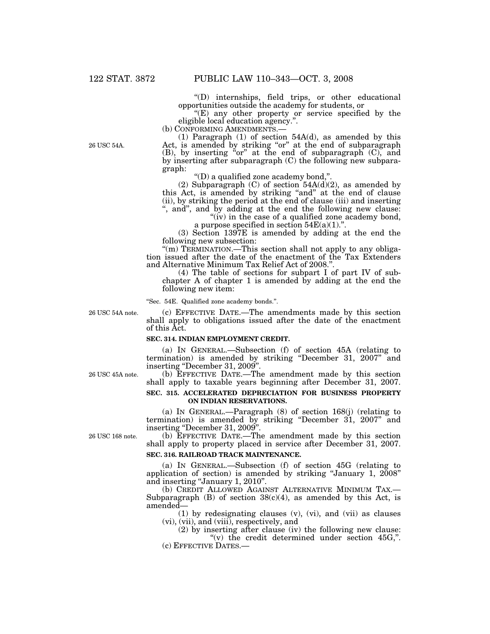''(D) internships, field trips, or other educational opportunities outside the academy for students, or

''(E) any other property or service specified by the eligible local education agency.''.

(b) CONFORMING AMENDMENTS.— $(1)$  Paragraph  $(1)$  of section 54A(d), as amended by this Act, is amended by striking "or" at the end of subparagraph (B), by inserting ''or'' at the end of subparagraph (C), and by inserting after subparagraph (C) the following new subparagraph:

''(D) a qualified zone academy bond,''.

(2) Subparagraph (C) of section  $54A(d)(2)$ , as amended by this Act, is amended by striking "and" at the end of clause (ii), by striking the period at the end of clause (iii) and inserting ', and'', and by adding at the end the following new clause:

"(iv) in the case of a qualified zone academy bond,

a purpose specified in section  $54E(a)(1)$ .". (3) Section 1397E is amended by adding at the end the following new subsection:

"(m) TERMINATION.—This section shall not apply to any obligation issued after the date of the enactment of the Tax Extenders and Alternative Minimum Tax Relief Act of 2008.''.

(4) The table of sections for subpart I of part IV of subchapter A of chapter 1 is amended by adding at the end the following new item:

''Sec. 54E. Qualified zone academy bonds.''.

(c) EFFECTIVE DATE.—The amendments made by this section shall apply to obligations issued after the date of the enactment of this Act.

#### **SEC. 314. INDIAN EMPLOYMENT CREDIT.**

(a) IN GENERAL.—Subsection (f) of section 45A (relating to termination) is amended by striking ''December 31, 2007'' and inserting ''December 31, 2009''.

(b) EFFECTIVE DATE.—The amendment made by this section shall apply to taxable years beginning after December 31, 2007. **SEC. 315. ACCELERATED DEPRECIATION FOR BUSINESS PROPERTY** 

# **ON INDIAN RESERVATIONS.**

(a) IN GENERAL.—Paragraph (8) of section 168(j) (relating to termination) is amended by striking ''December 31, 2007'' and inserting ''December 31, 2009''.

(b) EFFECTIVE DATE.—The amendment made by this section shall apply to property placed in service after December 31, 2007.

#### **SEC. 316. RAILROAD TRACK MAINTENANCE.**

(a) IN GENERAL.—Subsection (f) of section 45G (relating to application of section) is amended by striking ''January 1, 2008'' and inserting ''January 1, 2010''.

(b) CREDIT ALLOWED AGAINST ALTERNATIVE MINIMUM TAX.— Subparagraph  $(B)$  of section  $38(c)(4)$ , as amended by this Act, is amended—

(1) by redesignating clauses (v), (vi), and (vii) as clauses (vi), (vii), and (viii), respectively, and

(2) by inserting after clause (iv) the following new clause:

" $(v)$  the credit determined under section 45G,". (c) EFFECTIVE DATES.—

26 USC 168 note.

26 USC 45A note.

26 USC 54A note.

26 USC 54A.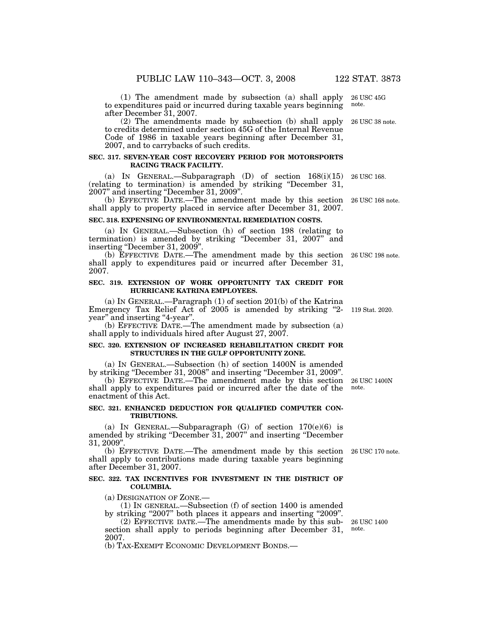(1) The amendment made by subsection (a) shall apply to expenditures paid or incurred during taxable years beginning after December 31, 2007. 26 USC 45G note.

(2) The amendments made by subsection (b) shall apply to credits determined under section 45G of the Internal Revenue Code of 1986 in taxable years beginning after December 31, 2007, and to carrybacks of such credits.

#### **SEC. 317. SEVEN-YEAR COST RECOVERY PERIOD FOR MOTORSPORTS RACING TRACK FACILITY.**

(a) IN GENERAL.—Subparagraph (D) of section 168(i)(15) (relating to termination) is amended by striking ''December 31, 2007'' and inserting ''December 31, 2009''. 26 USC 168.

(b) EFFECTIVE DATE.—The amendment made by this section 26 USC 168 note. shall apply to property placed in service after December 31, 2007.

#### **SEC. 318. EXPENSING OF ENVIRONMENTAL REMEDIATION COSTS.**

(a) IN GENERAL.—Subsection (h) of section 198 (relating to termination) is amended by striking ''December 31, 2007'' and inserting "December 31, 2009".

(b) EFFECTIVE DATE.—The amendment made by this section 26 USC 198 note. shall apply to expenditures paid or incurred after December 31, 2007.

# **SEC. 319. EXTENSION OF WORK OPPORTUNITY TAX CREDIT FOR HURRICANE KATRINA EMPLOYEES.**

(a) IN GENERAL.—Paragraph (1) of section 201(b) of the Katrina Emergency Tax Relief Act of 2005 is amended by striking "2year" and inserting "4-year".

(b) EFFECTIVE DATE.—The amendment made by subsection (a) shall apply to individuals hired after August 27, 2007.

# **SEC. 320. EXTENSION OF INCREASED REHABILITATION CREDIT FOR STRUCTURES IN THE GULF OPPORTUNITY ZONE.**

(a) IN GENERAL.—Subsection (h) of section 1400N is amended by striking ''December 31, 2008'' and inserting ''December 31, 2009''.

(b) EFFECTIVE DATE.—The amendment made by this section shall apply to expenditures paid or incurred after the date of the enactment of this Act.

# **SEC. 321. ENHANCED DEDUCTION FOR QUALIFIED COMPUTER CON-TRIBUTIONS.**

(a) IN GENERAL.—Subparagraph  $(G)$  of section  $170(e)(6)$  is amended by striking ''December 31, 2007'' and inserting ''December 31, 2009''.

(b) EFFECTIVE DATE.—The amendment made by this section 26 USC 170 note. shall apply to contributions made during taxable years beginning after December 31, 2007.

### **SEC. 322. TAX INCENTIVES FOR INVESTMENT IN THE DISTRICT OF COLUMBIA.**

(a) DESIGNATION OF ZONE.— (1) IN GENERAL.—Subsection (f) of section 1400 is amended by striking "2007" both places it appears and inserting "2009".

(2) EFFECTIVE DATE.—The amendments made by this subsection shall apply to periods beginning after December 31, 2007. 26 USC 1400 note.

(b) TAX-EXEMPT ECONOMIC DEVELOPMENT BONDS.—

119 Stat. 2020.

26 USC 1400N note.

26 USC 38 note.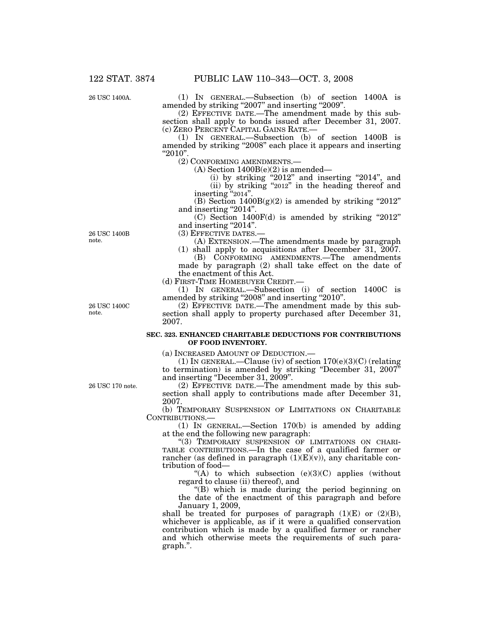26 USC 1400A.

(1) IN GENERAL.—Subsection (b) of section 1400A is amended by striking ''2007'' and inserting ''2009''.

(2) EFFECTIVE DATE.—The amendment made by this subsection shall apply to bonds issued after December 31, 2007.<br>
(c) ZERO PERCENT CAPITAL GAINS RATE.—

 $(1)$  IN GENERAL.—Subsection  $(b)$  of section 1400B is amended by striking "2008" each place it appears and inserting " $2010"$ .<br>(2) CONFORMING AMENDMENTS.—

(2) CONFORMING AMENDMENTS.—<br>(A) Section  $1400B(e)(2)$  is amended—

(i) by striking " $2012$ " and inserting " $2014$ ", and (ii) by striking ''2012'' in the heading thereof and inserting "2014".

(B) Section  $1400B(g)(2)$  is amended by striking "2012" and inserting "2014".

 $(C)$  Section 1400 $F(d)$  is amended by striking "2012" and inserting "2014".

(3) EFFECTIVE DATES.—

(A) EXTENSION.—The amendments made by paragraph (1) shall apply to acquisitions after December 31, 2007.

(B) CONFORMING AMENDMENTS.—The amendments made by paragraph (2) shall take effect on the date of

the enactment of this Act. (d) FIRST-TIME HOMEBUYER CREDIT.—

(1) IN GENERAL.—Subsection (i) of section 1400C is amended by striking "2008" and inserting "2010".

(2) EFFECTIVE DATE.—The amendment made by this subsection shall apply to property purchased after December 31, 2007.

#### **SEC. 323. ENHANCED CHARITABLE DEDUCTIONS FOR CONTRIBUTIONS OF FOOD INVENTORY.**

(a) INCREASED AMOUNT OF DEDUCTION.—

(1) IN GENERAL.—Clause (iv) of section  $170(e)(3)(C)$  (relating to termination) is amended by striking "December 31, 2007" and inserting ''December 31, 2009''.

(2) EFFECTIVE DATE.—The amendment made by this subsection shall apply to contributions made after December 31, 2007.

(b) TEMPORARY SUSPENSION OF LIMITATIONS ON CHARITABLE CONTRIBUTIONS.—

(1) IN GENERAL.—Section 170(b) is amended by adding at the end the following new paragraph:

''(3) TEMPORARY SUSPENSION OF LIMITATIONS ON CHARI-TABLE CONTRIBUTIONS.—In the case of a qualified farmer or rancher (as defined in paragraph  $(1)(E)(v)$ ), any charitable contribution of food—

"(A) to which subsection  $(e)(3)(C)$  applies (without regard to clause (ii) thereof), and

''(B) which is made during the period beginning on the date of the enactment of this paragraph and before January 1, 2009,

shall be treated for purposes of paragraph  $(1)(E)$  or  $(2)(B)$ , whichever is applicable, as if it were a qualified conservation contribution which is made by a qualified farmer or rancher and which otherwise meets the requirements of such paragraph.''.

26 USC 170 note.

26 USC 1400B note.

26 USC 1400C note.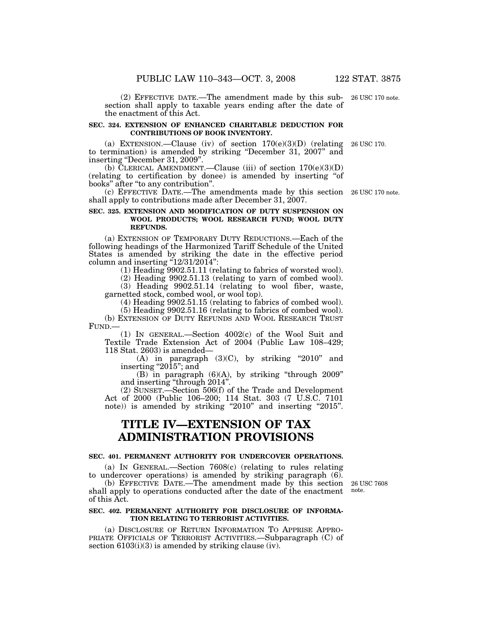(2) EFFECTIVE DATE.—The amendment made by this sub-26 USC 170 note. section shall apply to taxable years ending after the date of the enactment of this Act.

## **SEC. 324. EXTENSION OF ENHANCED CHARITABLE DEDUCTION FOR CONTRIBUTIONS OF BOOK INVENTORY.**

(a) EXTENSION.—Clause (iv) of section  $170(e)(3)(D)$  (relating to termination) is amended by striking ''December 31, 2007'' and inserting ''December 31, 2009''. 26 USC 170.

(b) CLERICAL AMENDMENT.—Clause (iii) of section  $170(e)(3)(D)$ (relating to certification by donee) is amended by inserting ''of books'' after ''to any contribution''.

(c) EFFECTIVE DATE.—The amendments made by this section 26 USC 170 note. shall apply to contributions made after December 31, 2007.

# **SEC. 325. EXTENSION AND MODIFICATION OF DUTY SUSPENSION ON WOOL PRODUCTS; WOOL RESEARCH FUND; WOOL DUTY REFUNDS.**

(a) EXTENSION OF TEMPORARY DUTY REDUCTIONS.—Each of the following headings of the Harmonized Tariff Schedule of the United States is amended by striking the date in the effective period column and inserting  $i$ <sup>12/31/2014</sup>":

(1) Heading 9902.51.11 (relating to fabrics of worsted wool).

(2) Heading 9902.51.13 (relating to yarn of combed wool).

(3) Heading 9902.51.14 (relating to wool fiber, waste, garnetted stock, combed wool, or wool top).

(4) Heading 9902.51.15 (relating to fabrics of combed wool).

(5) Heading 9902.51.16 (relating to fabrics of combed wool). (b) EXTENSION OF DUTY REFUNDS AND WOOL RESEARCH TRUST FUND.—

(1) IN GENERAL.—Section 4002(c) of the Wool Suit and Textile Trade Extension Act of 2004 (Public Law 108–429; 118 Stat. 2603) is amended—

(A) in paragraph  $(3)(C)$ , by striking "2010" and inserting "2015"; and

(B) in paragraph (6)(A), by striking ''through 2009'' and inserting ''through 2014''.

(2) SUNSET.—Section 506(f) of the Trade and Development Act of 2000 (Public 106–200; 114 Stat. 303 (7 U.S.C. 7101 note)) is amended by striking "2010" and inserting "2015".

# **TITLE IV—EXTENSION OF TAX ADMINISTRATION PROVISIONS**

#### **SEC. 401. PERMANENT AUTHORITY FOR UNDERCOVER OPERATIONS.**

(a) IN GENERAL.—Section 7608(c) (relating to rules relating to undercover operations) is amended by striking paragraph (6).

(b) EFFECTIVE DATE.—The amendment made by this section 26 USC 7608 shall apply to operations conducted after the date of the enactment note. of this Act.

## **SEC. 402. PERMANENT AUTHORITY FOR DISCLOSURE OF INFORMA-TION RELATING TO TERRORIST ACTIVITIES.**

(a) DISCLOSURE OF RETURN INFORMATION TO APPRISE APPRO-PRIATE OFFICIALS OF TERRORIST ACTIVITIES. Subparagraph (C) of section  $6103(i)(3)$  is amended by striking clause (iv).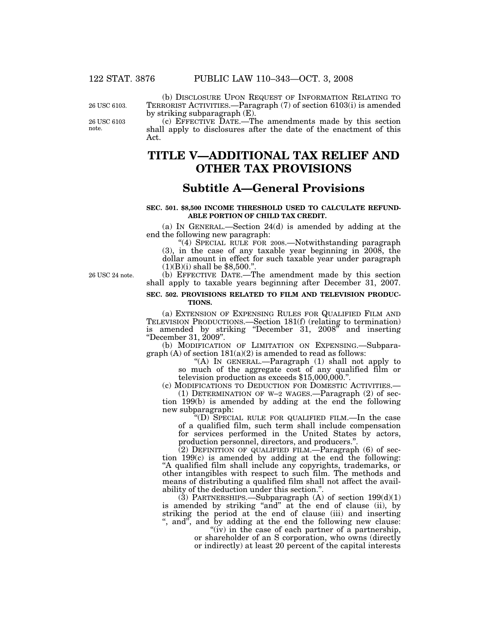26 USC 6103.

26 USC 6103 note.

(b) DISCLOSURE UPON REQUEST OF INFORMATION RELATING TO TERRORIST ACTIVITIES.—Paragraph (7) of section 6103(i) is amended by striking subparagraph (E).

(c) EFFECTIVE DATE.—The amendments made by this section shall apply to disclosures after the date of the enactment of this Act.

# **TITLE V—ADDITIONAL TAX RELIEF AND OTHER TAX PROVISIONS**

# **Subtitle A—General Provisions**

# **SEC. 501. \$8,500 INCOME THRESHOLD USED TO CALCULATE REFUND-ABLE PORTION OF CHILD TAX CREDIT.**

(a) IN GENERAL.—Section 24(d) is amended by adding at the end the following new paragraph:

"(4) SPECIAL RULE FOR 2008.—Notwithstanding paragraph (3), in the case of any taxable year beginning in 2008, the dollar amount in effect for such taxable year under paragraph  $(1)(B)(i)$  shall be \$8,500.".

(b) EFFECTIVE DATE.—The amendment made by this section shall apply to taxable years beginning after December 31, 2007.

#### **SEC. 502. PROVISIONS RELATED TO FILM AND TELEVISION PRODUC-TIONS.**

(a) EXTENSION OF EXPENSING RULES FOR QUALIFIED FILM AND TELEVISION PRODUCTIONS.—Section 181(f) (relating to termination) is amended by striking ''December 31, 2008'' and inserting ''December 31, 2009''.

(b) MODIFICATION OF LIMITATION ON EXPENSING.—Subparagraph  $(A)$  of section  $181(a)(2)$  is amended to read as follows:

''(A) IN GENERAL.—Paragraph (1) shall not apply to so much of the aggregate cost of any qualified film or television production as exceeds \$15,000,000.''.

(c) MODIFICATIONS TO DEDUCTION FOR DOMESTIC ACTIVITIES.—

(1) DETERMINATION OF W–2 WAGES.—Paragraph (2) of section 199(b) is amended by adding at the end the following new subparagraph:

''(D) SPECIAL RULE FOR QUALIFIED FILM.—In the case of a qualified film, such term shall include compensation for services performed in the United States by actors, production personnel, directors, and producers."

 $(2)$  DEFINITION OF QUALIFIED FILM.—Paragraph  $(6)$  of section 199(c) is amended by adding at the end the following: ''A qualified film shall include any copyrights, trademarks, or other intangibles with respect to such film. The methods and means of distributing a qualified film shall not affect the availability of the deduction under this section.''.

(3) PARTNERSHIPS.—Subparagraph  $(A)$  of section  $199(d)(1)$ is amended by striking "and" at the end of clause (ii), by striking the period at the end of clause (iii) and inserting  $\lambda$ , and", and by adding at the end the following new clause:

> " $(iv)$  in the case of each partner of a partnership, or shareholder of an S corporation, who owns (directly or indirectly) at least 20 percent of the capital interests

26 USC 24 note.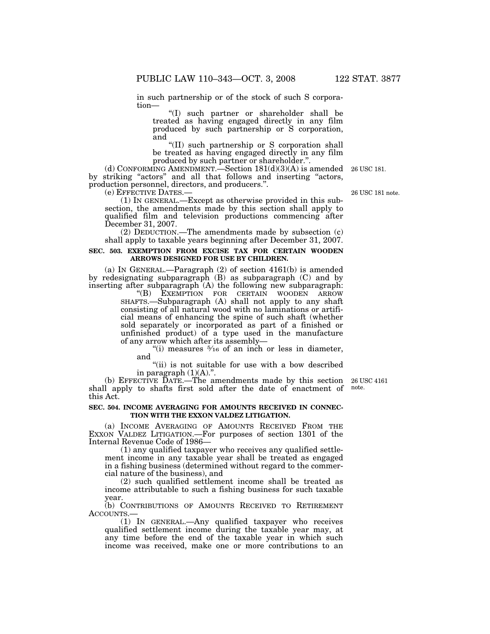in such partnership or of the stock of such S corporation—

''(I) such partner or shareholder shall be treated as having engaged directly in any film produced by such partnership or S corporation, and

''(II) such partnership or S corporation shall be treated as having engaged directly in any film produced by such partner or shareholder.''.

(d) CONFORMING AMENDMENT.—Section 181(d)(3)(A) is amended by striking "actors" and all that follows and inserting "actors, production personnel, directors, and producers.''.

(e) EFFECTIVE DATES.— (1) IN GENERAL.—Except as otherwise provided in this subsection, the amendments made by this section shall apply to qualified film and television productions commencing after December 31, 2007.

(2) DEDUCTION.—The amendments made by subsection (c) shall apply to taxable years beginning after December 31, 2007.

# **SEC. 503. EXEMPTION FROM EXCISE TAX FOR CERTAIN WOODEN ARROWS DESIGNED FOR USE BY CHILDREN.**

(a) IN GENERAL.—Paragraph (2) of section 4161(b) is amended by redesignating subparagraph (B) as subparagraph (C) and by inserting after subparagraph (A) the following new subparagraph:

''(B) EXEMPTION FOR CERTAIN WOODEN ARROW SHAFTS.—Subparagraph (A) shall not apply to any shaft consisting of all natural wood with no laminations or artificial means of enhancing the spine of such shaft (whether sold separately or incorporated as part of a finished or unfinished product) of a type used in the manufacture of any arrow which after its assembly—

"(i) measures  $\frac{5}{16}$  of an inch or less in diameter, and

"(ii) is not suitable for use with a bow described in paragraph  $(1)(A)$ .".

(b) EFFECTIVE DATE.—The amendments made by this section 26 USC 4161 shall apply to shafts first sold after the date of enactment of this Act.

#### **SEC. 504. INCOME AVERAGING FOR AMOUNTS RECEIVED IN CONNEC-TION WITH THE EXXON VALDEZ LITIGATION.**

(a) INCOME AVERAGING OF AMOUNTS RECEIVED FROM THE EXXON VALDEZ LITIGATION.—For purposes of section 1301 of the Internal Revenue Code of 1986—

(1) any qualified taxpayer who receives any qualified settlement income in any taxable year shall be treated as engaged in a fishing business (determined without regard to the commercial nature of the business), and

(2) such qualified settlement income shall be treated as income attributable to such a fishing business for such taxable year.

(b) CONTRIBUTIONS OF AMOUNTS RECEIVED TO RETIREMENT ACCOUNTS.—

(1) IN GENERAL.—Any qualified taxpayer who receives qualified settlement income during the taxable year may, at any time before the end of the taxable year in which such income was received, make one or more contributions to an

note.

26 USC 181 note.

26 USC 181.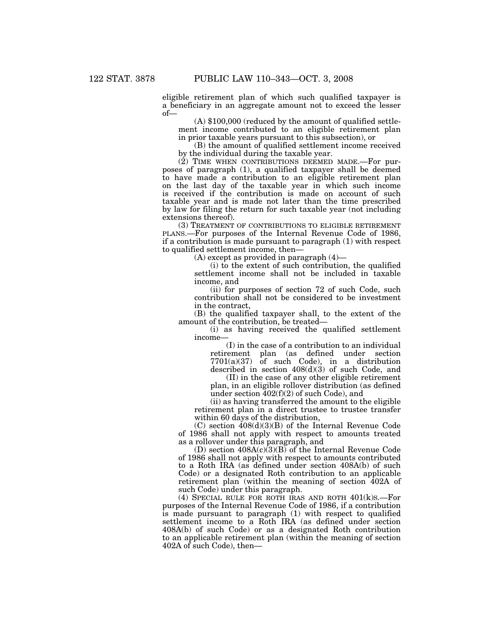eligible retirement plan of which such qualified taxpayer is a beneficiary in an aggregate amount not to exceed the lesser of—

(A) \$100,000 (reduced by the amount of qualified settlement income contributed to an eligible retirement plan in prior taxable years pursuant to this subsection), or

(B) the amount of qualified settlement income received by the individual during the taxable year.

(2) TIME WHEN CONTRIBUTIONS DEEMED MADE.—For purposes of paragraph (1), a qualified taxpayer shall be deemed to have made a contribution to an eligible retirement plan on the last day of the taxable year in which such income is received if the contribution is made on account of such taxable year and is made not later than the time prescribed by law for filing the return for such taxable year (not including extensions thereof).

(3) TREATMENT OF CONTRIBUTIONS TO ELIGIBLE RETIREMENT PLANS.—For purposes of the Internal Revenue Code of 1986, if a contribution is made pursuant to paragraph (1) with respect to qualified settlement income, then—

(A) except as provided in paragraph (4)—

(i) to the extent of such contribution, the qualified settlement income shall not be included in taxable income, and

(ii) for purposes of section 72 of such Code, such contribution shall not be considered to be investment in the contract,

(B) the qualified taxpayer shall, to the extent of the amount of the contribution, be treated—

(i) as having received the qualified settlement income—

(I) in the case of a contribution to an individual retirement plan (as defined under section  $7701(a)(37)$  of such Code), in a distribution described in section 408(d)(3) of such Code, and (II) in the case of any other eligible retirement

plan, in an eligible rollover distribution (as defined under section  $402(f)(2)$  of such Code), and (ii) as having transferred the amount to the eligible

retirement plan in a direct trustee to trustee transfer within 60 days of the distribution,

 $(C)$  section  $\overline{408}$ (d)(3)(B) of the Internal Revenue Code of 1986 shall not apply with respect to amounts treated as a rollover under this paragraph, and

(D) section  $408A(c)(3)(B)$  of the Internal Revenue Code of 1986 shall not apply with respect to amounts contributed to a Roth IRA (as defined under section 408A(b) of such Code) or a designated Roth contribution to an applicable retirement plan (within the meaning of section 402A of such Code) under this paragraph.

(4) SPECIAL RULE FOR ROTH IRAS AND ROTH 401(k)S.—For purposes of the Internal Revenue Code of 1986, if a contribution is made pursuant to paragraph (1) with respect to qualified settlement income to a Roth IRA (as defined under section 408A(b) of such Code) or as a designated Roth contribution to an applicable retirement plan (within the meaning of section 402A of such Code), then—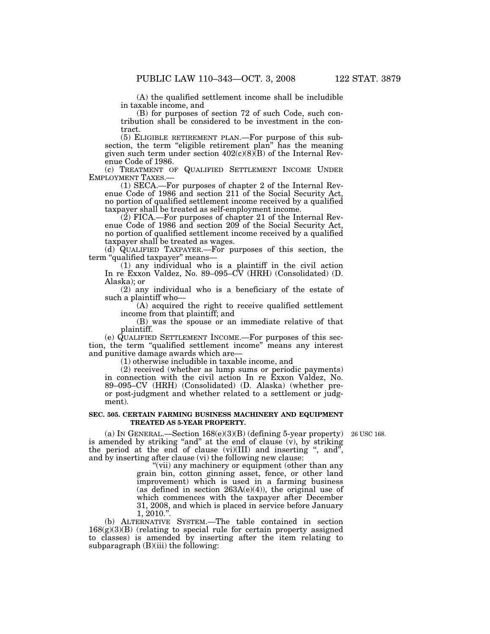(A) the qualified settlement income shall be includible in taxable income, and

(B) for purposes of section 72 of such Code, such contribution shall be considered to be investment in the contract.

(5) ELIGIBLE RETIREMENT PLAN.—For purpose of this subsection, the term "eligible retirement plan" has the meaning given such term under section  $402(c)(8)(B)$  of the Internal Revenue Code of 1986.

(c) TREATMENT OF QUALIFIED SETTLEMENT INCOME UNDER EMPLOYMENT TAXES.—

 $(1)$  SECA.—For purposes of chapter 2 of the Internal Revenue Code of 1986 and section 211 of the Social Security Act, no portion of qualified settlement income received by a qualified taxpayer shall be treated as self-employment income.

(2) FICA.—For purposes of chapter 21 of the Internal Revenue Code of 1986 and section 209 of the Social Security Act, no portion of qualified settlement income received by a qualified taxpayer shall be treated as wages.

(d) QUALIFIED TAXPAYER.—For purposes of this section, the term "qualified taxpayer" means-

(1) any individual who is a plaintiff in the civil action In re Exxon Valdez, No. 89–095–CV (HRH) (Consolidated) (D. Alaska); or

(2) any individual who is a beneficiary of the estate of such a plaintiff who—

(A) acquired the right to receive qualified settlement income from that plaintiff; and

(B) was the spouse or an immediate relative of that plaintiff.

(e) QUALIFIED SETTLEMENT INCOME.—For purposes of this section, the term ''qualified settlement income'' means any interest and punitive damage awards which are—

(1) otherwise includible in taxable income, and

(2) received (whether as lump sums or periodic payments) in connection with the civil action In re Exxon Valdez, No. 89–095–CV (HRH) (Consolidated) (D. Alaska) (whether preor post-judgment and whether related to a settlement or judgment).

#### **SEC. 505. CERTAIN FARMING BUSINESS MACHINERY AND EQUIPMENT TREATED AS 5-YEAR PROPERTY.**

(a) In GENERAL.—Section  $168(e)(3)(B)$  (defining 5-year property) 26 USC 168. is amended by striking "and" at the end of clause (v), by striking the period at the end of clause  $(vi)(III)$  and inserting ", and", and by inserting after clause (vi) the following new clause:

"(vii) any machinery or equipment (other than any grain bin, cotton ginning asset, fence, or other land improvement) which is used in a farming business (as defined in section  $263A(e)(4)$ ), the original use of which commences with the taxpayer after December 31, 2008, and which is placed in service before January 1, 2010.''.

(b) ALTERNATIVE SYSTEM.—The table contained in section  $168(g)(3)(B)$  (relating to special rule for certain property assigned to classes) is amended by inserting after the item relating to subparagraph  $(B)(iii)$  the following: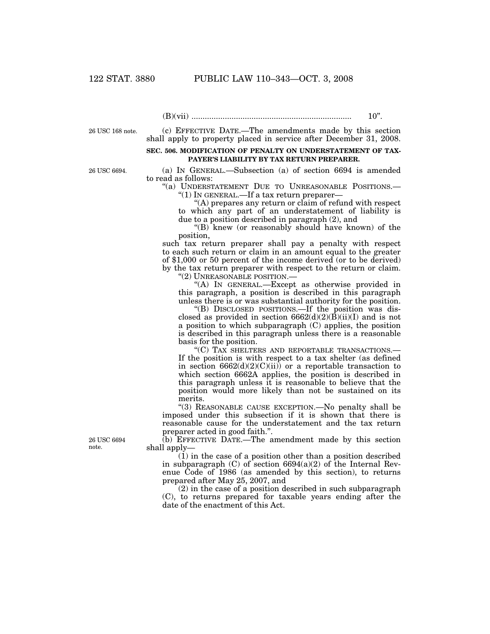#### (B)(vii) ........................................................................ 10''.

26 USC 168 note.

(c) EFFECTIVE DATE.—The amendments made by this section shall apply to property placed in service after December 31, 2008.

# **SEC. 506. MODIFICATION OF PENALTY ON UNDERSTATEMENT OF TAX-PAYER'S LIABILITY BY TAX RETURN PREPARER.**

26 USC 6694.

(a) IN GENERAL.—Subsection (a) of section 6694 is amended to read as follows:

"(a) UNDERSTATEMENT DUE TO UNREASONABLE POSITIONS.-''(1) IN GENERAL.—If a tax return preparer—

''(A) prepares any return or claim of refund with respect to which any part of an understatement of liability is due to a position described in paragraph (2), and

" $(B)$  knew (or reasonably should have known) of the position,

such tax return preparer shall pay a penalty with respect to each such return or claim in an amount equal to the greater of \$1,000 or 50 percent of the income derived (or to be derived) by the tax return preparer with respect to the return or claim.

''(2) UNREASONABLE POSITION.—

''(A) IN GENERAL.—Except as otherwise provided in this paragraph, a position is described in this paragraph unless there is or was substantial authority for the position.

''(B) DISCLOSED POSITIONS.—If the position was disclosed as provided in section  $6662(d)(2)(\overline{B})(ii)(I)$  and is not a position to which subparagraph (C) applies, the position is described in this paragraph unless there is a reasonable basis for the position.

''(C) TAX SHELTERS AND REPORTABLE TRANSACTIONS.— If the position is with respect to a tax shelter (as defined in section  $6662(d)(2)(C)(ii)$  or a reportable transaction to which section 6662A applies, the position is described in this paragraph unless it is reasonable to believe that the position would more likely than not be sustained on its merits.

''(3) REASONABLE CAUSE EXCEPTION.—No penalty shall be imposed under this subsection if it is shown that there is reasonable cause for the understatement and the tax return preparer acted in good faith.''.

(b) EFFECTIVE DATE.—The amendment made by this section shall apply—

(1) in the case of a position other than a position described in subparagraph  $(C)$  of section 6694 $(a)(2)$  of the Internal Revenue Code of 1986 (as amended by this section), to returns prepared after May 25, 2007, and

(2) in the case of a position described in such subparagraph (C), to returns prepared for taxable years ending after the date of the enactment of this Act.

26 USC 6694 note.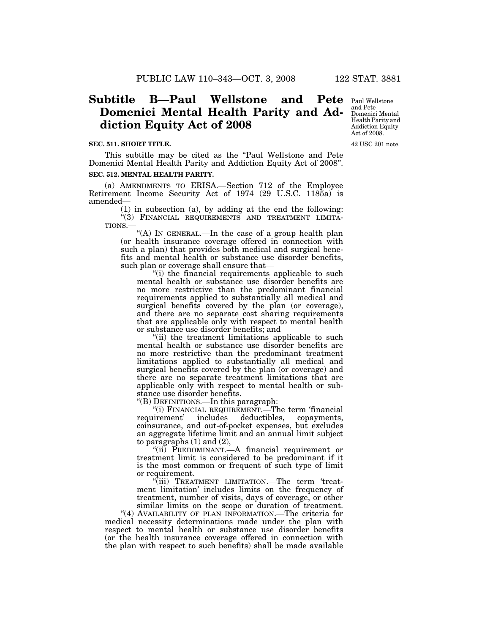# **Subtitle B—Paul Wellstone and Pete** Paul Wellstone **Domenici Mental Health Parity and Addiction Equity Act of 2008**

# **SEC. 511. SHORT TITLE.**

This subtitle may be cited as the ''Paul Wellstone and Pete Domenici Mental Health Parity and Addiction Equity Act of 2008''.

# **SEC. 512. MENTAL HEALTH PARITY.**

(a) AMENDMENTS TO ERISA.—Section 712 of the Employee Retirement Income Security Act of 1974 (29 U.S.C. 1185a) is amended—

(1) in subsection (a), by adding at the end the following: "(3) FINANCIAL REQUIREMENTS AND TREATMENT LIMITA-TIONS.—

"(A) IN GENERAL.—In the case of a group health plan (or health insurance coverage offered in connection with such a plan) that provides both medical and surgical benefits and mental health or substance use disorder benefits, such plan or coverage shall ensure that—

"(i) the financial requirements applicable to such mental health or substance use disorder benefits are no more restrictive than the predominant financial requirements applied to substantially all medical and surgical benefits covered by the plan (or coverage), and there are no separate cost sharing requirements that are applicable only with respect to mental health or substance use disorder benefits; and

''(ii) the treatment limitations applicable to such mental health or substance use disorder benefits are no more restrictive than the predominant treatment limitations applied to substantially all medical and surgical benefits covered by the plan (or coverage) and there are no separate treatment limitations that are applicable only with respect to mental health or substance use disorder benefits.

''(B) DEFINITIONS.—In this paragraph:

''(i) FINANCIAL REQUIREMENT.—The term 'financial requirement' includes deductibles, copayments, coinsurance, and out-of-pocket expenses, but excludes an aggregate lifetime limit and an annual limit subject to paragraphs  $(1)$  and  $(2)$ ,

''(ii) PREDOMINANT.—A financial requirement or treatment limit is considered to be predominant if it is the most common or frequent of such type of limit or requirement.

''(iii) TREATMENT LIMITATION.—The term 'treatment limitation' includes limits on the frequency of treatment, number of visits, days of coverage, or other similar limits on the scope or duration of treatment.

"(4) AVAILABILITY OF PLAN INFORMATION.—The criteria for medical necessity determinations made under the plan with respect to mental health or substance use disorder benefits (or the health insurance coverage offered in connection with the plan with respect to such benefits) shall be made available

and Pete Domenici Mental Health Parity and Addiction Equity Act of 2008.

42 USC 201 note.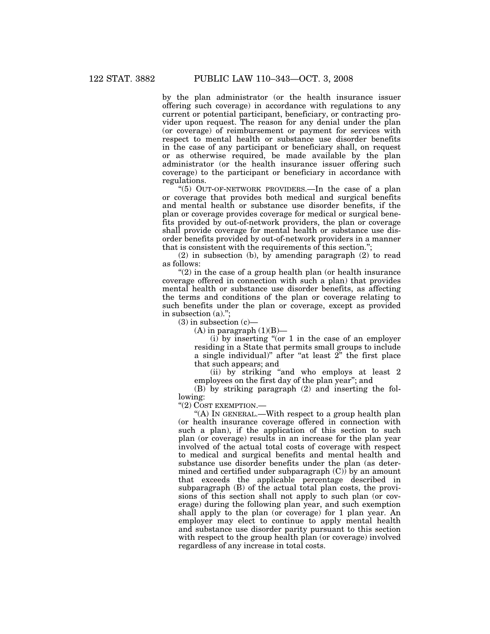by the plan administrator (or the health insurance issuer offering such coverage) in accordance with regulations to any current or potential participant, beneficiary, or contracting provider upon request. The reason for any denial under the plan (or coverage) of reimbursement or payment for services with respect to mental health or substance use disorder benefits in the case of any participant or beneficiary shall, on request or as otherwise required, be made available by the plan administrator (or the health insurance issuer offering such coverage) to the participant or beneficiary in accordance with regulations.

''(5) OUT-OF-NETWORK PROVIDERS.—In the case of a plan or coverage that provides both medical and surgical benefits and mental health or substance use disorder benefits, if the plan or coverage provides coverage for medical or surgical benefits provided by out-of-network providers, the plan or coverage shall provide coverage for mental health or substance use disorder benefits provided by out-of-network providers in a manner that is consistent with the requirements of this section.'';

(2) in subsection (b), by amending paragraph (2) to read as follows:

 $(2)$  in the case of a group health plan (or health insurance coverage offered in connection with such a plan) that provides mental health or substance use disorder benefits, as affecting the terms and conditions of the plan or coverage relating to such benefits under the plan or coverage, except as provided in subsection (a).'';

 $(3)$  in subsection  $(c)$ —

 $(A)$  in paragraph  $(1)(B)$ —

(i) by inserting ''(or 1 in the case of an employer residing in a State that permits small groups to include a single individual)'' after ''at least 2'' the first place that such appears; and

(ii) by striking ''and who employs at least 2 employees on the first day of the plan year''; and

(B) by striking paragraph (2) and inserting the following:

"(2) COST EXEMPTION.-

''(A) IN GENERAL.—With respect to a group health plan (or health insurance coverage offered in connection with such a plan), if the application of this section to such plan (or coverage) results in an increase for the plan year involved of the actual total costs of coverage with respect to medical and surgical benefits and mental health and substance use disorder benefits under the plan (as determined and certified under subparagraph  $(C)$ ) by an amount that exceeds the applicable percentage described in subparagraph (B) of the actual total plan costs, the provisions of this section shall not apply to such plan (or coverage) during the following plan year, and such exemption shall apply to the plan (or coverage) for 1 plan year. An employer may elect to continue to apply mental health and substance use disorder parity pursuant to this section with respect to the group health plan (or coverage) involved regardless of any increase in total costs.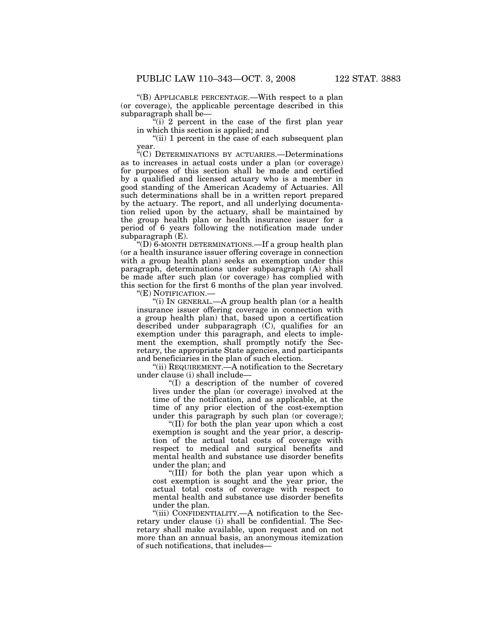''(B) APPLICABLE PERCENTAGE.—With respect to a plan (or coverage), the applicable percentage described in this subparagraph shall be—

"(i) 2 percent in the case of the first plan year in which this section is applied; and

''(ii) 1 percent in the case of each subsequent plan year.

 $C^*(C)$  DETERMINATIONS BY ACTUARIES.—Determinations as to increases in actual costs under a plan (or coverage) for purposes of this section shall be made and certified by a qualified and licensed actuary who is a member in good standing of the American Academy of Actuaries. All such determinations shall be in a written report prepared by the actuary. The report, and all underlying documentation relied upon by the actuary, shall be maintained by the group health plan or health insurance issuer for a period of 6 years following the notification made under subparagraph (E).

''(D) 6-MONTH DETERMINATIONS.—If a group health plan (or a health insurance issuer offering coverage in connection with a group health plan) seeks an exemption under this paragraph, determinations under subparagraph (A) shall be made after such plan (or coverage) has complied with this section for the first 6 months of the plan year involved.

''(E) NOTIFICATION.—

''(i) IN GENERAL.—A group health plan (or a health insurance issuer offering coverage in connection with a group health plan) that, based upon a certification described under subparagraph (C), qualifies for an exemption under this paragraph, and elects to implement the exemption, shall promptly notify the Secretary, the appropriate State agencies, and participants and beneficiaries in the plan of such election.

''(ii) REQUIREMENT.—A notification to the Secretary under clause (i) shall include—

''(I) a description of the number of covered lives under the plan (or coverage) involved at the time of the notification, and as applicable, at the time of any prior election of the cost-exemption under this paragraph by such plan (or coverage);

''(II) for both the plan year upon which a cost exemption is sought and the year prior, a description of the actual total costs of coverage with respect to medical and surgical benefits and mental health and substance use disorder benefits under the plan; and

''(III) for both the plan year upon which a cost exemption is sought and the year prior, the actual total costs of coverage with respect to mental health and substance use disorder benefits under the plan.

''(iii) CONFIDENTIALITY.—A notification to the Secretary under clause (i) shall be confidential. The Secretary shall make available, upon request and on not more than an annual basis, an anonymous itemization of such notifications, that includes—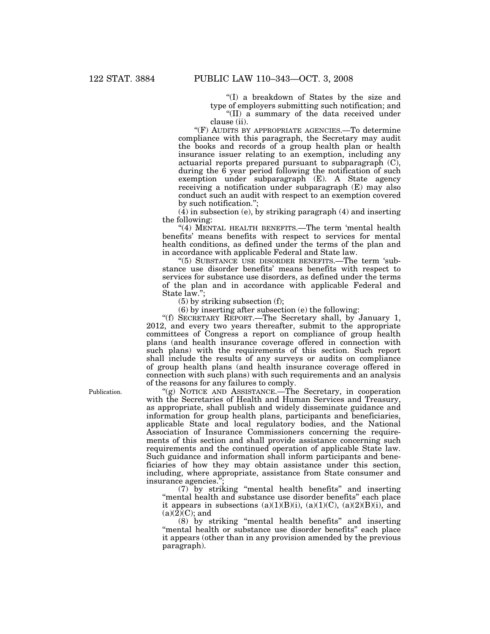''(I) a breakdown of States by the size and type of employers submitting such notification; and ''(II) a summary of the data received under clause (ii).

"(F) AUDITS BY APPROPRIATE AGENCIES.—To determine compliance with this paragraph, the Secretary may audit the books and records of a group health plan or health insurance issuer relating to an exemption, including any actuarial reports prepared pursuant to subparagraph  $(C)$ , during the 6 year period following the notification of such exemption under subparagraph (E). A State agency receiving a notification under subparagraph (E) may also conduct such an audit with respect to an exemption covered by such notification.'';

(4) in subsection (e), by striking paragraph (4) and inserting the following:

"(4) MENTAL HEALTH BENEFITS.—The term 'mental health benefits' means benefits with respect to services for mental health conditions, as defined under the terms of the plan and in accordance with applicable Federal and State law.

"(5) SUBSTANCE USE DISORDER BENEFITS.—The term 'substance use disorder benefits' means benefits with respect to services for substance use disorders, as defined under the terms of the plan and in accordance with applicable Federal and State law.'';

(5) by striking subsection (f);

(6) by inserting after subsection (e) the following:

''(f) SECRETARY REPORT.—The Secretary shall, by January 1, 2012, and every two years thereafter, submit to the appropriate committees of Congress a report on compliance of group health plans (and health insurance coverage offered in connection with such plans) with the requirements of this section. Such report shall include the results of any surveys or audits on compliance of group health plans (and health insurance coverage offered in connection with such plans) with such requirements and an analysis of the reasons for any failures to comply.

''(g) NOTICE AND ASSISTANCE.—The Secretary, in cooperation with the Secretaries of Health and Human Services and Treasury, as appropriate, shall publish and widely disseminate guidance and information for group health plans, participants and beneficiaries, applicable State and local regulatory bodies, and the National Association of Insurance Commissioners concerning the requirements of this section and shall provide assistance concerning such requirements and the continued operation of applicable State law. Such guidance and information shall inform participants and beneficiaries of how they may obtain assistance under this section, including, where appropriate, assistance from State consumer and insurance agencies.

(7) by striking ''mental health benefits'' and inserting "mental health and substance use disorder benefits" each place it appears in subsections (a)(1)(B)(i), (a)(1)(C), (a)(2)(B)(i), and  $(a)(2)(C)$ ; and

(8) by striking ''mental health benefits'' and inserting "mental health or substance use disorder benefits" each place it appears (other than in any provision amended by the previous paragraph).

Publication.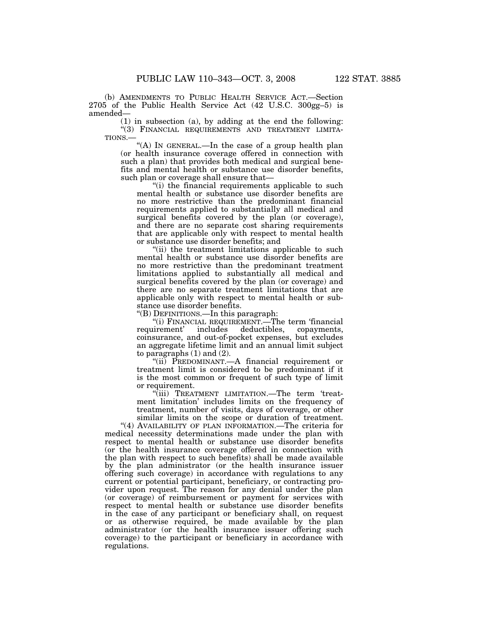(b) AMENDMENTS TO PUBLIC HEALTH SERVICE ACT.—Section 2705 of the Public Health Service Act (42 U.S.C. 300gg–5) is amended—

(1) in subsection (a), by adding at the end the following: TIONS.—<br>"(A) IN GENERAL.—In the case of a group health plan

(or health insurance coverage offered in connection with such a plan) that provides both medical and surgical benefits and mental health or substance use disorder benefits, such plan or coverage shall ensure that—

''(i) the financial requirements applicable to such mental health or substance use disorder benefits are no more restrictive than the predominant financial requirements applied to substantially all medical and surgical benefits covered by the plan (or coverage), and there are no separate cost sharing requirements that are applicable only with respect to mental health or substance use disorder benefits; and

"(ii) the treatment limitations applicable to such mental health or substance use disorder benefits are no more restrictive than the predominant treatment limitations applied to substantially all medical and surgical benefits covered by the plan (or coverage) and there are no separate treatment limitations that are applicable only with respect to mental health or substance use disorder benefits.

''(B) DEFINITIONS.—In this paragraph:

"(i) FINANCIAL REQUIREMENT.—The term 'financial requirement' includes deductibles, copayments, deductibles, copayments, coinsurance, and out-of-pocket expenses, but excludes an aggregate lifetime limit and an annual limit subject to paragraphs  $(1)$  and  $(2)$ .

''(ii) PREDOMINANT.—A financial requirement or treatment limit is considered to be predominant if it is the most common or frequent of such type of limit or requirement.

''(iii) TREATMENT LIMITATION.—The term 'treatment limitation' includes limits on the frequency of treatment, number of visits, days of coverage, or other similar limits on the scope or duration of treatment.

"(4) AVAILABILITY OF PLAN INFORMATION.—The criteria for medical necessity determinations made under the plan with respect to mental health or substance use disorder benefits (or the health insurance coverage offered in connection with the plan with respect to such benefits) shall be made available by the plan administrator (or the health insurance issuer offering such coverage) in accordance with regulations to any current or potential participant, beneficiary, or contracting provider upon request. The reason for any denial under the plan (or coverage) of reimbursement or payment for services with respect to mental health or substance use disorder benefits in the case of any participant or beneficiary shall, on request or as otherwise required, be made available by the plan administrator (or the health insurance issuer offering such coverage) to the participant or beneficiary in accordance with regulations.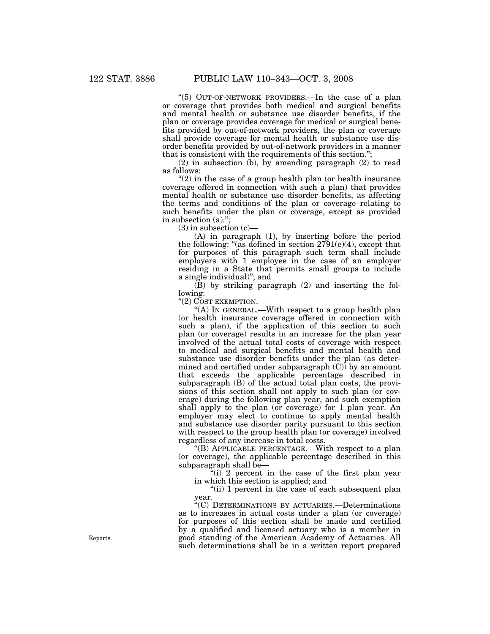''(5) OUT-OF-NETWORK PROVIDERS.—In the case of a plan or coverage that provides both medical and surgical benefits and mental health or substance use disorder benefits, if the plan or coverage provides coverage for medical or surgical benefits provided by out-of-network providers, the plan or coverage shall provide coverage for mental health or substance use disorder benefits provided by out-of-network providers in a manner that is consistent with the requirements of this section.'';

(2) in subsection (b), by amending paragraph (2) to read as follows:

" $(2)$  in the case of a group health plan (or health insurance coverage offered in connection with such a plan) that provides mental health or substance use disorder benefits, as affecting the terms and conditions of the plan or coverage relating to such benefits under the plan or coverage, except as provided in subsection (a).";

 $(3)$  in subsection  $(c)$ -

(A) in paragraph (1), by inserting before the period the following: "(as defined in section  $2791(e)(4)$ , except that for purposes of this paragraph such term shall include employers with 1 employee in the case of an employer residing in a State that permits small groups to include a single individual)''; and

(B) by striking paragraph (2) and inserting the following:

''(2) COST EXEMPTION.—

"(A) IN GENERAL.—With respect to a group health plan (or health insurance coverage offered in connection with such a plan), if the application of this section to such plan (or coverage) results in an increase for the plan year involved of the actual total costs of coverage with respect to medical and surgical benefits and mental health and substance use disorder benefits under the plan (as determined and certified under subparagraph (C)) by an amount that exceeds the applicable percentage described in subparagraph (B) of the actual total plan costs, the provisions of this section shall not apply to such plan (or coverage) during the following plan year, and such exemption shall apply to the plan (or coverage) for 1 plan year. An employer may elect to continue to apply mental health and substance use disorder parity pursuant to this section with respect to the group health plan (or coverage) involved regardless of any increase in total costs.

''(B) APPLICABLE PERCENTAGE.—With respect to a plan (or coverage), the applicable percentage described in this subparagraph shall be—

 $f''(i)$  2 percent in the case of the first plan year in which this section is applied; and

"(ii) 1 percent in the case of each subsequent plan year.

''(C) DETERMINATIONS BY ACTUARIES.—Determinations as to increases in actual costs under a plan (or coverage) for purposes of this section shall be made and certified by a qualified and licensed actuary who is a member in good standing of the American Academy of Actuaries. All such determinations shall be in a written report prepared

Reports.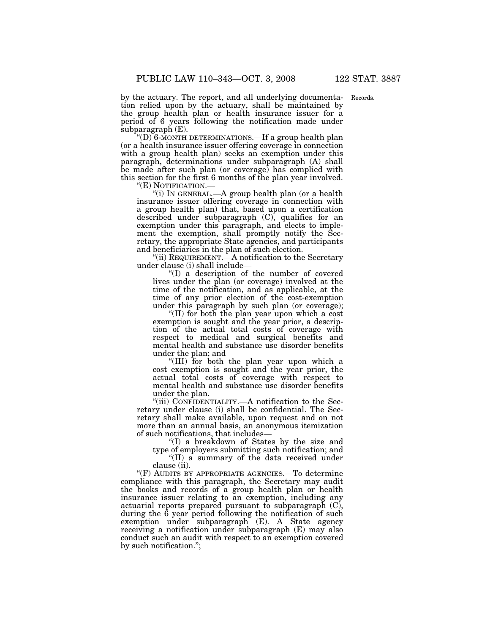by the actuary. The report, and all underlying documenta-Records. tion relied upon by the actuary, shall be maintained by the group health plan or health insurance issuer for a period of 6 years following the notification made under subparagraph  $(E)$ .

" $(D)$  6-MONTH DETERMINATIONS.—If a group health plan (or a health insurance issuer offering coverage in connection with a group health plan) seeks an exemption under this paragraph, determinations under subparagraph (A) shall be made after such plan (or coverage) has complied with this section for the first 6 months of the plan year involved.<br>"(E) NOTIFICATION.—

"(i) In GENERAL.—A group health plan (or a health insurance issuer offering coverage in connection with a group health plan) that, based upon a certification described under subparagraph (C), qualifies for an exemption under this paragraph, and elects to implement the exemption, shall promptly notify the Secretary, the appropriate State agencies, and participants and beneficiaries in the plan of such election.

"(ii) REQUIREMENT.—A notification to the Secretary under clause (i) shall include—

''(I) a description of the number of covered lives under the plan (or coverage) involved at the time of the notification, and as applicable, at the time of any prior election of the cost-exemption under this paragraph by such plan (or coverage);

''(II) for both the plan year upon which a cost exemption is sought and the year prior, a description of the actual total costs of coverage with respect to medical and surgical benefits and mental health and substance use disorder benefits under the plan; and

''(III) for both the plan year upon which a cost exemption is sought and the year prior, the actual total costs of coverage with respect to mental health and substance use disorder benefits under the plan.

''(iii) CONFIDENTIALITY.—A notification to the Secretary under clause (i) shall be confidential. The Secretary shall make available, upon request and on not more than an annual basis, an anonymous itemization of such notifications, that includes—

''(I) a breakdown of States by the size and type of employers submitting such notification; and

''(II) a summary of the data received under clause (ii).

''(F) AUDITS BY APPROPRIATE AGENCIES.—To determine compliance with this paragraph, the Secretary may audit the books and records of a group health plan or health insurance issuer relating to an exemption, including any actuarial reports prepared pursuant to subparagraph (C), during the 6 year period following the notification of such exemption under subparagraph (E). A State agency receiving a notification under subparagraph (E) may also conduct such an audit with respect to an exemption covered by such notification.'';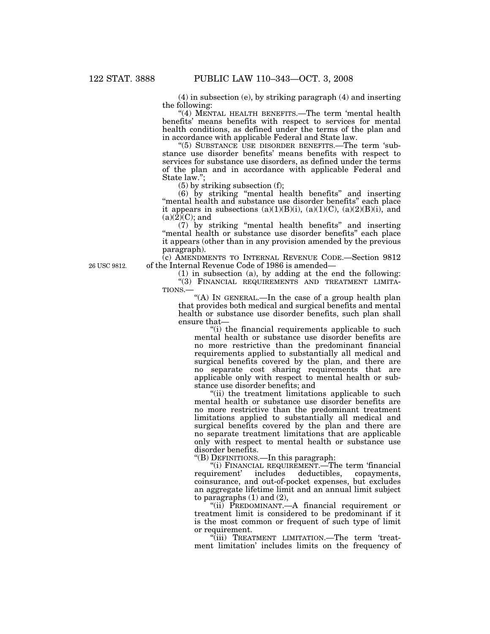(4) in subsection (e), by striking paragraph (4) and inserting the following:

"(4) MENTAL HEALTH BENEFITS.—The term 'mental health benefits' means benefits with respect to services for mental health conditions, as defined under the terms of the plan and in accordance with applicable Federal and State law.

''(5) SUBSTANCE USE DISORDER BENEFITS.—The term 'substance use disorder benefits' means benefits with respect to services for substance use disorders, as defined under the terms of the plan and in accordance with applicable Federal and State law.'';

(5) by striking subsection (f);

(6) by striking ''mental health benefits'' and inserting "mental health and substance use disorder benefits" each place it appears in subsections  $(a)(1)(B)(i)$ ,  $(a)(1)(C)$ ,  $(a)(2)(B)(i)$ , and  $(a)(2)(C)$ ; and

 $(7)$  by striking "mental health benefits" and inserting "mental health or substance use disorder benefits" each place it appears (other than in any provision amended by the previous paragraph).

(c) AMENDMENTS TO INTERNAL REVENUE CODE.—Section 9812 of the Internal Revenue Code of 1986 is amended—

(1) in subsection (a), by adding at the end the following: "(3) FINANCIAL REQUIREMENTS AND TREATMENT LIMITA-TIONS.—

"(A) IN GENERAL.—In the case of a group health plan that provides both medical and surgical benefits and mental health or substance use disorder benefits, such plan shall ensure that—

''(i) the financial requirements applicable to such mental health or substance use disorder benefits are no more restrictive than the predominant financial requirements applied to substantially all medical and surgical benefits covered by the plan, and there are no separate cost sharing requirements that are applicable only with respect to mental health or substance use disorder benefits; and

"(ii) the treatment limitations applicable to such mental health or substance use disorder benefits are no more restrictive than the predominant treatment limitations applied to substantially all medical and surgical benefits covered by the plan and there are no separate treatment limitations that are applicable only with respect to mental health or substance use disorder benefits.

''(B) DEFINITIONS.—In this paragraph:

''(i) FINANCIAL REQUIREMENT.—The term 'financial requirement' includes deductibles, copayments, coinsurance, and out-of-pocket expenses, but excludes an aggregate lifetime limit and an annual limit subject to paragraphs (1) and (2),

"(ii) PREDOMINANT.—A financial requirement or treatment limit is considered to be predominant if it is the most common or frequent of such type of limit or requirement.

''(iii) TREATMENT LIMITATION.—The term 'treatment limitation' includes limits on the frequency of

26 USC 9812.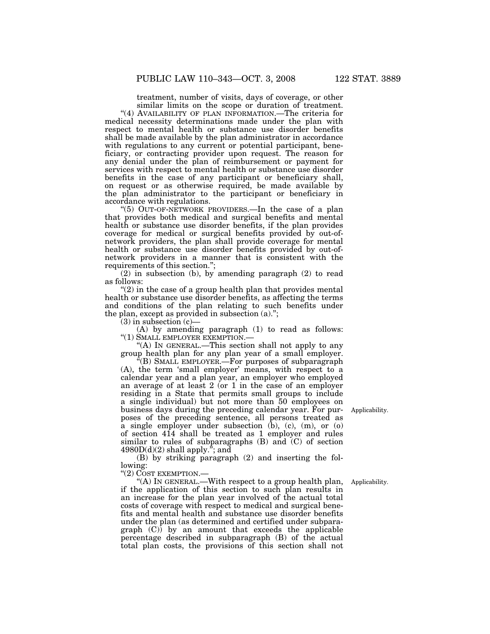treatment, number of visits, days of coverage, or other similar limits on the scope or duration of treatment.

"(4) AVAILABILITY OF PLAN INFORMATION.—The criteria for medical necessity determinations made under the plan with respect to mental health or substance use disorder benefits shall be made available by the plan administrator in accordance with regulations to any current or potential participant, beneficiary, or contracting provider upon request. The reason for any denial under the plan of reimbursement or payment for services with respect to mental health or substance use disorder benefits in the case of any participant or beneficiary shall, on request or as otherwise required, be made available by the plan administrator to the participant or beneficiary in accordance with regulations.

''(5) OUT-OF-NETWORK PROVIDERS.—In the case of a plan that provides both medical and surgical benefits and mental health or substance use disorder benefits, if the plan provides coverage for medical or surgical benefits provided by out-ofnetwork providers, the plan shall provide coverage for mental health or substance use disorder benefits provided by out-ofnetwork providers in a manner that is consistent with the requirements of this section.'';

(2) in subsection (b), by amending paragraph (2) to read as follows:

"(2) in the case of a group health plan that provides mental health or substance use disorder benefits, as affecting the terms and conditions of the plan relating to such benefits under the plan, except as provided in subsection (a).'';

 $(3)$  in subsection  $(c)$ —

(A) by amending paragraph (1) to read as follows: ''(1) SMALL EMPLOYER EXEMPTION.—

''(A) IN GENERAL.—This section shall not apply to any group health plan for any plan year of a small employer.

 ${}^{a}$ (B) SMALL EMPLOYER.—For purposes of subparagraph (A), the term 'small employer' means, with respect to a calendar year and a plan year, an employer who employed an average of at least 2 (or 1 in the case of an employer residing in a State that permits small groups to include a single individual) but not more than 50 employees on business days during the preceding calendar year. For purposes of the preceding sentence, all persons treated as a single employer under subsection (b), (c), (m), or (o) of section 414 shall be treated as 1 employer and rules similar to rules of subparagraphs (B) and (C) of section  $4980D(d)(2)$  shall apply."; and

(B) by striking paragraph (2) and inserting the following:

"(2) COST EXEMPTION.-

Applicability.

''(A) IN GENERAL.—With respect to a group health plan, if the application of this section to such plan results in an increase for the plan year involved of the actual total costs of coverage with respect to medical and surgical benefits and mental health and substance use disorder benefits under the plan (as determined and certified under subparagraph (C)) by an amount that exceeds the applicable percentage described in subparagraph (B) of the actual total plan costs, the provisions of this section shall not

Applicability.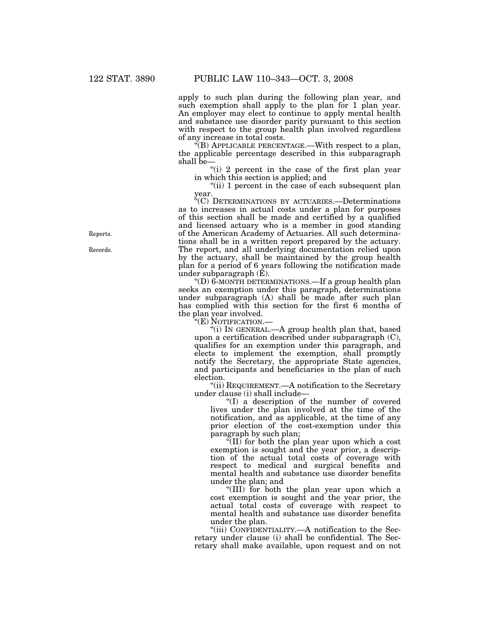apply to such plan during the following plan year, and such exemption shall apply to the plan for 1 plan year. An employer may elect to continue to apply mental health and substance use disorder parity pursuant to this section with respect to the group health plan involved regardless of any increase in total costs.

''(B) APPLICABLE PERCENTAGE.—With respect to a plan, the applicable percentage described in this subparagraph shall be—

"(i) 2 percent in the case of the first plan year in which this section is applied; and

"(ii) 1 percent in the case of each subsequent plan year.

''(C) DETERMINATIONS BY ACTUARIES.—Determinations as to increases in actual costs under a plan for purposes of this section shall be made and certified by a qualified and licensed actuary who is a member in good standing of the American Academy of Actuaries. All such determinations shall be in a written report prepared by the actuary. The report, and all underlying documentation relied upon by the actuary, shall be maintained by the group health plan for a period of 6 years following the notification made under subparagraph  $(\check{E})$ .

''(D) 6-MONTH DETERMINATIONS.—If a group health plan seeks an exemption under this paragraph, determinations under subparagraph (A) shall be made after such plan has complied with this section for the first 6 months of the plan year involved.

'(E) NOTIFICATION.—

''(i) IN GENERAL.—A group health plan that, based upon a certification described under subparagraph (C), qualifies for an exemption under this paragraph, and elects to implement the exemption, shall promptly notify the Secretary, the appropriate State agencies, and participants and beneficiaries in the plan of such election.

''(ii) REQUIREMENT.—A notification to the Secretary under clause (i) shall include—

''(I) a description of the number of covered lives under the plan involved at the time of the notification, and as applicable, at the time of any prior election of the cost-exemption under this paragraph by such plan;

''(II) for both the plan year upon which a cost exemption is sought and the year prior, a description of the actual total costs of coverage with respect to medical and surgical benefits and mental health and substance use disorder benefits under the plan; and

''(III) for both the plan year upon which a cost exemption is sought and the year prior, the actual total costs of coverage with respect to mental health and substance use disorder benefits under the plan.

''(iii) CONFIDENTIALITY.—A notification to the Secretary under clause (i) shall be confidential. The Secretary shall make available, upon request and on not

Reports.

Records.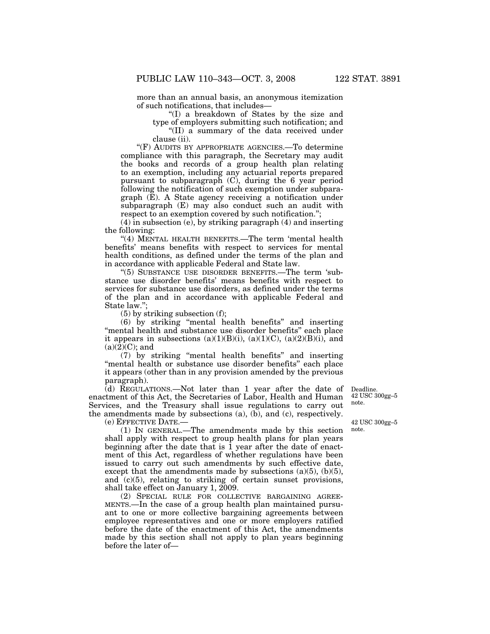more than an annual basis, an anonymous itemization of such notifications, that includes—

''(I) a breakdown of States by the size and

type of employers submitting such notification; and ''(II) a summary of the data received under

clause (ii).

"(F) AUDITS BY APPROPRIATE AGENCIES.—To determine compliance with this paragraph, the Secretary may audit the books and records of a group health plan relating to an exemption, including any actuarial reports prepared pursuant to subparagraph (C), during the 6 year period following the notification of such exemption under subparagraph  $(E)$ . A State agency receiving a notification under subparagraph (E) may also conduct such an audit with respect to an exemption covered by such notification.'';

(4) in subsection (e), by striking paragraph (4) and inserting the following:

"(4) MENTAL HEALTH BENEFITS.—The term 'mental health benefits' means benefits with respect to services for mental health conditions, as defined under the terms of the plan and in accordance with applicable Federal and State law.

''(5) SUBSTANCE USE DISORDER BENEFITS.—The term 'substance use disorder benefits' means benefits with respect to services for substance use disorders, as defined under the terms of the plan and in accordance with applicable Federal and State law.'';

(5) by striking subsection (f);

(6) by striking ''mental health benefits'' and inserting "mental health and substance use disorder benefits" each place it appears in subsections  $(a)(1)(B)(i)$ ,  $(a)(1)(C)$ ,  $(a)(2)(B)(i)$ , and  $(a)(2)(C)$ ; and

(7) by striking ''mental health benefits'' and inserting "mental health or substance use disorder benefits" each place it appears (other than in any provision amended by the previous paragraph).

(d) REGULATIONS.—Not later than 1 year after the date of enactment of this Act, the Secretaries of Labor, Health and Human Services, and the Treasury shall issue regulations to carry out the amendments made by subsections (a), (b), and (c), respectively.

(e) EFFECTIVE DATE.—

(1) IN GENERAL.—The amendments made by this section shall apply with respect to group health plans for plan years beginning after the date that is  $\overline{1}$  year after the date of enactment of this Act, regardless of whether regulations have been issued to carry out such amendments by such effective date, except that the amendments made by subsections  $(a)(5)$ ,  $(b)(5)$ , and  $(c)(5)$ , relating to striking of certain sunset provisions, shall take effect on January 1, 2009.

(2) SPECIAL RULE FOR COLLECTIVE BARGAINING AGREE-MENTS.—In the case of a group health plan maintained pursuant to one or more collective bargaining agreements between employee representatives and one or more employers ratified before the date of the enactment of this Act, the amendments made by this section shall not apply to plan years beginning before the later of—

Deadline. 42 USC 300gg–5 note.

42 USC 300gg–5 note.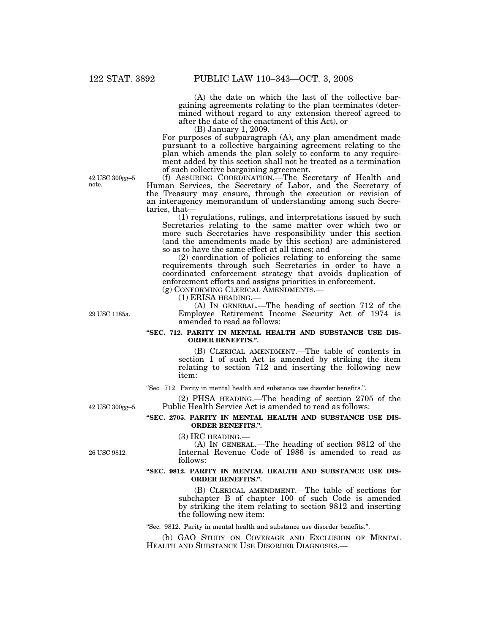(A) the date on which the last of the collective bargaining agreements relating to the plan terminates (determined without regard to any extension thereof agreed to after the date of the enactment of this Act), or

(B) January 1, 2009.

For purposes of subparagraph (A), any plan amendment made pursuant to a collective bargaining agreement relating to the plan which amends the plan solely to conform to any requirement added by this section shall not be treated as a termination of such collective bargaining agreement.

(f) ASSURING COORDINATION.—The Secretary of Health and Human Services, the Secretary of Labor, and the Secretary of the Treasury may ensure, through the execution or revision of an interagency memorandum of understanding among such Secretaries, that—

(1) regulations, rulings, and interpretations issued by such Secretaries relating to the same matter over which two or more such Secretaries have responsibility under this section (and the amendments made by this section) are administered so as to have the same effect at all times; and

(2) coordination of policies relating to enforcing the same requirements through such Secretaries in order to have a coordinated enforcement strategy that avoids duplication of enforcement efforts and assigns priorities in enforcement.

(g) CONFORMING CLERICAL AMENDMENTS.—

(1) ERISA HEADING.—

(A) IN GENERAL.—The heading of section 712 of the Employee Retirement Income Security Act of 1974 is amended to read as follows:

## **''SEC. 712. PARITY IN MENTAL HEALTH AND SUBSTANCE USE DIS-ORDER BENEFITS.''.**

(B) CLERICAL AMENDMENT.—The table of contents in section 1 of such Act is amended by striking the item relating to section 712 and inserting the following new item:

''Sec. 712. Parity in mental health and substance use disorder benefits.''.

(2) PHSA HEADING.—The heading of section 2705 of the Public Health Service Act is amended to read as follows:

### **''SEC. 2705. PARITY IN MENTAL HEALTH AND SUBSTANCE USE DIS-ORDER BENEFITS.''.**

(3) IRC HEADING.—

(A) IN GENERAL.—The heading of section 9812 of the Internal Revenue Code of 1986 is amended to read as follows:

# **''SEC. 9812. PARITY IN MENTAL HEALTH AND SUBSTANCE USE DIS-ORDER BENEFITS.''.**

(B) CLERICAL AMENDMENT.—The table of sections for subchapter B of chapter 100 of such Code is amended by striking the item relating to section 9812 and inserting the following new item:

''Sec. 9812. Parity in mental health and substance use disorder benefits.''.

(h) GAO STUDY ON COVERAGE AND EXCLUSION OF MENTAL HEALTH AND SUBSTANCE USE DISORDER DIAGNOSES.—

42 USC 300gg–5.

26 USC 9812.

42 USC 300gg–5 note.

29 USC 1185a.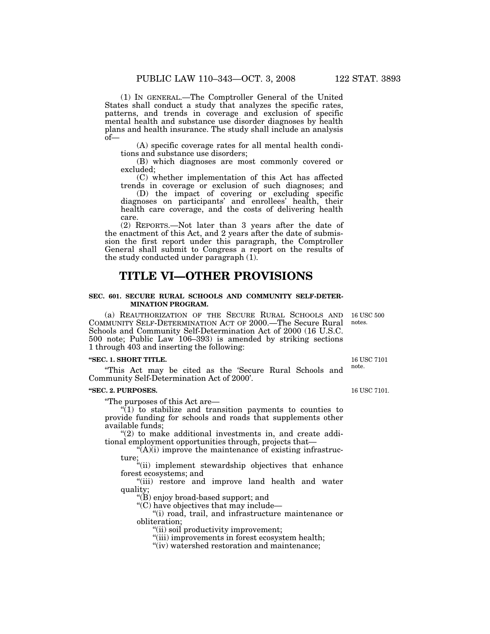(1) IN GENERAL.—The Comptroller General of the United States shall conduct a study that analyzes the specific rates, patterns, and trends in coverage and exclusion of specific mental health and substance use disorder diagnoses by health plans and health insurance. The study shall include an analysis  $of$ 

(A) specific coverage rates for all mental health conditions and substance use disorders;

(B) which diagnoses are most commonly covered or excluded;

(C) whether implementation of this Act has affected trends in coverage or exclusion of such diagnoses; and

(D) the impact of covering or excluding specific diagnoses on participants' and enrollees' health, their health care coverage, and the costs of delivering health care.

(2) REPORTS.—Not later than 3 years after the date of the enactment of this Act, and 2 years after the date of submission the first report under this paragraph, the Comptroller General shall submit to Congress a report on the results of the study conducted under paragraph (1).

# **TITLE VI—OTHER PROVISIONS**

## **SEC. 601. SECURE RURAL SCHOOLS AND COMMUNITY SELF-DETER-MINATION PROGRAM.**

(a) REAUTHORIZATION OF THE SECURE RURAL SCHOOLS AND COMMUNITY SELF-DETERMINATION ACT OF 2000.—The Secure Rural Schools and Community Self-Determination Act of 2000 (16 U.S.C. 500 note; Public Law 106–393) is amended by striking sections 1 through 403 and inserting the following:

#### **''SEC. 1. SHORT TITLE.**

''This Act may be cited as the 'Secure Rural Schools and Community Self-Determination Act of 2000'.

#### **''SEC. 2. PURPOSES.**

''The purposes of this Act are—

 $(1)$  to stabilize and transition payments to counties to provide funding for schools and roads that supplements other available funds;

" $(2)$  to make additional investments in, and create additional employment opportunities through, projects that—

 $<sup>4</sup>(A)(i)$  improve the maintenance of existing infrastruc-</sup> ture;

"(ii) implement stewardship objectives that enhance forest ecosystems; and

''(iii) restore and improve land health and water quality;

"(B) enjoy broad-based support; and

''(C) have objectives that may include—

''(i) road, trail, and infrastructure maintenance or obliteration;

''(ii) soil productivity improvement;

''(iii) improvements in forest ecosystem health;

"(iv) watershed restoration and maintenance;

16 USC 7101 note.

16 USC 7101.

16 USC 500 notes.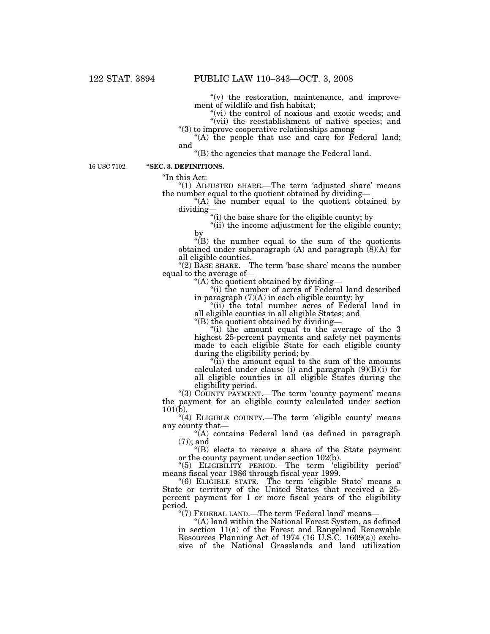"(v) the restoration, maintenance, and improvement of wildlife and fish habitat;

"(vi) the control of noxious and exotic weeds; and "(vii) the reestablishment of native species; and

''(3) to improve cooperative relationships among—

"(A) the people that use and care for Federal land; and

''(B) the agencies that manage the Federal land.

16 USC 7102.

# **''SEC. 3. DEFINITIONS.**

''In this Act:

''(1) ADJUSTED SHARE.—The term 'adjusted share' means the number equal to the quotient obtained by dividing-

''(A) the number equal to the quotient obtained by dividing—

''(i) the base share for the eligible county; by

"(ii) the income adjustment for the eligible county; by

 $\sqrt{\text{B}}$  the number equal to the sum of the quotients obtained under subparagraph  $(A)$  and paragraph  $(B)(A)$  for all eligible counties.

"(2) BASE SHARE.—The term 'base share' means the number equal to the average of—

''(A) the quotient obtained by dividing—

"(i) the number of acres of Federal land described in paragraph  $(7)(A)$  in each eligible county; by

''(ii) the total number acres of Federal land in all eligible counties in all eligible States; and

''(B) the quotient obtained by dividing—

''(i) the amount equal to the average of the 3 highest 25-percent payments and safety net payments made to each eligible State for each eligible county during the eligibility period; by

''(ii) the amount equal to the sum of the amounts calculated under clause (i) and paragraph (9)(B)(i) for all eligible counties in all eligible States during the eligibility period.

"(3) COUNTY PAYMENT.—The term 'county payment' means the payment for an eligible county calculated under section  $101(b)$ .

"(4) ELIGIBLE COUNTY.—The term 'eligible county' means any county that—

''(A) contains Federal land (as defined in paragraph (7)); and

 $'(B)$  elects to receive a share of the State payment or the county payment under section 102(b).

"(5) ELIGIBILITY PERIOD.—The term 'eligibility period' means fiscal year 1986 through fiscal year 1999.

''(6) ELIGIBLE STATE.—The term 'eligible State' means a State or territory of the United States that received a 25 percent payment for 1 or more fiscal years of the eligibility period.

"(7) FEDERAL LAND.—The term 'Federal land' means—

''(A) land within the National Forest System, as defined in section 11(a) of the Forest and Rangeland Renewable Resources Planning Act of 1974 (16 U.S.C. 1609(a)) exclusive of the National Grasslands and land utilization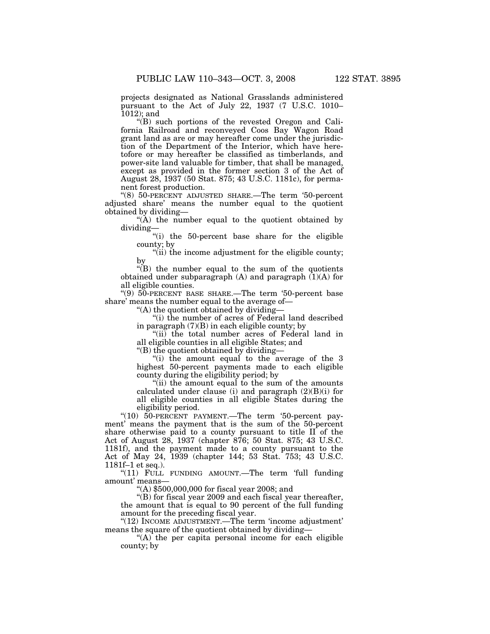projects designated as National Grasslands administered pursuant to the Act of July 22, 1937 (7 U.S.C. 1010– 1012); and

''(B) such portions of the revested Oregon and California Railroad and reconveyed Coos Bay Wagon Road grant land as are or may hereafter come under the jurisdiction of the Department of the Interior, which have heretofore or may hereafter be classified as timberlands, and power-site land valuable for timber, that shall be managed, except as provided in the former section 3 of the Act of August 28, 1937 (50 Stat. 875; 43 U.S.C. 1181c), for permanent forest production.

''(8) 50-PERCENT ADJUSTED SHARE.—The term '50-percent adjusted share' means the number equal to the quotient obtained by dividing—

''(A) the number equal to the quotient obtained by dividing—

''(i) the 50-percent base share for the eligible county; by

''(ii) the income adjustment for the eligible county; by

 $\sqrt{\text{B}}$  the number equal to the sum of the quotients obtained under subparagraph  $(A)$  and paragraph  $(1)(A)$  for all eligible counties.

''(9) 50-PERCENT BASE SHARE.—The term '50-percent base share' means the number equal to the average of—

''(A) the quotient obtained by dividing—

''(i) the number of acres of Federal land described in paragraph (7)(B) in each eligible county; by

''(ii) the total number acres of Federal land in all eligible counties in all eligible States; and

''(B) the quotient obtained by dividing—

''(i) the amount equal to the average of the 3 highest 50-percent payments made to each eligible county during the eligibility period; by

''(ii) the amount equal to the sum of the amounts calculated under clause (i) and paragraph (2)(B)(i) for all eligible counties in all eligible States during the eligibility period.

" $(10)$  50-PERCENT PAYMENT.—The term '50-percent payment' means the payment that is the sum of the 50-percent share otherwise paid to a county pursuant to title II of the Act of August 28, 1937 (chapter 876; 50 Stat. 875; 43 U.S.C. 1181f), and the payment made to a county pursuant to the Act of May 24, 1939 (chapter 144; 53 Stat. 753; 43 U.S.C. 1181f–1 et seq.).

"(11) FULL FUNDING AMOUNT.—The term 'full funding amount' means—

''(A) \$500,000,000 for fiscal year 2008; and

''(B) for fiscal year 2009 and each fiscal year thereafter, the amount that is equal to 90 percent of the full funding amount for the preceding fiscal year.

"(12) INCOME ADJUSTMENT.—The term 'income adjustment' means the square of the quotient obtained by dividing—

 $(A)$  the per capita personal income for each eligible county; by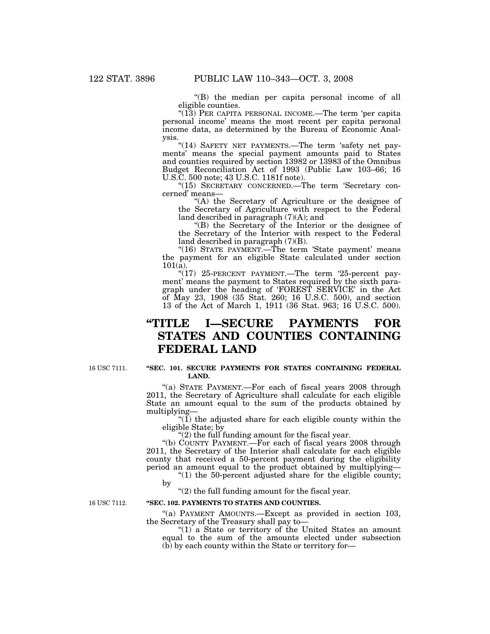''(B) the median per capita personal income of all eligible counties.

"(13) PER CAPITA PERSONAL INCOME.—The term 'per capita personal income' means the most recent per capita personal income data, as determined by the Bureau of Economic Analysis.

"(14) SAFETY NET PAYMENTS.—The term 'safety net payments' means the special payment amounts paid to States and counties required by section 13982 or 13983 of the Omnibus Budget Reconciliation Act of 1993 (Public Law 103–66; 16 U.S.C. 500 note; 43 U.S.C. 1181f note).

''(15) SECRETARY CONCERNED.—The term 'Secretary concerned' means—

''(A) the Secretary of Agriculture or the designee of the Secretary of Agriculture with respect to the Federal land described in paragraph (7)(A); and

''(B) the Secretary of the Interior or the designee of the Secretary of the Interior with respect to the Federal land described in paragraph (7)(B).

"(16) STATE PAYMENT.—The term 'State payment' means the payment for an eligible State calculated under section  $101(a)$ .

"(17) 25-PERCENT PAYMENT. The term '25-percent payment' means the payment to States required by the sixth paragraph under the heading of 'FOREST SERVICE' in the Act of May 23, 1908 (35 Stat. 260; 16 U.S.C. 500), and section 13 of the Act of March 1, 1911 (36 Stat. 963; 16 U.S.C. 500).

# **''TITLE I—SECURE PAYMENTS FOR STATES AND COUNTIES CONTAINING FEDERAL LAND**

16 USC 7111.

# **''SEC. 101. SECURE PAYMENTS FOR STATES CONTAINING FEDERAL LAND.**

''(a) STATE PAYMENT.—For each of fiscal years 2008 through 2011, the Secretary of Agriculture shall calculate for each eligible State an amount equal to the sum of the products obtained by multiplying—

" $(1)$  the adjusted share for each eligible county within the eligible State; by

" $(2)$  the full funding amount for the fiscal year.

''(b) COUNTY PAYMENT.—For each of fiscal years 2008 through 2011, the Secretary of the Interior shall calculate for each eligible county that received a 50-percent payment during the eligibility period an amount equal to the product obtained by multiplying—

" $(1)$  the 50-percent adjusted share for the eligible county; by

''(2) the full funding amount for the fiscal year.

16 USC 7112.

#### **''SEC. 102. PAYMENTS TO STATES AND COUNTIES.**

"(a) PAYMENT AMOUNTS.—Except as provided in section 103, the Secretary of the Treasury shall pay to—

''(1) a State or territory of the United States an amount equal to the sum of the amounts elected under subsection (b) by each county within the State or territory for—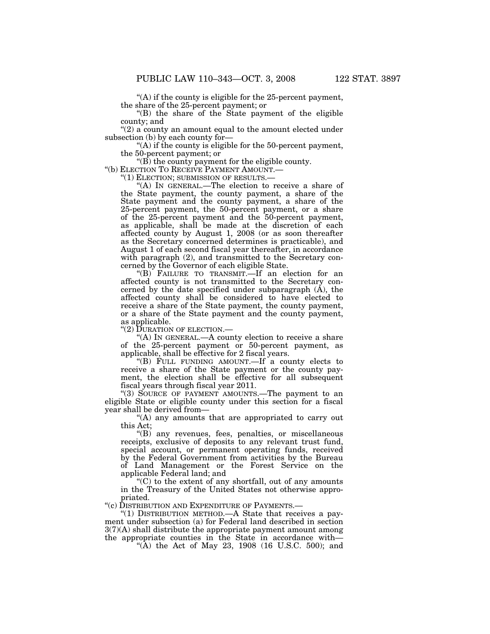$(A)$  if the county is eligible for the 25-percent payment, the share of the 25-percent payment; or

 $'(B)$  the share of the State payment of the eligible county; and

"(2) a county an amount equal to the amount elected under subsection (b) by each county for—

" $(A)$  if the county is eligible for the 50-percent payment, the 50-percent payment; or

" $(B)$  the county payment for the eligible county.<br>"(b) ELECTION TO RECEIVE PAYMENT AMOUNT.—

"(1) ELECTION; SUBMISSION OF RESULTS.—<br>"(A) IN GENERAL.—The election to receive a share of the State payment, the county payment, a share of the State payment and the county payment, a share of the 25-percent payment, the 50-percent payment, or a share of the 25-percent payment and the 50-percent payment, as applicable, shall be made at the discretion of each affected county by August 1, 2008 (or as soon thereafter as the Secretary concerned determines is practicable), and August 1 of each second fiscal year thereafter, in accordance with paragraph  $(2)$ , and transmitted to the Secretary concerned by the Governor of each eligible State.

"(B) FAILURE TO TRANSMIT.—If an election for an affected county is not transmitted to the Secretary concerned by the date specified under subparagraph (A), the affected county shall be considered to have elected to receive a share of the State payment, the county payment, or a share of the State payment and the county payment, as applicable.

''(2) DURATION OF ELECTION.—

"(A) IN GENERAL.—A county election to receive a share of the 25-percent payment or 50-percent payment, as applicable, shall be effective for 2 fiscal years.

''(B) FULL FUNDING AMOUNT.—If a county elects to receive a share of the State payment or the county payment, the election shall be effective for all subsequent fiscal years through fiscal year 2011.

"(3) SOURCE OF PAYMENT AMOUNTS.—The payment to an eligible State or eligible county under this section for a fiscal year shall be derived from—

"(A) any amounts that are appropriated to carry out this Act;

''(B) any revenues, fees, penalties, or miscellaneous receipts, exclusive of deposits to any relevant trust fund, special account, or permanent operating funds, received by the Federal Government from activities by the Bureau of Land Management or the Forest Service on the applicable Federal land; and

''(C) to the extent of any shortfall, out of any amounts in the Treasury of the United States not otherwise appropriated.

''(c) DISTRIBUTION AND EXPENDITURE OF PAYMENTS.—

"(1) DISTRIBUTION METHOD.—A State that receives a payment under subsection (a) for Federal land described in section 3(7)(A) shall distribute the appropriate payment amount among the appropriate counties in the State in accordance with— "(A) the Act of May 23, 1908 (16 U.S.C. 500); and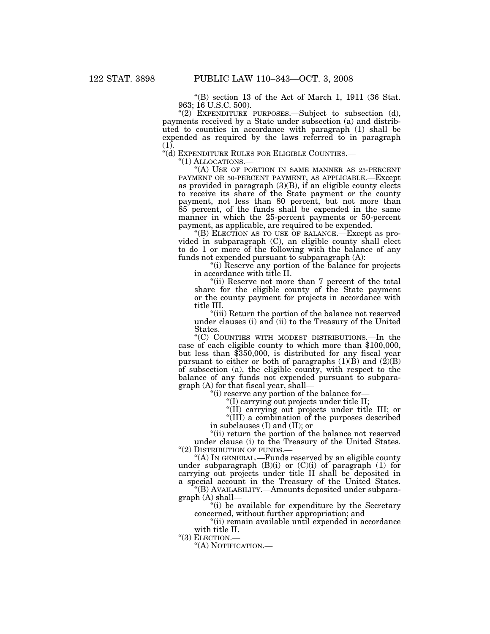"(B) section 13 of the Act of March 1, 1911 (36 Stat. 963; 16 U.S.C. 500).

"(2) EXPENDITURE PURPOSES.—Subject to subsection  $(d)$ , payments received by a State under subsection (a) and distributed to counties in accordance with paragraph (1) shall be expended as required by the laws referred to in paragraph (1).

''(d) EXPENDITURE RULES FOR ELIGIBLE COUNTIES.— ''(1) ALLOCATIONS.— ''(A) USE OF PORTION IN SAME MANNER AS 25-PERCENT

PAYMENT OR 50-PERCENT PAYMENT, AS APPLICABLE.—Except as provided in paragraph (3)(B), if an eligible county elects to receive its share of the State payment or the county payment, not less than 80 percent, but not more than 85 percent, of the funds shall be expended in the same manner in which the 25-percent payments or 50-percent payment, as applicable, are required to be expended.

''(B) ELECTION AS TO USE OF BALANCE.—Except as provided in subparagraph (C), an eligible county shall elect to do 1 or more of the following with the balance of any funds not expended pursuant to subparagraph (A):

''(i) Reserve any portion of the balance for projects in accordance with title II.

"(ii) Reserve not more than 7 percent of the total share for the eligible county of the State payment or the county payment for projects in accordance with title III.

''(iii) Return the portion of the balance not reserved under clauses (i) and (ii) to the Treasury of the United States.

''(C) COUNTIES WITH MODEST DISTRIBUTIONS.—In the case of each eligible county to which more than \$100,000, but less than \$350,000, is distributed for any fiscal year pursuant to either or both of paragraphs  $(1)(\check{B})$  and  $(\check{2})(B)$ of subsection (a), the eligible county, with respect to the balance of any funds not expended pursuant to subparagraph (A) for that fiscal year, shall—

''(i) reserve any portion of the balance for—

''(I) carrying out projects under title II;

''(II) carrying out projects under title III; or ''(III) a combination of the purposes described in subclauses (I) and (II); or

''(ii) return the portion of the balance not reserved under clause (i) to the Treasury of the United States. ''(2) DISTRIBUTION OF FUNDS.—

''(A) IN GENERAL.—Funds reserved by an eligible county under subparagraph  $(B)(i)$  or  $(C)(i)$  of paragraph  $(1)$  for carrying out projects under title II shall be deposited in a special account in the Treasury of the United States.

''(B) AVAILABILITY.—Amounts deposited under subparagraph (A) shall—

"(i) be available for expenditure by the Secretary concerned, without further appropriation; and

''(ii) remain available until expended in accordance

with title II.<br>
"(3) ELECTION.—

"(A) NOTIFICATION.—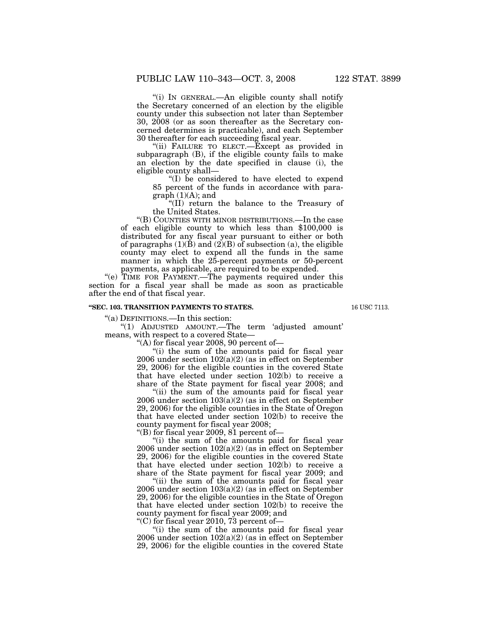''(i) IN GENERAL.—An eligible county shall notify the Secretary concerned of an election by the eligible county under this subsection not later than September 30, 2008 (or as soon thereafter as the Secretary concerned determines is practicable), and each September 30 thereafter for each succeeding fiscal year.

"(ii) FAILURE TO ELECT.—Except as provided in subparagraph (B), if the eligible county fails to make an election by the date specified in clause (i), the eligible county shall—

''(I) be considered to have elected to expend 85 percent of the funds in accordance with para $graph (1)(A);$  and

''(II) return the balance to the Treasury of the United States.

''(B) COUNTIES WITH MINOR DISTRIBUTIONS.—In the case of each eligible county to which less than \$100,000 is distributed for any fiscal year pursuant to either or both of paragraphs  $(1)(B)$  and  $(2)(B)$  of subsection  $(a)$ , the eligible county may elect to expend all the funds in the same manner in which the 25-percent payments or 50-percent payments, as applicable, are required to be expended.

''(e) TIME FOR PAYMENT.—The payments required under this section for a fiscal year shall be made as soon as practicable after the end of that fiscal year.

## **''SEC. 103. TRANSITION PAYMENTS TO STATES.**

16 USC 7113.

''(a) DEFINITIONS.—In this section:

''(1) ADJUSTED AMOUNT.—The term 'adjusted amount' means, with respect to a covered State—

''(A) for fiscal year 2008, 90 percent of—

"(i) the sum of the amounts paid for fiscal year 2006 under section  $102(a)(2)$  (as in effect on September 29, 2006) for the eligible counties in the covered State that have elected under section 102(b) to receive a share of the State payment for fiscal year 2008; and

"(ii) the sum of the amounts paid for fiscal year 2006 under section 103(a)(2) (as in effect on September 29, 2006) for the eligible counties in the State of Oregon that have elected under section 102(b) to receive the county payment for fiscal year 2008;

"(B) for fiscal year 2009, 81 percent of  $-$ 

"(i) the sum of the amounts paid for fiscal year 2006 under section 102(a)(2) (as in effect on September 29, 2006) for the eligible counties in the covered State that have elected under section 102(b) to receive a share of the State payment for fiscal year 2009; and

''(ii) the sum of the amounts paid for fiscal year 2006 under section 103(a)(2) (as in effect on September 29, 2006) for the eligible counties in the State of Oregon that have elected under section 102(b) to receive the county payment for fiscal year 2009; and

"(C) for fiscal year 2010, 73 percent of-

''(i) the sum of the amounts paid for fiscal year 2006 under section 102(a)(2) (as in effect on September 29, 2006) for the eligible counties in the covered State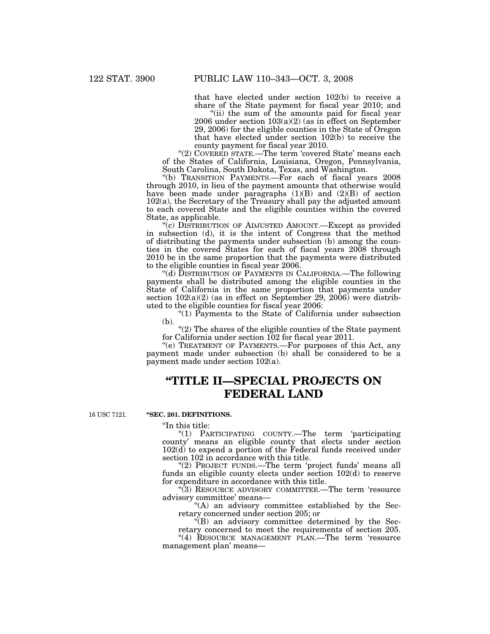that have elected under section 102(b) to receive a share of the State payment for fiscal year 2010; and

''(ii) the sum of the amounts paid for fiscal year 2006 under section  $103(a)(2)$  (as in effect on September 29, 2006) for the eligible counties in the State of Oregon that have elected under section 102(b) to receive the county payment for fiscal year 2010.

"(2) COVERED STATE.—The term 'covered State' means each of the States of California, Louisiana, Oregon, Pennsylvania, South Carolina, South Dakota, Texas, and Washington.

''(b) TRANSITION PAYMENTS.—For each of fiscal years 2008 through 2010, in lieu of the payment amounts that otherwise would have been made under paragraphs  $(1)(B)$  and  $(2)(B)$  of section 102(a), the Secretary of the Treasury shall pay the adjusted amount to each covered State and the eligible counties within the covered State, as applicable.

''(c) DISTRIBUTION OF ADJUSTED AMOUNT.—Except as provided in subsection (d), it is the intent of Congress that the method of distributing the payments under subsection (b) among the counties in the covered States for each of fiscal years 2008 through 2010 be in the same proportion that the payments were distributed to the eligible counties in fiscal year 2006.

''(d) DISTRIBUTION OF PAYMENTS IN CALIFORNIA.—The following payments shall be distributed among the eligible counties in the State of California in the same proportion that payments under section  $102(a)(2)$  (as in effect on September 29, 2006) were distributed to the eligible counties for fiscal year 2006:

''(1) Payments to the State of California under subsection (b).

''(2) The shares of the eligible counties of the State payment for California under section 102 for fiscal year 2011.

"(e) TREATMENT OF PAYMENTS.—For purposes of this Act, any payment made under subsection (b) shall be considered to be a payment made under section 102(a).

# **''TITLE II—SPECIAL PROJECTS ON FEDERAL LAND**

16 USC 7121.

# **''SEC. 201. DEFINITIONS.**

''In this title:

''(1) PARTICIPATING COUNTY.—The term 'participating county' means an eligible county that elects under section 102(d) to expend a portion of the Federal funds received under section 102 in accordance with this title.

"(2) PROJECT FUNDS.—The term 'project funds' means all funds an eligible county elects under section 102(d) to reserve for expenditure in accordance with this title.

''(3) RESOURCE ADVISORY COMMITTEE.—The term 'resource advisory committee' means—

"(A) an advisory committee established by the Secretary concerned under section 205; or

''(B) an advisory committee determined by the Secretary concerned to meet the requirements of section 205.

"(4) RESOURCE MANAGEMENT PLAN.—The term 'resource management plan' means—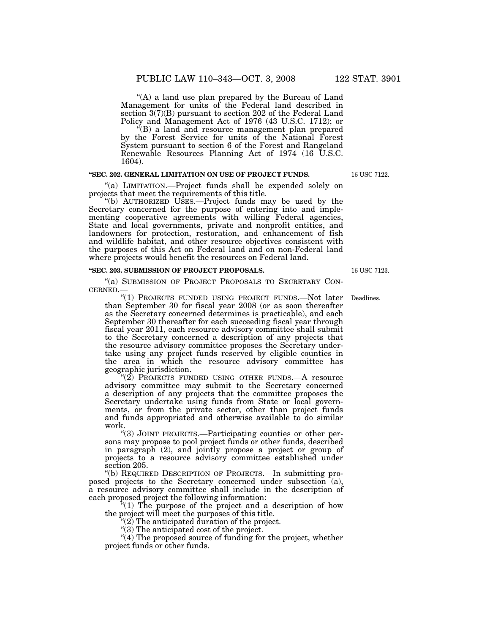"(A) a land use plan prepared by the Bureau of Land Management for units of the Federal land described in section 3(7)(B) pursuant to section 202 of the Federal Land Policy and Management Act of 1976 (43 U.S.C. 1712); or

''(B) a land and resource management plan prepared by the Forest Service for units of the National Forest System pursuant to section 6 of the Forest and Rangeland Renewable Resources Planning Act of 1974 (16 U.S.C. 1604).

#### **''SEC. 202. GENERAL LIMITATION ON USE OF PROJECT FUNDS.**

''(a) LIMITATION.—Project funds shall be expended solely on projects that meet the requirements of this title.

''(b) AUTHORIZED USES.—Project funds may be used by the Secretary concerned for the purpose of entering into and implementing cooperative agreements with willing Federal agencies, State and local governments, private and nonprofit entities, and landowners for protection, restoration, and enhancement of fish and wildlife habitat, and other resource objectives consistent with the purposes of this Act on Federal land and on non-Federal land where projects would benefit the resources on Federal land.

#### **''SEC. 203. SUBMISSION OF PROJECT PROPOSALS.**

"(a) SUBMISSION OF PROJECT PROPOSALS TO SECRETARY CON-CERNED.—

''(1) PROJECTS FUNDED USING PROJECT FUNDS.—Not later than September 30 for fiscal year 2008 (or as soon thereafter as the Secretary concerned determines is practicable), and each September 30 thereafter for each succeeding fiscal year through fiscal year 2011, each resource advisory committee shall submit to the Secretary concerned a description of any projects that the resource advisory committee proposes the Secretary undertake using any project funds reserved by eligible counties in the area in which the resource advisory committee has geographic jurisdiction.

" $(2)$  PROJECTS FUNDED USING OTHER FUNDS.—A resource advisory committee may submit to the Secretary concerned a description of any projects that the committee proposes the Secretary undertake using funds from State or local governments, or from the private sector, other than project funds and funds appropriated and otherwise available to do similar work.

''(3) JOINT PROJECTS.—Participating counties or other persons may propose to pool project funds or other funds, described in paragraph (2), and jointly propose a project or group of projects to a resource advisory committee established under section 205.

''(b) REQUIRED DESCRIPTION OF PROJECTS.—In submitting proposed projects to the Secretary concerned under subsection (a), a resource advisory committee shall include in the description of each proposed project the following information:

 $f''(1)$  The purpose of the project and a description of how the project will meet the purposes of this title.

 $(2)$  The anticipated duration of the project.

''(3) The anticipated cost of the project.

"(4) The proposed source of funding for the project, whether project funds or other funds.

16 USC 7123.

Deadlines.

16 USC 7122.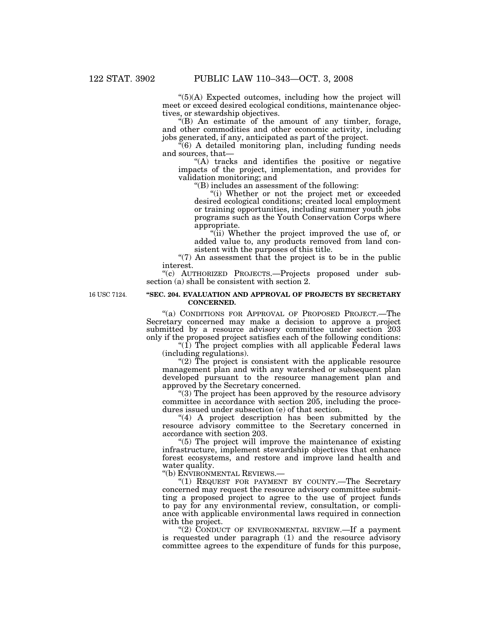''(5)(A) Expected outcomes, including how the project will meet or exceed desired ecological conditions, maintenance objectives, or stewardship objectives.

''(B) An estimate of the amount of any timber, forage, and other commodities and other economic activity, including jobs generated, if any, anticipated as part of the project.

''(6) A detailed monitoring plan, including funding needs and sources, that—

''(A) tracks and identifies the positive or negative impacts of the project, implementation, and provides for validation monitoring; and

''(B) includes an assessment of the following:

"(i) Whether or not the project met or exceeded desired ecological conditions; created local employment or training opportunities, including summer youth jobs programs such as the Youth Conservation Corps where appropriate.

''(ii) Whether the project improved the use of, or added value to, any products removed from land consistent with the purposes of this title.

" $(7)$  An assessment that the project is to be in the public interest.

''(c) AUTHORIZED PROJECTS.—Projects proposed under subsection (a) shall be consistent with section 2.

16 USC 7124.

# **''SEC. 204. EVALUATION AND APPROVAL OF PROJECTS BY SECRETARY CONCERNED.**

"(a) CONDITIONS FOR APPROVAL OF PROPOSED PROJECT.—The Secretary concerned may make a decision to approve a project submitted by a resource advisory committee under section 203 only if the proposed project satisfies each of the following conditions:

"(1) The project complies with all applicable Federal laws (including regulations).

" $(2)$  The project is consistent with the applicable resource management plan and with any watershed or subsequent plan developed pursuant to the resource management plan and approved by the Secretary concerned.

''(3) The project has been approved by the resource advisory committee in accordance with section 205, including the procedures issued under subsection (e) of that section.

''(4) A project description has been submitted by the resource advisory committee to the Secretary concerned in accordance with section 203.

 $(5)$  The project will improve the maintenance of existing infrastructure, implement stewardship objectives that enhance forest ecosystems, and restore and improve land health and water quality.

''(b) ENVIRONMENTAL REVIEWS.—

"(1) REQUEST FOR PAYMENT BY COUNTY.—The Secretary concerned may request the resource advisory committee submitting a proposed project to agree to the use of project funds to pay for any environmental review, consultation, or compliance with applicable environmental laws required in connection with the project.

"(2) CONDUCT OF ENVIRONMENTAL REVIEW.—If a payment is requested under paragraph (1) and the resource advisory committee agrees to the expenditure of funds for this purpose,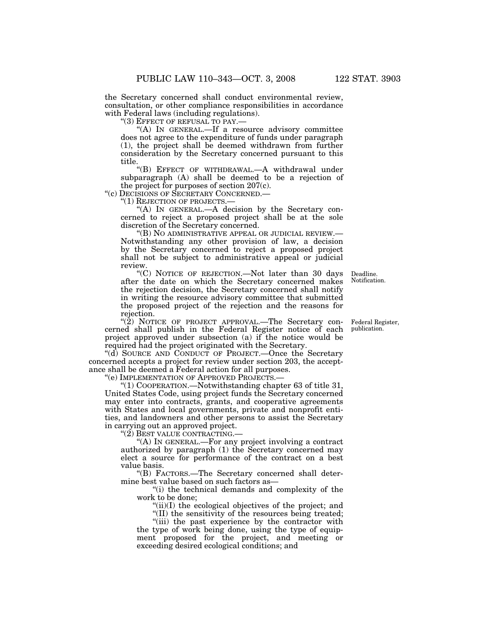the Secretary concerned shall conduct environmental review, consultation, or other compliance responsibilities in accordance with Federal laws (including regulations).<br>"(3) EFFECT OF REFUSAL TO PAY.—

"(A) IN GENERAL.—If a resource advisory committee does not agree to the expenditure of funds under paragraph (1), the project shall be deemed withdrawn from further consideration by the Secretary concerned pursuant to this title.

''(B) EFFECT OF WITHDRAWAL.—A withdrawal under subparagraph (A) shall be deemed to be a rejection of the project for purposes of section 207(c).<br>"(c) DECISIONS OF SECRETARY CONCERNED.—

"(1) REJECTION OF PROJECTS.—<br>"(A) IN GENERAL.—A decision by the Secretary concerned to reject a proposed project shall be at the sole discretion of the Secretary concerned.

''(B) NO ADMINISTRATIVE APPEAL OR JUDICIAL REVIEW.— Notwithstanding any other provision of law, a decision by the Secretary concerned to reject a proposed project shall not be subject to administrative appeal or judicial review.

''(C) NOTICE OF REJECTION.—Not later than 30 days after the date on which the Secretary concerned makes the rejection decision, the Secretary concerned shall notify in writing the resource advisory committee that submitted the proposed project of the rejection and the reasons for rejection.

"(2) NOTICE OF PROJECT APPROVAL.—The Secretary concerned shall publish in the Federal Register notice of each project approved under subsection (a) if the notice would be required had the project originated with the Secretary.

"(d) SOURCE AND CONDUCT OF PROJECT.—Once the Secretary concerned accepts a project for review under section 203, the acceptance shall be deemed a Federal action for all purposes.

''(e) IMPLEMENTATION OF APPROVED PROJECTS.—

''(1) COOPERATION.—Notwithstanding chapter 63 of title 31, United States Code, using project funds the Secretary concerned may enter into contracts, grants, and cooperative agreements with States and local governments, private and nonprofit entities, and landowners and other persons to assist the Secretary in carrying out an approved project.

''(2) BEST VALUE CONTRACTING.—

''(A) IN GENERAL.—For any project involving a contract authorized by paragraph (1) the Secretary concerned may elect a source for performance of the contract on a best value basis.

''(B) FACTORS.—The Secretary concerned shall determine best value based on such factors as—

"(i) the technical demands and complexity of the work to be done;

"(ii)(I) the ecological objectives of the project; and

''(II) the sensitivity of the resources being treated; "(iii) the past experience by the contractor with the type of work being done, using the type of equip-

ment proposed for the project, and meeting or exceeding desired ecological conditions; and

Federal Register, publication.

Deadline. Notification.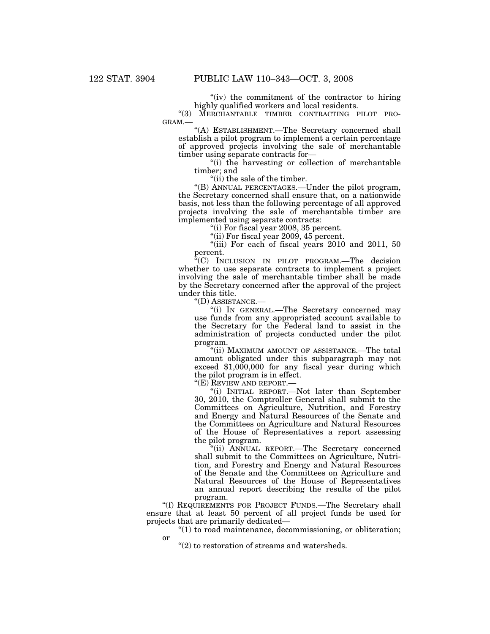"(iv) the commitment of the contractor to hiring highly qualified workers and local residents.

''(3) MERCHANTABLE TIMBER CONTRACTING PILOT PRO-GRAM.—

''(A) ESTABLISHMENT.—The Secretary concerned shall establish a pilot program to implement a certain percentage of approved projects involving the sale of merchantable timber using separate contracts for—

"(i) the harvesting or collection of merchantable" timber; and

''(ii) the sale of the timber.

''(B) ANNUAL PERCENTAGES.—Under the pilot program, the Secretary concerned shall ensure that, on a nationwide basis, not less than the following percentage of all approved projects involving the sale of merchantable timber are implemented using separate contracts:

''(i) For fiscal year 2008, 35 percent.

"(ii) For fiscal year 2009, 45 percent.

"(iii) For each of fiscal years 2010 and 2011, 50 percent.

 $E^{\text{c}}(C)$  INCLUSION IN PILOT PROGRAM.—The decision whether to use separate contracts to implement a project involving the sale of merchantable timber shall be made by the Secretary concerned after the approval of the project under this title.

''(D) ASSISTANCE.—

''(i) IN GENERAL.—The Secretary concerned may use funds from any appropriated account available to the Secretary for the Federal land to assist in the administration of projects conducted under the pilot program.

"(ii) MAXIMUM AMOUNT OF ASSISTANCE.—The total amount obligated under this subparagraph may not exceed \$1,000,000 for any fiscal year during which the pilot program is in effect.

''(E) REVIEW AND REPORT.—

''(i) INITIAL REPORT.—Not later than September 30, 2010, the Comptroller General shall submit to the Committees on Agriculture, Nutrition, and Forestry and Energy and Natural Resources of the Senate and the Committees on Agriculture and Natural Resources of the House of Representatives a report assessing the pilot program.

''(ii) ANNUAL REPORT.—The Secretary concerned shall submit to the Committees on Agriculture, Nutrition, and Forestry and Energy and Natural Resources of the Senate and the Committees on Agriculture and Natural Resources of the House of Representatives an annual report describing the results of the pilot program.

''(f) REQUIREMENTS FOR PROJECT FUNDS.—The Secretary shall ensure that at least 50 percent of all project funds be used for projects that are primarily dedicated—

 $''(1)$  to road maintenance, decommissioning, or obliteration; or

''(2) to restoration of streams and watersheds.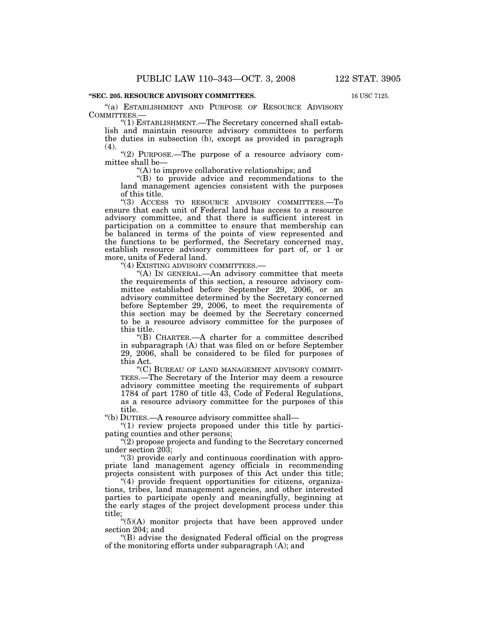#### **''SEC. 205. RESOURCE ADVISORY COMMITTEES.**

16 USC 7125.

''(a) ESTABLISHMENT AND PURPOSE OF RESOURCE ADVISORY COMMITTEES.— ''(1) ESTABLISHMENT.—The Secretary concerned shall estab-

lish and maintain resource advisory committees to perform the duties in subsection (b), except as provided in paragraph (4).

"(2) PURPOSE.—The purpose of a resource advisory committee shall be—

''(A) to improve collaborative relationships; and

''(B) to provide advice and recommendations to the land management agencies consistent with the purposes of this title.

''(3) ACCESS TO RESOURCE ADVISORY COMMITTEES.—To ensure that each unit of Federal land has access to a resource advisory committee, and that there is sufficient interest in participation on a committee to ensure that membership can be balanced in terms of the points of view represented and the functions to be performed, the Secretary concerned may, establish resource advisory committees for part of, or 1 or more, units of Federal land.

"(4) EXISTING ADVISORY COMMITTEES.—

''(A) IN GENERAL.—An advisory committee that meets the requirements of this section, a resource advisory committee established before September 29, 2006, or an advisory committee determined by the Secretary concerned before September 29, 2006, to meet the requirements of this section may be deemed by the Secretary concerned to be a resource advisory committee for the purposes of this title.

''(B) CHARTER.—A charter for a committee described in subparagraph (A) that was filed on or before September 29, 2006, shall be considered to be filed for purposes of this Act.

''(C) BUREAU OF LAND MANAGEMENT ADVISORY COMMIT-TEES.—The Secretary of the Interior may deem a resource advisory committee meeting the requirements of subpart 1784 of part 1780 of title 43, Code of Federal Regulations, as a resource advisory committee for the purposes of this title.

''(b) DUTIES.—A resource advisory committee shall—

''(1) review projects proposed under this title by participating counties and other persons;

 $\sqrt{\left(2\right)}$  propose projects and funding to the Secretary concerned under section 203;

''(3) provide early and continuous coordination with appropriate land management agency officials in recommending projects consistent with purposes of this Act under this title;

''(4) provide frequent opportunities for citizens, organizations, tribes, land management agencies, and other interested parties to participate openly and meaningfully, beginning at the early stages of the project development process under this title;

 $(5)(A)$  monitor projects that have been approved under section 204; and

''(B) advise the designated Federal official on the progress of the monitoring efforts under subparagraph (A); and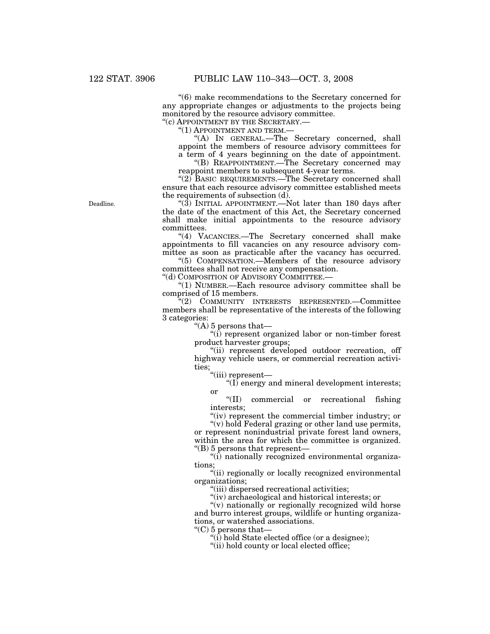''(6) make recommendations to the Secretary concerned for any appropriate changes or adjustments to the projects being monitored by the resource advisory committee.

''(c) APPOINTMENT BY THE SECRETARY.—

"(1) APPOINTMENT AND TERM.-

''(A) IN GENERAL.—The Secretary concerned, shall appoint the members of resource advisory committees for a term of 4 years beginning on the date of appointment.

''(B) REAPPOINTMENT.—The Secretary concerned may reappoint members to subsequent 4-year terms.

"(2) BASIC REQUIREMENTS.—The Secretary concerned shall ensure that each resource advisory committee established meets the requirements of subsection (d).

" $(3)$  INITIAL APPOINTMENT.—Not later than 180 days after the date of the enactment of this Act, the Secretary concerned shall make initial appointments to the resource advisory committees.

"(4) VACANCIES.-The Secretary concerned shall make appointments to fill vacancies on any resource advisory committee as soon as practicable after the vacancy has occurred.

''(5) COMPENSATION.—Members of the resource advisory committees shall not receive any compensation.

"(d) COMPOSITION OF ADVISORY COMMITTEE.-

''(1) NUMBER.—Each resource advisory committee shall be comprised of 15 members.

''(2) COMMUNITY INTERESTS REPRESENTED.—Committee members shall be representative of the interests of the following 3 categories:

''(A) 5 persons that—

 $\hat{I}$ ) represent organized labor or non-timber forest product harvester groups;

''(ii) represent developed outdoor recreation, off highway vehicle users, or commercial recreation activities;

''(iii) represent—

" $(I)$  energy and mineral development interests; or

''(II) commercial or recreational fishing interests;

"(iv) represent the commercial timber industry; or ''(v) hold Federal grazing or other land use permits,

or represent nonindustrial private forest land owners, within the area for which the committee is organized.  $\mathrm{``(B)}$  5 persons that represent—

''(i) nationally recognized environmental organizations;

''(ii) regionally or locally recognized environmental organizations;

"(iii) dispersed recreational activities;

''(iv) archaeological and historical interests; or

"(v) nationally or regionally recognized wild horse and burro interest groups, wildlife or hunting organizations, or watershed associations.

"(C) 5 persons that—

" $(i)$  hold State elected office (or a designee);

"(ii) hold county or local elected office;

Deadline.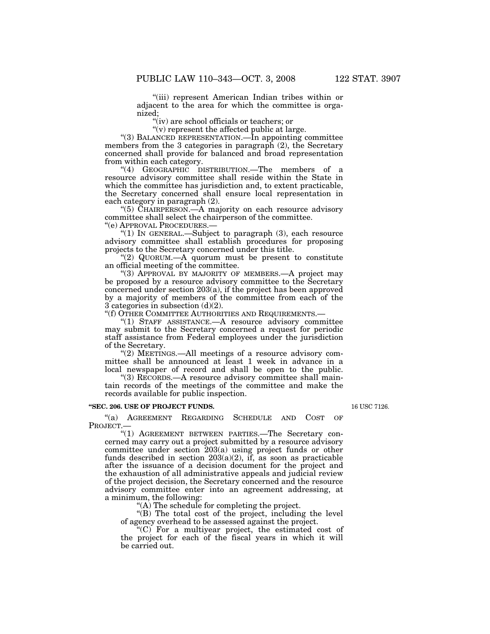"(iii) represent American Indian tribes within or adjacent to the area for which the committee is organized;

''(iv) are school officials or teachers; or

''(v) represent the affected public at large.

''(3) BALANCED REPRESENTATION.—In appointing committee members from the 3 categories in paragraph (2), the Secretary concerned shall provide for balanced and broad representation from within each category.

''(4) GEOGRAPHIC DISTRIBUTION.—The members of a resource advisory committee shall reside within the State in which the committee has jurisdiction and, to extent practicable, the Secretary concerned shall ensure local representation in each category in paragraph (2).

''(5) CHAIRPERSON.—A majority on each resource advisory committee shall select the chairperson of the committee.

''(e) APPROVAL PROCEDURES.—

''(1) IN GENERAL.—Subject to paragraph (3), each resource advisory committee shall establish procedures for proposing projects to the Secretary concerned under this title.

''(2) QUORUM.—A quorum must be present to constitute an official meeting of the committee.

"(3) APPROVAL BY MAJORITY OF MEMBERS.—A project may be proposed by a resource advisory committee to the Secretary concerned under section 203(a), if the project has been approved by a majority of members of the committee from each of the 3 categories in subsection (d)(2).

''(f) OTHER COMMITTEE AUTHORITIES AND REQUIREMENTS.—

''(1) STAFF ASSISTANCE.—A resource advisory committee may submit to the Secretary concerned a request for periodic staff assistance from Federal employees under the jurisdiction of the Secretary.

"(2) MEETINGS.—All meetings of a resource advisory committee shall be announced at least 1 week in advance in a local newspaper of record and shall be open to the public.

''(3) RECORDS.—A resource advisory committee shall maintain records of the meetings of the committee and make the records available for public inspection.

#### **''SEC. 206. USE OF PROJECT FUNDS.**

''(a) AGREEMENT REGARDING SCHEDULE AND COST OF PROJECT.—

''(1) AGREEMENT BETWEEN PARTIES.—The Secretary concerned may carry out a project submitted by a resource advisory committee under section 203(a) using project funds or other funds described in section  $203(a)(2)$ , if, as soon as practicable after the issuance of a decision document for the project and the exhaustion of all administrative appeals and judicial review of the project decision, the Secretary concerned and the resource advisory committee enter into an agreement addressing, at a minimum, the following:

''(A) The schedule for completing the project.

"(B) The total cost of the project, including the level of agency overhead to be assessed against the project.

''(C) For a multiyear project, the estimated cost of the project for each of the fiscal years in which it will be carried out.

16 USC 7126.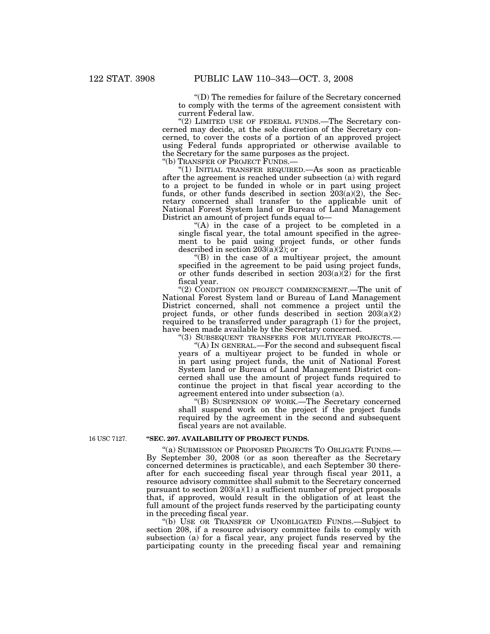''(D) The remedies for failure of the Secretary concerned to comply with the terms of the agreement consistent with current Federal law.

"(2) LIMITED USE OF FEDERAL FUNDS.—The Secretary concerned may decide, at the sole discretion of the Secretary concerned, to cover the costs of a portion of an approved project using Federal funds appropriated or otherwise available to the Secretary for the same purposes as the project.<br>"(b) TRANSFER OF PROJECT FUNDS.—

"(1) INITIAL TRANSFER REQUIRED.—As soon as practicable after the agreement is reached under subsection (a) with regard to a project to be funded in whole or in part using project funds, or other funds described in section  $203(a)(2)$ , the Secretary concerned shall transfer to the applicable unit of National Forest System land or Bureau of Land Management District an amount of project funds equal to—

''(A) in the case of a project to be completed in a single fiscal year, the total amount specified in the agreement to be paid using project funds, or other funds described in section 203(a)(2); or

''(B) in the case of a multiyear project, the amount specified in the agreement to be paid using project funds, or other funds described in section 203(a)(2) for the first fiscal year.

"(2) CONDITION ON PROJECT COMMENCEMENT.—The unit of National Forest System land or Bureau of Land Management District concerned, shall not commence a project until the project funds, or other funds described in section  $203(a)(2)$ required to be transferred under paragraph (1) for the project, have been made available by the Secretary concerned.

"(3) SUBSEQUENT TRANSFERS FOR MULTIYEAR PROJECTS.-

''(A) IN GENERAL.—For the second and subsequent fiscal years of a multiyear project to be funded in whole or in part using project funds, the unit of National Forest System land or Bureau of Land Management District concerned shall use the amount of project funds required to continue the project in that fiscal year according to the agreement entered into under subsection (a).

''(B) SUSPENSION OF WORK.—The Secretary concerned shall suspend work on the project if the project funds required by the agreement in the second and subsequent fiscal years are not available.

#### **''SEC. 207. AVAILABILITY OF PROJECT FUNDS.**

''(a) SUBMISSION OF PROPOSED PROJECTS TO OBLIGATE FUNDS.— By September 30, 2008 (or as soon thereafter as the Secretary concerned determines is practicable), and each September 30 thereafter for each succeeding fiscal year through fiscal year 2011, a resource advisory committee shall submit to the Secretary concerned pursuant to section  $203(a)(1)$  a sufficient number of project proposals that, if approved, would result in the obligation of at least the full amount of the project funds reserved by the participating county in the preceding fiscal year.

''(b) USE OR TRANSFER OF UNOBLIGATED FUNDS.—Subject to section 208, if a resource advisory committee fails to comply with subsection (a) for a fiscal year, any project funds reserved by the participating county in the preceding fiscal year and remaining

16 USC 7127.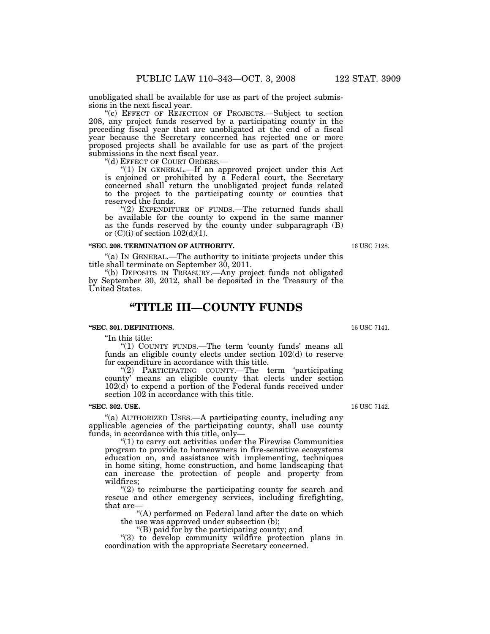unobligated shall be available for use as part of the project submissions in the next fiscal year.

''(c) EFFECT OF REJECTION OF PROJECTS.—Subject to section 208, any project funds reserved by a participating county in the preceding fiscal year that are unobligated at the end of a fiscal year because the Secretary concerned has rejected one or more proposed projects shall be available for use as part of the project submissions in the next fiscal year.

''(d) EFFECT OF COURT ORDERS.— ''(1) IN GENERAL.—If an approved project under this Act is enjoined or prohibited by a Federal court, the Secretary concerned shall return the unobligated project funds related to the project to the participating county or counties that reserved the funds.

"(2) EXPENDITURE OF FUNDS.—The returned funds shall be available for the county to expend in the same manner as the funds reserved by the county under subparagraph (B) or  $(C)(i)$  of section  $102(d)(1)$ .

#### **''SEC. 208. TERMINATION OF AUTHORITY.**

"(a) IN GENERAL.—The authority to initiate projects under this title shall terminate on September 30, 2011.

''(b) DEPOSITS IN TREASURY.—Any project funds not obligated by September 30, 2012, shall be deposited in the Treasury of the United States.

# **''TITLE III—COUNTY FUNDS**

#### **''SEC. 301. DEFINITIONS.**

''In this title:

''(1) COUNTY FUNDS.—The term 'county funds' means all funds an eligible county elects under section 102(d) to reserve for expenditure in accordance with this title.

 $\sqrt{\hat{2}}$  PARTICIPATING COUNTY.—The term 'participating county' means an eligible county that elects under section 102(d) to expend a portion of the Federal funds received under section 102 in accordance with this title.

#### **''SEC. 302. USE.**

''(a) AUTHORIZED USES.—A participating county, including any applicable agencies of the participating county, shall use county funds, in accordance with this title, only—

''(1) to carry out activities under the Firewise Communities program to provide to homeowners in fire-sensitive ecosystems education on, and assistance with implementing, techniques in home siting, home construction, and home landscaping that can increase the protection of people and property from wildfires;

 $(2)$  to reimburse the participating county for search and rescue and other emergency services, including firefighting, that are

"(A) performed on Federal land after the date on which the use was approved under subsection (b);

''(B) paid for by the participating county; and

''(3) to develop community wildfire protection plans in coordination with the appropriate Secretary concerned.

16 USC 7142.

16 USC 7141.

16 USC 7128.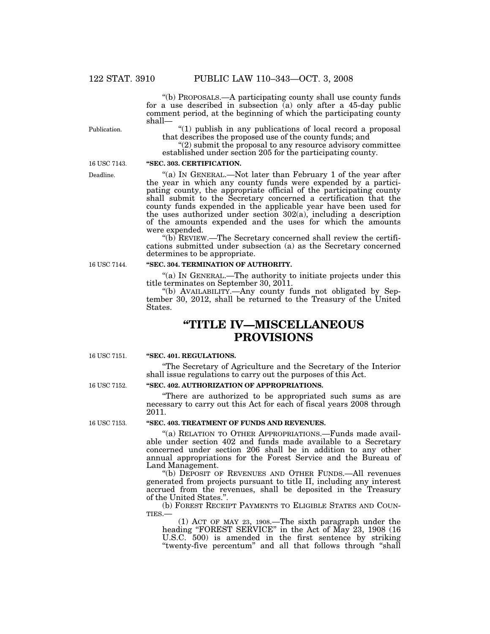''(b) PROPOSALS.—A participating county shall use county funds for a use described in subsection (a) only after a 45-day public comment period, at the beginning of which the participating county shall—

Publication.

''(1) publish in any publications of local record a proposal that describes the proposed use of the county funds; and

''(2) submit the proposal to any resource advisory committee established under section 205 for the participating county.

# **''SEC. 303. CERTIFICATION.**

"(a) IN GENERAL.—Not later than February 1 of the year after the year in which any county funds were expended by a participating county, the appropriate official of the participating county shall submit to the Secretary concerned a certification that the county funds expended in the applicable year have been used for the uses authorized under section 302(a), including a description of the amounts expended and the uses for which the amounts were expended.

''(b) REVIEW.—The Secretary concerned shall review the certifications submitted under subsection (a) as the Secretary concerned determines to be appropriate.

## **''SEC. 304. TERMINATION OF AUTHORITY.**

"(a) IN GENERAL.—The authority to initiate projects under this title terminates on September 30, 2011.

''(b) AVAILABILITY.—Any county funds not obligated by September 30, 2012, shall be returned to the Treasury of the United States.

# **''TITLE IV—MISCELLANEOUS PROVISIONS**

## **''SEC. 401. REGULATIONS.**

''The Secretary of Agriculture and the Secretary of the Interior shall issue regulations to carry out the purposes of this Act.

# **''SEC. 402. AUTHORIZATION OF APPROPRIATIONS.**

''There are authorized to be appropriated such sums as are necessary to carry out this Act for each of fiscal years 2008 through 2011.

## **''SEC. 403. TREATMENT OF FUNDS AND REVENUES.**

''(a) RELATION TO OTHER APPROPRIATIONS.—Funds made available under section 402 and funds made available to a Secretary concerned under section 206 shall be in addition to any other annual appropriations for the Forest Service and the Bureau of Land Management.

''(b) DEPOSIT OF REVENUES AND OTHER FUNDS.—All revenues generated from projects pursuant to title II, including any interest accrued from the revenues, shall be deposited in the Treasury of the United States.''.

(b) FOREST RECEIPT PAYMENTS TO ELIGIBLE STATES AND COUN-TIES.—

(1) ACT OF MAY 23, 1908.—The sixth paragraph under the heading "FOREST SERVICE" in the Act of May 23, 1908 (16 U.S.C. 500) is amended in the first sentence by striking "twenty-five percentum" and all that follows through "shall

16 USC 7152.

16 USC 7151.

16 USC 7153.

Deadline. 16 USC 7143.

16 USC 7144.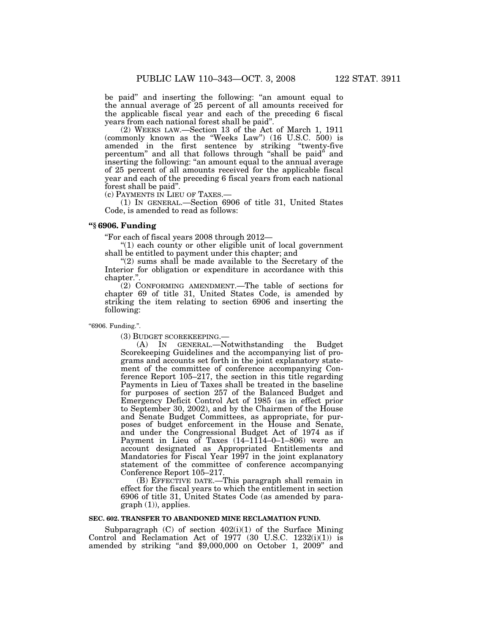be paid'' and inserting the following: ''an amount equal to the annual average of 25 percent of all amounts received for

the applicable fiscal year and each of the preceding 6 fiscal years from each national forest shall be paid''. (2) WEEKS LAW.—Section 13 of the Act of March 1, 1911 (commonly known as the ''Weeks Law'') (16 U.S.C. 500) is

amended in the first sentence by striking ''twenty-five percentum'' and all that follows through ''shall be paid'' and inserting the following: ''an amount equal to the annual average of 25 percent of all amounts received for the applicable fiscal year and each of the preceding 6 fiscal years from each national forest shall be paid''.

(c) PAYMENTS IN LIEU OF TAXES.—

(1) IN GENERAL.—Section 6906 of title 31, United States Code, is amended to read as follows:

# **''§ 6906. Funding**

''For each of fiscal years 2008 through 2012—

''(1) each county or other eligible unit of local government shall be entitled to payment under this chapter; and

"(2) sums shall be made available to the Secretary of the Interior for obligation or expenditure in accordance with this chapter.''.

(2) CONFORMING AMENDMENT.—The table of sections for chapter 69 of title 31, United States Code, is amended by striking the item relating to section 6906 and inserting the following:

## ''6906. Funding.''.

(3) BUDGET SCOREKEEPING.— (A) IN GENERAL.—Notwithstanding the Budget Scorekeeping Guidelines and the accompanying list of programs and accounts set forth in the joint explanatory statement of the committee of conference accompanying Conference Report 105–217, the section in this title regarding Payments in Lieu of Taxes shall be treated in the baseline for purposes of section 257 of the Balanced Budget and Emergency Deficit Control Act of 1985 (as in effect prior to September 30, 2002), and by the Chairmen of the House and Senate Budget Committees, as appropriate, for purposes of budget enforcement in the House and Senate, and under the Congressional Budget Act of 1974 as if Payment in Lieu of Taxes  $(14-1114-0-1-806)$  were an account designated as Appropriated Entitlements and Mandatories for Fiscal Year 1997 in the joint explanatory statement of the committee of conference accompanying Conference Report 105–217.

(B) EFFECTIVE DATE.—This paragraph shall remain in effect for the fiscal years to which the entitlement in section 6906 of title 31, United States Code (as amended by para $graph (1)$ , applies.

#### **SEC. 602. TRANSFER TO ABANDONED MINE RECLAMATION FUND.**

Subparagraph  $(C)$  of section  $402(i)(1)$  of the Surface Mining Control and Reclamation Act of  $1977 (30 \text{ U.S.C. } 1232(i)(1))$  is amended by striking "and \$9,000,000 on October 1, 2009" and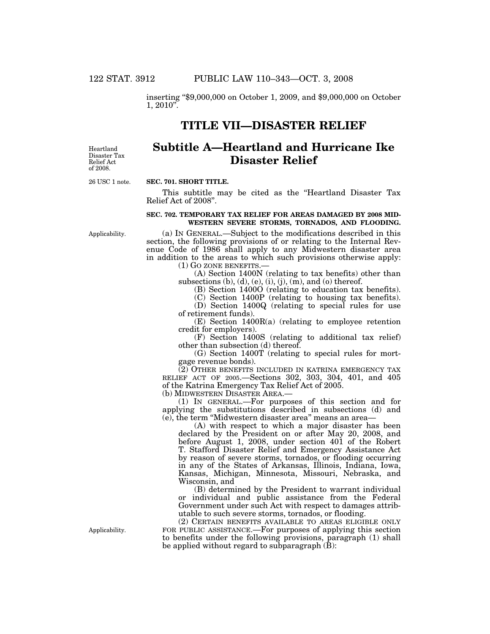inserting ''\$9,000,000 on October 1, 2009, and \$9,000,000 on October 1, 2010''.

# **TITLE VII—DISASTER RELIEF**

Heartland Disaster Tax Relief Act of 2008.

# **Subtitle A—Heartland and Hurricane Ike Disaster Relief**

**SEC. 701. SHORT TITLE.**  26 USC 1 note.

> This subtitle may be cited as the ''Heartland Disaster Tax Relief Act of 2008''.

#### **SEC. 702. TEMPORARY TAX RELIEF FOR AREAS DAMAGED BY 2008 MID-WESTERN SEVERE STORMS, TORNADOS, AND FLOODING.**

Applicability.

(a) IN GENERAL.—Subject to the modifications described in this section, the following provisions of or relating to the Internal Revenue Code of 1986 shall apply to any Midwestern disaster area in addition to the areas to which such provisions otherwise apply:

(1) GO ZONE BENEFITS.—

(A) Section 1400N (relating to tax benefits) other than subsections  $(b)$ ,  $(d)$ ,  $(e)$ ,  $(i)$ ,  $(j)$ ,  $(m)$ , and  $(o)$  thereof.

(B) Section 1400O (relating to education tax benefits).

(C) Section 1400P (relating to housing tax benefits). (D) Section 1400Q (relating to special rules for use

of retirement funds).

(E) Section 1400R(a) (relating to employee retention credit for employers).

(F) Section 1400S (relating to additional tax relief) other than subsection (d) thereof.

(G) Section 1400T (relating to special rules for mortgage revenue bonds).

(2) OTHER BENEFITS INCLUDED IN KATRINA EMERGENCY TAX RELIEF ACT OF 2005.—Sections 302, 303, 304, 401, and 405 of the Katrina Emergency Tax Relief Act of 2005.

(b) MIDWESTERN DISASTER AREA.—

(1) IN GENERAL.—For purposes of this section and for applying the substitutions described in subsections (d) and (e), the term ''Midwestern disaster area'' means an area—

(A) with respect to which a major disaster has been declared by the President on or after May 20, 2008, and before August 1, 2008, under section 401 of the Robert T. Stafford Disaster Relief and Emergency Assistance Act by reason of severe storms, tornados, or flooding occurring in any of the States of Arkansas, Illinois, Indiana, Iowa, Kansas, Michigan, Minnesota, Missouri, Nebraska, and Wisconsin, and

(B) determined by the President to warrant individual or individual and public assistance from the Federal Government under such Act with respect to damages attributable to such severe storms, tornados, or flooding.

(2) CERTAIN BENEFITS AVAILABLE TO AREAS ELIGIBLE ONLY FOR PUBLIC ASSISTANCE.—For purposes of applying this section to benefits under the following provisions, paragraph (1) shall be applied without regard to subparagraph (B):

Applicability.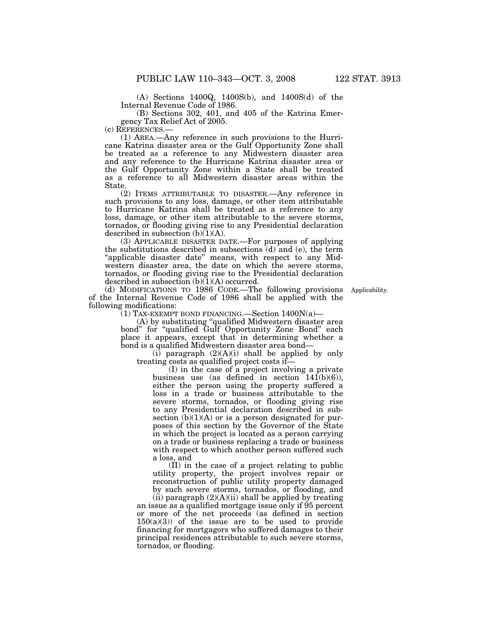(A) Sections 1400Q, 1400S(b), and 1400S(d) of the Internal Revenue Code of 1986.

(B) Sections 302, 401, and 405 of the Katrina Emergency Tax Relief Act of 2005.<br>(c) REFERENCES.—

 $(1)$  AREA.—Any reference in such provisions to the Hurricane Katrina disaster area or the Gulf Opportunity Zone shall be treated as a reference to any Midwestern disaster area and any reference to the Hurricane Katrina disaster area or the Gulf Opportunity Zone within a State shall be treated as a reference to all Midwestern disaster areas within the State.

(2) ITEMS ATTRIBUTABLE TO DISASTER.—Any reference in such provisions to any loss, damage, or other item attributable to Hurricane Katrina shall be treated as a reference to any loss, damage, or other item attributable to the severe storms, tornados, or flooding giving rise to any Presidential declaration described in subsection  $(b)(1)(A)$ .

(3) APPLICABLE DISASTER DATE.—For purposes of applying the substitutions described in subsections (d) and (e), the term "applicable disaster date" means, with respect to any Midwestern disaster area, the date on which the severe storms, tornados, or flooding giving rise to the Presidential declaration described in subsection  $(b)(1)(A)$  occurred.

(d) MODIFICATIONS TO 1986 CODE.—The following provisions of the Internal Revenue Code of 1986 shall be applied with the following modifications:

 $(1)$  TAX-EXEMPT BOND FINANCING.—Section  $1400N(a)$ —

(A) by substituting ''qualified Midwestern disaster area bond" for "qualified Gulf Opportunity Zone Bond" each place it appears, except that in determining whether a bond is a qualified Midwestern disaster area bond—

(i) paragraph  $(2)(A)(i)$  shall be applied by only treating costs as qualified project costs if—

(I) in the case of a project involving a private business use (as defined in section  $141(b)(6)$ ), either the person using the property suffered a loss in a trade or business attributable to the severe storms, tornados, or flooding giving rise to any Presidential declaration described in subsection  $(b)(1)(A)$  or is a person designated for purposes of this section by the Governor of the State in which the project is located as a person carrying on a trade or business replacing a trade or business with respect to which another person suffered such a loss, and

(II) in the case of a project relating to public utility property, the project involves repair or reconstruction of public utility property damaged by such severe storms, tornados, or flooding, and

(ii) paragraph  $(2)(A)(ii)$  shall be applied by treating an issue as a qualified mortgage issue only if 95 percent or more of the net proceeds (as defined in section  $150(a)(3)$  of the issue are to be used to provide financing for mortgagors who suffered damages to their principal residences attributable to such severe storms, tornados, or flooding.

Applicability.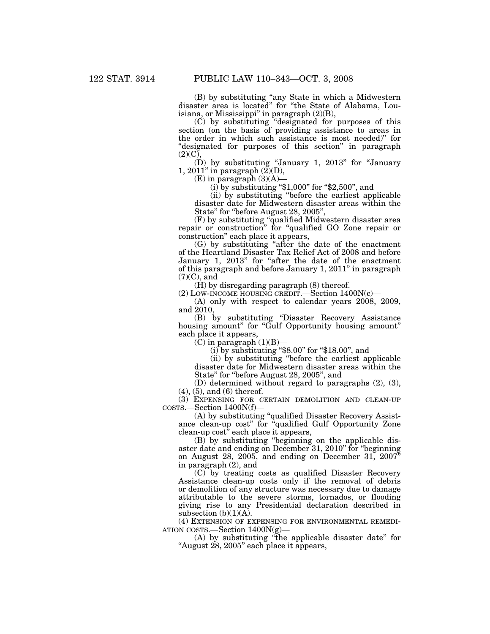(B) by substituting ''any State in which a Midwestern disaster area is located'' for ''the State of Alabama, Louisiana, or Mississippi'' in paragraph (2)(B),

(C) by substituting ''designated for purposes of this section (on the basis of providing assistance to areas in the order in which such assistance is most needed)'' for "designated for purposes of this section" in paragraph  $(2)(C)$ ,

 $(D)$  by substituting "January 1, 2013" for "January 1, 2011" in paragraph  $(2)(D)$ ,

 $(E)$  in paragraph  $(3)(A)$ 

 $(i)$  by substituting "\$1,000" for "\$2,500", and

(ii) by substituting ''before the earliest applicable disaster date for Midwestern disaster areas within the State" for "before August 28, 2005",

(F) by substituting ''qualified Midwestern disaster area repair or construction'' for ''qualified GO Zone repair or construction'' each place it appears,

(G) by substituting ''after the date of the enactment of the Heartland Disaster Tax Relief Act of 2008 and before January 1, 2013" for "after the date of the enactment of this paragraph and before January 1, 2011'' in paragraph  $(7)(C)$ , and

(H) by disregarding paragraph (8) thereof.

(2) LOW-INCOME HOUSING CREDIT.—Section 1400N(c)—

(A) only with respect to calendar years 2008, 2009, and 2010,

(B) by substituting ''Disaster Recovery Assistance housing amount" for "Gulf Opportunity housing amount" each place it appears,

 $(C)$  in paragraph  $(1)(B)$ —

 $(i)$  by substituting "\$8.00" for "\$18.00", and

(ii) by substituting ''before the earliest applicable disaster date for Midwestern disaster areas within the State'' for ''before August 28, 2005'', and

(D) determined without regard to paragraphs (2), (3), (4), (5), and (6) thereof.

(3) EXPENSING FOR CERTAIN DEMOLITION AND CLEAN-UP COSTS.—Section 1400N(f)—

(A) by substituting ''qualified Disaster Recovery Assistance clean-up cost" for "qualified Gulf Opportunity Zone clean-up cost'' each place it appears,

(B) by substituting ''beginning on the applicable disaster date and ending on December 31, 2010'' for ''beginning on August 28, 2005, and ending on December 31, 2007'' in paragraph (2), and

(C) by treating costs as qualified Disaster Recovery Assistance clean-up costs only if the removal of debris or demolition of any structure was necessary due to damage attributable to the severe storms, tornados, or flooding giving rise to any Presidential declaration described in subsection  $(b)(1)(A)$ .

(4) EXTENSION OF EXPENSING FOR ENVIRONMENTAL REMEDI-ATION COSTS.—Section  $1400N(g)$ —

(A) by substituting ''the applicable disaster date'' for "August 28, 2005" each place it appears,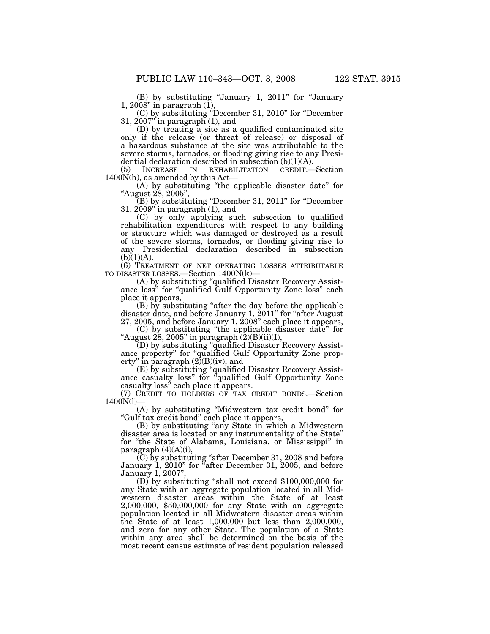(B) by substituting ''January 1, 2011'' for ''January 1, 2008'' in paragraph (1),

(C) by substituting ''December 31, 2010'' for ''December 31,  $2007$ " in paragraph  $(1)$ , and

(D) by treating a site as a qualified contaminated site only if the release (or threat of release) or disposal of a hazardous substance at the site was attributable to the severe storms, tornados, or flooding giving rise to any Presidential declaration described in subsection  $(b)(1)(A)$ .

(5) INCREASE IN REHABILITATION CREDIT.—Section 1400N(h), as amended by this Act—

(A) by substituting ''the applicable disaster date'' for ''August 28, 2005'',

(B) by substituting ''December 31, 2011'' for ''December 31, 2009" in paragraph  $(1)$ , and

(C) by only applying such subsection to qualified rehabilitation expenditures with respect to any building or structure which was damaged or destroyed as a result of the severe storms, tornados, or flooding giving rise to any Presidential declaration described in subsection  $(b)(1)(A).$ 

(6) TREATMENT OF NET OPERATING LOSSES ATTRIBUTABLE TO DISASTER LOSSES.—Section 1400N(k)—

(A) by substituting ''qualified Disaster Recovery Assistance loss" for "qualified Gulf Opportunity Zone loss" each place it appears,

(B) by substituting ''after the day before the applicable disaster date, and before January 1, 2011" for "after August 27, 2005, and before January 1, 2008'' each place it appears,

(C) by substituting ''the applicable disaster date'' for "August  $28$ ,  $2005$ " in paragraph  $(2)(B)(ii)(I)$ ,

(D) by substituting ''qualified Disaster Recovery Assistance property'' for ''qualified Gulf Opportunity Zone property" in paragraph  $(2)(B)(iv)$ , and

(E) by substituting ''qualified Disaster Recovery Assistance casualty loss'' for ''qualified Gulf Opportunity Zone casualty loss'' each place it appears.

(7) CREDIT TO HOLDERS OF TAX CREDIT BONDS.—Section 1400N(l)—

(A) by substituting ''Midwestern tax credit bond'' for ''Gulf tax credit bond'' each place it appears,

(B) by substituting ''any State in which a Midwestern disaster area is located or any instrumentality of the State'' for ''the State of Alabama, Louisiana, or Mississippi'' in paragraph  $(4)(A)(i)$ ,

(C) by substituting ''after December 31, 2008 and before January 1, 2010'' for ''after December 31, 2005, and before January 1, 2007'',

(D) by substituting ''shall not exceed \$100,000,000 for any State with an aggregate population located in all Midwestern disaster areas within the State of at least 2,000,000, \$50,000,000 for any State with an aggregate population located in all Midwestern disaster areas within the State of at least 1,000,000 but less than 2,000,000, and zero for any other State. The population of a State within any area shall be determined on the basis of the most recent census estimate of resident population released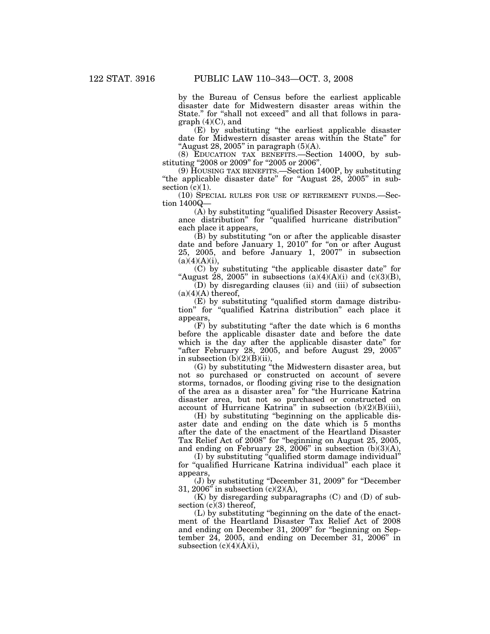by the Bureau of Census before the earliest applicable disaster date for Midwestern disaster areas within the State." for "shall not exceed" and all that follows in paragraph (4)(C), and

(E) by substituting ''the earliest applicable disaster date for Midwestern disaster areas within the State'' for "August 28, 2005" in paragraph  $(5)(A)$ .

(8) EDUCATION TAX BENEFITS.—Section 1400O, by substituting "2008 or 2009" for "2005 or 2006".

(9) HOUSING TAX BENEFITS.—Section 1400P, by substituting "the applicable disaster date" for "August 28, 2005" in subsection  $(c)(1)$ .

(10) SPECIAL RULES FOR USE OF RETIREMENT FUNDS.—Section 1400Q—

(A) by substituting ''qualified Disaster Recovery Assistance distribution'' for ''qualified hurricane distribution'' each place it appears,

(B) by substituting ''on or after the applicable disaster date and before January 1, 2010" for "on or after August 25, 2005, and before January 1, 2007'' in subsection  $(a)(4)(A)(i),$ 

(C) by substituting ''the applicable disaster date'' for "August 28, 2005" in subsections  $(a)(4)(A)(i)$  and  $(c)(3)(B)$ ,

 $(D)$  by disregarding clauses (ii) and (iii) of subsection  $(a)(4)(A)$  thereof,

(E) by substituting ''qualified storm damage distribution'' for ''qualified Katrina distribution'' each place it appears,

(F) by substituting ''after the date which is 6 months before the applicable disaster date and before the date which is the day after the applicable disaster date'' for ''after February 28, 2005, and before August 29, 2005'' in subsection  $(b)(2)(B)(ii)$ ,

(G) by substituting ''the Midwestern disaster area, but not so purchased or constructed on account of severe storms, tornados, or flooding giving rise to the designation of the area as a disaster area'' for ''the Hurricane Katrina disaster area, but not so purchased or constructed on account of Hurricane Katrina" in subsection  $(b)(2)(B)(iii)$ ,

(H) by substituting ''beginning on the applicable disaster date and ending on the date which is 5 months after the date of the enactment of the Heartland Disaster Tax Relief Act of 2008" for "beginning on August 25, 2005, and ending on February 28, 2006" in subsection  $(b)(3)(A)$ ,

(I) by substituting ''qualified storm damage individual'' for ''qualified Hurricane Katrina individual'' each place it appears,

(J) by substituting ''December 31, 2009'' for ''December 31, 2006" in subsection  $(c)(2)(A)$ ,

(K) by disregarding subparagraphs (C) and (D) of subsection  $(c)(3)$  thereof,

(L) by substituting ''beginning on the date of the enactment of the Heartland Disaster Tax Relief Act of 2008 and ending on December 31, 2009'' for ''beginning on September 24, 2005, and ending on December 31, 2006'' in subsection  $(c)(4)(A)(i)$ ,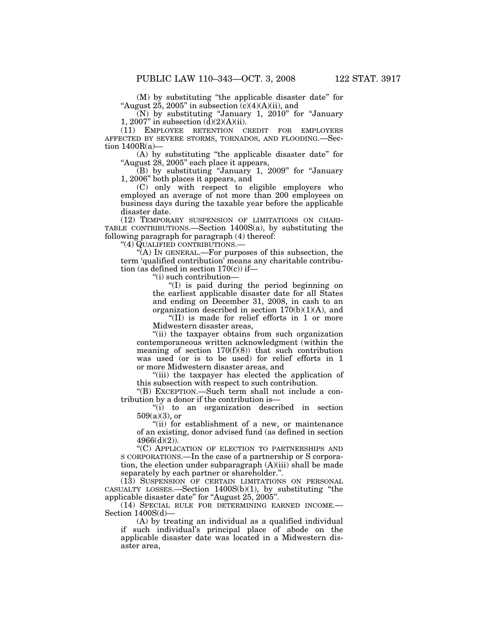(M) by substituting ''the applicable disaster date'' for "August  $25$ ,  $2005$ " in subsection  $(c)(4)(A)(ii)$ , and

(N) by substituting ''January 1, 2010'' for ''January 1, 2007" in subsection  $(d)(2)(A)(ii)$ .

(11) EMPLOYEE RETENTION CREDIT FOR EMPLOYERS AFFECTED BY SEVERE STORMS, TORNADOS, AND FLOODING.—Section 1400R(a)—

(A) by substituting ''the applicable disaster date'' for ''August 28, 2005'' each place it appears,

 $(B)$  by substituting "January 1, 2009" for "January 1, 2006'' both places it appears, and

(C) only with respect to eligible employers who employed an average of not more than 200 employees on business days during the taxable year before the applicable disaster date.

(12) TEMPORARY SUSPENSION OF LIMITATIONS ON CHARI-TABLE CONTRIBUTIONS.—Section 1400S(a), by substituting the following paragraph for paragraph (4) thereof:

''(4) QUALIFIED CONTRIBUTIONS.—

''(A) IN GENERAL.—For purposes of this subsection, the term 'qualified contribution' means any charitable contribution (as defined in section 170(c)) if—

''(i) such contribution—

''(I) is paid during the period beginning on the earliest applicable disaster date for all States and ending on December 31, 2008, in cash to an organization described in section  $170(b)(1)(A)$ , and

''(II) is made for relief efforts in 1 or more Midwestern disaster areas,

"(ii) the taxpayer obtains from such organization contemporaneous written acknowledgment (within the meaning of section  $170(f)(8)$  that such contribution was used (or is to be used) for relief efforts in 1 or more Midwestern disaster areas, and

''(iii) the taxpayer has elected the application of this subsection with respect to such contribution.

''(B) EXCEPTION.—Such term shall not include a contribution by a donor if the contribution is—

''(i) to an organization described in section  $509(a)(3)$ , or

"(ii) for establishment of a new, or maintenance of an existing, donor advised fund (as defined in section 4966(d)(2)).

''(C) APPLICATION OF ELECTION TO PARTNERSHIPS AND S CORPORATIONS.—In the case of a partnership or S corporation, the election under subparagraph (A)(iii) shall be made separately by each partner or shareholder.''.

(13) SUSPENSION OF CERTAIN LIMITATIONS ON PERSONAL CASUALTY LOSSES.—Section 1400S(b)(1), by substituting ''the applicable disaster date'' for ''August 25, 2005''.

(14) SPECIAL RULE FOR DETERMINING EARNED INCOME.— Section 1400S(d)—

(A) by treating an individual as a qualified individual if such individual's principal place of abode on the applicable disaster date was located in a Midwestern disaster area,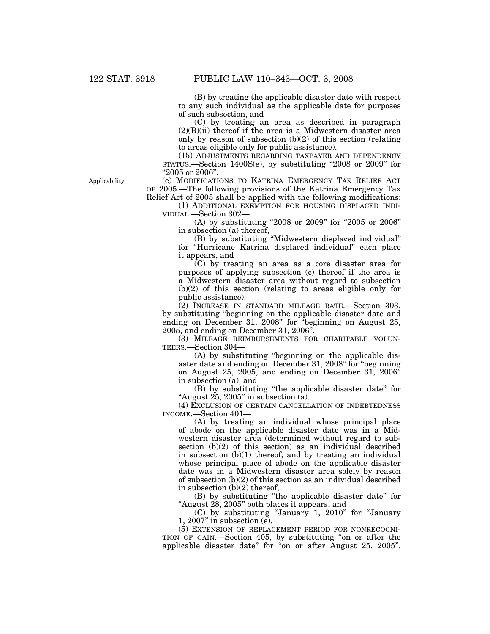(B) by treating the applicable disaster date with respect to any such individual as the applicable date for purposes of such subsection, and

(C) by treating an area as described in paragraph  $(2)(B)(ii)$  thereof if the area is a Midwestern disaster area only by reason of subsection  $(b)(2)$  of this section (relating to areas eligible only for public assistance).

(15) ADJUSTMENTS REGARDING TAXPAYER AND DEPENDENCY STATUS.—Section 1400S(e), by substituting ''2008 or 2009'' for ''2005 or 2006''.

Applicability.

(e) MODIFICATIONS TO KATRINA EMERGENCY TAX RELIEF ACT OF 2005.—The following provisions of the Katrina Emergency Tax Relief Act of 2005 shall be applied with the following modifications:

(1) ADDITIONAL EXEMPTION FOR HOUSING DISPLACED INDI-VIDUAL.—Section 302—

(A) by substituting "2008 or 2009" for "2005 or 2006" in subsection (a) thereof,

(B) by substituting ''Midwestern displaced individual'' for ''Hurricane Katrina displaced individual'' each place it appears, and

(C) by treating an area as a core disaster area for purposes of applying subsection (c) thereof if the area is a Midwestern disaster area without regard to subsection (b)(2) of this section (relating to areas eligible only for public assistance).

(2) INCREASE IN STANDARD MILEAGE RATE.—Section 303, by substituting ''beginning on the applicable disaster date and ending on December 31, 2008" for "beginning on August 25, 2005, and ending on December 31, 2006''.

(3) MILEAGE REIMBURSEMENTS FOR CHARITABLE VOLUN-TEERS.—Section 304—

(A) by substituting ''beginning on the applicable disaster date and ending on December 31, 2008'' for ''beginning on August 25, 2005, and ending on December 31, 2006'' in subsection (a), and

(B) by substituting ''the applicable disaster date'' for "August  $25$ ,  $2005$ " in subsection (a).

(4) EXCLUSION OF CERTAIN CANCELLATION OF INDEBTEDNESS INCOME.—Section 401—

(A) by treating an individual whose principal place of abode on the applicable disaster date was in a Midwestern disaster area (determined without regard to subsection (b)(2) of this section) as an individual described in subsection (b)(1) thereof, and by treating an individual whose principal place of abode on the applicable disaster date was in a Midwestern disaster area solely by reason of subsection (b)(2) of this section as an individual described in subsection (b)(2) thereof,

(B) by substituting ''the applicable disaster date'' for "August 28, 2005" both places it appears, and

 $(C)$  by substituting "January 1, 2010" for "January 1, 2007" in subsection  $(e)$ .

(5) EXTENSION OF REPLACEMENT PERIOD FOR NONRECOGNI-TION OF GAIN.—Section 405, by substituting ''on or after the applicable disaster date'' for ''on or after August 25, 2005''.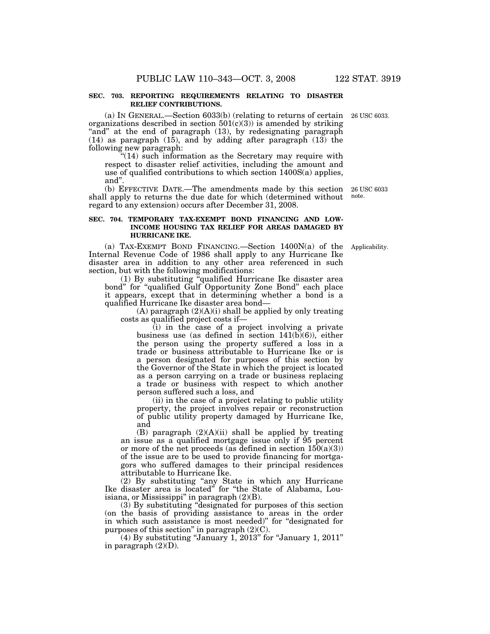#### **SEC. 703. REPORTING REQUIREMENTS RELATING TO DISASTER RELIEF CONTRIBUTIONS.**

(a) IN GENERAL.—Section 6033(b) (relating to returns of certain 26 USC 6033. organizations described in section  $501(c)(3)$  is amended by striking "and" at the end of paragraph (13), by redesignating paragraph (14) as paragraph (15), and by adding after paragraph (13) the following new paragraph:

" $(14)$  such information as the Secretary may require with respect to disaster relief activities, including the amount and use of qualified contributions to which section 1400S(a) applies, and''.

(b) EFFECTIVE DATE.—The amendments made by this section shall apply to returns the due date for which (determined without regard to any extension) occurs after December 31, 2008.

### **SEC. 704. TEMPORARY TAX-EXEMPT BOND FINANCING AND LOW-INCOME HOUSING TAX RELIEF FOR AREAS DAMAGED BY HURRICANE IKE.**

(a) TAX-EXEMPT BOND FINANCING.—Section 1400N(a) of the Applicability. Internal Revenue Code of 1986 shall apply to any Hurricane Ike disaster area in addition to any other area referenced in such section, but with the following modifications:

(1) By substituting ''qualified Hurricane Ike disaster area bond'' for ''qualified Gulf Opportunity Zone Bond'' each place it appears, except that in determining whether a bond is a qualified Hurricane Ike disaster area bond—

 $(A)$  paragraph  $(2)(A)(i)$  shall be applied by only treating costs as qualified project costs if—

(i) in the case of a project involving a private business use (as defined in section  $141(b)(6)$ ), either the person using the property suffered a loss in a trade or business attributable to Hurricane Ike or is a person designated for purposes of this section by the Governor of the State in which the project is located as a person carrying on a trade or business replacing a trade or business with respect to which another person suffered such a loss, and

(ii) in the case of a project relating to public utility property, the project involves repair or reconstruction of public utility property damaged by Hurricane Ike, and

(B) paragraph  $(2)(A)(ii)$  shall be applied by treating an issue as a qualified mortgage issue only if 95 percent or more of the net proceeds (as defined in section  $150(a)(3)$ ) of the issue are to be used to provide financing for mortgagors who suffered damages to their principal residences attributable to Hurricane Ike.

(2) By substituting ''any State in which any Hurricane Ike disaster area is located'' for ''the State of Alabama, Louisiana, or Mississippi'' in paragraph (2)(B).

(3) By substituting ''designated for purposes of this section (on the basis of providing assistance to areas in the order in which such assistance is most needed)'' for ''designated for purposes of this section" in paragraph  $(2)(C)$ .

 $(4)$  By substituting "January 1, 2013" for "January 1, 2011" in paragraph (2)(D).

26 USC 6033 note.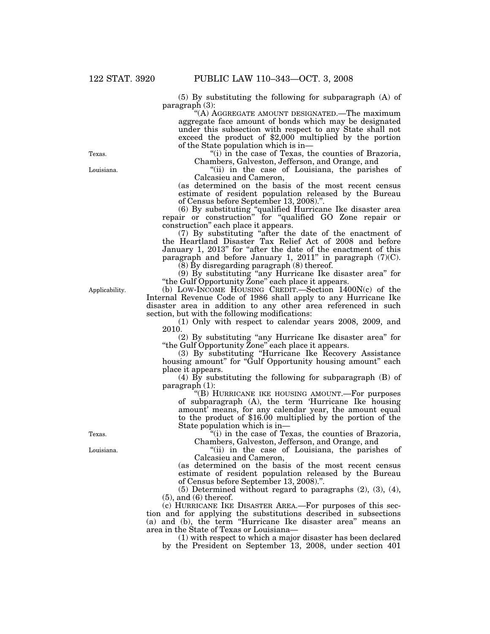(5) By substituting the following for subparagraph (A) of paragraph (3):

''(A) AGGREGATE AMOUNT DESIGNATED.—The maximum aggregate face amount of bonds which may be designated under this subsection with respect to any State shall not exceed the product of \$2,000 multiplied by the portion of the State population which is in—

"(i) in the case of Texas, the counties of Brazoria, Chambers, Galveston, Jefferson, and Orange, and

''(ii) in the case of Louisiana, the parishes of Calcasieu and Cameron,

(as determined on the basis of the most recent census estimate of resident population released by the Bureau of Census before September 13, 2008).''.

(6) By substituting ''qualified Hurricane Ike disaster area repair or construction'' for ''qualified GO Zone repair or construction'' each place it appears.

(7) By substituting ''after the date of the enactment of the Heartland Disaster Tax Relief Act of 2008 and before January 1, 2013" for "after the date of the enactment of this paragraph and before January 1, 2011" in paragraph  $(7)(C)$ .

(8) By disregarding paragraph (8) thereof.

(9) By substituting ''any Hurricane Ike disaster area'' for "the Gulf Opportunity Zone" each place it appears.

(b) LOW-INCOME HOUSING CREDIT.—Section 1400N(c) of the Internal Revenue Code of 1986 shall apply to any Hurricane Ike disaster area in addition to any other area referenced in such section, but with the following modifications:

(1) Only with respect to calendar years 2008, 2009, and 2010.

(2) By substituting ''any Hurricane Ike disaster area'' for ''the Gulf Opportunity Zone'' each place it appears.

(3) By substituting ''Hurricane Ike Recovery Assistance housing amount" for "Gulf Opportunity housing amount" each place it appears.

(4) By substituting the following for subparagraph (B) of paragraph (1):

''(B) HURRICANE IKE HOUSING AMOUNT.—For purposes of subparagraph (A), the term 'Hurricane Ike housing amount' means, for any calendar year, the amount equal to the product of \$16.00 multiplied by the portion of the State population which is in—

''(i) in the case of Texas, the counties of Brazoria, Chambers, Galveston, Jefferson, and Orange, and

''(ii) in the case of Louisiana, the parishes of Calcasieu and Cameron,

(as determined on the basis of the most recent census estimate of resident population released by the Bureau of Census before September 13, 2008).''.

(5) Determined without regard to paragraphs (2), (3), (4), (5), and (6) thereof.

(c) HURRICANE IKE DISASTER AREA.—For purposes of this section and for applying the substitutions described in subsections (a) and (b), the term ''Hurricane Ike disaster area'' means an area in the State of Texas or Louisiana—

(1) with respect to which a major disaster has been declared by the President on September 13, 2008, under section 401

Applicability.

Louisiana.

Texas.

Texas.

Louisiana.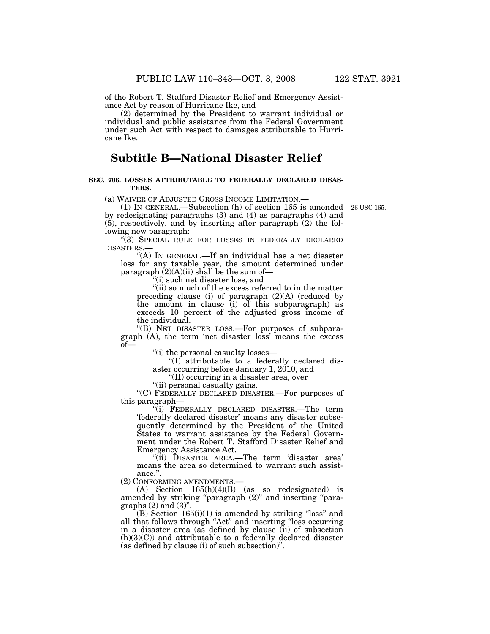of the Robert T. Stafford Disaster Relief and Emergency Assistance Act by reason of Hurricane Ike, and

(2) determined by the President to warrant individual or individual and public assistance from the Federal Government under such Act with respect to damages attributable to Hurricane Ike.

# **Subtitle B—National Disaster Relief**

#### **SEC. 706. LOSSES ATTRIBUTABLE TO FEDERALLY DECLARED DISAS-TERS.**

(a) WAIVER OF ADJUSTED GROSS INCOME LIMITATION.—

26 USC 165.

(1) IN GENERAL.—Subsection (h) of section 165 is amended by redesignating paragraphs (3) and (4) as paragraphs (4) and (5), respectively, and by inserting after paragraph (2) the following new paragraph:

''(3) SPECIAL RULE FOR LOSSES IN FEDERALLY DECLARED DISASTERS.—

''(A) IN GENERAL.—If an individual has a net disaster loss for any taxable year, the amount determined under paragraph  $(2)(A)(ii)$  shall be the sum of-

''(i) such net disaster loss, and

"(ii) so much of the excess referred to in the matter preceding clause (i) of paragraph (2)(A) (reduced by the amount in clause (i) of this subparagraph) as exceeds 10 percent of the adjusted gross income of the individual.

''(B) NET DISASTER LOSS.—For purposes of subparagraph (A), the term 'net disaster loss' means the excess of—

''(i) the personal casualty losses—

''(I) attributable to a federally declared disaster occurring before January 1, 2010, and

''(II) occurring in a disaster area, over

''(ii) personal casualty gains.

''(C) FEDERALLY DECLARED DISASTER.—For purposes of this paragraph—

''(i) FEDERALLY DECLARED DISASTER.—The term 'federally declared disaster' means any disaster subsequently determined by the President of the United States to warrant assistance by the Federal Government under the Robert T. Stafford Disaster Relief and Emergency Assistance Act.

''(ii) DISASTER AREA.—The term 'disaster area' means the area so determined to warrant such assistance.''.

(2) CONFORMING AMENDMENTS.—

(A) Section 165(h)(4)(B) (as so redesignated) is amended by striking ''paragraph (2)'' and inserting ''paragraphs  $(2)$  and  $(3)$ ".

 $(B)$  Section 165(i)(1) is amended by striking "loss" and all that follows through ''Act'' and inserting ''loss occurring in a disaster area (as defined by clause (ii) of subsection  $(h)(3)(C)$  and attributable to a federally declared disaster (as defined by clause (i) of such subsection)''.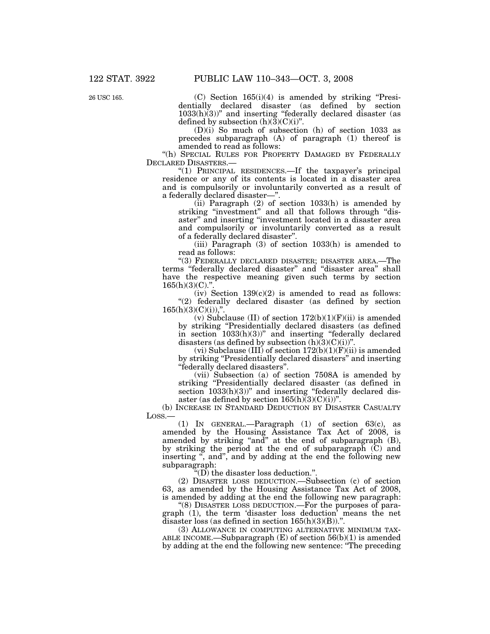26 USC 165.

 $(C)$  Section 165 $(i)(4)$  is amended by striking "Presidentially declared disaster (as defined by section  $1033(h)(3)$ " and inserting "federally declared disaster (as defined by subsection  $(h)(3)(C)(i)$ ".

(D)(i) So much of subsection (h) of section 1033 as precedes subparagraph (A) of paragraph (1) thereof is amended to read as follows:

"(h) SPECIAL RULES FOR PROPERTY DAMAGED BY FEDERALLY DECLARED DISASTERS.—

''(1) PRINCIPAL RESIDENCES.—If the taxpayer's principal residence or any of its contents is located in a disaster area and is compulsorily or involuntarily converted as a result of a federally declared disaster—''.

(ii) Paragraph (2) of section 1033(h) is amended by striking "investment" and all that follows through "disaster'' and inserting ''investment located in a disaster area and compulsorily or involuntarily converted as a result of a federally declared disaster''.

(iii) Paragraph (3) of section 1033(h) is amended to read as follows:

''(3) FEDERALLY DECLARED DISASTER; DISASTER AREA.—The terms ''federally declared disaster'' and ''disaster area'' shall have the respective meaning given such terms by section  $165(h)(3)(C)$ ."

(iv) Section  $139(c)(2)$  is amended to read as follows: "(2) federally declared disaster (as defined by section  $165(h)(3)(C)(i)$ ,".

(v) Subclause (II) of section  $172(b)(1)(F)(ii)$  is amended by striking ''Presidentially declared disasters (as defined in section 1033(h)(3))" and inserting "federally declared disasters (as defined by subsection  $(h)(3)(C)(i)$ )".

(vi) Subclause (III) of section  $172(b)(1)(F)(ii)$  is amended by striking ''Presidentially declared disasters'' and inserting ''federally declared disasters''.

(vii) Subsection (a) of section 7508A is amended by striking "Presidentially declared disaster (as defined in  $section$   $1033(h)(3)$ " and inserting "federally declared disaster (as defined by section  $165(h)(3)(C)(i)$ )".

(b) INCREASE IN STANDARD DEDUCTION BY DISASTER CASUALTY LOSS.—

(1) IN GENERAL.—Paragraph (1) of section 63(c), as amended by the Housing Assistance Tax Act of 2008, is amended by striking "and" at the end of subparagraph (B), by striking the period at the end of subparagraph (C) and inserting ", and", and by adding at the end the following new subparagraph:

''(D) the disaster loss deduction.''.

(2) DISASTER LOSS DEDUCTION.—Subsection (c) of section 63, as amended by the Housing Assistance Tax Act of 2008, is amended by adding at the end the following new paragraph:

''(8) DISASTER LOSS DEDUCTION.—For the purposes of paragraph (1), the term 'disaster loss deduction' means the net disaster loss (as defined in section  $165(h)(3)(B)$ ).".

(3) ALLOWANCE IN COMPUTING ALTERNATIVE MINIMUM TAX-ABLE INCOME.—Subparagraph  $(E)$  of section  $56(b)(1)$  is amended by adding at the end the following new sentence: ''The preceding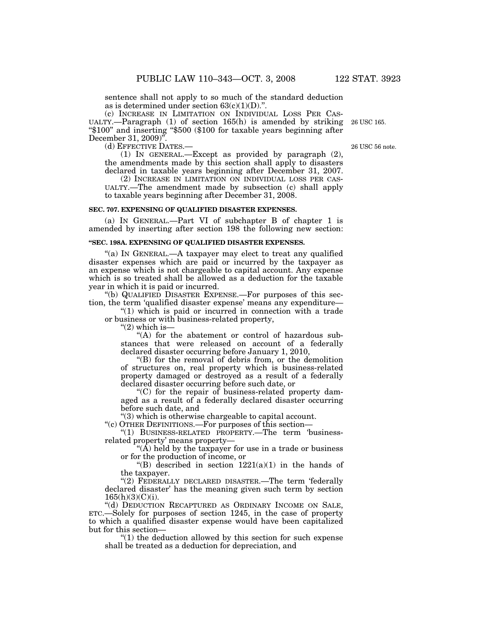sentence shall not apply to so much of the standard deduction as is determined under section  $63(c)(1)(D)$ .".

(c) INCREASE IN LIMITATION ON INDIVIDUAL LOSS PER CAS-UALTY.—Paragraph (1) of section 165(h) is amended by striking ''\$100'' and inserting ''\$500 (\$100 for taxable years beginning after December 31, 2009)''. 26 USC 165.

(d) EFFECTIVE DATES.—

(1) IN GENERAL.—Except as provided by paragraph (2), the amendments made by this section shall apply to disasters declared in taxable years beginning after December 31, 2007.

(2) INCREASE IN LIMITATION ON INDIVIDUAL LOSS PER CAS-UALTY.—The amendment made by subsection (c) shall apply to taxable years beginning after December 31, 2008.

#### **SEC. 707. EXPENSING OF QUALIFIED DISASTER EXPENSES.**

(a) IN GENERAL.—Part VI of subchapter B of chapter 1 is amended by inserting after section 198 the following new section:

#### **''SEC. 198A. EXPENSING OF QUALIFIED DISASTER EXPENSES.**

"(a) In GENERAL.—A taxpayer may elect to treat any qualified disaster expenses which are paid or incurred by the taxpayer as an expense which is not chargeable to capital account. Any expense which is so treated shall be allowed as a deduction for the taxable year in which it is paid or incurred.

''(b) QUALIFIED DISASTER EXPENSE.—For purposes of this section, the term 'qualified disaster expense' means any expenditure—

" $(1)$  which is paid or incurred in connection with a trade or business or with business-related property,

" $(2)$  which is-

"(A) for the abatement or control of hazardous substances that were released on account of a federally declared disaster occurring before January 1, 2010,

''(B) for the removal of debris from, or the demolition of structures on, real property which is business-related property damaged or destroyed as a result of a federally declared disaster occurring before such date, or

''(C) for the repair of business-related property damaged as a result of a federally declared disaster occurring before such date, and

''(3) which is otherwise chargeable to capital account.

''(c) OTHER DEFINITIONS.—For purposes of this section—

''(1) BUSINESS-RELATED PROPERTY.—The term 'businessrelated property' means property—

" $(\hat{A})$  held by the taxpayer for use in a trade or business or for the production of income, or

"(B) described in section  $1221(a)(1)$  in the hands of the taxpayer.

"(2) FEDERALLY DECLARED DISASTER.—The term 'federally declared disaster' has the meaning given such term by section  $165(h)(3)(C)(i)$ .

''(d) DEDUCTION RECAPTURED AS ORDINARY INCOME ON SALE, ETC.—Solely for purposes of section 1245, in the case of property to which a qualified disaster expense would have been capitalized but for this section—

" $(1)$  the deduction allowed by this section for such expense shall be treated as a deduction for depreciation, and

26 USC 56 note.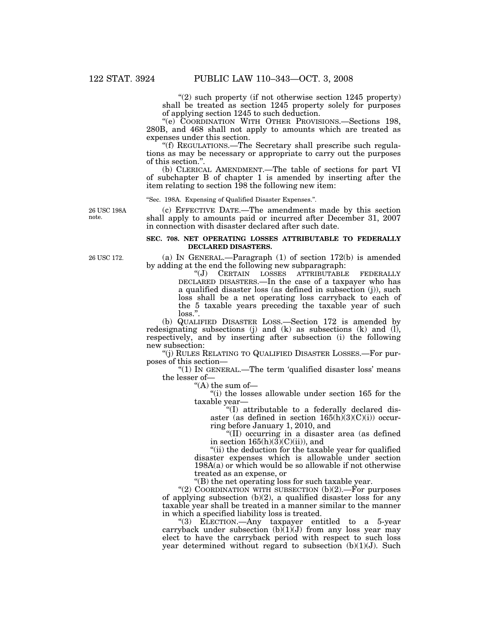" $(2)$  such property (if not otherwise section 1245 property) shall be treated as section 1245 property solely for purposes of applying section 1245 to such deduction.

"(e) COORDINATION WITH OTHER PROVISIONS.—Sections 198, 280B, and 468 shall not apply to amounts which are treated as expenses under this section.

''(f) REGULATIONS.—The Secretary shall prescribe such regulations as may be necessary or appropriate to carry out the purposes of this section.''.

(b) CLERICAL AMENDMENT.—The table of sections for part VI of subchapter B of chapter 1 is amended by inserting after the item relating to section 198 the following new item:

#### ''Sec. 198A. Expensing of Qualified Disaster Expenses.''.

26 USC 198A note.

(c) EFFECTIVE DATE.—The amendments made by this section shall apply to amounts paid or incurred after December 31, 2007 in connection with disaster declared after such date.

### **SEC. 708. NET OPERATING LOSSES ATTRIBUTABLE TO FEDERALLY DECLARED DISASTERS.**

(a) IN GENERAL.—Paragraph (1) of section 172(b) is amended by adding at the end the following new subparagraph:

''(J) CERTAIN LOSSES ATTRIBUTABLE FEDERALLY DECLARED DISASTERS.—In the case of a taxpayer who has a qualified disaster loss (as defined in subsection (j)), such loss shall be a net operating loss carryback to each of the 5 taxable years preceding the taxable year of such loss.".

(b) QUALIFIED DISASTER LOSS.—Section 172 is amended by redesignating subsections (j) and (k) as subsections (k) and (l), respectively, and by inserting after subsection (i) the following new subsection:

''(j) RULES RELATING TO QUALIFIED DISASTER LOSSES.—For purposes of this section—

''(1) IN GENERAL.—The term 'qualified disaster loss' means the lesser of—

''(A) the sum of—

"(i) the losses allowable under section 165 for the taxable year—

''(I) attributable to a federally declared disaster (as defined in section  $165(h)(3)(C)(i)$ ) occurring before January 1, 2010, and

''(II) occurring in a disaster area (as defined in section  $165(h)(3)(C)(ii)$ , and

''(ii) the deduction for the taxable year for qualified disaster expenses which is allowable under section 198A(a) or which would be so allowable if not otherwise treated as an expense, or

''(B) the net operating loss for such taxable year.

"(2) COORDINATION WITH SUBSECTION (b)(2).-For purposes of applying subsection  $(b)(2)$ , a qualified disaster loss for any taxable year shall be treated in a manner similar to the manner in which a specified liability loss is treated.

''(3) ELECTION.—Any taxpayer entitled to a 5-year carryback under subsection  $(b)(1)(J)$  from any loss year may elect to have the carryback period with respect to such loss year determined without regard to subsection  $(b)(1)(J)$ . Such

26 USC 172.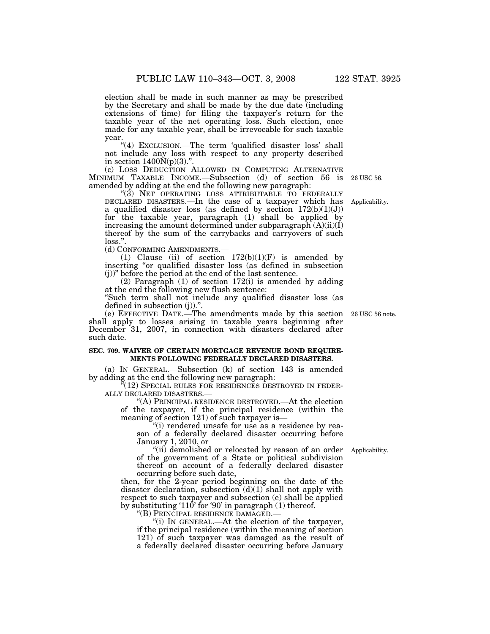election shall be made in such manner as may be prescribed by the Secretary and shall be made by the due date (including extensions of time) for filing the taxpayer's return for the taxable year of the net operating loss. Such election, once made for any taxable year, shall be irrevocable for such taxable year.

"(4) EXCLUSION.—The term 'qualified disaster loss' shall not include any loss with respect to any property described in section  $1400N(p)(3)$ .".

(c) LOSS DEDUCTION ALLOWED IN COMPUTING ALTERNATIVE MINIMUM TAXABLE INCOME.—Subsection (d) of section 56 is amended by adding at the end the following new paragraph:

"(3) NET OPERATING LOSS ATTRIBUTABLE TO FEDERALLY DECLARED DISASTERS.—In the case of a taxpayer which has a qualified disaster loss (as defined by section  $172(b)(1)(J)$ ) for the taxable year, paragraph (1) shall be applied by increasing the amount determined under subparagraph  $(A)(ii)(I)$ thereof by the sum of the carrybacks and carryovers of such loss.".

(d) CONFORMING AMENDMENTS.—

(1) Clause (ii) of section  $172(b)(1)(F)$  is amended by inserting ''or qualified disaster loss (as defined in subsection (j))'' before the period at the end of the last sentence.

(2) Paragraph (1) of section 172(i) is amended by adding at the end the following new flush sentence:

''Such term shall not include any qualified disaster loss (as defined in subsection (j)).''.

(e) EFFECTIVE DATE.—The amendments made by this section 26 USC 56 note. shall apply to losses arising in taxable years beginning after December 31, 2007, in connection with disasters declared after such date.

#### **SEC. 709. WAIVER OF CERTAIN MORTGAGE REVENUE BOND REQUIRE-MENTS FOLLOWING FEDERALLY DECLARED DISASTERS.**

(a) IN GENERAL.—Subsection (k) of section 143 is amended by adding at the end the following new paragraph:

''(12) SPECIAL RULES FOR RESIDENCES DESTROYED IN FEDER-ALLY DECLARED DISASTERS.—

''(A) PRINCIPAL RESIDENCE DESTROYED.—At the election of the taxpayer, if the principal residence (within the meaning of section 121) of such taxpayer is—

 $\tilde{f}$ (i) rendered unsafe for use as a residence by reason of a federally declared disaster occurring before January 1, 2010, or

"(ii) demolished or relocated by reason of an order Applicability. of the government of a State or political subdivision thereof on account of a federally declared disaster occurring before such date,

then, for the 2-year period beginning on the date of the disaster declaration, subsection  $(d)(1)$  shall not apply with respect to such taxpayer and subsection (e) shall be applied by substituting '110' for '90' in paragraph (1) thereof.

''(B) PRINCIPAL RESIDENCE DAMAGED.—

''(i) IN GENERAL.—At the election of the taxpayer, if the principal residence (within the meaning of section 121) of such taxpayer was damaged as the result of a federally declared disaster occurring before January

26 USC 56.

Applicability.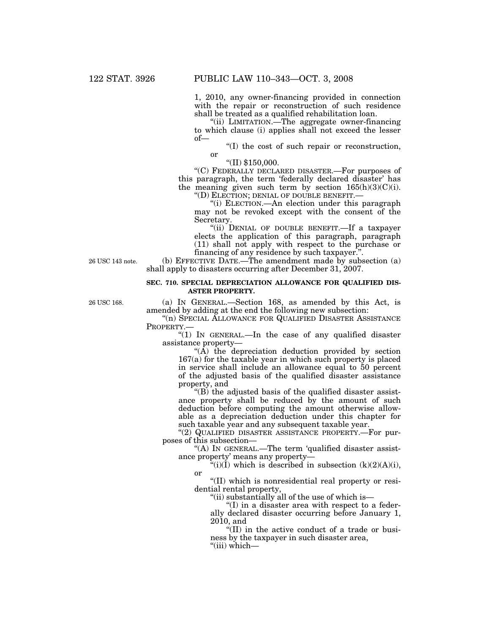1, 2010, any owner-financing provided in connection with the repair or reconstruction of such residence shall be treated as a qualified rehabilitation loan.

"(ii) LIMITATION.—The aggregate owner-financing to which clause (i) applies shall not exceed the lesser of—

''(I) the cost of such repair or reconstruction,

"(II) \$150,000.

or

''(C) FEDERALLY DECLARED DISASTER.—For purposes of this paragraph, the term 'federally declared disaster' has the meaning given such term by section  $165(h)(3)(C)(i)$ . ''(D) ELECTION; DENIAL OF DOUBLE BENEFIT.—

''(i) ELECTION.—An election under this paragraph

may not be revoked except with the consent of the Secretary.

"(ii) DENIAL OF DOUBLE BENEFIT.—If a taxpayer elects the application of this paragraph, paragraph (11) shall not apply with respect to the purchase or financing of any residence by such taxpayer.''.

(b) EFFECTIVE DATE.—The amendment made by subsection (a) shall apply to disasters occurring after December 31, 2007.

#### **SEC. 710. SPECIAL DEPRECIATION ALLOWANCE FOR QUALIFIED DIS-ASTER PROPERTY.**

26 USC 168.

26 USC 143 note.

(a) IN GENERAL.—Section 168, as amended by this Act, is amended by adding at the end the following new subsection:

''(n) SPECIAL ALLOWANCE FOR QUALIFIED DISASTER ASSISTANCE PROPERTY.—

" $(1)$  In GENERAL.—In the case of any qualified disaster assistance property—

 $\angle$ "(A) the depreciation deduction provided by section 167(a) for the taxable year in which such property is placed in service shall include an allowance equal to 50 percent of the adjusted basis of the qualified disaster assistance property, and

 $'(B)$  the adjusted basis of the qualified disaster assistance property shall be reduced by the amount of such deduction before computing the amount otherwise allowable as a depreciation deduction under this chapter for such taxable year and any subsequent taxable year.

"(2) QUALIFIED DISASTER ASSISTANCE PROPERTY.-For purposes of this subsection—

"(A) In GENERAL.—The term 'qualified disaster assistance property' means any property—

"(i)(I) which is described in subsection  $(k)(2)(A)(i)$ , or

''(II) which is nonresidential real property or residential rental property,

''(ii) substantially all of the use of which is—

 $\mathcal{L}(I)$  in a disaster area with respect to a federally declared disaster occurring before January 1, 2010, and

 $\sqrt{\text{III}}$  in the active conduct of a trade or business by the taxpayer in such disaster area, ''(iii) which—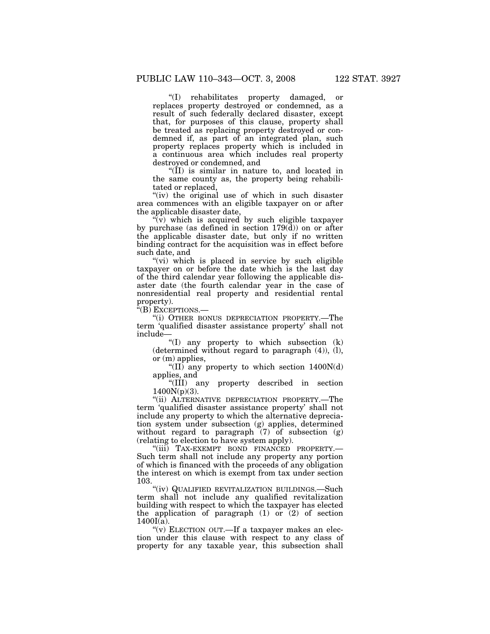''(I) rehabilitates property damaged, or replaces property destroyed or condemned, as a result of such federally declared disaster, except that, for purposes of this clause, property shall be treated as replacing property destroyed or condemned if, as part of an integrated plan, such property replaces property which is included in a continuous area which includes real property destroyed or condemned, and

''(II) is similar in nature to, and located in the same county as, the property being rehabilitated or replaced,

"(iv) the original use of which in such disaster area commences with an eligible taxpayer on or after the applicable disaster date,

 $\sqrt[n]{v}$  which is acquired by such eligible taxpayer by purchase (as defined in section  $179(\bar{d})$ ) on or after the applicable disaster date, but only if no written binding contract for the acquisition was in effect before such date, and

"(vi) which is placed in service by such eligible taxpayer on or before the date which is the last day of the third calendar year following the applicable disaster date (the fourth calendar year in the case of nonresidential real property and residential rental property).

''(B) EXCEPTIONS.—

''(i) OTHER BONUS DEPRECIATION PROPERTY.—The term 'qualified disaster assistance property' shall not include—

''(I) any property to which subsection (k) (determined without regard to paragraph (4)), (l), or (m) applies,

"(II) any property to which section 1400N(d) applies, and

''(III) any property described in section  $1400N(p)(3)$ .

''(ii) ALTERNATIVE DEPRECIATION PROPERTY.—The term 'qualified disaster assistance property' shall not include any property to which the alternative depreciation system under subsection (g) applies, determined without regard to paragraph  $(7)$  of subsection  $(g)$ (relating to election to have system apply).

"(iii) TAX-EXEMPT BOND FINANCED PROPERTY.-Such term shall not include any property any portion of which is financed with the proceeds of any obligation the interest on which is exempt from tax under section 103.

"(iv) QUALIFIED REVITALIZATION BUILDINGS.—Such term shall not include any qualified revitalization building with respect to which the taxpayer has elected the application of paragraph (1) or (2) of section  $1400I(a)$ .

 $(y)$  ELECTION OUT.—If a taxpayer makes an election under this clause with respect to any class of property for any taxable year, this subsection shall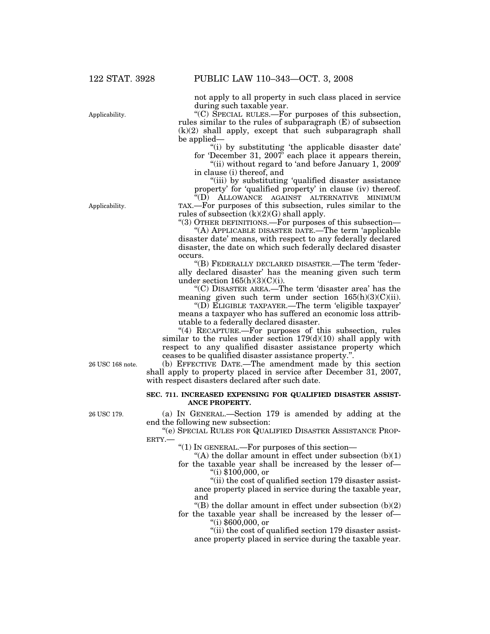not apply to all property in such class placed in service during such taxable year.

''(C) SPECIAL RULES.—For purposes of this subsection, rules similar to the rules of subparagraph (E) of subsection  $(k)(2)$  shall apply, except that such subparagraph shall be applied—

"(i) by substituting 'the applicable disaster date' for 'December 31, 2007' each place it appears therein,

"(ii) without regard to 'and before January 1, 2009' in clause (i) thereof, and

"(iii) by substituting 'qualified disaster assistance property' for 'qualified property' in clause (iv) thereof.  $\sqrt[n]{(D)}$  ALLOWANCE AGAINST ALTERNATIVE MINIMUM

TAX.—For purposes of this subsection, rules similar to the rules of subsection  $(k)(2)(G)$  shall apply.

''(3) OTHER DEFINITIONS.—For purposes of this subsection— ''(A) APPLICABLE DISASTER DATE.—The term 'applicable

disaster date' means, with respect to any federally declared disaster, the date on which such federally declared disaster occurs.

''(B) FEDERALLY DECLARED DISASTER.—The term 'federally declared disaster' has the meaning given such term under section  $165(h)(3)(C)(i)$ .

''(C) DISASTER AREA.—The term 'disaster area' has the meaning given such term under section  $165(h)(3)(C)(ii)$ .

''(D) ELIGIBLE TAXPAYER.—The term 'eligible taxpayer' means a taxpayer who has suffered an economic loss attributable to a federally declared disaster.

"(4) RECAPTURE.—For purposes of this subsection, rules similar to the rules under section 179(d)(10) shall apply with respect to any qualified disaster assistance property which ceases to be qualified disaster assistance property.''.

(b) EFFECTIVE DATE.—The amendment made by this section shall apply to property placed in service after December 31, 2007, with respect disasters declared after such date.

#### **SEC. 711. INCREASED EXPENSING FOR QUALIFIED DISASTER ASSIST-ANCE PROPERTY.**

(a) IN GENERAL.—Section 179 is amended by adding at the end the following new subsection:

''(e) SPECIAL RULES FOR QUALIFIED DISASTER ASSISTANCE PROP-ERTY.—

''(1) IN GENERAL.—For purposes of this section—

"(A) the dollar amount in effect under subsection  $(b)(1)$ for the taxable year shall be increased by the lesser of—

''(i) \$100,000, or

"(ii) the cost of qualified section 179 disaster assistance property placed in service during the taxable year, and

"(B) the dollar amount in effect under subsection  $(b)(2)$ for the taxable year shall be increased by the lesser of—

''(i) \$600,000, or

"(ii) the cost of qualified section 179 disaster assistance property placed in service during the taxable year.

Applicability.

Applicability.

26 USC 168 note.

26 USC 179.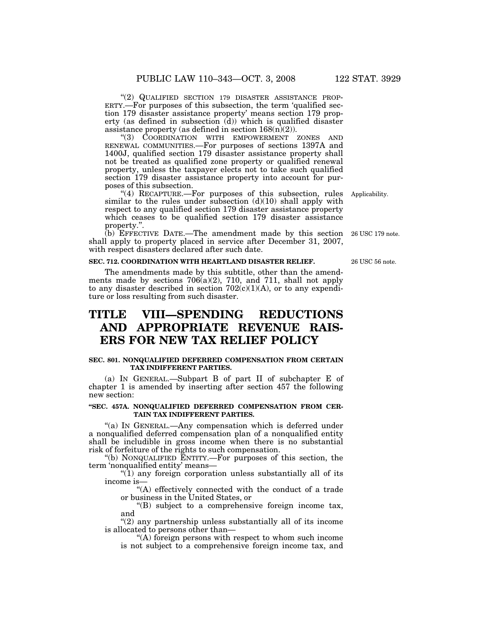''(2) QUALIFIED SECTION 179 DISASTER ASSISTANCE PROP- ERTY.—For purposes of this subsection, the term 'qualified section 179 disaster assistance property' means section 179 property (as defined in subsection (d)) which is qualified disaster assistance property (as defined in section  $168(n)(2)$ ).

''(3) COORDINATION WITH EMPOWERMENT ZONES AND RENEWAL COMMUNITIES.—For purposes of sections 1397A and 1400J, qualified section 179 disaster assistance property shall not be treated as qualified zone property or qualified renewal property, unless the taxpayer elects not to take such qualified section 179 disaster assistance property into account for purposes of this subsection.

"(4) RECAPTURE.-For purposes of this subsection, rules similar to the rules under subsection  $(d)(10)$  shall apply with respect to any qualified section 179 disaster assistance property which ceases to be qualified section 179 disaster assistance property.''.

(b) EFFECTIVE DATE.—The amendment made by this section 26 USC 179 note. shall apply to property placed in service after December 31, 2007, with respect disasters declared after such date.

#### **SEC. 712. COORDINATION WITH HEARTLAND DISASTER RELIEF.**

The amendments made by this subtitle, other than the amendments made by sections  $706(a)(2)$ , 710, and 711, shall not apply to any disaster described in section  $702(c)(1)(A)$ , or to any expenditure or loss resulting from such disaster.

# **TITLE VIII—SPENDING REDUCTIONS AND APPROPRIATE REVENUE RAIS-ERS FOR NEW TAX RELIEF POLICY**

## **SEC. 801. NONQUALIFIED DEFERRED COMPENSATION FROM CERTAIN TAX INDIFFERENT PARTIES.**

(a) IN GENERAL.—Subpart B of part II of subchapter E of chapter 1 is amended by inserting after section 457 the following new section:

## **''SEC. 457A. NONQUALIFIED DEFERRED COMPENSATION FROM CER-TAIN TAX INDIFFERENT PARTIES.**

"(a) IN GENERAL.—Any compensation which is deferred under a nonqualified deferred compensation plan of a nonqualified entity shall be includible in gross income when there is no substantial risk of forfeiture of the rights to such compensation.

''(b) NONQUALIFIED ENTITY.—For purposes of this section, the term 'nonqualified entity' means—

 $\sqrt{\ }$ (1) any foreign corporation unless substantially all of its income is—

''(A) effectively connected with the conduct of a trade or business in the United States, or

''(B) subject to a comprehensive foreign income tax, and

''(2) any partnership unless substantially all of its income is allocated to persons other than—

''(A) foreign persons with respect to whom such income is not subject to a comprehensive foreign income tax, and

26 USC 56 note.

Applicability.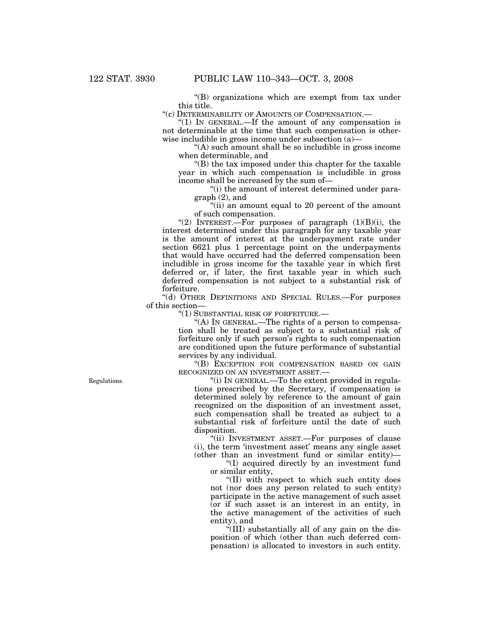''(B) organizations which are exempt from tax under this title.

''(c) DETERMINABILITY OF AMOUNTS OF COMPENSATION.—

''(1) IN GENERAL.—If the amount of any compensation is not determinable at the time that such compensation is otherwise includible in gross income under subsection (a)—

''(A) such amount shall be so includible in gross income when determinable, and

''(B) the tax imposed under this chapter for the taxable year in which such compensation is includible in gross income shall be increased by the sum of—

''(i) the amount of interest determined under paragraph (2), and

"(ii) an amount equal to 20 percent of the amount of such compensation.

"(2) INTEREST.—For purposes of paragraph  $(1)(B)(i)$ , the interest determined under this paragraph for any taxable year is the amount of interest at the underpayment rate under section 6621 plus 1 percentage point on the underpayments that would have occurred had the deferred compensation been includible in gross income for the taxable year in which first deferred or, if later, the first taxable year in which such deferred compensation is not subject to a substantial risk of forfeiture.

''(d) OTHER DEFINITIONS AND SPECIAL RULES.—For purposes of this section—

''(1) SUBSTANTIAL RISK OF FORFEITURE.—

"(A) IN GENERAL.—The rights of a person to compensation shall be treated as subject to a substantial risk of forfeiture only if such person's rights to such compensation are conditioned upon the future performance of substantial services by any individual.

''(B) EXCEPTION FOR COMPENSATION BASED ON GAIN RECOGNIZED ON AN INVESTMENT ASSET.—

''(i) IN GENERAL.—To the extent provided in regulations prescribed by the Secretary, if compensation is determined solely by reference to the amount of gain recognized on the disposition of an investment asset, such compensation shall be treated as subject to a substantial risk of forfeiture until the date of such disposition.

''(ii) INVESTMENT ASSET.—For purposes of clause (i), the term 'investment asset' means any single asset (other than an investment fund or similar entity)—

''(I) acquired directly by an investment fund or similar entity,

''(II) with respect to which such entity does not (nor does any person related to such entity) participate in the active management of such asset (or if such asset is an interest in an entity, in the active management of the activities of such entity), and

''(III) substantially all of any gain on the disposition of which (other than such deferred compensation) is allocated to investors in such entity.

Regulations.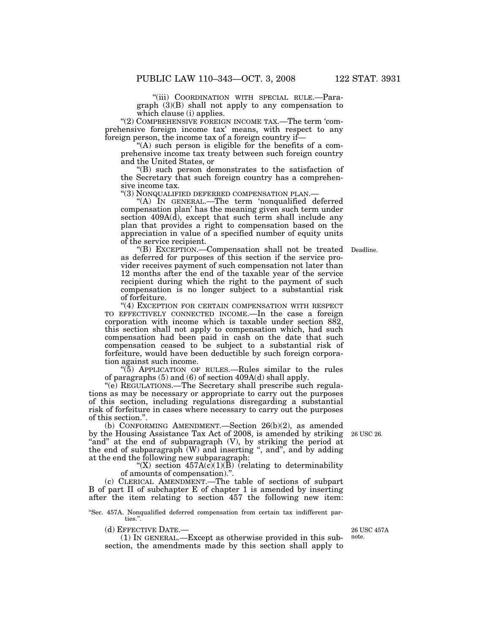''(iii) COORDINATION WITH SPECIAL RULE.—Paragraph (3)(B) shall not apply to any compensation to which clause (i) applies.

''(2) COMPREHENSIVE FOREIGN INCOME TAX.—The term 'comprehensive foreign income tax' means, with respect to any foreign person, the income tax of a foreign country if-

"(A) such person is eligible for the benefits of a comprehensive income tax treaty between such foreign country and the United States, or

''(B) such person demonstrates to the satisfaction of the Secretary that such foreign country has a comprehensive income tax.<br>"(3) Nonqualified deferred compensation plan.-

"(A) IN GENERAL.—The term 'nonqualified deferred compensation plan' has the meaning given such term under section 409A(d), except that such term shall include any plan that provides a right to compensation based on the appreciation in value of a specified number of equity units of the service recipient.

''(B) EXCEPTION.—Compensation shall not be treated Deadline. as deferred for purposes of this section if the service provider receives payment of such compensation not later than 12 months after the end of the taxable year of the service recipient during which the right to the payment of such compensation is no longer subject to a substantial risk of forfeiture.

"(4) EXCEPTION FOR CERTAIN COMPENSATION WITH RESPECT TO EFFECTIVELY CONNECTED INCOME.—In the case a foreign corporation with income which is taxable under section 882, this section shall not apply to compensation which, had such compensation had been paid in cash on the date that such compensation ceased to be subject to a substantial risk of forfeiture, would have been deductible by such foreign corporation against such income.

''(5) APPLICATION OF RULES.—Rules similar to the rules of paragraphs (5) and (6) of section 409A(d) shall apply.

''(e) REGULATIONS.—The Secretary shall prescribe such regulations as may be necessary or appropriate to carry out the purposes of this section, including regulations disregarding a substantial risk of forfeiture in cases where necessary to carry out the purposes of this section."

(b) CONFORMING AMENDMENT.—Section 26(b)(2), as amended by the Housing Assistance Tax Act of 2008, is amended by striking "and" at the end of subparagraph (V), by striking the period at the end of subparagraph  $(W)$  and inserting ", and", and by adding at the end the following new subparagraph:

"(X) section  $457A(c)(1)(B)$  (relating to determinability of amounts of compensation).''.

(c) CLERICAL AMENDMENT.—The table of sections of subpart B of part II of subchapter E of chapter 1 is amended by inserting after the item relating to section 457 the following new item:

''Sec. 457A. Nonqualified deferred compensation from certain tax indifferent parties.'

(d) EFFECTIVE DATE.—<br>(1) IN GENERAL.—Except as otherwise provided in this subsection, the amendments made by this section shall apply to

26 USC 457A note.

26 USC 26.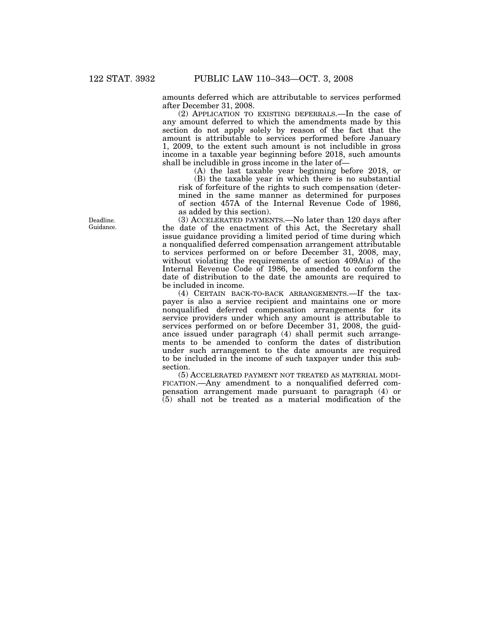amounts deferred which are attributable to services performed after December 31, 2008.

(2) APPLICATION TO EXISTING DEFERRALS.—In the case of any amount deferred to which the amendments made by this section do not apply solely by reason of the fact that the amount is attributable to services performed before January 1, 2009, to the extent such amount is not includible in gross income in a taxable year beginning before 2018, such amounts shall be includible in gross income in the later of—

(A) the last taxable year beginning before 2018, or

(B) the taxable year in which there is no substantial risk of forfeiture of the rights to such compensation (determined in the same manner as determined for purposes of section 457A of the Internal Revenue Code of 1986, as added by this section).

(3) ACCELERATED PAYMENTS.—No later than 120 days after the date of the enactment of this Act, the Secretary shall issue guidance providing a limited period of time during which a nonqualified deferred compensation arrangement attributable to services performed on or before December 31, 2008, may, without violating the requirements of section 409A(a) of the Internal Revenue Code of 1986, be amended to conform the date of distribution to the date the amounts are required to be included in income.

(4) CERTAIN BACK-TO-BACK ARRANGEMENTS.—If the taxpayer is also a service recipient and maintains one or more nonqualified deferred compensation arrangements for its service providers under which any amount is attributable to services performed on or before December 31, 2008, the guidance issued under paragraph (4) shall permit such arrangements to be amended to conform the dates of distribution under such arrangement to the date amounts are required to be included in the income of such taxpayer under this subsection.

(5) ACCELERATED PAYMENT NOT TREATED AS MATERIAL MODI-FICATION.—Any amendment to a nonqualified deferred compensation arrangement made pursuant to paragraph (4) or (5) shall not be treated as a material modification of the

Deadline. Guidance.